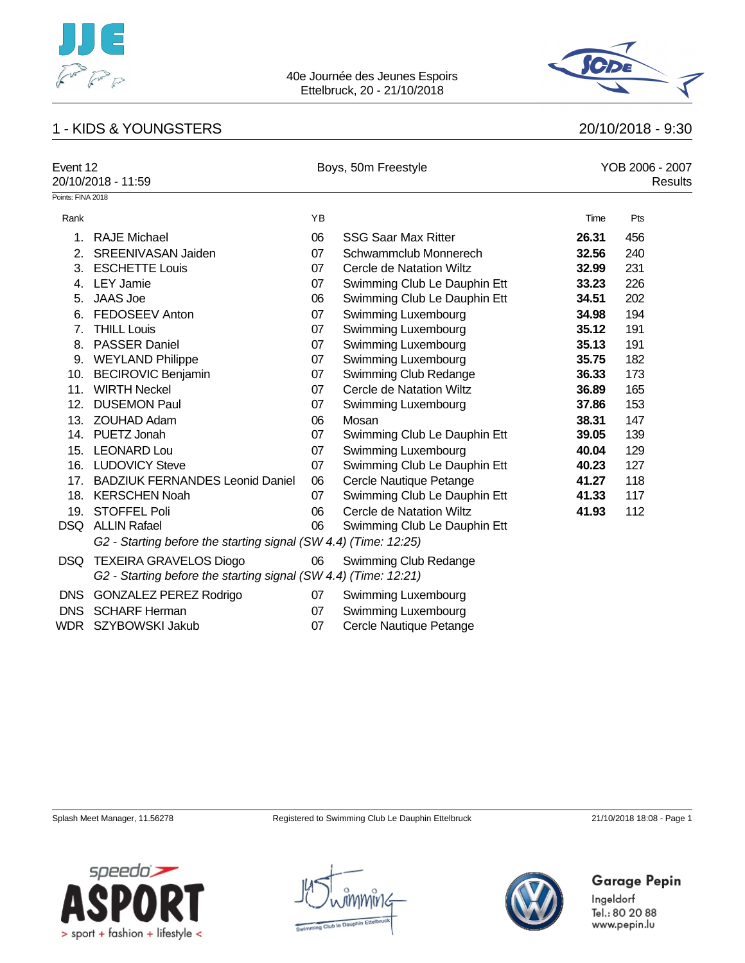



# 1 - KIDS & YOUNGSTERS 20/10/2018 - 9:30

|                   | Event 12<br>20/10/2018 - 11:59                                                                   |    | Boys, 50m Freestyle          | YOB 2006 - 2007<br>Results |     |  |
|-------------------|--------------------------------------------------------------------------------------------------|----|------------------------------|----------------------------|-----|--|
| Points: FINA 2018 |                                                                                                  |    |                              |                            |     |  |
| Rank              |                                                                                                  | YB |                              | Time                       | Pts |  |
| $1_{-}$           | <b>RAJE Michael</b>                                                                              | 06 | <b>SSG Saar Max Ritter</b>   | 26.31                      | 456 |  |
| 2.                | <b>SREENIVASAN Jaiden</b>                                                                        | 07 | Schwammclub Monnerech        | 32.56                      | 240 |  |
| 3.                | <b>ESCHETTE Louis</b>                                                                            | 07 | Cercle de Natation Wiltz     | 32.99                      | 231 |  |
| 4.                | <b>LEY Jamie</b>                                                                                 | 07 | Swimming Club Le Dauphin Ett | 33.23                      | 226 |  |
| 5.                | <b>JAAS Joe</b>                                                                                  | 06 | Swimming Club Le Dauphin Ett | 34.51                      | 202 |  |
| 6.                | FEDOSEEV Anton                                                                                   | 07 | Swimming Luxembourg          | 34.98                      | 194 |  |
| 7.                | <b>THILL Louis</b>                                                                               | 07 | Swimming Luxembourg          | 35.12                      | 191 |  |
| 8.                | <b>PASSER Daniel</b>                                                                             | 07 | Swimming Luxembourg          | 35.13                      | 191 |  |
| 9.                | <b>WEYLAND Philippe</b>                                                                          | 07 | Swimming Luxembourg          | 35.75                      | 182 |  |
| 10.               | <b>BECIROVIC Benjamin</b>                                                                        | 07 | Swimming Club Redange        | 36.33                      | 173 |  |
| 11.               | <b>WIRTH Neckel</b>                                                                              | 07 | Cercle de Natation Wiltz     | 36.89                      | 165 |  |
| 12.               | <b>DUSEMON Paul</b>                                                                              | 07 | Swimming Luxembourg          | 37.86                      | 153 |  |
| 13.               | ZOUHAD Adam                                                                                      | 06 | Mosan                        | 38.31                      | 147 |  |
|                   | 14. PUETZ Jonah                                                                                  | 07 | Swimming Club Le Dauphin Ett | 39.05                      | 139 |  |
| 15.               | <b>LEONARD Lou</b>                                                                               | 07 | Swimming Luxembourg          | 40.04                      | 129 |  |
| 16.               | <b>LUDOVICY Steve</b>                                                                            | 07 | Swimming Club Le Dauphin Ett | 40.23                      | 127 |  |
| 17.               | <b>BADZIUK FERNANDES Leonid Daniel</b>                                                           | 06 | Cercle Nautique Petange      | 41.27                      | 118 |  |
| 18.               | <b>KERSCHEN Noah</b>                                                                             | 07 | Swimming Club Le Dauphin Ett | 41.33                      | 117 |  |
| 19.               | STOFFEL Poli                                                                                     | 06 | Cercle de Natation Wiltz     | 41.93                      | 112 |  |
|                   | <b>DSQ</b> ALLIN Rafael                                                                          | 06 | Swimming Club Le Dauphin Ett |                            |     |  |
|                   | G2 - Starting before the starting signal (SW 4.4) (Time: 12:25)                                  |    |                              |                            |     |  |
| DSQ.              | <b>TEXEIRA GRAVELOS Diogo</b><br>G2 - Starting before the starting signal (SW 4.4) (Time: 12:21) | 06 | Swimming Club Redange        |                            |     |  |
| DNS.              | <b>GONZALEZ PEREZ Rodrigo</b>                                                                    | 07 | Swimming Luxembourg          |                            |     |  |
| <b>DNS</b>        | <b>SCHARF Herman</b>                                                                             | 07 | Swimming Luxembourg          |                            |     |  |
| WDR.              | SZYBOWSKI Jakub                                                                                  | 07 | Cercle Nautique Petange      |                            |     |  |

Splash Meet Manager, 11.56278 Registered to Swimming Club Le Dauphin Ettelbruck 21/10/2018 18:08 - Page 1

Garage Pepin



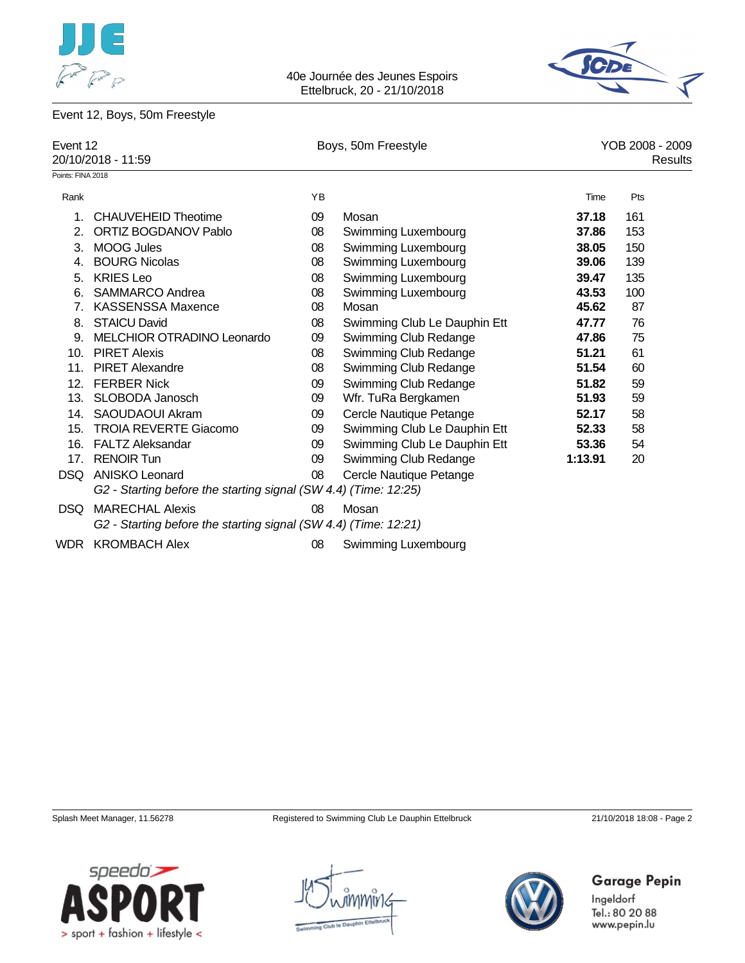



### Event 12, Boys, 50m Freestyle

|                   | Event 12<br>20/10/2018 - 11:59                                                           |    | Boys, 50m Freestyle          | YOB 2008 - 2009<br>Results |     |  |
|-------------------|------------------------------------------------------------------------------------------|----|------------------------------|----------------------------|-----|--|
| Points: FINA 2018 |                                                                                          |    |                              |                            |     |  |
| Rank              |                                                                                          | YB |                              | Time                       | Pts |  |
| 1.                | CHAUVEHEID Theotime                                                                      | 09 | Mosan                        | 37.18                      | 161 |  |
| 2.                | ORTIZ BOGDANOV Pablo                                                                     | 08 | Swimming Luxembourg          | 37.86                      | 153 |  |
| 3.                | <b>MOOG Jules</b>                                                                        | 08 | Swimming Luxembourg          | 38.05                      | 150 |  |
| 4.                | <b>BOURG Nicolas</b>                                                                     | 08 | Swimming Luxembourg          | 39.06                      | 139 |  |
| 5.                | <b>KRIES Leo</b>                                                                         | 08 | Swimming Luxembourg          | 39.47                      | 135 |  |
| 6.                | SAMMARCO Andrea                                                                          | 08 | Swimming Luxembourg          | 43.53                      | 100 |  |
| 7.                | <b>KASSENSSA Maxence</b>                                                                 | 08 | Mosan                        | 45.62                      | 87  |  |
| 8.                | <b>STAICU David</b>                                                                      | 08 | Swimming Club Le Dauphin Ett | 47.77                      | 76  |  |
| 9.                | MELCHIOR OTRADINO Leonardo                                                               | 09 | Swimming Club Redange        | 47.86                      | 75  |  |
| 10.               | <b>PIRET Alexis</b>                                                                      | 08 | Swimming Club Redange        | 51.21                      | 61  |  |
| 11.               | <b>PIRET Alexandre</b>                                                                   | 08 | Swimming Club Redange        | 51.54                      | 60  |  |
| 12.               | <b>FERBER Nick</b>                                                                       | 09 | Swimming Club Redange        | 51.82                      | 59  |  |
| 13.               | SLOBODA Janosch                                                                          | 09 | Wfr. TuRa Bergkamen          | 51.93                      | 59  |  |
| 14.               | SAOUDAOUI Akram                                                                          | 09 | Cercle Nautique Petange      | 52.17                      | 58  |  |
| 15.               | <b>TROIA REVERTE Giacomo</b>                                                             | 09 | Swimming Club Le Dauphin Ett | 52.33                      | 58  |  |
| 16.               | <b>FALTZ Aleksandar</b>                                                                  | 09 | Swimming Club Le Dauphin Ett | 53.36                      | 54  |  |
| 17.               | <b>RENOIR Tun</b>                                                                        | 09 | Swimming Club Redange        | 1:13.91                    | 20  |  |
| <b>DSQ</b>        | <b>ANISKO Leonard</b><br>G2 - Starting before the starting signal (SW 4.4) (Time: 12:25) | 08 | Cercle Nautique Petange      |                            |     |  |
| DSQ.              | <b>MARECHAL Alexis</b>                                                                   | 08 | Mosan                        |                            |     |  |
|                   | G2 - Starting before the starting signal (SW 4.4) (Time: 12:21)                          |    |                              |                            |     |  |
| <b>WDR</b>        | <b>KROMBACH Alex</b>                                                                     | 08 | Swimming Luxembourg          |                            |     |  |

Splash Meet Manager, 11.56278 Registered to Swimming Club Le Dauphin Ettelbruck 21/10/2018 18:08 - Page 2





Garage Pepin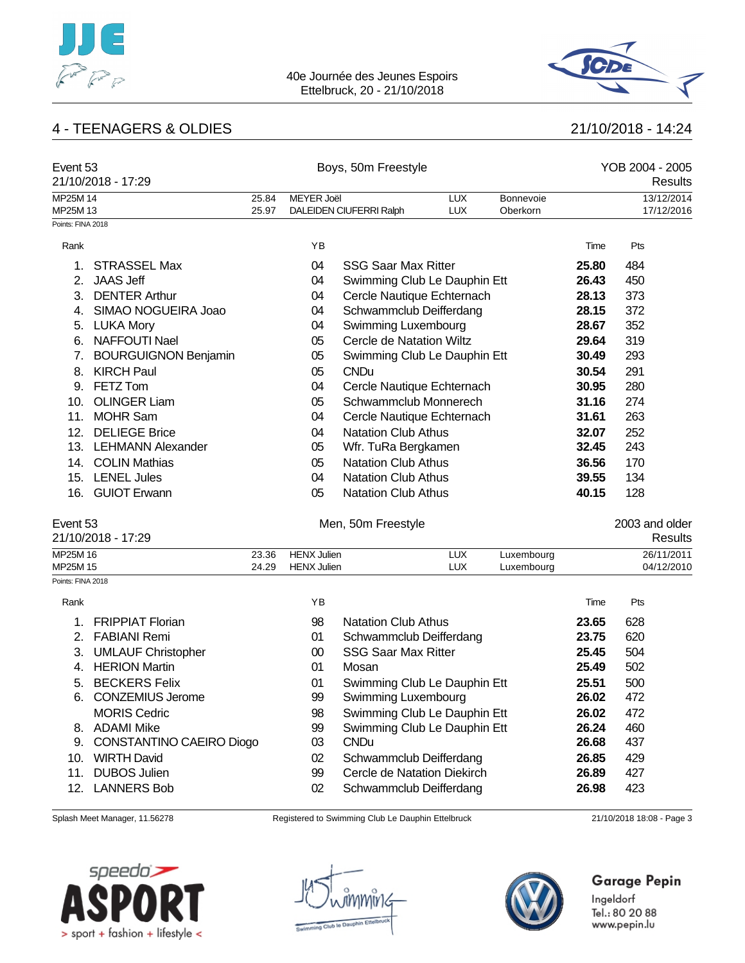



## 4 - TEENAGERS & OLDIES 21/10/2018 - 14:24

| Event 53<br>21/10/2018 - 17:29 |                             | Boys, 50m Freestyle |                   |                              |                          |                       |       | YOB 2004 - 2005<br>Results |  |  |
|--------------------------------|-----------------------------|---------------------|-------------------|------------------------------|--------------------------|-----------------------|-------|----------------------------|--|--|
| MP25M 14<br>MP25M 13           |                             | 25.84<br>25.97      | <b>MEYER Joël</b> | DALEIDEN CIUFERRI Ralph      | <b>LUX</b><br><b>LUX</b> | Bonnevoie<br>Oberkorn |       | 13/12/2014<br>17/12/2016   |  |  |
| Points: FINA 2018              |                             |                     |                   |                              |                          |                       |       |                            |  |  |
| Rank                           |                             |                     | YB                |                              |                          |                       | Time  | Pts                        |  |  |
|                                | <b>STRASSEL Max</b>         |                     | 04                | <b>SSG Saar Max Ritter</b>   |                          |                       | 25.80 | 484                        |  |  |
| 2.                             | <b>JAAS Jeff</b>            |                     | 04                | Swimming Club Le Dauphin Ett |                          |                       | 26.43 | 450                        |  |  |
| 3.                             | <b>DENTER Arthur</b>        |                     | 04                | Cercle Nautique Echternach   |                          |                       | 28.13 | 373                        |  |  |
| 4.                             | SIMAO NOGUEIRA Joao         |                     | 04                | Schwammclub Deifferdang      |                          |                       | 28.15 | 372                        |  |  |
| 5.                             | <b>LUKA Mory</b>            |                     | 04                | Swimming Luxembourg          |                          |                       | 28.67 | 352                        |  |  |
| 6.                             | <b>NAFFOUTI Nael</b>        |                     | 05                | Cercle de Natation Wiltz     |                          |                       | 29.64 | 319                        |  |  |
| 7.                             | <b>BOURGUIGNON Benjamin</b> |                     | 05                | Swimming Club Le Dauphin Ett |                          |                       | 30.49 | 293                        |  |  |
| 8.                             | <b>KIRCH Paul</b>           |                     | 05                | <b>CNDu</b>                  |                          |                       | 30.54 | 291                        |  |  |
| 9.                             | FETZ Tom                    |                     | 04                | Cercle Nautique Echternach   |                          |                       | 30.95 | 280                        |  |  |
| 10.                            | <b>OLINGER Liam</b>         |                     | 05                | Schwammclub Monnerech        |                          |                       | 31.16 | 274                        |  |  |
| 11.                            | <b>MOHR Sam</b>             |                     | 04                | Cercle Nautique Echternach   |                          |                       | 31.61 | 263                        |  |  |
| 12.                            | <b>DELIEGE Brice</b>        |                     | 04                | <b>Natation Club Athus</b>   |                          |                       | 32.07 | 252                        |  |  |
| 13.                            | <b>LEHMANN Alexander</b>    |                     | 05                | Wfr. TuRa Bergkamen          |                          |                       | 32.45 | 243                        |  |  |
| 14.                            | <b>COLIN Mathias</b>        |                     | 05                | <b>Natation Club Athus</b>   |                          |                       | 36.56 | 170                        |  |  |
| 15.                            | <b>LENEL Jules</b>          |                     | 04                | <b>Natation Club Athus</b>   |                          |                       | 39.55 | 134                        |  |  |
| 16.                            | <b>GUIOT Erwann</b>         |                     | 05                | <b>Natation Club Athus</b>   |                          |                       | 40.15 | 128                        |  |  |

Event 53 **Exercise 2003** and older

| 21/10/2018 - 17:29 |       |                    |     |            | Results    |
|--------------------|-------|--------------------|-----|------------|------------|
| MP25M 16           | 23.36 | <b>HENX Julien</b> | LUX | Luxembourg | 26/11/2011 |
| MP25M 15           | 24.29 | <b>HENX Julien</b> | LUX | Luxembourg | 04/12/2010 |

| Points: FINA 2018 |  |
|-------------------|--|
|-------------------|--|

| Rank |                          | YB     |                              | Time  | Pts |  |
|------|--------------------------|--------|------------------------------|-------|-----|--|
|      | <b>FRIPPIAT Florian</b>  | 98     | <b>Natation Club Athus</b>   | 23.65 | 628 |  |
|      | 2. FABIANI Remi          | 01     | Schwammclub Deifferdang      | 23.75 | 620 |  |
|      | 3. UMLAUF Christopher    | $00\,$ | <b>SSG Saar Max Ritter</b>   | 25.45 | 504 |  |
|      | 4. HERION Martin         | 01     | Mosan                        | 25.49 | 502 |  |
|      | 5. BECKERS Felix         | 01     | Swimming Club Le Dauphin Ett | 25.51 | 500 |  |
|      | 6. CONZEMIUS Jerome      | 99     | Swimming Luxembourg          | 26.02 | 472 |  |
|      | <b>MORIS Cedric</b>      | 98     | Swimming Club Le Dauphin Ett | 26.02 | 472 |  |
|      | 8. ADAMI Mike            | 99     | Swimming Club Le Dauphin Ett | 26.24 | 460 |  |
| 9.   | CONSTANTINO CAEIRO Diogo | 03     | <b>CNDu</b>                  | 26.68 | 437 |  |
| 10.  | <b>WIRTH David</b>       | 02     | Schwammclub Deifferdang      | 26.85 | 429 |  |
| 11.  | <b>DUBOS Julien</b>      | 99     | Cercle de Natation Diekirch  | 26.89 | 427 |  |
|      | 12. LANNERS Bob          | 02     | Schwammclub Deifferdang      | 26.98 | 423 |  |
|      |                          |        |                              |       |     |  |

Splash Meet Manager, 11.56278 Registered to Swimming Club Le Dauphin Ettelbruck 21/10/2018 18:08 - Page 3





# Garage Pepin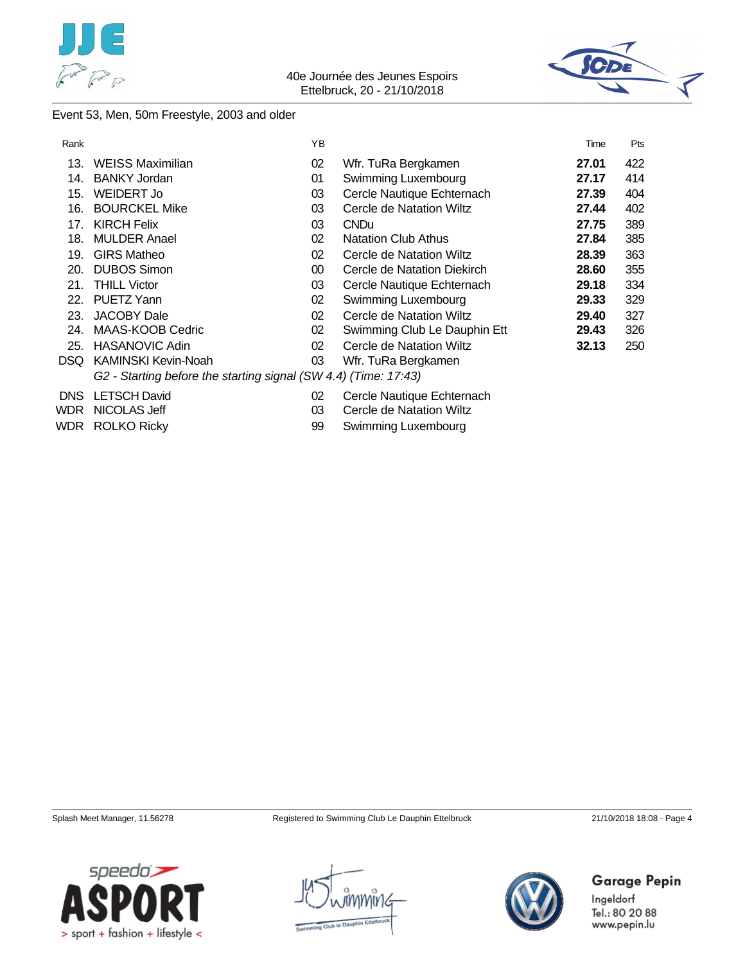



### Event 53, Men, 50m Freestyle, 2003 and older

| Rank       |                                                                 | YB |                              | Time  | Pts |
|------------|-----------------------------------------------------------------|----|------------------------------|-------|-----|
| 13.        | <b>WEISS Maximilian</b>                                         | 02 | Wfr. TuRa Bergkamen          | 27.01 | 422 |
| 14.        | <b>BANKY Jordan</b>                                             | 01 | Swimming Luxembourg          | 27.17 | 414 |
| 15.        | <b>WEIDERT Jo</b>                                               | 03 | Cercle Nautique Echternach   | 27.39 | 404 |
| 16.        | <b>BOURCKEL Mike</b>                                            | 03 | Cercle de Natation Wiltz     | 27.44 | 402 |
| 17.        | <b>KIRCH Felix</b>                                              | 03 | <b>CNDu</b>                  | 27.75 | 389 |
| 18.        | <b>MULDER Anael</b>                                             | 02 | <b>Natation Club Athus</b>   | 27.84 | 385 |
| 19.        | <b>GIRS Matheo</b>                                              | 02 | Cercle de Natation Wiltz     | 28.39 | 363 |
| 20.        | <b>DUBOS Simon</b>                                              | 00 | Cercle de Natation Diekirch  | 28.60 | 355 |
| 21.        | <b>THILL Victor</b>                                             | 03 | Cercle Nautique Echternach   | 29.18 | 334 |
| 22.        | PUETZ Yann                                                      | 02 | Swimming Luxembourg          | 29.33 | 329 |
| 23.        | <b>JACOBY Dale</b>                                              | 02 | Cercle de Natation Wiltz     | 29.40 | 327 |
| 24.        | MAAS-KOOB Cedric                                                | 02 | Swimming Club Le Dauphin Ett | 29.43 | 326 |
| 25.        | <b>HASANOVIC Adin</b>                                           | 02 | Cercle de Natation Wiltz     | 32.13 | 250 |
| DSQ.       | <b>KAMINSKI Kevin-Noah</b>                                      | 03 | Wfr. TuRa Bergkamen          |       |     |
|            | G2 - Starting before the starting signal (SW 4.4) (Time: 17:43) |    |                              |       |     |
| <b>DNS</b> | <b>LETSCH David</b>                                             | 02 | Cercle Nautique Echternach   |       |     |
| <b>WDR</b> | NICOLAS Jeff                                                    | 03 | Cercle de Natation Wiltz     |       |     |
|            | <b>WDR</b> ROLKO Ricky                                          | 99 | Swimming Luxembourg          |       |     |









Garage Pepin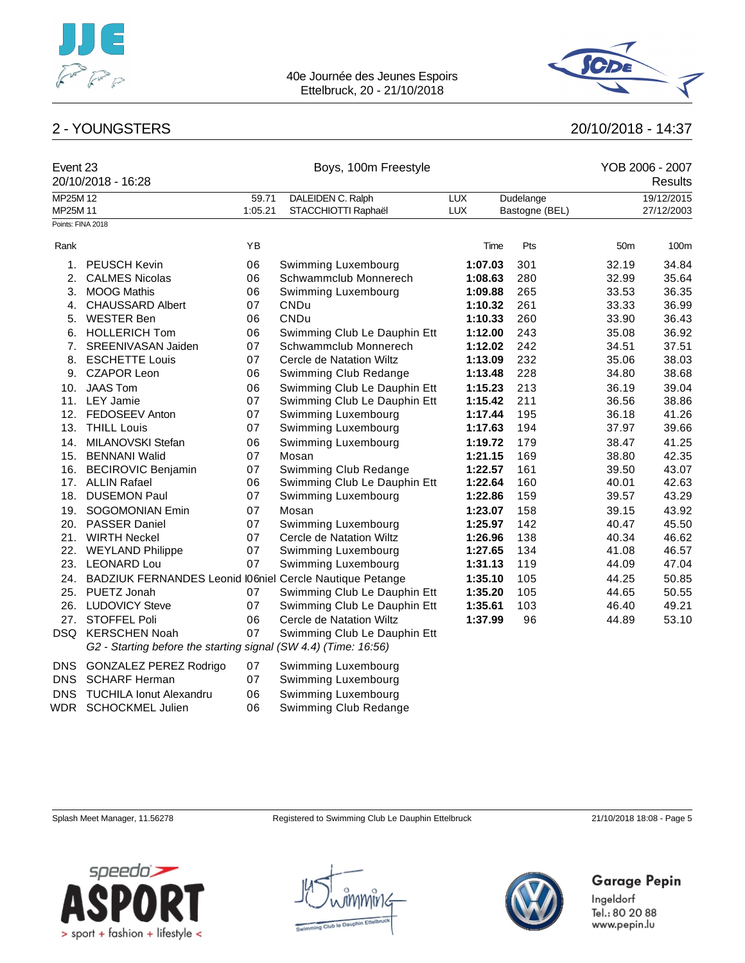



### 2 - YOUNGSTERS 20/10/2018 - 14:37

| Event 23          | 20/10/2018 - 16:28                                              |         | Boys, 100m Freestyle         |            | YOB 2006 - 2007<br>Results |                 |            |
|-------------------|-----------------------------------------------------------------|---------|------------------------------|------------|----------------------------|-----------------|------------|
| MP25M 12          |                                                                 | 59.71   | DALEIDEN C. Ralph            | <b>LUX</b> | Dudelange                  |                 | 19/12/2015 |
| MP25M 11          |                                                                 | 1:05.21 | STACCHIOTTI Raphaël          | <b>LUX</b> | Bastogne (BEL)             |                 | 27/12/2003 |
| Points: FINA 2018 |                                                                 |         |                              |            |                            |                 |            |
| Rank              |                                                                 | YB      |                              | Time       | Pts                        | 50 <sub>m</sub> | 100m       |
| 1.                | PEUSCH Kevin                                                    | 06      | Swimming Luxembourg          | 1:07.03    | 301                        | 32.19           | 34.84      |
| 2.                | <b>CALMES Nicolas</b>                                           | 06      | Schwammclub Monnerech        | 1:08.63    | 280                        | 32.99           | 35.64      |
| 3.                | <b>MOOG Mathis</b>                                              | 06      | Swimming Luxembourg          | 1:09.88    | 265                        | 33.53           | 36.35      |
| 4.                | <b>CHAUSSARD Albert</b>                                         | 07      | CNDu                         | 1:10.32    | 261                        | 33.33           | 36.99      |
| 5.                | <b>WESTER Ben</b>                                               | 06      | CNDu                         | 1:10.33    | 260                        | 33.90           | 36.43      |
| 6.                | <b>HOLLERICH Tom</b>                                            | 06      | Swimming Club Le Dauphin Ett | 1:12.00    | 243                        | 35.08           | 36.92      |
| 7.                | SREENIVASAN Jaiden                                              | 07      | Schwammclub Monnerech        | 1:12.02    | 242                        | 34.51           | 37.51      |
| 8.                | <b>ESCHETTE Louis</b>                                           | 07      | Cercle de Natation Wiltz     | 1:13.09    | 232                        | 35.06           | 38.03      |
| 9.                | <b>CZAPOR Leon</b>                                              | 06      | Swimming Club Redange        | 1:13.48    | 228                        | 34.80           | 38.68      |
| 10.               | <b>JAAS Tom</b>                                                 | 06      | Swimming Club Le Dauphin Ett | 1:15.23    | 213                        | 36.19           | 39.04      |
|                   | 11. LEY Jamie                                                   | 07      | Swimming Club Le Dauphin Ett | 1:15.42    | 211                        | 36.56           | 38.86      |
| 12.               | FEDOSEEV Anton                                                  | 07      | Swimming Luxembourg          | 1:17.44    | 195                        | 36.18           | 41.26      |
| 13.               | <b>THILL Louis</b>                                              | 07      | Swimming Luxembourg          | 1:17.63    | 194                        | 37.97           | 39.66      |
| 14.               | MILANOVSKI Stefan                                               | 06      | Swimming Luxembourg          | 1:19.72    | 179                        | 38.47           | 41.25      |
| 15.               | <b>BENNANI Walid</b>                                            | 07      | Mosan                        | 1:21.15    | 169                        | 38.80           | 42.35      |
| 16.               | <b>BECIROVIC Benjamin</b>                                       | 07      | Swimming Club Redange        | 1:22.57    | 161                        | 39.50           | 43.07      |
|                   | 17. ALLIN Rafael                                                | 06      | Swimming Club Le Dauphin Ett | 1:22.64    | 160                        | 40.01           | 42.63      |
| 18.               | <b>DUSEMON Paul</b>                                             | 07      | Swimming Luxembourg          | 1:22.86    | 159                        | 39.57           | 43.29      |
| 19.               | SOGOMONIAN Emin                                                 | 07      | Mosan                        | 1:23.07    | 158                        | 39.15           | 43.92      |
| 20.               | <b>PASSER Daniel</b>                                            | 07      | Swimming Luxembourg          | 1:25.97    | 142                        | 40.47           | 45.50      |
| 21.               | <b>WIRTH Neckel</b>                                             | 07      | Cercle de Natation Wiltz     | 1:26.96    | 138                        | 40.34           | 46.62      |
| 22.               | <b>WEYLAND Philippe</b>                                         | 07      | Swimming Luxembourg          | 1:27.65    | 134                        | 41.08           | 46.57      |
| 23.               | <b>LEONARD Lou</b>                                              | 07      | Swimming Luxembourg          | 1:31.13    | 119                        | 44.09           | 47.04      |
|                   | 24. BADZIUK FERNANDES Leonid I06niel Cercle Nautique Petange    |         |                              | 1:35.10    | 105                        | 44.25           | 50.85      |
| 25.               | PUETZ Jonah                                                     | 07      | Swimming Club Le Dauphin Ett | 1:35.20    | 105                        | 44.65           | 50.55      |
| 26.               | <b>LUDOVICY Steve</b>                                           | 07      | Swimming Club Le Dauphin Ett | 1:35.61    | 103                        | 46.40           | 49.21      |
| 27.               | <b>STOFFEL Poli</b>                                             | 06      | Cercle de Natation Wiltz     | 1:37.99    | 96                         | 44.89           | 53.10      |
|                   | DSQ KERSCHEN Noah                                               | 07      | Swimming Club Le Dauphin Ett |            |                            |                 |            |
|                   | G2 - Starting before the starting signal (SW 4.4) (Time: 16:56) |         |                              |            |                            |                 |            |
| DNS               | <b>GONZALEZ PEREZ Rodrigo</b>                                   | 07      | Swimming Luxembourg          |            |                            |                 |            |
| <b>DNS</b>        | <b>SCHARF Herman</b>                                            | 07      | Swimming Luxembourg          |            |                            |                 |            |
| <b>DNS</b>        | <b>TUCHILA Ionut Alexandru</b>                                  | 06      | Swimming Luxembourg          |            |                            |                 |            |
| <b>WDR</b>        | <b>SCHOCKMEL Julien</b>                                         | 06      | Swimming Club Redange        |            |                            |                 |            |

Splash Meet Manager, 11.56278 Registered to Swimming Club Le Dauphin Ettelbruck 21/10/2018 18:08 - Page 5

Garage Pepin



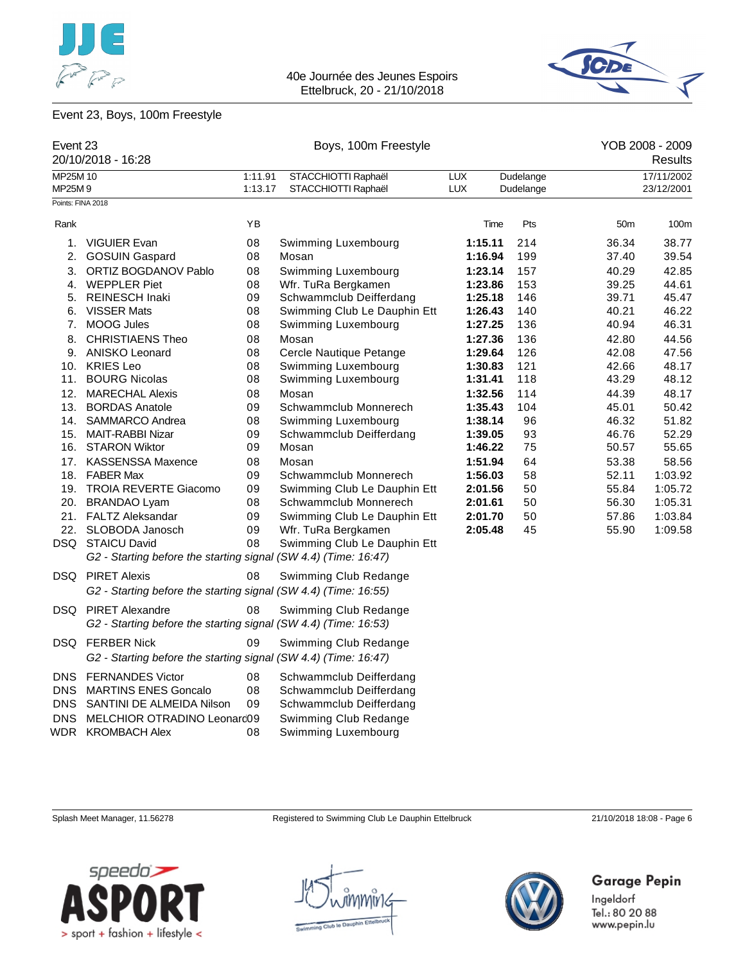



### Event 23, Boys, 100m Freestyle

| Event 23           | 20/10/2018 - 16:28                                                                                                                                     |                      | Boys, 100m Freestyle                                                                                                          |                          |                        |       | YOB 2008 - 2009<br>Results |
|--------------------|--------------------------------------------------------------------------------------------------------------------------------------------------------|----------------------|-------------------------------------------------------------------------------------------------------------------------------|--------------------------|------------------------|-------|----------------------------|
| MP25M 10<br>MP25M9 |                                                                                                                                                        | 1:11.91<br>1:13.17   | STACCHIOTTI Raphaël<br>STACCHIOTTI Raphaël                                                                                    | <b>LUX</b><br><b>LUX</b> | Dudelange<br>Dudelange |       | 17/11/2002<br>23/12/2001   |
|                    | Points: FINA 2018                                                                                                                                      |                      |                                                                                                                               |                          |                        |       |                            |
| Rank               |                                                                                                                                                        | ΥB                   |                                                                                                                               | Time                     | Pts                    | 50m   | 100m                       |
| 1.                 | <b>VIGUIER Evan</b>                                                                                                                                    | 08                   | Swimming Luxembourg                                                                                                           | 1:15.11                  | 214                    | 36.34 | 38.77                      |
| 2.                 | <b>GOSUIN Gaspard</b>                                                                                                                                  | 08                   | Mosan                                                                                                                         | 1:16.94                  | 199                    | 37.40 | 39.54                      |
| 3.                 | ORTIZ BOGDANOV Pablo                                                                                                                                   | 08                   | Swimming Luxembourg                                                                                                           | 1:23.14                  | 157                    | 40.29 | 42.85                      |
| 4.                 | <b>WEPPLER Piet</b>                                                                                                                                    | 08                   | Wfr. TuRa Bergkamen                                                                                                           | 1:23.86                  | 153                    | 39.25 | 44.61                      |
| 5.                 | <b>REINESCH Inaki</b>                                                                                                                                  | 09                   | Schwammclub Deifferdang                                                                                                       | 1:25.18                  | 146                    | 39.71 | 45.47                      |
| 6.                 | <b>VISSER Mats</b>                                                                                                                                     | 08                   | Swimming Club Le Dauphin Ett                                                                                                  | 1:26.43                  | 140                    | 40.21 | 46.22                      |
| 7.                 | <b>MOOG Jules</b>                                                                                                                                      | 08                   | Swimming Luxembourg                                                                                                           | 1:27.25                  | 136                    | 40.94 | 46.31                      |
| 8.                 | <b>CHRISTIAENS Theo</b>                                                                                                                                | 08                   | Mosan                                                                                                                         | 1:27.36                  | 136                    | 42.80 | 44.56                      |
|                    | 9. ANISKO Leonard                                                                                                                                      | 08                   | Cercle Nautique Petange                                                                                                       | 1:29.64                  | 126                    | 42.08 | 47.56                      |
|                    | 10. KRIES Leo                                                                                                                                          | 08                   | Swimming Luxembourg                                                                                                           | 1:30.83                  | 121                    | 42.66 | 48.17                      |
| 11.                | <b>BOURG Nicolas</b>                                                                                                                                   | 08                   | Swimming Luxembourg                                                                                                           | 1:31.41                  | 118                    | 43.29 | 48.12                      |
| 12.                | <b>MARECHAL Alexis</b>                                                                                                                                 | 08                   | Mosan                                                                                                                         | 1:32.56                  | 114                    | 44.39 | 48.17                      |
| 13.                | <b>BORDAS Anatole</b>                                                                                                                                  | 09                   | Schwammclub Monnerech                                                                                                         | 1:35.43                  | 104                    | 45.01 | 50.42                      |
|                    | 14. SAMMARCO Andrea                                                                                                                                    | 08                   | Swimming Luxembourg                                                                                                           | 1:38.14                  | 96                     | 46.32 | 51.82                      |
| 15.                | <b>MAIT-RABBI Nizar</b>                                                                                                                                | 09                   | Schwammclub Deifferdang                                                                                                       | 1:39.05                  | 93                     | 46.76 | 52.29                      |
|                    | 16. STARON Wiktor                                                                                                                                      | 09                   | Mosan                                                                                                                         | 1:46.22                  | 75                     | 50.57 | 55.65                      |
| 17.                | <b>KASSENSSA Maxence</b>                                                                                                                               | 08                   | Mosan                                                                                                                         | 1:51.94                  | 64                     | 53.38 | 58.56                      |
|                    | 18. FABER Max                                                                                                                                          | 09                   | Schwammclub Monnerech                                                                                                         | 1:56.03                  | 58                     | 52.11 | 1:03.92                    |
|                    | 19. TROIA REVERTE Giacomo                                                                                                                              | 09                   | Swimming Club Le Dauphin Ett                                                                                                  | 2:01.56                  | 50                     | 55.84 | 1:05.72                    |
| 20.                | <b>BRANDAO Lyam</b>                                                                                                                                    | 08                   | Schwammclub Monnerech                                                                                                         | 2:01.61                  | 50                     | 56.30 | 1:05.31                    |
| 21.                | <b>FALTZ Aleksandar</b>                                                                                                                                | 09                   | Swimming Club Le Dauphin Ett                                                                                                  | 2:01.70                  | 50                     | 57.86 | 1:03.84                    |
| 22.                | SLOBODA Janosch                                                                                                                                        | 09                   | Wfr. TuRa Bergkamen                                                                                                           | 2:05.48                  | 45                     | 55.90 | 1:09.58                    |
|                    | DSQ STAICU David                                                                                                                                       | 08                   | Swimming Club Le Dauphin Ett                                                                                                  |                          |                        |       |                            |
|                    | G2 - Starting before the starting signal (SW 4.4) (Time: 16:47)                                                                                        |                      |                                                                                                                               |                          |                        |       |                            |
|                    | <b>DSQ</b> PIRET Alexis<br>G2 - Starting before the starting signal (SW 4.4) (Time: 16:55)                                                             | 08                   | Swimming Club Redange                                                                                                         |                          |                        |       |                            |
|                    | <b>DSQ</b> PIRET Alexandre<br>G2 - Starting before the starting signal (SW 4.4) (Time: 16:53)                                                          | 08                   | Swimming Club Redange                                                                                                         |                          |                        |       |                            |
|                    | <b>DSQ FERBER Nick</b><br>G2 - Starting before the starting signal (SW 4.4) (Time: 16:47)                                                              | 09                   | Swimming Club Redange                                                                                                         |                          |                        |       |                            |
| DNS<br><b>DNS</b>  | <b>DNS FERNANDES Victor</b><br><b>MARTINS ENES Goncalo</b><br>DNS SANTINI DE ALMEIDA Nilson<br><b>MELCHIOR OTRADINO Leonard09</b><br>WDR KROMBACH Alex | 08<br>08<br>09<br>08 | Schwammclub Deifferdang<br>Schwammclub Deifferdang<br>Schwammclub Deifferdang<br>Swimming Club Redange<br>Swimming Luxembourg |                          |                        |       |                            |

Splash Meet Manager, 11.56278 Registered to Swimming Club Le Dauphin Ettelbruck 21/10/2018 18:08 - Page 6







# Garage Pepin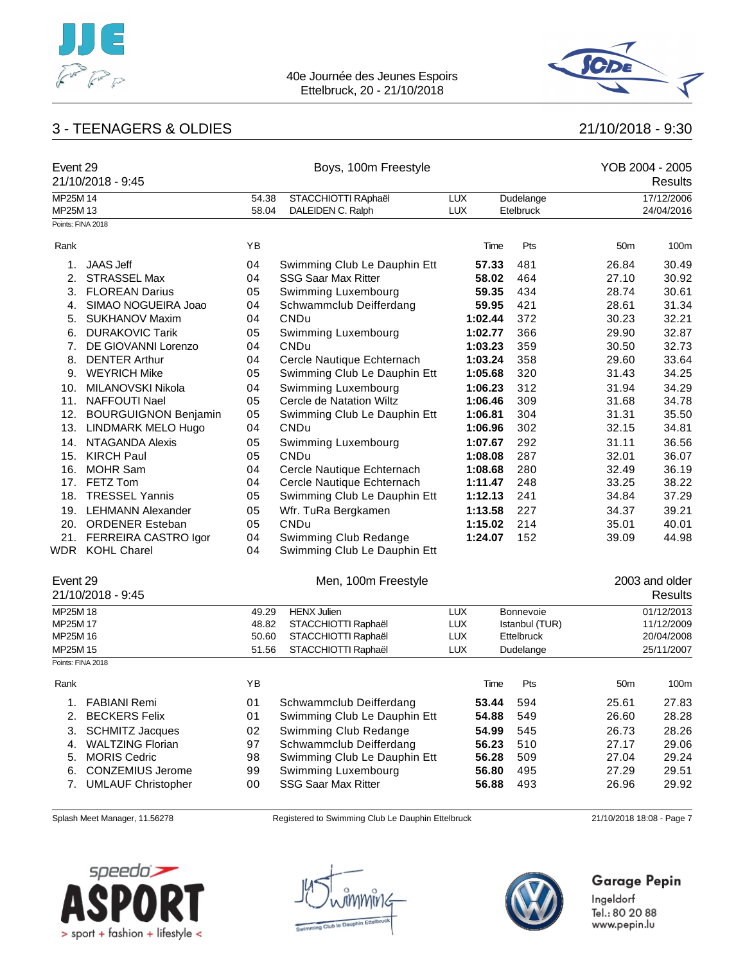

# 3 - TEENAGERS & OLDIES 21/10/2018 - 9:30



| Event 29                      | 21/10/2018 - 9:45           |       | Boys, 100m Freestyle         |            |         |                   |                 | YOB 2004 - 2005<br>Results |
|-------------------------------|-----------------------------|-------|------------------------------|------------|---------|-------------------|-----------------|----------------------------|
| MP25M 14                      |                             | 54.38 | STACCHIOTTI RAphaël          | <b>LUX</b> |         | Dudelange         |                 | 17/12/2006                 |
| MP25M 13<br>Points: FINA 2018 |                             | 58.04 | DALEIDEN C. Ralph            | LUX        |         | Etelbruck         |                 | 24/04/2016                 |
|                               |                             |       |                              |            |         |                   |                 |                            |
| Rank                          |                             | YB    |                              |            | Time    | Pts               | 50 <sub>m</sub> | 100m                       |
| 1.                            | <b>JAAS Jeff</b>            | 04    | Swimming Club Le Dauphin Ett |            | 57.33   | 481               | 26.84           | 30.49                      |
| 2.                            | <b>STRASSEL Max</b>         | 04    | <b>SSG Saar Max Ritter</b>   |            | 58.02   | 464               | 27.10           | 30.92                      |
| 3.                            | <b>FLOREAN Darius</b>       | 05    | Swimming Luxembourg          |            | 59.35   | 434               | 28.74           | 30.61                      |
| 4.                            | SIMAO NOGUEIRA Joao         | 04    | Schwammclub Deifferdang      |            | 59.95   | 421               | 28.61           | 31.34                      |
| 5.                            | <b>SUKHANOV Maxim</b>       | 04    | <b>CNDu</b>                  |            | 1:02.44 | 372               | 30.23           | 32.21                      |
| 6.                            | <b>DURAKOVIC Tarik</b>      | 05    | Swimming Luxembourg          |            | 1:02.77 | 366               | 29.90           | 32.87                      |
| 7.                            | DE GIOVANNI Lorenzo         | 04    | <b>CNDu</b>                  |            | 1:03.23 | 359               | 30.50           | 32.73                      |
| 8.                            | <b>DENTER Arthur</b>        | 04    | Cercle Nautique Echternach   |            | 1:03.24 | 358               | 29.60           | 33.64                      |
| 9.                            | <b>WEYRICH Mike</b>         | 05    | Swimming Club Le Dauphin Ett |            | 1:05.68 | 320               | 31.43           | 34.25                      |
| 10.                           | MILANOVSKI Nikola           | 04    | Swimming Luxembourg          |            | 1:06.23 | 312               | 31.94           | 34.29                      |
| 11.                           | <b>NAFFOUTI Nael</b>        | 05    | Cercle de Natation Wiltz     |            | 1:06.46 | 309               | 31.68           | 34.78                      |
| 12.                           | <b>BOURGUIGNON Benjamin</b> | 05    | Swimming Club Le Dauphin Ett |            | 1:06.81 | 304               | 31.31           | 35.50                      |
| 13.                           | LINDMARK MELO Hugo          | 04    | <b>CNDu</b>                  |            | 1:06.96 | 302               | 32.15           | 34.81                      |
| 14.                           | NTAGANDA Alexis             | 05    | Swimming Luxembourg          |            | 1:07.67 | 292               | 31.11           | 36.56                      |
| 15.                           | <b>KIRCH Paul</b>           | 05    | <b>CNDu</b>                  |            | 1:08.08 | 287               | 32.01           | 36.07                      |
| 16.                           | <b>MOHR Sam</b>             | 04    | Cercle Nautique Echternach   |            | 1:08.68 | 280               | 32.49           | 36.19                      |
| 17.                           | FETZ Tom                    | 04    | Cercle Nautique Echternach   |            | 1:11.47 | 248               | 33.25           | 38.22                      |
| 18.                           | <b>TRESSEL Yannis</b>       | 05    | Swimming Club Le Dauphin Ett |            | 1:12.13 | 241               | 34.84           | 37.29                      |
|                               | 19. LEHMANN Alexander       | 05    | Wfr. TuRa Bergkamen          |            | 1:13.58 | 227               | 34.37           | 39.21                      |
|                               | 20. ORDENER Esteban         | 05    | <b>CNDu</b>                  |            | 1:15.02 | 214               | 35.01           | 40.01                      |
| 21.                           | FERREIRA CASTRO Igor        | 04    | Swimming Club Redange        |            | 1:24.07 | 152               | 39.09           | 44.98                      |
|                               | WDR KOHL Charel             | 04    | Swimming Club Le Dauphin Ett |            |         |                   |                 |                            |
| Event 29                      |                             |       | Men, 100m Freestyle          |            |         |                   |                 | 2003 and older             |
|                               | 21/10/2018 - 9:45           |       |                              |            |         |                   |                 | <b>Results</b>             |
| MP25M 18                      |                             | 49.29 | <b>HENX Julien</b>           | <b>LUX</b> |         | Bonnevoie         |                 | 01/12/2013                 |
| MP25M 17                      |                             | 48.82 | STACCHIOTTI Raphaël          | <b>LUX</b> |         | Istanbul (TUR)    |                 | 11/12/2009                 |
| MP25M 16                      |                             | 50.60 | STACCHIOTTI Raphaël          | <b>LUX</b> |         | <b>Ettelbruck</b> |                 | 20/04/2008                 |
| MP25M 15                      |                             | 51.56 | STACCHIOTTI Raphaël          | <b>LUX</b> |         | Dudelange         |                 | 25/11/2007                 |
| Points: FINA 2018             |                             |       |                              |            |         |                   |                 |                            |
| Rank                          |                             | YB    |                              |            | Time    | Pts               | 50 <sub>m</sub> | 100m                       |
| 1.                            | <b>FABIANI Remi</b>         | 01    | Schwammclub Deifferdang      |            | 53.44   | 594               | 25.61           | 27.83                      |
| 2.                            | <b>BECKERS Felix</b>        | 01    | Swimming Club Le Dauphin Ett |            | 54.88   | 549               | 26.60           | 28.28                      |
| 3.                            | <b>SCHMITZ Jacques</b>      | 02    | Swimming Club Redange        |            | 54.99   | 545               | 26.73           | 28.26                      |
| 4.                            | <b>WALTZING Florian</b>     | 97    | Schwammclub Deifferdang      |            | 56.23   | 510               | 27.17           | 29.06                      |
| 5.                            | <b>MORIS Cedric</b>         | 98    | Swimming Club Le Dauphin Ett |            | 56.28   | 509               | 27.04           | 29.24                      |
| 6.                            | <b>CONZEMIUS Jerome</b>     | 99    | Swimming Luxembourg          |            | 56.80   | 495               | 27.29           | 29.51                      |
| 7.                            | <b>UMLAUF Christopher</b>   | 00    | <b>SSG Saar Max Ritter</b>   |            | 56.88   | 493               | 26.96           | 29.92                      |
|                               |                             |       |                              |            |         |                   |                 |                            |

Splash Meet Manager, 11.56278 **Registered to Swimming Club Le Dauphin Ettelbruck** 21/10/2018 18:08 - Page 7





# Garage Pepin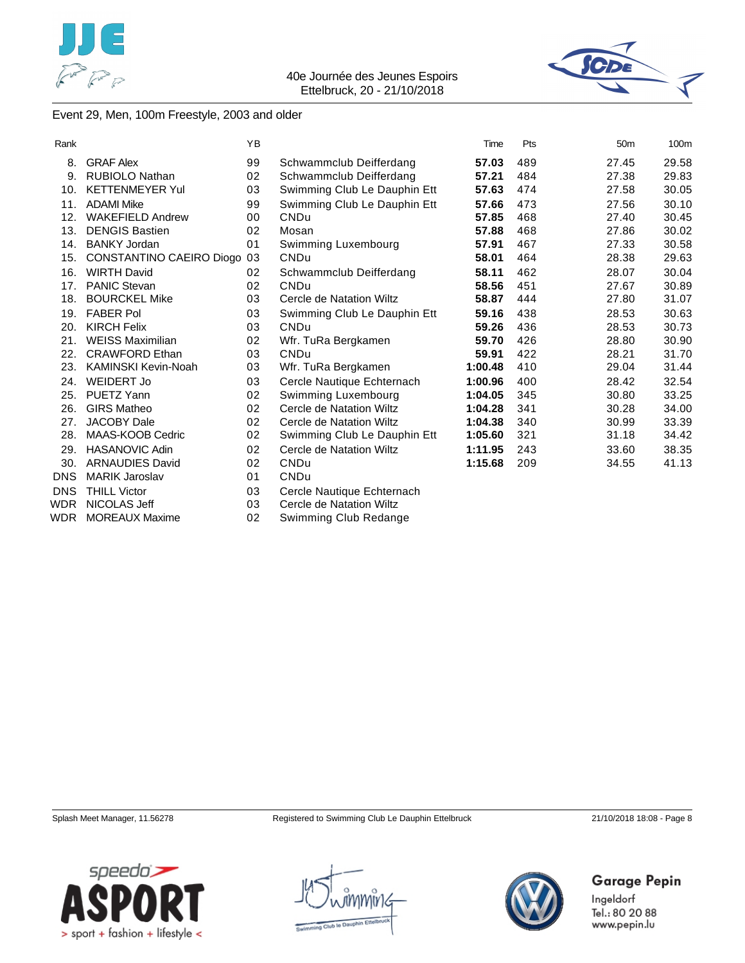



### Event 29, Men, 100m Freestyle, 2003 and older

| Rank       |                             | YB |                              | Time    | Pts | 50 <sub>m</sub> | 100m  |
|------------|-----------------------------|----|------------------------------|---------|-----|-----------------|-------|
| 8.         | <b>GRAF Alex</b>            | 99 | Schwammclub Deifferdang      | 57.03   | 489 | 27.45           | 29.58 |
| 9.         | <b>RUBIOLO Nathan</b>       | 02 | Schwammclub Deifferdang      | 57.21   | 484 | 27.38           | 29.83 |
| 10.        | <b>KETTENMEYER Yul</b>      | 03 | Swimming Club Le Dauphin Ett | 57.63   | 474 | 27.58           | 30.05 |
| 11.        | <b>ADAMI Mike</b>           | 99 | Swimming Club Le Dauphin Ett | 57.66   | 473 | 27.56           | 30.10 |
| 12.        | <b>WAKEFIELD Andrew</b>     | 00 | <b>CNDu</b>                  | 57.85   | 468 | 27.40           | 30.45 |
| 13.        | <b>DENGIS Bastien</b>       | 02 | Mosan                        | 57.88   | 468 | 27.86           | 30.02 |
| 14.        | <b>BANKY Jordan</b>         | 01 | Swimming Luxembourg          | 57.91   | 467 | 27.33           | 30.58 |
| 15.        | CONSTANTINO CAEIRO Diogo 03 |    | CNDu                         | 58.01   | 464 | 28.38           | 29.63 |
| 16.        | <b>WIRTH David</b>          | 02 | Schwammclub Deifferdang      | 58.11   | 462 | 28.07           | 30.04 |
| 17.        | <b>PANIC Stevan</b>         | 02 | <b>CNDu</b>                  | 58.56   | 451 | 27.67           | 30.89 |
| 18.        | <b>BOURCKEL Mike</b>        | 03 | Cercle de Natation Wiltz     | 58.87   | 444 | 27.80           | 31.07 |
| 19.        | <b>FABER Pol</b>            | 03 | Swimming Club Le Dauphin Ett | 59.16   | 438 | 28.53           | 30.63 |
| 20.        | <b>KIRCH Felix</b>          | 03 | CNDu                         | 59.26   | 436 | 28.53           | 30.73 |
| 21.        | <b>WEISS Maximilian</b>     | 02 | Wfr. TuRa Bergkamen          | 59.70   | 426 | 28.80           | 30.90 |
| 22.        | <b>CRAWFORD Ethan</b>       | 03 | CNDu                         | 59.91   | 422 | 28.21           | 31.70 |
| 23.        | <b>KAMINSKI Kevin-Noah</b>  | 03 | Wfr. TuRa Bergkamen          | 1:00.48 | 410 | 29.04           | 31.44 |
| 24.        | WEIDERT Jo                  | 03 | Cercle Nautique Echternach   | 1:00.96 | 400 | 28.42           | 32.54 |
| 25.        | PUETZ Yann                  | 02 | Swimming Luxembourg          | 1:04.05 | 345 | 30.80           | 33.25 |
| 26.        | <b>GIRS Matheo</b>          | 02 | Cercle de Natation Wiltz     | 1:04.28 | 341 | 30.28           | 34.00 |
| 27.        | <b>JACOBY Dale</b>          | 02 | Cercle de Natation Wiltz     | 1:04.38 | 340 | 30.99           | 33.39 |
| 28.        | MAAS-KOOB Cedric            | 02 | Swimming Club Le Dauphin Ett | 1:05.60 | 321 | 31.18           | 34.42 |
| 29.        | <b>HASANOVIC Adin</b>       | 02 | Cercle de Natation Wiltz     | 1:11.95 | 243 | 33.60           | 38.35 |
| 30.        | <b>ARNAUDIES David</b>      | 02 | CNDu                         | 1:15.68 | 209 | 34.55           | 41.13 |
| <b>DNS</b> | <b>MARIK Jaroslav</b>       | 01 | CNDu                         |         |     |                 |       |
| <b>DNS</b> | <b>THILL Victor</b>         | 03 | Cercle Nautique Echternach   |         |     |                 |       |
| <b>WDR</b> | NICOLAS Jeff                | 03 | Cercle de Natation Wiltz     |         |     |                 |       |
| <b>WDR</b> | <b>MOREAUX Maxime</b>       | 02 | Swimming Club Redange        |         |     |                 |       |



Garage Pepin



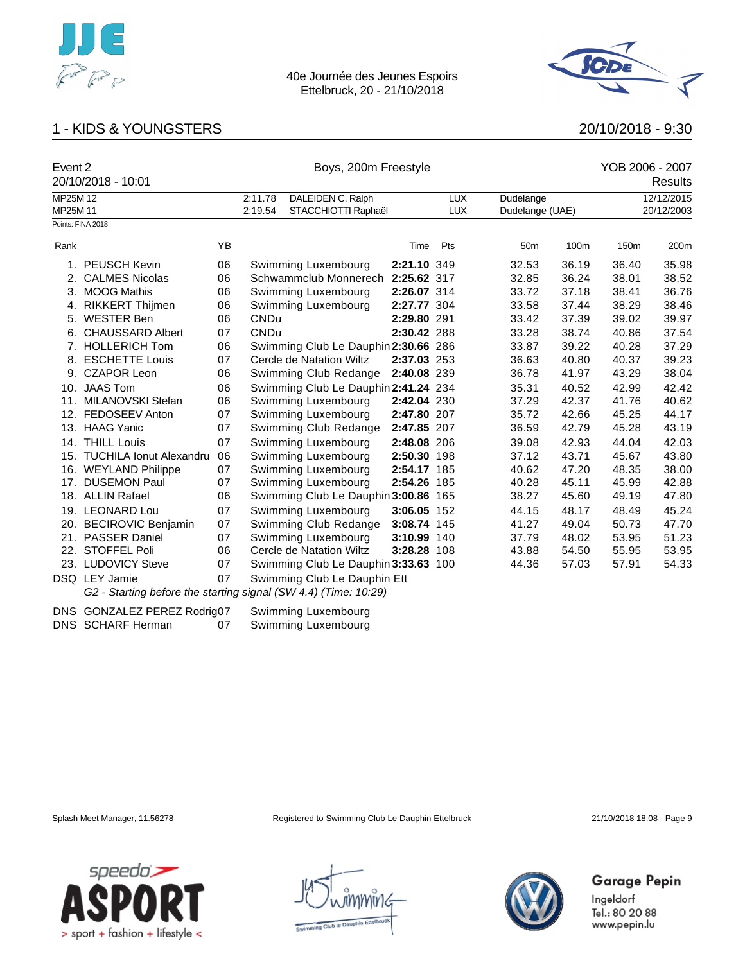



### 1 - KIDS & YOUNGSTERS 20/10/2018 - 9:30

| Event 2  |                                                                 |    | Boys, 200m Freestyle         |                                      |             |            |                 |       | YOB 2006 - 2007 |            |
|----------|-----------------------------------------------------------------|----|------------------------------|--------------------------------------|-------------|------------|-----------------|-------|-----------------|------------|
|          | 20/10/2018 - 10:01                                              |    |                              |                                      |             |            |                 |       |                 | Results    |
| MP25M 12 |                                                                 |    | 2:11.78<br>DALEIDEN C. Ralph |                                      |             | <b>LUX</b> | Dudelange       |       |                 | 12/12/2015 |
| MP25M 11 |                                                                 |    | 2:19.54                      | STACCHIOTTI Raphaël                  |             | <b>LUX</b> | Dudelange (UAE) |       |                 | 20/12/2003 |
|          | Points: FINA 2018                                               |    |                              |                                      |             |            |                 |       |                 |            |
| Rank     |                                                                 | YB |                              |                                      | Time        | Pts        | 50 <sub>m</sub> | 100m  | 150m            | 200m       |
|          | 1. PEUSCH Kevin                                                 | 06 |                              | Swimming Luxembourg                  | 2:21.10 349 |            | 32.53           | 36.19 | 36.40           | 35.98      |
|          | <b>CALMES Nicolas</b>                                           | 06 |                              | Schwammclub Monnerech                | 2:25.62 317 |            | 32.85           | 36.24 | 38.01           | 38.52      |
|          | 3. MOOG Mathis                                                  | 06 |                              | Swimming Luxembourg                  | 2:26.07 314 |            | 33.72           | 37.18 | 38.41           | 36.76      |
|          | 4. RIKKERT Thijmen                                              | 06 |                              | Swimming Luxembourg                  | 2:27.77 304 |            | 33.58           | 37.44 | 38.29           | 38.46      |
|          | 5. WESTER Ben                                                   | 06 | <b>CNDu</b>                  |                                      | 2:29.80 291 |            | 33.42           | 37.39 | 39.02           | 39.97      |
| 6.       | <b>CHAUSSARD Albert</b>                                         | 07 | <b>CNDu</b>                  |                                      | 2:30.42 288 |            | 33.28           | 38.74 | 40.86           | 37.54      |
|          | 7. HOLLERICH Tom                                                | 06 |                              | Swimming Club Le Dauphin 2:30.66 286 |             |            | 33.87           | 39.22 | 40.28           | 37.29      |
|          | 8. ESCHETTE Louis                                               | 07 |                              | Cercle de Natation Wiltz             | 2:37.03 253 |            | 36.63           | 40.80 | 40.37           | 39.23      |
|          | 9. CZAPOR Leon                                                  | 06 |                              | Swimming Club Redange                | 2:40.08 239 |            | 36.78           | 41.97 | 43.29           | 38.04      |
|          | 10. JAAS Tom                                                    | 06 |                              | Swimming Club Le Dauphin 2:41.24 234 |             |            | 35.31           | 40.52 | 42.99           | 42.42      |
|          | 11. MILANOVSKI Stefan                                           | 06 |                              | Swimming Luxembourg                  | 2:42.04 230 |            | 37.29           | 42.37 | 41.76           | 40.62      |
| 12.      | FEDOSEEV Anton                                                  | 07 |                              | Swimming Luxembourg                  | 2:47.80 207 |            | 35.72           | 42.66 | 45.25           | 44.17      |
|          | 13. HAAG Yanic                                                  | 07 |                              | Swimming Club Redange                | 2:47.85 207 |            | 36.59           | 42.79 | 45.28           | 43.19      |
|          | 14. THILL Louis                                                 | 07 |                              | Swimming Luxembourg                  | 2:48.08 206 |            | 39.08           | 42.93 | 44.04           | 42.03      |
|          | 15. TUCHILA Ionut Alexandru                                     | 06 |                              | Swimming Luxembourg                  | 2:50.30 198 |            | 37.12           | 43.71 | 45.67           | 43.80      |
|          | 16. WEYLAND Philippe                                            | 07 |                              | Swimming Luxembourg                  | 2:54.17 185 |            | 40.62           | 47.20 | 48.35           | 38.00      |
|          | 17. DUSEMON Paul                                                | 07 |                              | Swimming Luxembourg                  | 2:54.26 185 |            | 40.28           | 45.11 | 45.99           | 42.88      |
|          | 18. ALLIN Rafael                                                | 06 |                              | Swimming Club Le Dauphin 3:00.86 165 |             |            | 38.27           | 45.60 | 49.19           | 47.80      |
|          | 19. LEONARD Lou                                                 | 07 |                              | Swimming Luxembourg                  | 3:06.05 152 |            | 44.15           | 48.17 | 48.49           | 45.24      |
|          | 20. BECIROVIC Benjamin                                          | 07 |                              | Swimming Club Redange                | 3:08.74 145 |            | 41.27           | 49.04 | 50.73           | 47.70      |
|          | 21. PASSER Daniel                                               | 07 |                              | Swimming Luxembourg                  | 3:10.99 140 |            | 37.79           | 48.02 | 53.95           | 51.23      |
|          | 22. STOFFEL Poli                                                | 06 |                              | Cercle de Natation Wiltz             | 3:28.28 108 |            | 43.88           | 54.50 | 55.95           | 53.95      |
|          | 23. LUDOVICY Steve                                              | 07 |                              | Swimming Club Le Dauphin 3:33.63 100 |             |            | 44.36           | 57.03 | 57.91           | 54.33      |
|          | DSQ LEY Jamie                                                   | 07 |                              | Swimming Club Le Dauphin Ett         |             |            |                 |       |                 |            |
|          | G2 - Starting before the starting signal (SW 4.4) (Time: 10:29) |    |                              |                                      |             |            |                 |       |                 |            |
|          |                                                                 |    |                              |                                      |             |            |                 |       |                 |            |

DNS GONZALEZ PEREZ Rodrig07 Swimming Luxembourg<br>DNS SCHARF Herman 07 Swimming Luxembourg 07 Swimming Luxembourg

Splash Meet Manager, 11.56278 Registered to Swimming Club Le Dauphin Ettelbruck 21/10/2018 18:08 - Page 9

**Garage Pepin** 



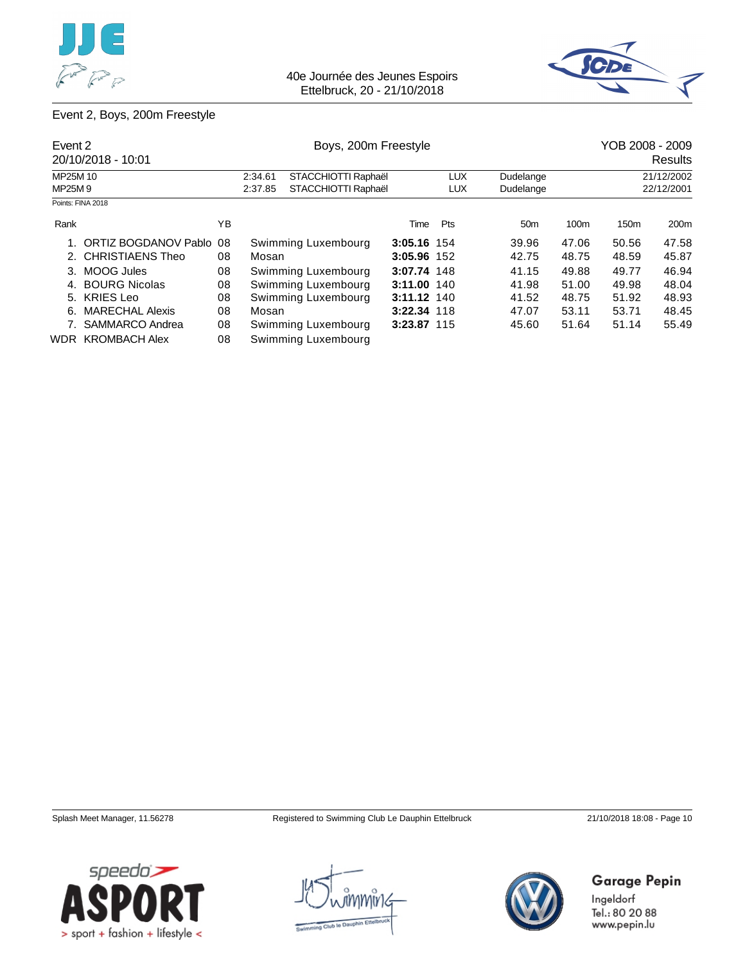



### Event 2, Boys, 200m Freestyle

| Event 2  | 20/10/2018 - 10:01     |    | Boys, 200m Freestyle |                     |               |            |                 |       | YOB 2008 - 2009<br>Results |                  |  |
|----------|------------------------|----|----------------------|---------------------|---------------|------------|-----------------|-------|----------------------------|------------------|--|
| MP25M 10 |                        |    | 2:34.61              | STACCHIOTTI Raphaël |               | <b>LUX</b> | Dudelange       |       |                            | 21/12/2002       |  |
| MP25M9   |                        |    | 2:37.85              | STACCHIOTTI Raphaël |               | <b>LUX</b> | Dudelange       |       |                            | 22/12/2001       |  |
|          | Points: FINA 2018      |    |                      |                     |               |            |                 |       |                            |                  |  |
| Rank     |                        | ΥB |                      |                     | Time          | Pts        | 50 <sub>m</sub> | 100m  | 150 <sub>m</sub>           | 200 <sub>m</sub> |  |
|          | ORTIZ BOGDANOV Pablo   | 08 |                      | Swimming Luxembourg | 3:05.16 154   |            | 39.96           | 47.06 | 50.56                      | 47.58            |  |
|          | 2. CHRISTIAENS Theo    | 08 | Mosan                |                     | 3:05.96 152   |            | 42.75           | 48.75 | 48.59                      | 45.87            |  |
| 3.       | MOOG Jules             | 08 |                      | Swimming Luxembourg | 3:07.74 148   |            | 41.15           | 49.88 | 49.77                      | 46.94            |  |
| 4.       | <b>BOURG Nicolas</b>   | 08 |                      | Swimming Luxembourg | 3:11.00 140   |            | 41.98           | 51.00 | 49.98                      | 48.04            |  |
|          | 5. KRIES Leo           | 08 |                      | Swimming Luxembourg | $3:11.12$ 140 |            | 41.52           | 48.75 | 51.92                      | 48.93            |  |
| 6.       | <b>MARECHAL Alexis</b> | 08 | Mosan                |                     | 3:22.34 118   |            | 47.07           | 53.11 | 53.71                      | 48.45            |  |
|          | 7. SAMMARCO Andrea     | 08 |                      | Swimming Luxembourg | 3:23.87 115   |            | 45.60           | 51.64 | 51.14                      | 55.49            |  |
|          | WDR KROMBACH Alex      | 08 |                      | Swimming Luxembourg |               |            |                 |       |                            |                  |  |









Garage Pepin Ingeldorf

Tel.: 80 20 88 www.pepin.lu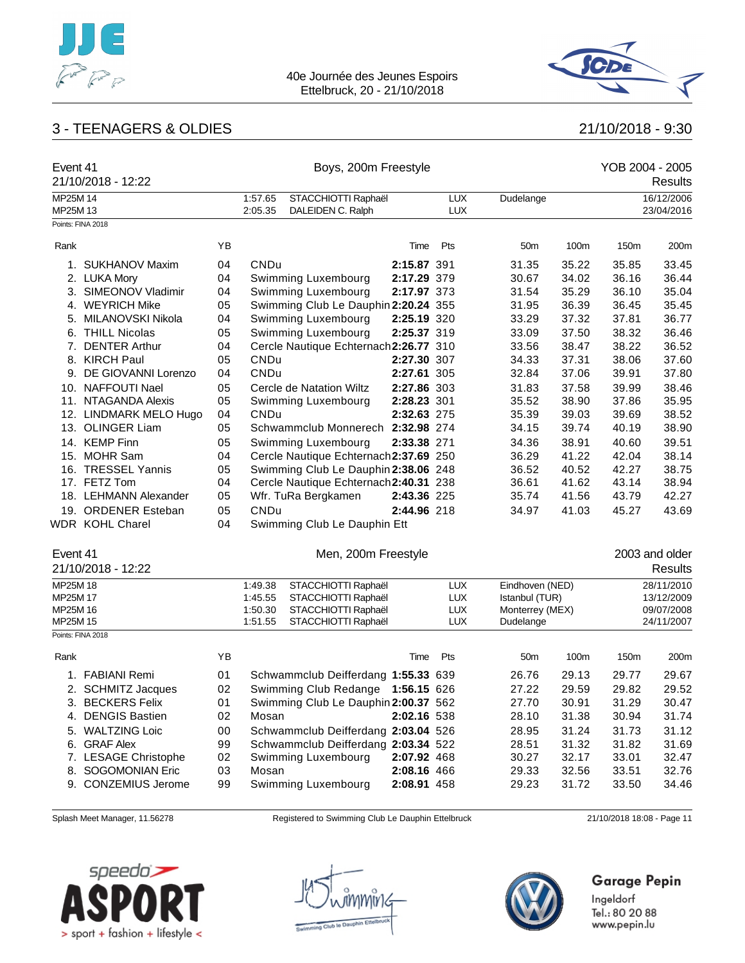



# 3 - TEENAGERS & OLDIES 21/10/2018 - 9:30

| Event 41             | 21/10/2018 - 12:22     | Boys, 200m Freestyle |                    |                                          |             |                          |                 |       |       | YOB 2004 - 2005<br><b>Results</b> |  |  |
|----------------------|------------------------|----------------------|--------------------|------------------------------------------|-------------|--------------------------|-----------------|-------|-------|-----------------------------------|--|--|
| MP25M 14<br>MP25M 13 |                        |                      | 1:57.65<br>2:05.35 | STACCHIOTTI Raphaël<br>DALEIDEN C. Ralph |             | <b>LUX</b><br><b>LUX</b> | Dudelange       |       |       | 16/12/2006<br>23/04/2016          |  |  |
|                      | Points: FINA 2018      |                      |                    |                                          |             |                          |                 |       |       |                                   |  |  |
| Rank                 |                        | YB                   |                    |                                          | Time        | Pts                      | 50 <sub>m</sub> | 100m  | 150m  | 200m                              |  |  |
|                      | 1. SUKHANOV Maxim      | 04                   | <b>CNDu</b>        |                                          | 2:15.87 391 |                          | 31.35           | 35.22 | 35.85 | 33.45                             |  |  |
|                      | 2. LUKA Mory           | 04                   |                    | Swimming Luxembourg                      | 2:17.29 379 |                          | 30.67           | 34.02 | 36.16 | 36.44                             |  |  |
|                      | 3. SIMEONOV Vladimir   | 04                   |                    | Swimming Luxembourg                      | 2:17.97 373 |                          | 31.54           | 35.29 | 36.10 | 35.04                             |  |  |
|                      | 4. WEYRICH Mike        | 05                   |                    | Swimming Club Le Dauphin 2:20.24 355     |             |                          | 31.95           | 36.39 | 36.45 | 35.45                             |  |  |
|                      | 5. MILANOVSKI Nikola   | 04                   |                    | Swimming Luxembourg                      | 2:25.19 320 |                          | 33.29           | 37.32 | 37.81 | 36.77                             |  |  |
|                      | 6. THILL Nicolas       | 05                   |                    | Swimming Luxembourg                      | 2:25.37 319 |                          | 33.09           | 37.50 | 38.32 | 36.46                             |  |  |
|                      | 7. DENTER Arthur       | 04                   |                    | Cercle Nautique Echternach 2:26.77 310   |             |                          | 33.56           | 38.47 | 38.22 | 36.52                             |  |  |
|                      | 8. KIRCH Paul          | 05                   | CNDu               |                                          | 2:27.30 307 |                          | 34.33           | 37.31 | 38.06 | 37.60                             |  |  |
|                      | 9. DE GIOVANNI Lorenzo | 04                   | <b>CNDu</b>        |                                          | 2:27.61 305 |                          | 32.84           | 37.06 | 39.91 | 37.80                             |  |  |
|                      | 10. NAFFOUTI Nael      | 05                   |                    | Cercle de Natation Wiltz                 | 2:27.86 303 |                          | 31.83           | 37.58 | 39.99 | 38.46                             |  |  |
|                      | 11. NTAGANDA Alexis    | 05                   |                    | Swimming Luxembourg                      | 2:28.23 301 |                          | 35.52           | 38.90 | 37.86 | 35.95                             |  |  |
|                      | 12. LINDMARK MELO Hugo | 04                   | CNDu               |                                          | 2:32.63 275 |                          | 35.39           | 39.03 | 39.69 | 38.52                             |  |  |
|                      | 13. OLINGER Liam       | 05                   |                    | Schwammclub Monnerech 2:32.98 274        |             |                          | 34.15           | 39.74 | 40.19 | 38.90                             |  |  |
|                      | 14. KEMP Finn          | 05                   |                    | Swimming Luxembourg                      | 2:33.38 271 |                          | 34.36           | 38.91 | 40.60 | 39.51                             |  |  |
|                      | 15. MOHR Sam           | 04                   |                    | Cercle Nautique Echternach 2:37.69 250   |             |                          | 36.29           | 41.22 | 42.04 | 38.14                             |  |  |
|                      | 16. TRESSEL Yannis     | 05                   |                    | Swimming Club Le Dauphin 2:38.06 248     |             |                          | 36.52           | 40.52 | 42.27 | 38.75                             |  |  |
|                      | 17. FETZ Tom           | 04                   |                    | Cercle Nautique Echternach 2:40.31 238   |             |                          | 36.61           | 41.62 | 43.14 | 38.94                             |  |  |
|                      | 18. LEHMANN Alexander  | 05                   |                    | Wfr. TuRa Bergkamen                      | 2:43.36 225 |                          | 35.74           | 41.56 | 43.79 | 42.27                             |  |  |
|                      | 19. ORDENER Esteban    | 05                   | <b>CNDu</b>        |                                          | 2:44.96 218 |                          | 34.97           | 41.03 | 45.27 | 43.69                             |  |  |
|                      | WDR KOHL Charel        | 04                   |                    | Swimming Club Le Dauphin Ett             |             |                          |                 |       |       |                                   |  |  |
| Event 41             |                        |                      |                    | Men, 200m Freestyle                      |             |                          |                 |       |       | 2003 and older                    |  |  |
|                      | 21/10/2018 - 12:22     |                      |                    |                                          |             |                          |                 |       |       | Results                           |  |  |
| MP25M 18             |                        |                      | 1:49.38            | STACCHIOTTI Raphaël                      |             | <b>LUX</b>               | Eindhoven (NED) |       |       | 28/11/2010                        |  |  |
| MP25M 17             |                        |                      | 1:45.55            | STACCHIOTTI Raphaël                      |             | <b>LUX</b>               | Istanbul (TUR)  |       |       | 13/12/2009                        |  |  |
| MP25M 16             |                        |                      | 1:50.30            | STACCHIOTTI Raphaël                      |             | <b>LUX</b>               | Monterrey (MEX) |       |       | 09/07/2008                        |  |  |
| MP25M 15             |                        |                      | 1:51.55            | STACCHIOTTI Raphaël                      |             | <b>LUX</b>               | Dudelange       |       |       | 24/11/2007                        |  |  |
|                      | Points: FINA 2018      |                      |                    |                                          |             |                          |                 |       |       |                                   |  |  |
| Rank                 |                        | ΥB                   |                    |                                          | Time        | Pts                      | 50m             | 100m  | 150m  | 200m                              |  |  |
|                      | 1. FABIANI Remi        | 01                   |                    | Schwammclub Deifferdang 1:55.33 639      |             |                          | 26.76           | 29.13 | 29.77 | 29.67                             |  |  |
|                      | 2. SCHMITZ Jacques     | 02                   |                    | Swimming Club Redange                    | 1:56.15 626 |                          | 27.22           | 29.59 | 29.82 | 29.52                             |  |  |
|                      | 3. BECKERS Felix       | 01                   |                    | Swimming Club Le Dauphin 2:00.37 562     |             |                          | 27.70           | 30.91 | 31.29 | 30.47                             |  |  |
|                      | 4. DENGIS Bastien      | 02                   | Mosan              |                                          | 2:02.16 538 |                          | 28.10           | 31.38 | 30.94 | 31.74                             |  |  |
|                      | 5. WALTZING Loic       | 00                   |                    | Schwammclub Deifferdang 2:03.04 526      |             |                          | 28.95           | 31.24 | 31.73 | 31.12                             |  |  |
|                      | 6. GRAF Alex           | 99                   |                    | Schwammclub Deifferdang 2:03.34 522      |             |                          | 28.51           | 31.32 | 31.82 | 31.69                             |  |  |
|                      | 7. LESAGE Christophe   | 02                   |                    | Swimming Luxembourg                      | 2:07.92 468 |                          | 30.27           | 32.17 | 33.01 | 32.47                             |  |  |
|                      | 8. SOGOMONIAN Eric     | 03                   | Mosan              |                                          | 2:08.16 466 |                          | 29.33           | 32.56 | 33.51 | 32.76                             |  |  |
|                      | 9. CONZEMIUS Jerome    | 99                   |                    | Swimming Luxembourg                      | 2:08.91 458 |                          | 29.23           | 31.72 | 33.50 | 34.46                             |  |  |

Splash Meet Manager, 11.56278 Registered to Swimming Club Le Dauphin Ettelbruck 21/10/2018 18:08 - Page 11







# Garage Pepin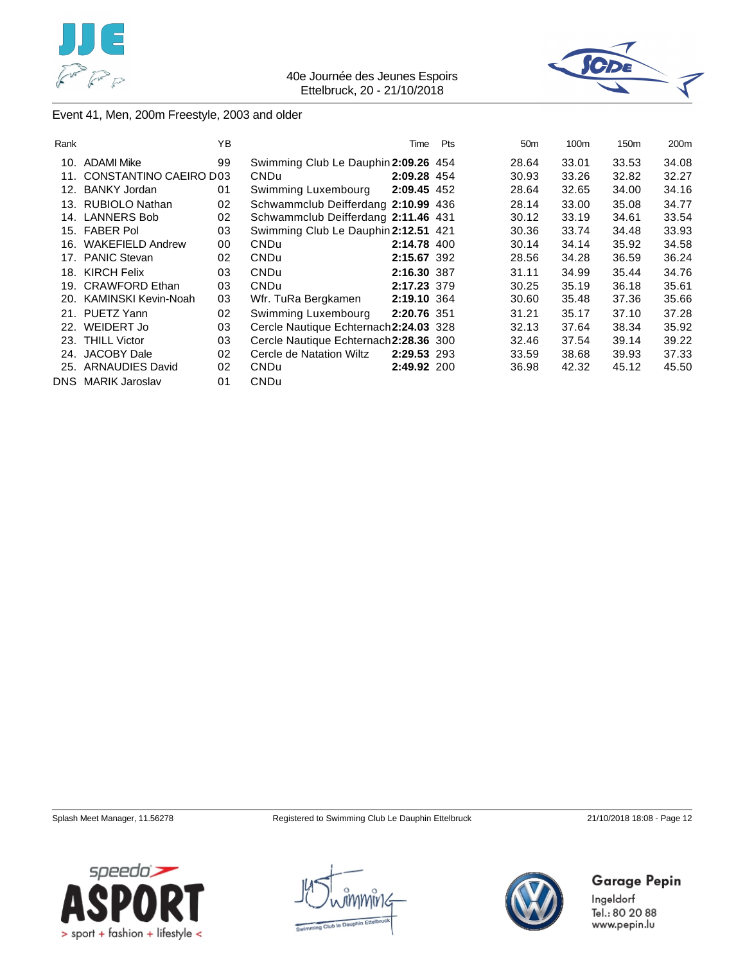



### Event 41, Men, 200m Freestyle, 2003 and older

| Rank |                         | YB |                                        | Time        | Pts | 50 <sub>m</sub> | 100m  | 150m  | 200m  |
|------|-------------------------|----|----------------------------------------|-------------|-----|-----------------|-------|-------|-------|
| 10.  | ADAMI Mike              | 99 | Swimming Club Le Dauphin 2:09.26 454   |             |     | 28.64           | 33.01 | 33.53 | 34.08 |
| 11.  | CONSTANTINO CAEIRO D03  |    | <b>CNDu</b>                            | 2:09.28 454 |     | 30.93           | 33.26 | 32.82 | 32.27 |
| 12.  | <b>BANKY Jordan</b>     | 01 | Swimming Luxembourg                    | 2:09.45 452 |     | 28.64           | 32.65 | 34.00 | 34.16 |
| 13.  | <b>RUBIOLO Nathan</b>   | 02 | Schwammclub Deifferdang 2:10.99 436    |             |     | 28.14           | 33.00 | 35.08 | 34.77 |
|      | 14. LANNERS Bob         | 02 | Schwammclub Deifferdang 2:11.46 431    |             |     | 30.12           | 33.19 | 34.61 | 33.54 |
| 15.  | <b>FABER Pol</b>        | 03 | Swimming Club Le Dauphin 2:12.51 421   |             |     | 30.36           | 33.74 | 34.48 | 33.93 |
| 16.  | <b>WAKEFIELD Andrew</b> | 00 | <b>CNDu</b>                            | 2:14.78 400 |     | 30.14           | 34.14 | 35.92 | 34.58 |
| 17.  | <b>PANIC Stevan</b>     | 02 | <b>CNDu</b>                            | 2:15.67 392 |     | 28.56           | 34.28 | 36.59 | 36.24 |
| 18.  | KIRCH Felix             | 03 | <b>CNDu</b>                            | 2:16.30 387 |     | 31.11           | 34.99 | 35.44 | 34.76 |
| 19.  | <b>CRAWFORD Ethan</b>   | 03 | <b>CNDu</b>                            | 2:17.23 379 |     | 30.25           | 35.19 | 36.18 | 35.61 |
| 20.  | KAMINSKI Kevin-Noah     | 03 | Wfr. TuRa Bergkamen                    | 2:19.10 364 |     | 30.60           | 35.48 | 37.36 | 35.66 |
| 21.  | PUETZ Yann              | 02 | Swimming Luxembourg                    | 2:20.76 351 |     | 31.21           | 35.17 | 37.10 | 37.28 |
|      | 22. WEIDERT Jo          | 03 | Cercle Nautique Echternach 2:24.03 328 |             |     | 32.13           | 37.64 | 38.34 | 35.92 |
| 23.  | <b>THILL Victor</b>     | 03 | Cercle Nautique Echternach 2:28.36 300 |             |     | 32.46           | 37.54 | 39.14 | 39.22 |
| 24.  | JACOBY Dale             | 02 | Cercle de Natation Wiltz               | 2:29.53 293 |     | 33.59           | 38.68 | 39.93 | 37.33 |
| 25.  | <b>ARNAUDIES David</b>  | 02 | <b>CNDu</b>                            | 2:49.92 200 |     | 36.98           | 42.32 | 45.12 | 45.50 |
| DNS  | <b>MARIK Jaroslav</b>   | 01 | <b>CNDu</b>                            |             |     |                 |       |       |       |







Garage Pepin Ingeldorf

Tel.: 80 20 88 www.pepin.lu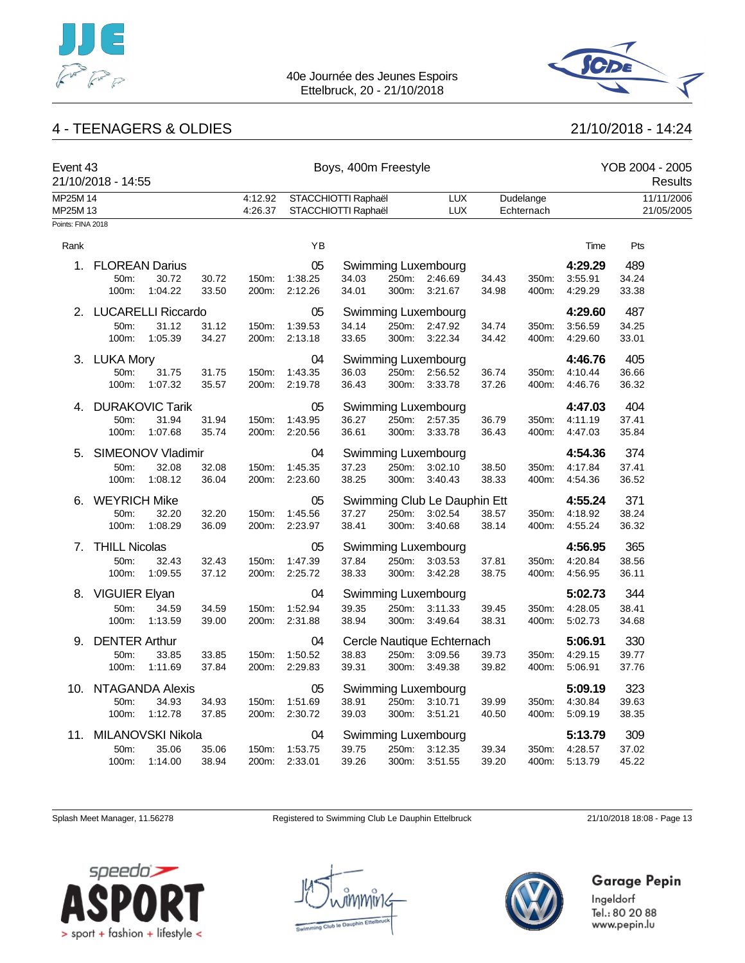



### 4 - TEENAGERS & OLDIES 21/10/2018 - 14:24

| Event 43<br>21/10/2018 - 14:55 |                        |         |       | Boys, 400m Freestyle |         |                                            |       |                              |       | YOB 2004 - 2005<br>Results |         |                          |
|--------------------------------|------------------------|---------|-------|----------------------|---------|--------------------------------------------|-------|------------------------------|-------|----------------------------|---------|--------------------------|
| MP25M 14<br>MP25M 13           |                        |         |       | 4:12.92<br>4:26.37   |         | STACCHIOTTI Raphaël<br>STACCHIOTTI Raphaël |       | <b>LUX</b><br><b>LUX</b>     |       | Dudelange<br>Echternach    |         | 11/11/2006<br>21/05/2005 |
| Points: FINA 2018              |                        |         |       |                      |         |                                            |       |                              |       |                            |         |                          |
| Rank                           |                        |         |       |                      | YB      |                                            |       |                              |       |                            | Time    | Pts                      |
| 1.                             | <b>FLOREAN Darius</b>  |         |       |                      | 05      |                                            |       | Swimming Luxembourg          |       |                            | 4:29.29 | 489                      |
|                                | 50m:                   | 30.72   | 30.72 | 150m:                | 1:38.25 | 34.03                                      |       | 250m: 2:46.69                | 34.43 | 350m:                      | 3:55.91 | 34.24                    |
|                                | 100m:                  | 1:04.22 | 33.50 | 200m:                | 2:12.26 | 34.01                                      |       | 300m: 3:21.67                | 34.98 | 400m:                      | 4:29.29 | 33.38                    |
|                                | 2. LUCARELLI Riccardo  |         |       |                      | 05      |                                            |       | Swimming Luxembourg          |       |                            | 4:29.60 | 487                      |
|                                | 50m:                   | 31.12   | 31.12 | 150m:                | 1:39.53 | 34.14                                      |       | 250m: 2:47.92                | 34.74 | 350m:                      | 3:56.59 | 34.25                    |
|                                | 100m:                  | 1:05.39 | 34.27 | 200m:                | 2:13.18 | 33.65                                      |       | 300m: 3:22.34                | 34.42 | 400m:                      | 4:29.60 | 33.01                    |
|                                | 3. LUKA Mory           |         |       |                      | 04      |                                            |       | Swimming Luxembourg          |       |                            | 4:46.76 | 405                      |
|                                | 50m:                   | 31.75   | 31.75 | 150m:                | 1:43.35 | 36.03                                      |       | 250m: 2:56.52                | 36.74 | 350m:                      | 4:10.44 | 36.66                    |
|                                | 100m:                  | 1:07.32 | 35.57 | 200m:                | 2:19.78 | 36.43                                      |       | 300m: 3:33.78                | 37.26 | 400m:                      | 4:46.76 | 36.32                    |
| 4.                             | <b>DURAKOVIC Tarik</b> |         |       |                      | 05      |                                            |       | Swimming Luxembourg          |       |                            | 4:47.03 | 404                      |
|                                | 50m:                   | 31.94   | 31.94 | 150m:                | 1:43.95 | 36.27                                      | 250m: | 2:57.35                      | 36.79 | 350m:                      | 4:11.19 | 37.41                    |
|                                | 100m:                  | 1:07.68 | 35.74 | 200m:                | 2:20.56 | 36.61                                      |       | 300m: 3:33.78                | 36.43 | 400m:                      | 4:47.03 | 35.84                    |
| 5.                             | SIMEONOV Vladimir      |         |       |                      | 04      |                                            |       | Swimming Luxembourg          |       |                            | 4:54.36 | 374                      |
|                                | 50m:                   | 32.08   | 32.08 | 150m:                | 1:45.35 | 37.23                                      | 250m: | 3:02.10                      | 38.50 | 350m:                      | 4:17.84 | 37.41                    |
|                                | 100m:                  | 1:08.12 | 36.04 | 200m:                | 2:23.60 | 38.25                                      | 300m: | 3:40.43                      | 38.33 | 400m:                      | 4:54.36 | 36.52                    |
|                                | 6. WEYRICH Mike        |         |       |                      | 05      |                                            |       | Swimming Club Le Dauphin Ett |       |                            | 4:55.24 | 371                      |
|                                | 50m:                   | 32.20   | 32.20 | 150m:                | 1:45.56 | 37.27                                      | 250m: | 3:02.54                      | 38.57 | 350m:                      | 4:18.92 | 38.24                    |
|                                | 100m:                  | 1:08.29 | 36.09 | 200m:                | 2:23.97 | 38.41                                      |       | 300m: 3:40.68                | 38.14 | 400m:                      | 4:55.24 | 36.32                    |
| 7.                             | <b>THILL Nicolas</b>   |         |       |                      | 05      |                                            |       | Swimming Luxembourg          |       |                            | 4:56.95 | 365                      |
|                                | 50m:                   | 32.43   | 32.43 | 150m:                | 1:47.39 | 37.84                                      | 250m: | 3:03.53                      | 37.81 | 350m:                      | 4:20.84 | 38.56                    |
|                                | 100m:                  | 1:09.55 | 37.12 | 200m:                | 2:25.72 | 38.33                                      |       | 300m: 3:42.28                | 38.75 | 400m:                      | 4:56.95 | 36.11                    |
|                                | 8. VIGUIER Elyan       |         |       |                      | 04      |                                            |       | Swimming Luxembourg          |       |                            | 5:02.73 | 344                      |
|                                | 50m:                   | 34.59   | 34.59 | 150m:                | 1:52.94 | 39.35                                      | 250m: | 3:11.33                      | 39.45 | 350m:                      | 4:28.05 | 38.41                    |
|                                | 100m:                  | 1:13.59 | 39.00 | 200m:                | 2:31.88 | 38.94                                      | 300m: | 3:49.64                      | 38.31 | 400m:                      | 5:02.73 | 34.68                    |
| 9.                             | <b>DENTER Arthur</b>   |         |       |                      | 04      |                                            |       | Cercle Nautique Echternach   |       |                            | 5:06.91 | 330                      |
|                                | 50m:                   | 33.85   | 33.85 | 150m:                | 1:50.52 | 38.83                                      |       | 250m: 3:09.56                | 39.73 | 350m:                      | 4:29.15 | 39.77                    |
|                                | 100m:                  | 1:11.69 | 37.84 | 200m:                | 2:29.83 | 39.31                                      |       | 300m: 3:49.38                | 39.82 | 400m:                      | 5:06.91 | 37.76                    |
|                                | 10. NTAGANDA Alexis    |         |       |                      | 05      |                                            |       | Swimming Luxembourg          |       |                            | 5:09.19 | 323                      |
|                                | 50m:                   | 34.93   | 34.93 | 150m:                | 1:51.69 | 38.91                                      |       | 250m: 3:10.71                | 39.99 | 350m:                      | 4:30.84 | 39.63                    |
|                                | 100m:                  | 1:12.78 | 37.85 | 200m:                | 2:30.72 | 39.03                                      |       | 300m: 3:51.21                | 40.50 | 400m:                      | 5:09.19 | 38.35                    |
| 11.                            | MILANOVSKI Nikola      |         |       |                      | 04      |                                            |       | Swimming Luxembourg          |       |                            | 5:13.79 | 309                      |
|                                | 50m:                   | 35.06   | 35.06 | 150m:                | 1:53.75 | 39.75                                      |       | 250m: 3:12.35                | 39.34 | 350m:                      | 4:28.57 | 37.02                    |
|                                | 100m:                  | 1:14.00 | 38.94 | 200m:                | 2:33.01 | 39.26                                      | 300m: | 3:51.55                      | 39.20 | 400m:                      | 5:13.79 | 45.22                    |

Splash Meet Manager, 11.56278 Registered to Swimming Club Le Dauphin Ettelbruck 21/10/2018 18:08 - Page 13

Garage Pepin



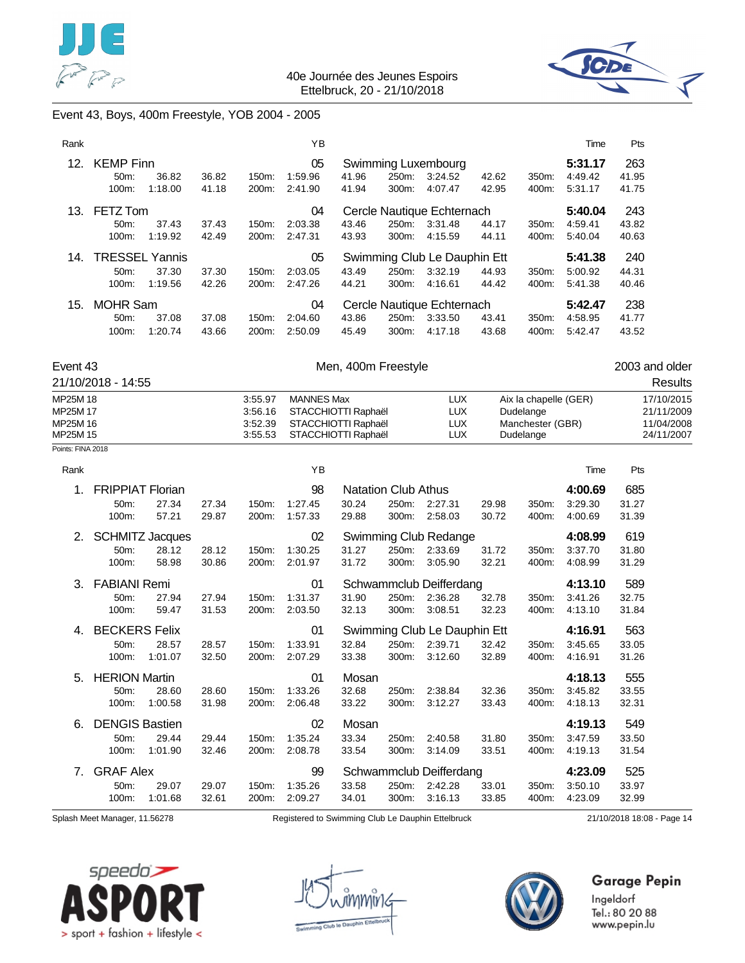



### Event 43, Boys, 400m Freestyle, YOB 2004 - 2005

| Rank |                       |         |                                  |          | YB      |       |       |                              |         |       | Time    | <b>Pts</b> |
|------|-----------------------|---------|----------------------------------|----------|---------|-------|-------|------------------------------|---------|-------|---------|------------|
| 12.  | <b>KEMP Finn</b>      |         |                                  |          | 05      |       |       | Swimming Luxembourg          |         |       | 5:31.17 | 263        |
|      | $50m$ :               | 36.82   | 36.82                            | $150m$ : | 1:59.96 | 41.96 | 250m: | 3:24.52                      | 42.62   | 350m: | 4:49.42 | 41.95      |
|      | 100m:                 | 1:18.00 | 41.18                            | 200m:    | 2:41.90 | 41.94 | 300m: | 4:07.47                      | 42.95   | 400m: | 5:31.17 | 41.75      |
| 13.  | FETZ Tom              |         |                                  |          | 04      |       |       | Cercle Nautique Echternach   |         |       | 5:40.04 | 243        |
|      | $50m$ :               | 37.43   | 37.43                            | $150m$ : | 2:03.38 | 43.46 | 250m: | 3:31.48                      | 44.17   | 350m: | 4:59.41 | 43.82      |
|      | 100m:                 | 1:19.92 | 42.49                            | 200m:    | 2:47.31 | 43.93 | 300m: | 4:15.59                      | 44.11   | 400m: | 5:40.04 | 40.63      |
| 14.  | <b>TRESSEL Yannis</b> |         |                                  |          | 05      |       |       | Swimming Club Le Dauphin Ett |         |       | 5:41.38 | 240        |
|      | 50 <sub>m</sub> :     | 37.30   | 37.30                            | 150m:    | 2:03.05 | 43.49 | 250m: | 3:32.19                      | 44.93   | 350m: | 5:00.92 | 44.31      |
|      | $100m$ :              | 1:19.56 | 42.26                            | 200m:    | 2:47.26 | 44.21 | 300m: | 4:16.61                      | 44.42   | 400m: | 5:41.38 | 40.46      |
| 15.  | <b>MOHR Sam</b>       |         | 04<br>Cercle Nautique Echternach |          |         |       |       |                              | 5:42.47 | 238   |         |            |
|      | $50m$ :               | 37.08   | 37.08                            | 150m:    | 2:04.60 | 43.86 | 250m: | 3:33.50                      | 43.41   | 350m: | 4:58.95 | 41.77      |
|      | 100m:                 | 1:20.74 | 43.66                            | 200m:    | 2:50.09 | 45.49 | 300m: | 4:17.18                      | 43.68   | 400m: | 5:42.47 | 43.52      |

 $21/10/2018 - 14:55$ 

# Event 43 **Event 43** Event 43 **Men, 400m Freestyle Exercise 2003** and older **21/10/2018** - 14:55

| <u><i>LII IVIL</i>VI</u> U<br>17.VV |         |                     |     |                       | noouito    |
|-------------------------------------|---------|---------------------|-----|-----------------------|------------|
| MP25M 18                            | 3:55.97 | <b>MANNES Max</b>   | LUX | Aix la chapelle (GER) | 17/10/2015 |
| MP25M 17                            | 3:56.16 | STACCHIOTTI Raphaël | LUX | Dudelange             | 21/11/2009 |
| MP25M 16                            | 3.52.39 | STACCHIOTTI Raphaël | LUX | Manchester (GBR)      | 11/04/2008 |
| MP25M 15                            | 3:55.53 | STACCHIOTTI Raphaël | LUX | Dudelange             | 24/11/2007 |
| Points: FINA 2018                   |         |                     |     |                       |            |

| - |  |  |  |
|---|--|--|--|
|   |  |  |  |
|   |  |  |  |
|   |  |  |  |
|   |  |  |  |

| Rank |                               |                        |       |       | YB                                                |                            |       |                              |       |       | Time    | Pts                        |  |
|------|-------------------------------|------------------------|-------|-------|---------------------------------------------------|----------------------------|-------|------------------------------|-------|-------|---------|----------------------------|--|
| 1.   | <b>FRIPPIAT Florian</b>       |                        |       |       | 98                                                | <b>Natation Club Athus</b> |       |                              |       |       | 4:00.69 | 685                        |  |
|      | 50m:                          | 27.34                  | 27.34 | 150m: | 1:27.45                                           | 30.24                      | 250m: | 2:27.31                      | 29.98 | 350m: | 3:29.30 | 31.27                      |  |
|      | 100m:                         | 57.21                  | 29.87 | 200m: | 1:57.33                                           | 29.88                      | 300m: | 2:58.03                      | 30.72 | 400m: | 4:00.69 | 31.39                      |  |
| 2.   |                               | <b>SCHMITZ Jacques</b> |       |       | 02                                                |                            |       | Swimming Club Redange        |       |       | 4:08.99 | 619                        |  |
|      | 50m:                          | 28.12                  | 28.12 | 150m: | 1:30.25                                           | 31.27                      | 250m: | 2:33.69                      | 31.72 | 350m: | 3:37.70 | 31.80                      |  |
|      | 100m:                         | 58.98                  | 30.86 | 200m: | 2:01.97                                           | 31.72                      | 300m: | 3:05.90                      | 32.21 | 400m: | 4:08.99 | 31.29                      |  |
| 3.   | <b>FABIANI Remi</b>           |                        |       |       | 01                                                |                            |       | Schwammclub Deifferdang      |       |       | 4:13.10 | 589                        |  |
|      | 50m:                          | 27.94                  | 27.94 | 150m: | 1:31.37                                           | 31.90                      | 250m: | 2:36.28                      | 32.78 | 350m: | 3:41.26 | 32.75                      |  |
|      | 100m:                         | 59.47                  | 31.53 | 200m: | 2:03.50                                           | 32.13                      | 300m: | 3:08.51                      | 32.23 | 400m: | 4:13.10 | 31.84                      |  |
| 4.   | <b>BECKERS Felix</b>          |                        |       |       | 01                                                |                            |       | Swimming Club Le Dauphin Ett |       |       | 4:16.91 | 563                        |  |
|      | 50m:                          | 28.57                  | 28.57 | 150m: | 1:33.91                                           | 32.84                      | 250m: | 2:39.71                      | 32.42 | 350m: | 3:45.65 | 33.05                      |  |
|      | 100m:                         | 1:01.07                | 32.50 | 200m: | 2:07.29                                           | 33.38                      | 300m: | 3:12.60                      | 32.89 | 400m: | 4:16.91 | 31.26                      |  |
| 5.   | <b>HERION Martin</b>          |                        |       |       | 01                                                | Mosan                      |       |                              |       |       | 4:18.13 | 555                        |  |
|      | 50m:                          | 28.60                  | 28.60 | 150m: | 1:33.26                                           | 32.68                      | 250m: | 2:38.84                      | 32.36 | 350m: | 3:45.82 | 33.55                      |  |
|      | 100m:                         | 1:00.58                | 31.98 | 200m: | 2:06.48                                           | 33.22                      | 300m: | 3:12.27                      | 33.43 | 400m: | 4:18.13 | 32.31                      |  |
| 6.   | <b>DENGIS Bastien</b>         |                        |       |       | 02                                                | Mosan                      |       |                              |       |       | 4:19.13 | 549                        |  |
|      | 50m:                          | 29.44                  | 29.44 | 150m: | 1:35.24                                           | 33.34                      | 250m: | 2:40.58                      | 31.80 | 350m: | 3:47.59 | 33.50                      |  |
|      | 100m:                         | 1:01.90                | 32.46 | 200m: | 2:08.78                                           | 33.54                      | 300m: | 3:14.09                      | 33.51 | 400m: | 4:19.13 | 31.54                      |  |
| 7.   | <b>GRAF Alex</b>              |                        |       |       | 99                                                |                            |       | Schwammclub Deifferdang      |       |       | 4:23.09 | 525                        |  |
|      | 50m:                          | 29.07                  | 29.07 | 150m: | 1:35.26                                           | 33.58                      | 250m: | 2:42.28                      | 33.01 | 350m: | 3:50.10 | 33.97                      |  |
|      | 100m:                         | 1:01.68                | 32.61 | 200m: | 2:09.27                                           | 34.01                      | 300m: | 3:16.13                      | 33.85 | 400m: | 4:23.09 | 32.99                      |  |
|      | Splash Meet Manager, 11.56278 |                        |       |       | Registered to Swimming Club Le Dauphin Ettelbruck |                            |       |                              |       |       |         | 21/10/2018 18:08 - Page 14 |  |





# **Garage Pepin**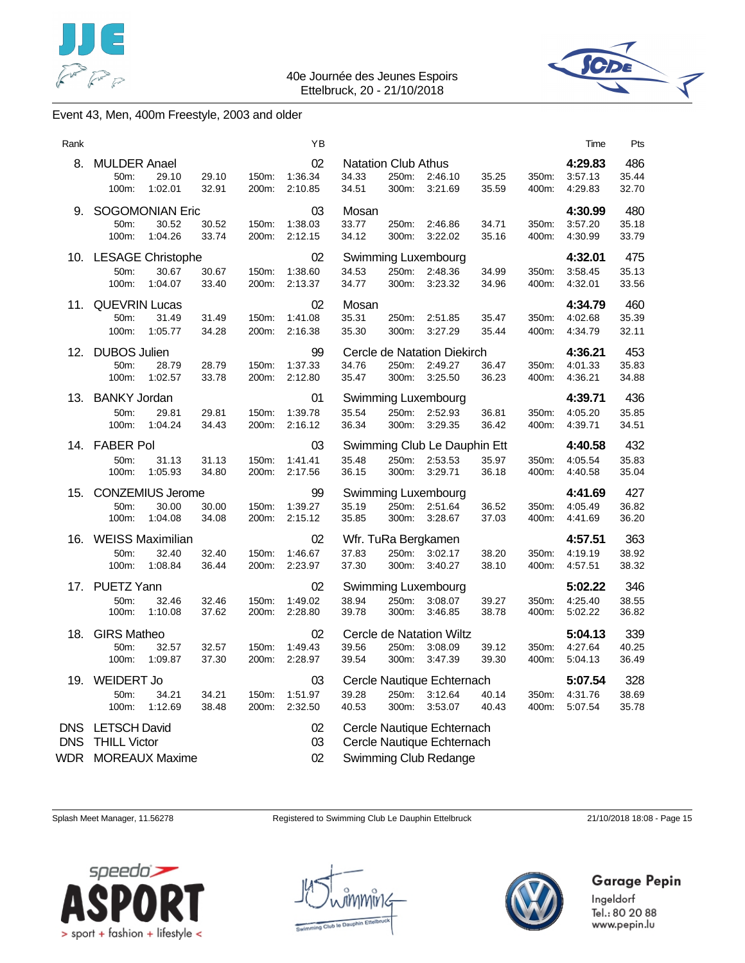



### Event 43, Men, 400m Freestyle, 2003 and older

| Rank                            |                                                                     |                |                | ΥB                       |                         |                                              |                                                                                   |                |                | Time                          | Pts                   |
|---------------------------------|---------------------------------------------------------------------|----------------|----------------|--------------------------|-------------------------|----------------------------------------------|-----------------------------------------------------------------------------------|----------------|----------------|-------------------------------|-----------------------|
| 8.                              | <b>MULDER Anael</b><br>29.10<br>50m:<br>100m:<br>1:02.01            | 29.10<br>32.91 | 150m:<br>200m: | 02<br>1:36.34<br>2:10.85 | 34.33<br>34.51          | <b>Natation Club Athus</b><br>250m:<br>300m: | 2:46.10<br>3:21.69                                                                | 35.25<br>35.59 | 350m:<br>400m: | 4:29.83<br>3:57.13<br>4:29.83 | 486<br>35.44<br>32.70 |
| 9.                              | <b>SOGOMONIAN Eric</b><br>50m:<br>30.52<br>100m:<br>1:04.26         | 30.52<br>33.74 | 150m:<br>200m: | 03<br>1:38.03<br>2:12.15 | Mosan<br>33.77<br>34.12 | 250m:<br>300m:                               | 2:46.86<br>3:22.02                                                                | 34.71<br>35.16 | 350m:<br>400m: | 4:30.99<br>3:57.20<br>4:30.99 | 480<br>35.18<br>33.79 |
|                                 | 10. LESAGE Christophe<br>50m:<br>30.67<br>100m:<br>1:04.07          | 30.67<br>33.40 | 150m:<br>200m: | 02<br>1:38.60<br>2:13.37 | 34.53<br>34.77          | 250m:<br>300m:                               | Swimming Luxembourg<br>2:48.36<br>3:23.32                                         | 34.99<br>34.96 | 350m:<br>400m: | 4:32.01<br>3:58.45<br>4:32.01 | 475<br>35.13<br>33.56 |
| 11.                             | <b>QUEVRIN Lucas</b><br>50m:<br>31.49<br>100m:<br>1:05.77           | 31.49<br>34.28 | 150m:<br>200m: | 02<br>1:41.08<br>2:16.38 | Mosan<br>35.31<br>35.30 | 250m:<br>300m:                               | 2:51.85<br>3:27.29                                                                | 35.47<br>35.44 | 350m:<br>400m: | 4:34.79<br>4:02.68<br>4:34.79 | 460<br>35.39<br>32.11 |
| 12.                             | <b>DUBOS Julien</b><br>50m:<br>28.79<br>100m:<br>1:02.57            | 28.79<br>33.78 | 150m:<br>200m: | 99<br>1:37.33<br>2:12.80 | 34.76<br>35.47          | 250m:<br>300m:                               | Cercle de Natation Diekirch<br>2:49.27<br>3:25.50                                 | 36.47<br>36.23 | 350m:<br>400m: | 4:36.21<br>4:01.33<br>4:36.21 | 453<br>35.83<br>34.88 |
| 13.                             | <b>BANKY Jordan</b><br>50m:<br>29.81<br>100m:<br>1:04.24            | 29.81<br>34.43 | 150m:<br>200m: | 01<br>1:39.78<br>2:16.12 | 35.54<br>36.34          | 250m:<br>300m:                               | Swimming Luxembourg<br>2:52.93<br>3:29.35                                         | 36.81<br>36.42 | 350m:<br>400m: | 4:39.71<br>4:05.20<br>4:39.71 | 436<br>35.85<br>34.51 |
| 14.                             | <b>FABER Pol</b><br>50m:<br>31.13<br>100m:<br>1:05.93               | 31.13<br>34.80 | 150m:<br>200m: | 03<br>1:41.41<br>2:17.56 | 35.48<br>36.15          | 250m:<br>300m:                               | Swimming Club Le Dauphin Ett<br>2:53.53<br>3:29.71                                | 35.97<br>36.18 | 350m:<br>400m: | 4:40.58<br>4:05.54<br>4:40.58 | 432<br>35.83<br>35.04 |
| 15.                             | <b>CONZEMIUS Jerome</b><br>30.00<br>50m:<br>100m:<br>1:04.08        | 30.00<br>34.08 | 150m:<br>200m: | 99<br>1:39.27<br>2:15.12 | 35.19<br>35.85          | 250m:<br>300m:                               | Swimming Luxembourg<br>2:51.64<br>3:28.67                                         | 36.52<br>37.03 | 350m:<br>400m: | 4:41.69<br>4:05.49<br>4:41.69 | 427<br>36.82<br>36.20 |
| 16.                             | <b>WEISS Maximilian</b><br>50m:<br>32.40<br>100m:<br>1:08.84        | 32.40<br>36.44 | 150m:<br>200m: | 02<br>1:46.67<br>2:23.97 | 37.83<br>37.30          | 250m:<br>300m:                               | Wfr. TuRa Bergkamen<br>3:02.17<br>3:40.27                                         | 38.20<br>38.10 | 350m:<br>400m: | 4:57.51<br>4:19.19<br>4:57.51 | 363<br>38.92<br>38.32 |
|                                 | 17. PUETZ Yann<br>50m:<br>32.46<br>100m:<br>1:10.08                 | 32.46<br>37.62 | 150m:<br>200m: | 02<br>1:49.02<br>2:28.80 | 38.94<br>39.78          | 250m:<br>300m:                               | Swimming Luxembourg<br>3:08.07<br>3:46.85                                         | 39.27<br>38.78 | 350m:<br>400m: | 5:02.22<br>4:25.40<br>5:02.22 | 346<br>38.55<br>36.82 |
| 18.                             | <b>GIRS Matheo</b><br>50m:<br>32.57<br>100m:<br>1:09.87             | 32.57<br>37.30 | 150m:<br>200m: | 02<br>1:49.43<br>2:28.97 | 39.56<br>39.54          | 250m:<br>300m:                               | Cercle de Natation Wiltz<br>3:08.09<br>3:47.39                                    | 39.12<br>39.30 | 350m:<br>400m: | 5:04.13<br>4:27.64<br>5:04.13 | 339<br>40.25<br>36.49 |
| 19.                             | <b>WEIDERT Jo</b><br>50m:<br>34.21<br>100m:<br>1:12.69              | 34.21<br>38.48 | 150m:<br>200m: | 03<br>1:51.97<br>2:32.50 | 39.28<br>40.53          | 250m:<br>300m:                               | Cercle Nautique Echternach<br>3:12.64<br>3:53.07                                  | 40.14<br>40.43 | 350m:<br>400m: | 5:07.54<br>4:31.76<br>5:07.54 | 328<br>38.69<br>35.78 |
| <b>DNS</b><br><b>DNS</b><br>WDR | <b>LETSCH David</b><br><b>THILL Victor</b><br><b>MOREAUX Maxime</b> |                |                | 02<br>03<br>02           |                         |                                              | Cercle Nautique Echternach<br>Cercle Nautique Echternach<br>Swimming Club Redange |                |                |                               |                       |

Splash Meet Manager, 11.56278 Registered to Swimming Club Le Dauphin Ettelbruck 21/10/2018 18:08 - Page 15





# Garage Pepin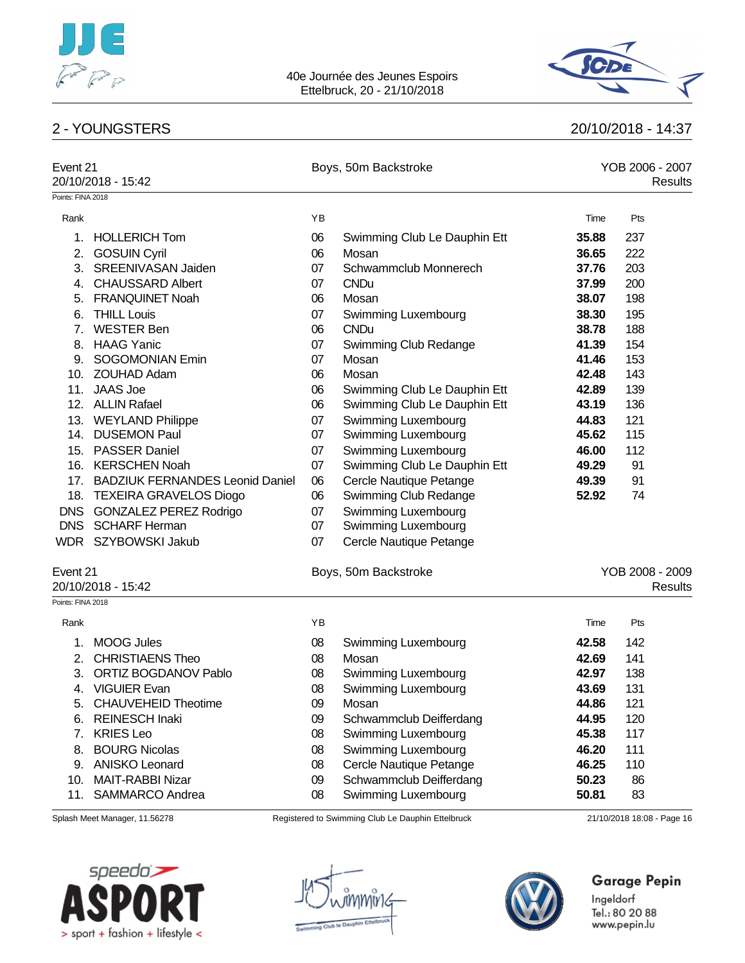



# 2 - YOUNGSTERS 20/10/2018 - 14:37

|                   | Event 21<br>20/10/2018 - 15:42<br>Points: FINA 2018 |    | Boys, 50m Backstroke         | YOB 2006 - 2007<br>Results |                            |  |
|-------------------|-----------------------------------------------------|----|------------------------------|----------------------------|----------------------------|--|
|                   |                                                     |    |                              |                            |                            |  |
| Rank              |                                                     | YB |                              | Time                       | Pts                        |  |
|                   | 1. HOLLERICH Tom                                    | 06 | Swimming Club Le Dauphin Ett | 35.88                      | 237                        |  |
|                   | 2. GOSUIN Cyril                                     | 06 | Mosan                        | 36.65                      | 222                        |  |
|                   | 3. SREENIVASAN Jaiden                               | 07 | Schwammclub Monnerech        | 37.76                      | 203                        |  |
|                   | 4. CHAUSSARD Albert                                 | 07 | <b>CNDu</b>                  | 37.99                      | 200                        |  |
| 5.                | <b>FRANQUINET Noah</b>                              | 06 | Mosan                        | 38.07                      | 198                        |  |
| 6.                | <b>THILL Louis</b>                                  | 07 | Swimming Luxembourg          | 38.30                      | 195                        |  |
| 7.                | <b>WESTER Ben</b>                                   | 06 | <b>CNDu</b>                  | 38.78                      | 188                        |  |
| 8.                | <b>HAAG Yanic</b>                                   | 07 | Swimming Club Redange        | 41.39                      | 154                        |  |
| 9.                | <b>SOGOMONIAN Emin</b>                              | 07 | Mosan                        | 41.46                      | 153                        |  |
|                   | 10. ZOUHAD Adam                                     | 06 | Mosan                        | 42.48                      | 143                        |  |
| 11.               | <b>JAAS Joe</b>                                     | 06 | Swimming Club Le Dauphin Ett | 42.89                      | 139                        |  |
|                   | 12. ALLIN Rafael                                    | 06 | Swimming Club Le Dauphin Ett | 43.19                      | 136                        |  |
|                   | 13. WEYLAND Philippe                                | 07 | Swimming Luxembourg          | 44.83                      | 121                        |  |
|                   | 14. DUSEMON Paul                                    | 07 | Swimming Luxembourg          | 45.62                      | 115                        |  |
|                   | 15. PASSER Daniel                                   | 07 | Swimming Luxembourg          | 46.00                      | 112                        |  |
|                   | 16. KERSCHEN Noah                                   | 07 | Swimming Club Le Dauphin Ett | 49.29                      | 91                         |  |
|                   | 17. BADZIUK FERNANDES Leonid Daniel                 | 06 | Cercle Nautique Petange      | 49.39                      | 91                         |  |
|                   | 18. TEXEIRA GRAVELOS Diogo                          | 06 | Swimming Club Redange        | 52.92                      | 74                         |  |
|                   | DNS GONZALEZ PEREZ Rodrigo                          | 07 | Swimming Luxembourg          |                            |                            |  |
|                   | DNS SCHARF Herman                                   | 07 | Swimming Luxembourg          |                            |                            |  |
|                   | WDR SZYBOWSKI Jakub                                 | 07 | Cercle Nautique Petange      |                            |                            |  |
| Event 21          | 20/10/2018 - 15:42                                  |    | Boys, 50m Backstroke         |                            | YOB 2008 - 2009<br>Results |  |
| Points: FINA 2018 |                                                     |    |                              |                            |                            |  |
| Rank              |                                                     | ΥB |                              | Time                       | Pts                        |  |
| 1.                | <b>MOOG Jules</b>                                   | 08 | Swimming Luxembourg          | 42.58                      | 142                        |  |
| 2.                | <b>CHRISTIAENS Theo</b>                             | 08 | Mosan                        | 42.69                      | 141                        |  |
| 3.                | <b>ORTIZ BOGDANOV Pablo</b>                         | 08 | Swimming Luxembourg          | 42.97                      | 138                        |  |
|                   | 4. VIGUIER Evan                                     | 08 | Swimming Luxembourg          | 43.69                      | 131                        |  |
| 5.                | <b>CHAUVEHEID Theotime</b>                          | 09 | Mosan                        | 44.86                      | 121                        |  |
| 6.                | <b>REINESCH Inaki</b>                               | 09 | Schwammclub Deifferdang      | 44.95                      | 120                        |  |
| 7.                | <b>KRIES Leo</b>                                    | 08 | Swimming Luxembourg          | 45.38                      | 117                        |  |
| 8.                | <b>BOURG Nicolas</b>                                | 08 | Swimming Luxembourg          | 46.20                      | 111                        |  |
| 9.                | <b>ANISKO Leonard</b>                               | 08 | Cercle Nautique Petange      | 46.25                      | 110                        |  |
| 10.               | <b>MAIT-RABBI Nizar</b>                             | 09 | Schwammclub Deifferdang      | 50.23                      | 86                         |  |
| 11.               | SAMMARCO Andrea                                     | 08 | Swimming Luxembourg          | 50.81                      | 83                         |  |
|                   |                                                     |    |                              |                            |                            |  |

Splash Meet Manager, 11.56278 Registered to Swimming Club Le Dauphin Ettelbruck 21/10/2018 18:08 - Page 16





# Garage Pepin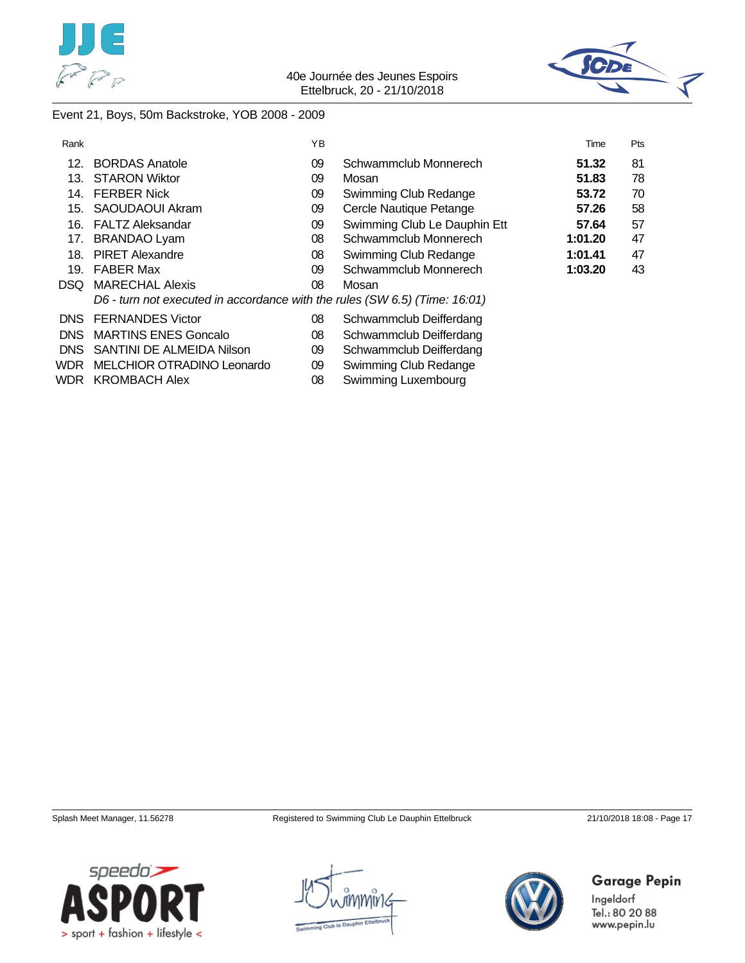



### Event 21, Boys, 50m Backstroke, YOB 2008 - 2009

| Rank       |                                                                            | YB |                              | Time    | Pts |
|------------|----------------------------------------------------------------------------|----|------------------------------|---------|-----|
| 12.        | <b>BORDAS Anatole</b>                                                      | 09 | Schwammclub Monnerech        | 51.32   | 81  |
| 13.        | <b>STARON Wiktor</b>                                                       | 09 | Mosan                        | 51.83   | 78  |
| 14.        | <b>FERBER Nick</b>                                                         | 09 | Swimming Club Redange        | 53.72   | 70  |
| 15.        | SAOUDAOUI Akram                                                            | 09 | Cercle Nautique Petange      | 57.26   | 58  |
| 16.        | <b>FALTZ Aleksandar</b>                                                    | 09 | Swimming Club Le Dauphin Ett | 57.64   | 57  |
| 17.        | <b>BRANDAO Lyam</b>                                                        | 08 | Schwammclub Monnerech        | 1:01.20 | 47  |
| 18.        | <b>PIRET Alexandre</b>                                                     | 08 | Swimming Club Redange        | 1:01.41 | 47  |
| 19.        | <b>FABER Max</b>                                                           | 09 | Schwammclub Monnerech        | 1:03.20 | 43  |
| DSQ.       | <b>MARECHAL Alexis</b>                                                     | 08 | Mosan                        |         |     |
|            | D6 - turn not executed in accordance with the rules (SW 6.5) (Time: 16:01) |    |                              |         |     |
| <b>DNS</b> | <b>FERNANDES Victor</b>                                                    | 08 | Schwammclub Deifferdang      |         |     |
| DNS.       | <b>MARTINS ENES Goncalo</b>                                                | 08 | Schwammclub Deifferdang      |         |     |
| DNS.       | SANTINI DE ALMEIDA Nilson                                                  | 09 | Schwammclub Deifferdang      |         |     |
| WDR        | MELCHIOR OTRADINO Leonardo                                                 | 09 | Swimming Club Redange        |         |     |

- WDR KROMBACH Alex 08 Swimming Luxembourg
- 

Splash Meet Manager, 11.56278 Registered to Swimming Club Le Dauphin Ettelbruck 21/10/2018 18:08 - Page 17





# Garage Pepin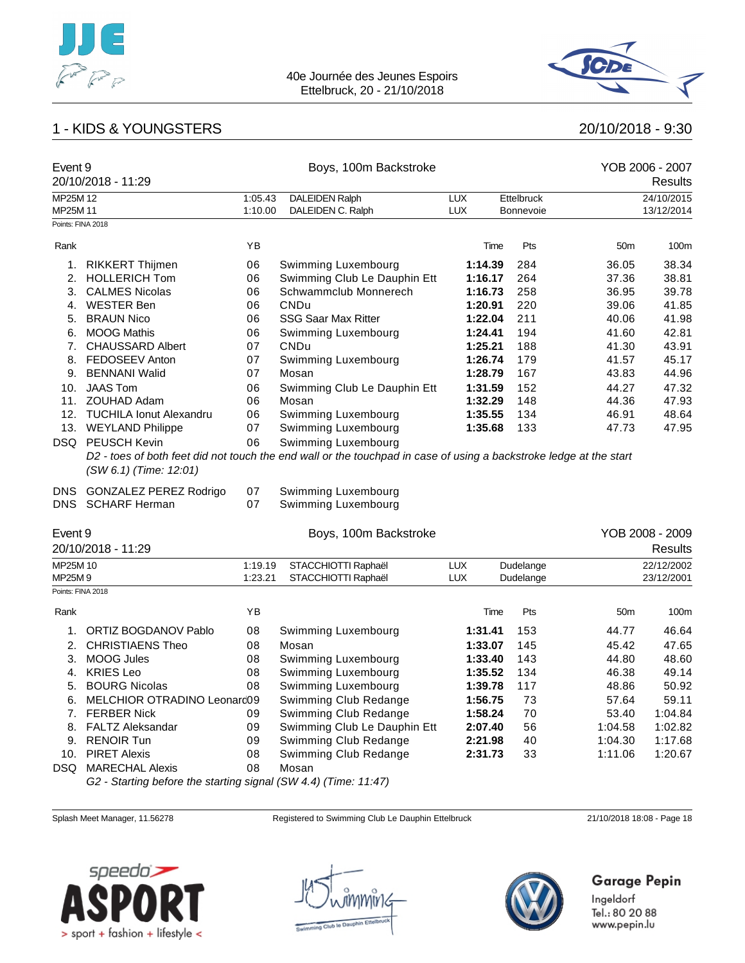



### 1 - KIDS & YOUNGSTERS 20/10/2018 - 9:30

|                   | Event 9<br>20/10/2018 - 11:29                                     |         | Boys, 100m Backstroke                                                                                                                     |            | YOB 2006 - 2007<br>Results |                  |                 |                                   |
|-------------------|-------------------------------------------------------------------|---------|-------------------------------------------------------------------------------------------------------------------------------------------|------------|----------------------------|------------------|-----------------|-----------------------------------|
| MP25M 12          |                                                                   | 1:05.43 | <b>DALEIDEN Ralph</b>                                                                                                                     | <b>LUX</b> |                            | Ettelbruck       |                 | 24/10/2015                        |
| MP25M 11          |                                                                   | 1:10.00 | DALEIDEN C. Ralph                                                                                                                         | <b>LUX</b> |                            | <b>Bonnevoie</b> |                 | 13/12/2014                        |
| Points: FINA 2018 |                                                                   |         |                                                                                                                                           |            |                            |                  |                 |                                   |
| Rank              |                                                                   | YB      |                                                                                                                                           |            | Time                       | Pts              | 50 <sub>m</sub> | 100m                              |
| 1.                | <b>RIKKERT Thijmen</b>                                            | 06      | Swimming Luxembourg                                                                                                                       | 1:14.39    |                            | 284              | 36.05           | 38.34                             |
| 2.                | <b>HOLLERICH Tom</b>                                              | 06      | Swimming Club Le Dauphin Ett                                                                                                              | 1:16.17    |                            | 264              | 37.36           | 38.81                             |
| 3.                | <b>CALMES Nicolas</b>                                             | 06      | Schwammclub Monnerech                                                                                                                     | 1:16.73    |                            | 258              | 36.95           | 39.78                             |
| 4.                | <b>WESTER Ben</b>                                                 | 06      | <b>CNDu</b>                                                                                                                               | 1:20.91    |                            | 220              | 39.06           | 41.85                             |
| 5.                | <b>BRAUN Nico</b>                                                 | 06      | <b>SSG Saar Max Ritter</b>                                                                                                                | 1:22.04    |                            | 211              | 40.06           | 41.98                             |
| 6.                | <b>MOOG Mathis</b>                                                | 06      | Swimming Luxembourg                                                                                                                       | 1:24.41    |                            | 194              | 41.60           | 42.81                             |
| 7.                | <b>CHAUSSARD Albert</b>                                           | 07      | CNDu                                                                                                                                      | 1:25.21    |                            | 188              | 41.30           | 43.91                             |
| 8.                | FEDOSEEV Anton                                                    | 07      | Swimming Luxembourg                                                                                                                       | 1:26.74    |                            | 179              | 41.57           | 45.17                             |
| 9.                | <b>BENNANI Walid</b>                                              | 07      | Mosan                                                                                                                                     | 1:28.79    |                            | 167              | 43.83           | 44.96                             |
|                   | 10. JAAS Tom                                                      | 06      | Swimming Club Le Dauphin Ett                                                                                                              | 1:31.59    |                            | 152              | 44.27           | 47.32                             |
|                   | 11. ZOUHAD Adam                                                   | 06      | Mosan                                                                                                                                     | 1:32.29    |                            | 148              | 44.36           | 47.93                             |
|                   | 12. TUCHILA Ionut Alexandru                                       | 06      | Swimming Luxembourg                                                                                                                       | 1:35.55    |                            | 134              | 46.91           | 48.64                             |
|                   | 13. WEYLAND Philippe                                              | 07      | Swimming Luxembourg                                                                                                                       | 1:35.68    |                            | 133              | 47.73           | 47.95                             |
| DSQ               | <b>PEUSCH Kevin</b>                                               | 06      | Swimming Luxembourg                                                                                                                       |            |                            |                  |                 |                                   |
|                   | (SW 6.1) (Time: 12:01)<br>DNS GONZALEZ PEREZ Rodrigo              | 07      | D2 - toes of both feet did not touch the end wall or the touchpad in case of using a backstroke ledge at the start<br>Swimming Luxembourg |            |                            |                  |                 |                                   |
| DNS.              | SCHARF Herman                                                     | 07      | Swimming Luxembourg                                                                                                                       |            |                            |                  |                 |                                   |
| Event 9           | 20/10/2018 - 11:29                                                |         | Boys, 100m Backstroke                                                                                                                     |            |                            |                  |                 | YOB 2008 - 2009<br><b>Results</b> |
| MP25M 10          |                                                                   | 1:19.19 | STACCHIOTTI Raphaël                                                                                                                       | <b>LUX</b> |                            | Dudelange        |                 | 22/12/2002                        |
| MP25M9            |                                                                   | 1:23.21 | STACCHIOTTI Raphaël                                                                                                                       | <b>LUX</b> |                            | Dudelange        |                 | 23/12/2001                        |
| Points: FINA 2018 |                                                                   |         |                                                                                                                                           |            |                            |                  |                 |                                   |
| Rank              |                                                                   | YB      |                                                                                                                                           |            | Time                       | Pts              | 50 <sub>m</sub> | 100m                              |
| 1.                | ORTIZ BOGDANOV Pablo                                              | 08      | Swimming Luxembourg                                                                                                                       | 1:31.41    |                            | 153              | 44.77           | 46.64                             |
| 2.                | <b>CHRISTIAENS Theo</b>                                           | 08      | Mosan                                                                                                                                     | 1:33.07    |                            | 145              | 45.42           | 47.65                             |
| 3.                | <b>MOOG Jules</b>                                                 | 08      | Swimming Luxembourg                                                                                                                       | 1:33.40    |                            | 143              | 44.80           | 48.60                             |
| 4.                | <b>KRIES Leo</b>                                                  | 08      | Swimming Luxembourg                                                                                                                       | 1:35.52    |                            | 134              | 46.38           | 49.14                             |
| 5.                | <b>BOURG Nicolas</b>                                              | 08      | Swimming Luxembourg                                                                                                                       | 1:39.78    |                            | 117              | 48.86           | 50.92                             |
| 6.                | MELCHIOR OTRADINO Leonard09                                       |         | Swimming Club Redange                                                                                                                     | 1:56.75    |                            | 73               | 57.64           | 59.11                             |
| 7.                | <b>FERBER Nick</b>                                                | 09      | Swimming Club Redange                                                                                                                     | 1:58.24    |                            | 70               | 53.40           | 1:04.84                           |
| 8.                | <b>FALTZ Aleksandar</b>                                           | 09      | Swimming Club Le Dauphin Ett                                                                                                              | 2:07.40    |                            | 56               | 1:04.58         | 1:02.82                           |
| 9.                | <b>RENOIR Tun</b>                                                 | 09      | Swimming Club Redange                                                                                                                     | 2:21.98    |                            | 40               | 1:04.30         | 1:17.68                           |
| 10.               | <b>PIRET Alexis</b>                                               | 08      | Swimming Club Redange                                                                                                                     | 2:31.73    |                            | 33               | 1:11.06         | 1:20.67                           |
| DSQ.              | <b>MARECHAL Alexis</b>                                            | 08      | Mosan                                                                                                                                     |            |                            |                  |                 |                                   |
|                   | $G2$ - Starting before the starting signal (SW 4.4) (Time: 11:47) |         |                                                                                                                                           |            |                            |                  |                 |                                   |

*G2 - Starting before the starting signal (SW 4.4) (Time: 11:47)*

Splash Meet Manager, 11.56278 Registered to Swimming Club Le Dauphin Ettelbruck 21/10/2018 18:08 - Page 18







# Garage Pepin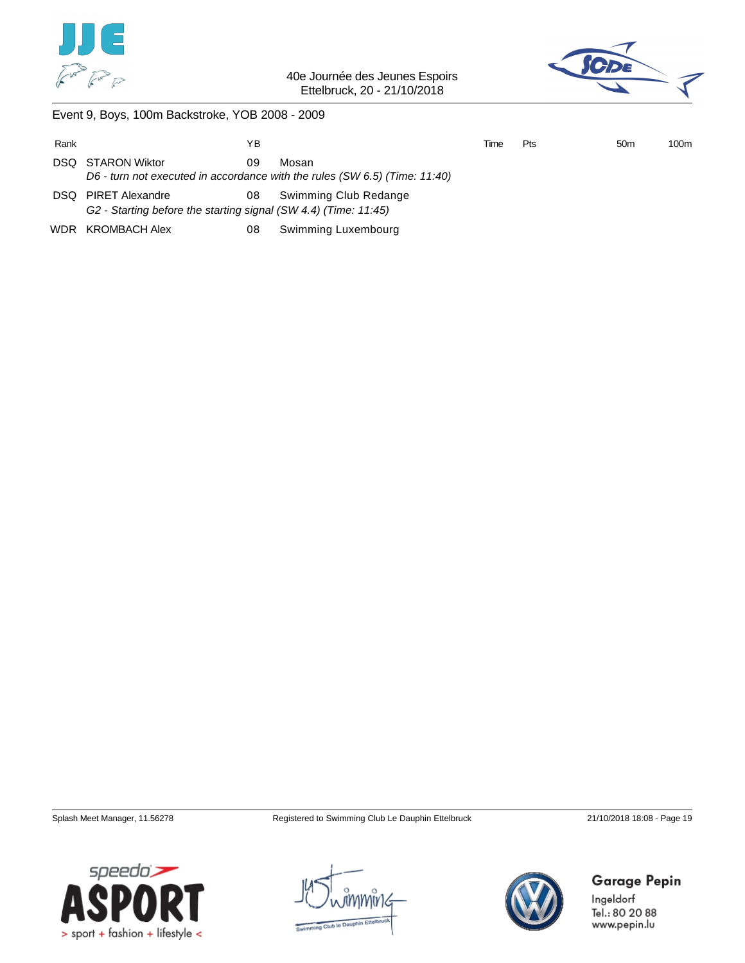



Event 9, Boys, 100m Backstroke, YOB 2008 - 2009

| Rank |                                                                                    | ΥB |                                                                                     | Time | <b>Pts</b> | 50 <sub>m</sub> | 100m |
|------|------------------------------------------------------------------------------------|----|-------------------------------------------------------------------------------------|------|------------|-----------------|------|
|      | DSQ STARON Wiktor                                                                  | 09 | Mosan<br>D6 - turn not executed in accordance with the rules (SW 6.5) (Time: 11:40) |      |            |                 |      |
| DSQ. | PIRET Alexandre<br>G2 - Starting before the starting signal (SW 4.4) (Time: 11:45) | 08 | Swimming Club Redange                                                               |      |            |                 |      |
|      | WDR KROMBACH Alex                                                                  | 08 | Swimming Luxembourg                                                                 |      |            |                 |      |



Garage Pepin



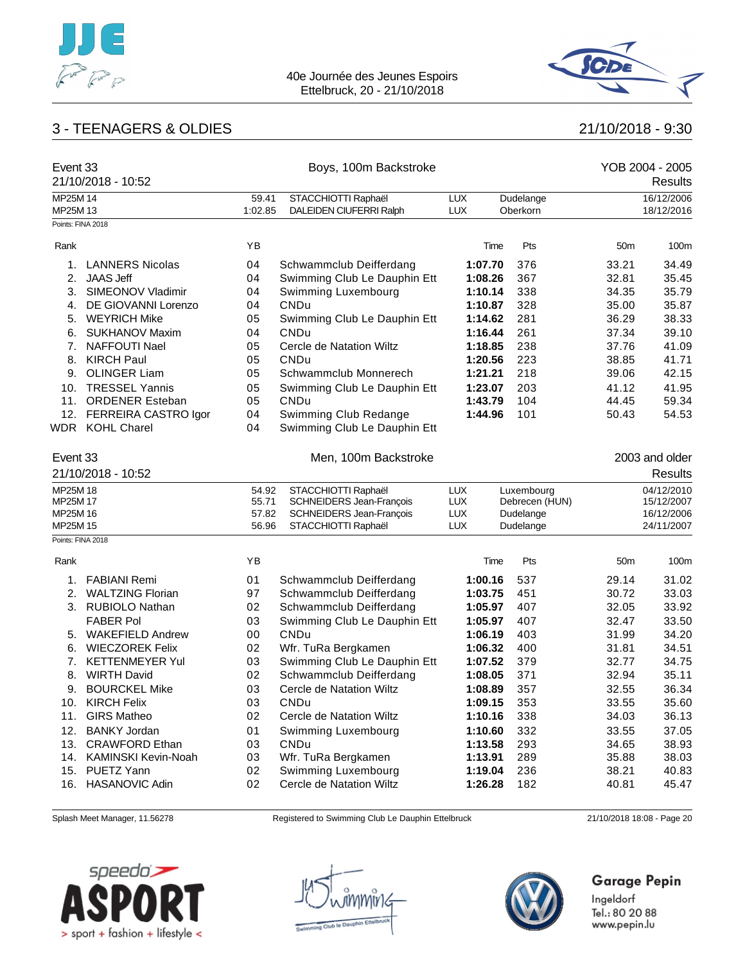



# 3 - TEENAGERS & OLDIES 21/10/2018 - 9:30

| Event 33          | 21/10/2018 - 10:52      |         | Boys, 100m Backstroke        |            |                |                 | YOB 2004 - 2005<br>Results |
|-------------------|-------------------------|---------|------------------------------|------------|----------------|-----------------|----------------------------|
| MP25M 14          |                         | 59.41   | STACCHIOTTI Raphaël          | <b>LUX</b> | Dudelange      |                 | 16/12/2006                 |
| MP25M 13          |                         | 1:02.85 | DALEIDEN CIUFERRI Ralph      | <b>LUX</b> | Oberkorn       |                 | 18/12/2016                 |
| Points: FINA 2018 |                         |         |                              |            |                |                 |                            |
| Rank              |                         | YB      |                              | Time       | Pts            | 50 <sub>m</sub> | 100m                       |
| 1.                | <b>LANNERS Nicolas</b>  | 04      | Schwammclub Deifferdang      | 1:07.70    | 376            | 33.21           | 34.49                      |
| 2.                | <b>JAAS Jeff</b>        | 04      | Swimming Club Le Dauphin Ett | 1:08.26    | 367            | 32.81           | 35.45                      |
| 3.                | SIMEONOV Vladimir       | 04      | Swimming Luxembourg          | 1:10.14    | 338            | 34.35           | 35.79                      |
| 4.                | DE GIOVANNI Lorenzo     | 04      | <b>CNDu</b>                  | 1:10.87    | 328            | 35.00           | 35.87                      |
| 5.                | <b>WEYRICH Mike</b>     | 05      | Swimming Club Le Dauphin Ett | 1:14.62    | 281            | 36.29           | 38.33                      |
| 6.                | <b>SUKHANOV Maxim</b>   | 04      | <b>CNDu</b>                  | 1:16.44    | 261            | 37.34           | 39.10                      |
| 7.                | <b>NAFFOUTI Nael</b>    | 05      | Cercle de Natation Wiltz     | 1:18.85    | 238            | 37.76           | 41.09                      |
| 8.                | <b>KIRCH Paul</b>       | 05      | <b>CNDu</b>                  | 1:20.56    | 223            | 38.85           | 41.71                      |
| 9.                | <b>OLINGER Liam</b>     | 05      | Schwammclub Monnerech        | 1:21.21    | 218            | 39.06           | 42.15                      |
| 10.               | <b>TRESSEL Yannis</b>   | 05      | Swimming Club Le Dauphin Ett | 1:23.07    | 203            | 41.12           | 41.95                      |
| 11.               | <b>ORDENER Esteban</b>  | 05      | <b>CNDu</b>                  | 1:43.79    | 104            | 44.45           | 59.34                      |
| 12.               | FERREIRA CASTRO Igor    | 04      | Swimming Club Redange        | 1:44.96    | 101            | 50.43           | 54.53                      |
|                   | <b>WDR</b> KOHL Charel  | 04      | Swimming Club Le Dauphin Ett |            |                |                 |                            |
| Event 33          |                         |         | Men, 100m Backstroke         |            |                |                 | 2003 and older             |
|                   | 21/10/2018 - 10:52      |         |                              |            |                |                 | Results                    |
| MP25M 18          |                         | 54.92   | STACCHIOTTI Raphaël          | <b>LUX</b> | Luxembourg     |                 | 04/12/2010                 |
| MP25M 17          |                         | 55.71   | SCHNEIDERS Jean-François     | <b>LUX</b> | Debrecen (HUN) |                 | 15/12/2007                 |
| MP25M 16          |                         | 57.82   | SCHNEIDERS Jean-François     | <b>LUX</b> | Dudelange      |                 | 16/12/2006                 |
| MP25M 15          |                         | 56.96   | STACCHIOTTI Raphaël          | <b>LUX</b> | Dudelange      |                 | 24/11/2007                 |
| Points: FINA 2018 |                         |         |                              |            |                |                 |                            |
| Rank              |                         | ΥB      |                              | Time       | Pts            | 50 <sub>m</sub> | 100m                       |
| 1.                | <b>FABIANI Remi</b>     | 01      | Schwammclub Deifferdang      | 1:00.16    | 537            | 29.14           | 31.02                      |
| 2.                | <b>WALTZING Florian</b> | 97      | Schwammclub Deifferdang      | 1:03.75    | 451            | 30.72           | 33.03                      |
| 3.                | <b>RUBIOLO Nathan</b>   | 02      | Schwammclub Deifferdang      | 1:05.97    | 407            | 32.05           | 33.92                      |
|                   | <b>FABER Pol</b>        | 03      | Swimming Club Le Dauphin Ett | 1:05.97    | 407            | 32.47           | 33.50                      |
| 5.                | <b>WAKEFIELD Andrew</b> | 00      | CNDu                         | 1:06.19    | 403            | 31.99           | 34.20                      |
| 6.                | <b>WIECZOREK Felix</b>  | 02      | Wfr. TuRa Bergkamen          | 1:06.32    | 400            | 31.81           | 34.51                      |
| 7.                | <b>KETTENMEYER Yul</b>  | 03      | Swimming Club Le Dauphin Ett | 1:07.52    | 379            | 32.77           | 34.75                      |
| 8.                | <b>WIRTH David</b>      | 02      | Schwammclub Deifferdang      | 1:08.05    | 371            | 32.94           | 35.11                      |
| 9.                | <b>BOURCKEL Mike</b>    | 03      | Cercle de Natation Wiltz     | 1:08.89    | 357            | 32.55           | 36.34                      |
| 10.               | KIRCH Felix             | 03      | <b>CNDu</b>                  | 1:09.15    | 353            | 33.55           | 35.60                      |
| 11.               | <b>GIRS Matheo</b>      | 02      | Cercle de Natation Wiltz     | 1:10.16    | 338            | 34.03           | 36.13                      |
| 12.               | <b>BANKY Jordan</b>     | 01      | Swimming Luxembourg          | 1:10.60    | 332            | 33.55           | 37.05                      |
| 13.               | <b>CRAWFORD Ethan</b>   | 03      | <b>CNDu</b>                  | 1:13.58    | 293            | 34.65           | 38.93                      |
| 14.               | KAMINSKI Kevin-Noah     | 03      | Wfr. TuRa Bergkamen          | 1:13.91    | 289            | 35.88           | 38.03                      |
|                   | 15. PUETZ Yann          | 02      | Swimming Luxembourg          | 1:19.04    | 236            | 38.21           | 40.83                      |
| 16.               | HASANOVIC Adin          | 02      | Cercle de Natation Wiltz     | 1:26.28    | 182            | 40.81           | 45.47                      |

Splash Meet Manager, 11.56278 Registered to Swimming Club Le Dauphin Ettelbruck 21/10/2018 18:08 - Page 20





# Garage Pepin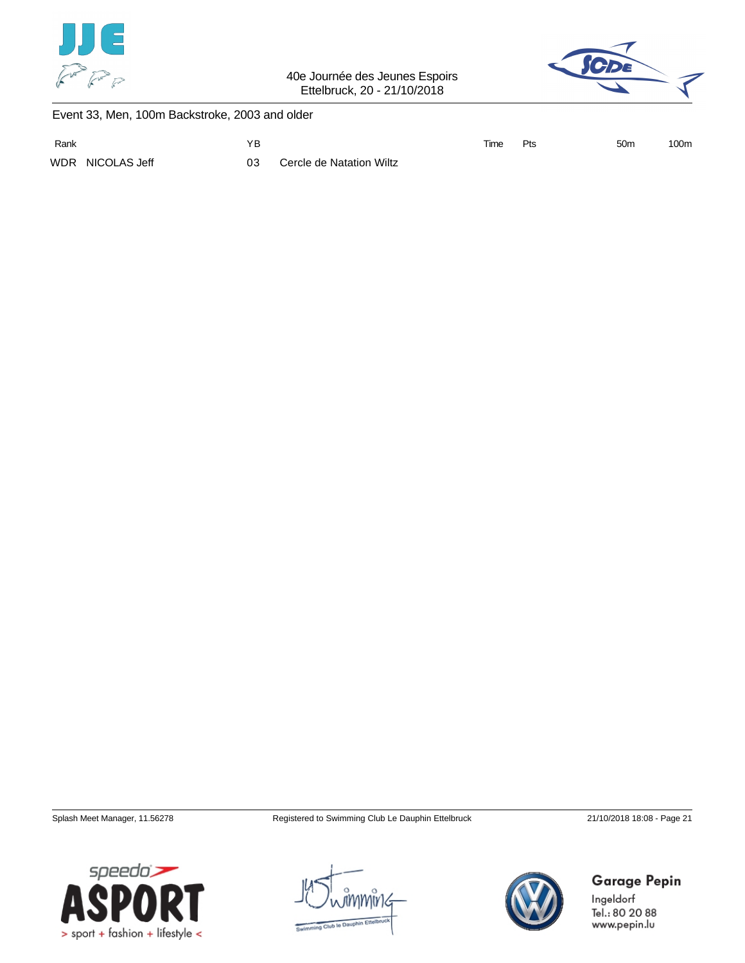



#### Event 33, Men, 100m Backstroke, 2003 and older

| Rank             | ΥB |                          | Time | Pts | 50 <sub>m</sub> | 100 <sub>m</sub> |
|------------------|----|--------------------------|------|-----|-----------------|------------------|
| WDR NICOLAS Jeff | 03 | Cercle de Natation Wiltz |      |     |                 |                  |







Garage Pepin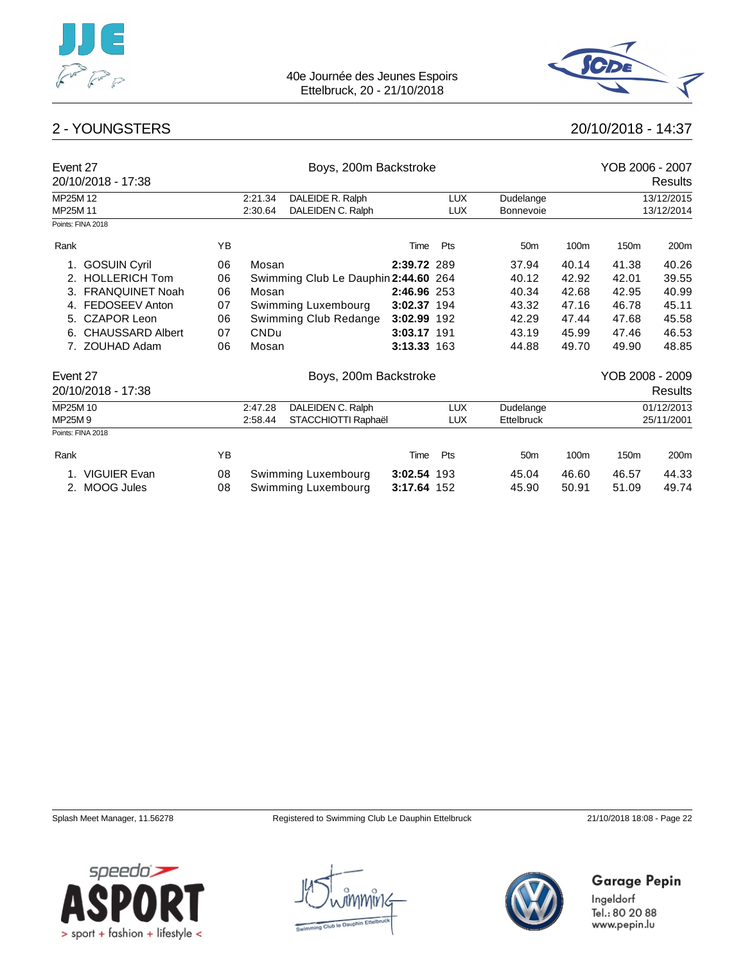



### 2 - YOUNGSTERS 20/10/2018 - 14:37

| Event 27<br>20/10/2018 - 17:38 |    |                    | Boys, 200m Backstroke                 |             |                          |                               |       | YOB 2006 - 2007 | <b>Results</b>           |
|--------------------------------|----|--------------------|---------------------------------------|-------------|--------------------------|-------------------------------|-------|-----------------|--------------------------|
| MP25M 12<br>MP25M 11           |    | 2:21.34<br>2:30.64 | DALEIDE R. Ralph<br>DALEIDEN C. Ralph |             | <b>LUX</b><br><b>LUX</b> | Dudelange<br><b>Bonnevoie</b> |       |                 | 13/12/2015<br>13/12/2014 |
| Points: FINA 2018              |    |                    |                                       |             |                          |                               |       |                 |                          |
| Rank                           | YB |                    |                                       | Time        | Pts                      | 50 <sub>m</sub>               | 100m  | 150m            | 200m                     |
| <b>GOSUIN Cyril</b><br>1.      | 06 | Mosan              |                                       | 2:39.72 289 |                          | 37.94                         | 40.14 | 41.38           | 40.26                    |
| <b>HOLLERICH Tom</b><br>2.     | 06 |                    | Swimming Club Le Dauphin 2:44.60 264  |             |                          | 40.12                         | 42.92 | 42.01           | 39.55                    |
| <b>FRANQUINET Noah</b><br>3.   | 06 | Mosan              |                                       | 2:46.96 253 |                          | 40.34                         | 42.68 | 42.95           | 40.99                    |
| FEDOSEEV Anton<br>4.           | 07 |                    | Swimming Luxembourg                   | 3:02.37 194 |                          | 43.32                         | 47.16 | 46.78           | 45.11                    |
| <b>CZAPOR Leon</b><br>5.       | 06 |                    | Swimming Club Redange                 | 3:02.99 192 |                          | 42.29                         | 47.44 | 47.68           | 45.58                    |
| <b>CHAUSSARD Albert</b><br>6.  | 07 | <b>CNDu</b>        |                                       | 3:03.17 191 |                          | 43.19                         | 45.99 | 47.46           | 46.53                    |
| ZOUHAD Adam<br>7.              | 06 | Mosan              |                                       | 3:13.33 163 |                          | 44.88                         | 49.70 | 49.90           | 48.85                    |
| Event 27                       |    |                    | Boys, 200m Backstroke                 |             |                          |                               |       | YOB 2008 - 2009 |                          |
| 20/10/2018 - 17:38             |    |                    |                                       |             |                          |                               |       |                 | Results                  |
| MP25M 10                       |    | 2:47.28            | DALEIDEN C. Ralph                     |             | <b>LUX</b>               | Dudelange                     |       |                 | 01/12/2013               |
| MP25M9                         |    | 2:58.44            | STACCHIOTTI Raphaël                   |             | <b>LUX</b>               | <b>Ettelbruck</b>             |       |                 | 25/11/2001               |
| Points: FINA 2018              |    |                    |                                       |             |                          |                               |       |                 |                          |
| Rank                           | YB |                    |                                       | Time        | Pts                      | 50 <sub>m</sub>               | 100m  | 150m            | 200m                     |
| 1. VIGUIER Evan                | 08 |                    | Swimming Luxembourg                   | 3:02.54 193 |                          | 45.04                         | 46.60 | 46.57           | 44.33                    |
| 2. MOOG Jules                  | 08 |                    | Swimming Luxembourg                   | 3:17.64 152 |                          | 45.90                         | 50.91 | 51.09           | 49.74                    |



Garage Pepin



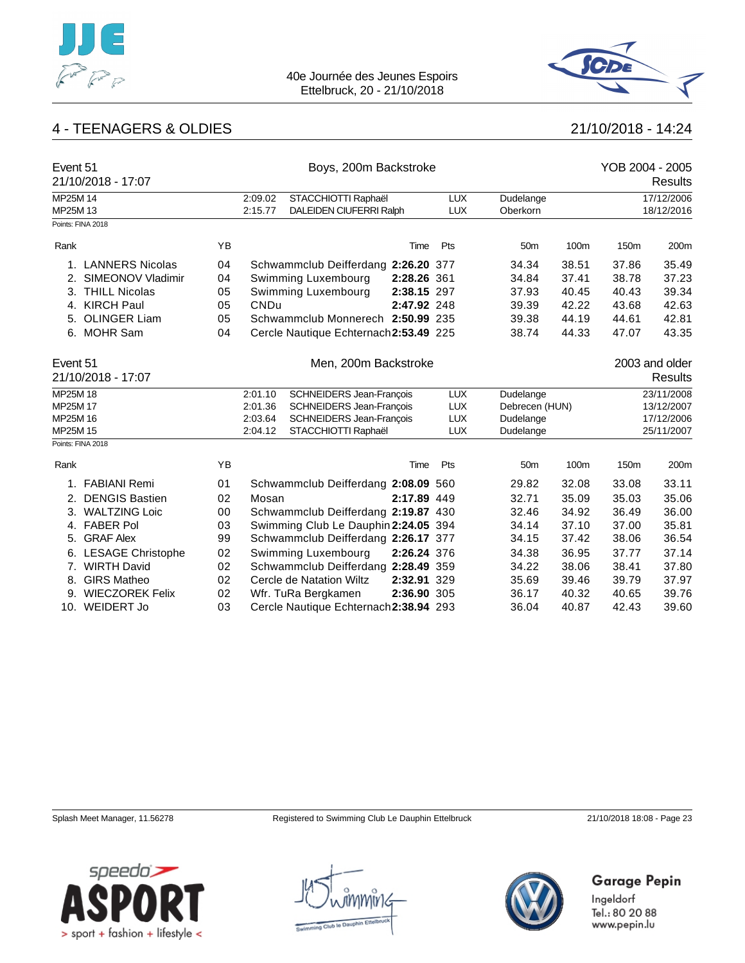



### 4 - TEENAGERS & OLDIES 21/10/2018 - 14:24

| Event 51 | 21/10/2018 - 17:07     |    |             | Boys, 200m Backstroke                  |             |            |                 |       | YOB 2004 - 2005 | <b>Results</b> |
|----------|------------------------|----|-------------|----------------------------------------|-------------|------------|-----------------|-------|-----------------|----------------|
| MP25M 14 |                        |    | 2:09.02     | STACCHIOTTI Raphaël                    |             | <b>LUX</b> | Dudelange       |       |                 | 17/12/2006     |
| MP25M 13 |                        |    | 2:15.77     | DALEIDEN CIUFERRI Ralph                |             | <b>LUX</b> | Oberkorn        |       |                 | 18/12/2016     |
|          | Points: FINA 2018      |    |             |                                        |             |            |                 |       |                 |                |
| Rank     |                        | YB |             |                                        | Time        | Pts        | 50 <sub>m</sub> | 100m  | 150m            | 200m           |
|          | 1. LANNERS Nicolas     | 04 |             | Schwammclub Deifferdang 2:26.20 377    |             |            | 34.34           | 38.51 | 37.86           | 35.49          |
| 2.       | SIMEONOV Vladimir      | 04 |             | Swimming Luxembourg                    | 2:28.26 361 |            | 34.84           | 37.41 | 38.78           | 37.23          |
|          | 3. THILL Nicolas       | 05 |             | Swimming Luxembourg                    | 2:38.15 297 |            | 37.93           | 40.45 | 40.43           | 39.34          |
| 4.       | <b>KIRCH Paul</b>      | 05 | <b>CNDu</b> |                                        | 2:47.92 248 |            | 39.39           | 42.22 | 43.68           | 42.63          |
| 5.       | <b>OLINGER Liam</b>    | 05 |             | Schwammclub Monnerech 2:50.99 235      |             |            | 39.38           | 44.19 | 44.61           | 42.81          |
|          | 6. MOHR Sam            | 04 |             | Cercle Nautique Echternach 2:53.49 225 |             |            | 38.74           | 44.33 | 47.07           | 43.35          |
| Event 51 |                        |    |             | Men, 200m Backstroke                   |             |            |                 |       |                 | 2003 and older |
|          | 21/10/2018 - 17:07     |    |             |                                        |             |            |                 |       |                 | <b>Results</b> |
| MP25M 18 |                        |    | 2:01.10     | <b>SCHNEIDERS Jean-François</b>        |             | <b>LUX</b> | Dudelange       |       |                 | 23/11/2008     |
| MP25M 17 |                        |    | 2:01.36     | <b>SCHNEIDERS Jean-François</b>        |             | <b>LUX</b> | Debrecen (HUN)  |       |                 | 13/12/2007     |
| MP25M 16 |                        |    | 2:03.64     | <b>SCHNEIDERS Jean-François</b>        |             | <b>LUX</b> | Dudelange       |       |                 | 17/12/2006     |
| MP25M 15 |                        |    | 2:04.12     | STACCHIOTTI Raphaël                    |             | <b>LUX</b> | Dudelange       |       |                 | 25/11/2007     |
|          | Points: FINA 2018      |    |             |                                        |             |            |                 |       |                 |                |
| Rank     |                        | YB |             |                                        | Time        | Pts        | 50 <sub>m</sub> | 100m  | 150m            | 200m           |
| 1.       | <b>FABIANI Remi</b>    | 01 |             | Schwammclub Deifferdang 2:08.09 560    |             |            | 29.82           | 32.08 | 33.08           | 33.11          |
| 2.       | <b>DENGIS Bastien</b>  | 02 | Mosan       |                                        | 2:17.89 449 |            | 32.71           | 35.09 | 35.03           | 35.06          |
| 3.       | <b>WALTZING Loic</b>   | 00 |             | Schwammclub Deifferdang 2:19.87 430    |             |            | 32.46           | 34.92 | 36.49           | 36.00          |
| 4.       | <b>FABER Pol</b>       | 03 |             | Swimming Club Le Dauphin 2:24.05 394   |             |            | 34.14           | 37.10 | 37.00           | 35.81          |
| 5.       | <b>GRAF Alex</b>       | 99 |             | Schwammclub Deifferdang 2:26.17 377    |             |            | 34.15           | 37.42 | 38.06           | 36.54          |
|          | 6. LESAGE Christophe   | 02 |             | Swimming Luxembourg                    | 2:26.24 376 |            | 34.38           | 36.95 | 37.77           | 37.14          |
|          | 7. WIRTH David         | 02 |             | Schwammclub Deifferdang 2:28.49 359    |             |            | 34.22           | 38.06 | 38.41           | 37.80          |
| 8.       | <b>GIRS Matheo</b>     | 02 |             | Cercle de Natation Wiltz               | 2:32.91 329 |            | 35.69           | 39.46 | 39.79           | 37.97          |
| 9.       | <b>WIECZOREK Felix</b> | 02 |             | Wfr. TuRa Bergkamen                    | 2:36.90 305 |            | 36.17           | 40.32 | 40.65           | 39.76          |
|          | 10. WEIDERT Jo         | 03 |             | Cercle Nautique Echternach 2:38.94 293 |             |            | 36.04           | 40.87 | 42.43           | 39.60          |

Splash Meet Manager, 11.56278 Registered to Swimming Club Le Dauphin Ettelbruck 21/10/2018 18:08 - Page 23

Garage Pepin



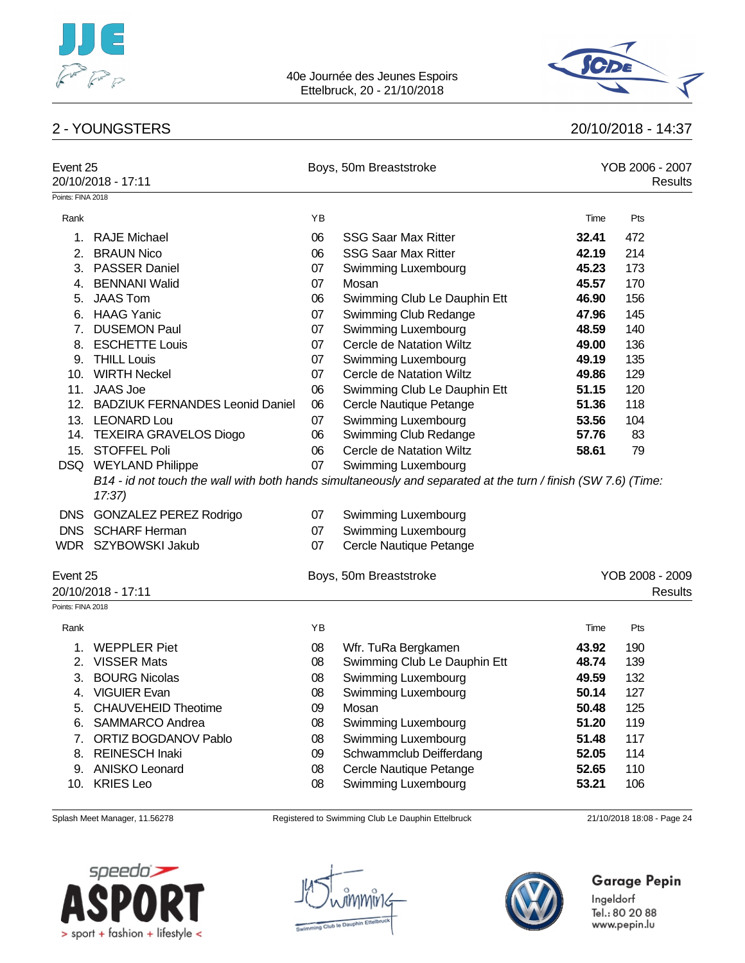



### 2 - YOUNGSTERS 20/10/2018 - 14:37

| Event 25          | 20/10/2018 - 17:11                                                                                                     |    | Boys, 50m Breaststroke       |       | YOB 2006 - 2007<br>Results |
|-------------------|------------------------------------------------------------------------------------------------------------------------|----|------------------------------|-------|----------------------------|
| Points: FINA 2018 |                                                                                                                        |    |                              |       |                            |
| Rank              |                                                                                                                        | YB |                              | Time  | Pts                        |
|                   | 1. RAJE Michael                                                                                                        | 06 | <b>SSG Saar Max Ritter</b>   | 32.41 | 472                        |
| 2.                | <b>BRAUN Nico</b>                                                                                                      | 06 | <b>SSG Saar Max Ritter</b>   | 42.19 | 214                        |
|                   | 3. PASSER Daniel                                                                                                       | 07 | Swimming Luxembourg          | 45.23 | 173                        |
|                   | 4. BENNANI Walid                                                                                                       | 07 | Mosan                        | 45.57 | 170                        |
|                   | 5. JAAS Tom                                                                                                            | 06 | Swimming Club Le Dauphin Ett | 46.90 | 156                        |
|                   | 6. HAAG Yanic                                                                                                          | 07 | Swimming Club Redange        | 47.96 | 145                        |
|                   | 7. DUSEMON Paul                                                                                                        | 07 | Swimming Luxembourg          | 48.59 | 140                        |
|                   | 8. ESCHETTE Louis                                                                                                      | 07 | Cercle de Natation Wiltz     | 49.00 | 136                        |
|                   | 9. THILL Louis                                                                                                         | 07 | Swimming Luxembourg          | 49.19 | 135                        |
|                   | 10. WIRTH Neckel                                                                                                       | 07 | Cercle de Natation Wiltz     | 49.86 | 129                        |
| 11.               | <b>JAAS Joe</b>                                                                                                        | 06 | Swimming Club Le Dauphin Ett | 51.15 | 120                        |
|                   | 12. BADZIUK FERNANDES Leonid Daniel                                                                                    | 06 | Cercle Nautique Petange      | 51.36 | 118                        |
|                   | 13. LEONARD Lou                                                                                                        | 07 | Swimming Luxembourg          | 53.56 | 104                        |
|                   | 14. TEXEIRA GRAVELOS Diogo                                                                                             | 06 | Swimming Club Redange        | 57.76 | 83                         |
|                   | 15. STOFFEL Poli                                                                                                       | 06 | Cercle de Natation Wiltz     | 58.61 | 79                         |
|                   | DSQ WEYLAND Philippe                                                                                                   | 07 | Swimming Luxembourg          |       |                            |
|                   | B14 - id not touch the wall with both hands simultaneously and separated at the turn / finish (SW 7.6) (Time:<br>17:37 |    |                              |       |                            |
|                   | DNS GONZALEZ PEREZ Rodrigo                                                                                             | 07 | Swimming Luxembourg          |       |                            |
|                   | DNS SCHARF Herman                                                                                                      | 07 | Swimming Luxembourg          |       |                            |
|                   | WDR SZYBOWSKI Jakub                                                                                                    | 07 | Cercle Nautique Petange      |       |                            |
| Event 25          | 20/10/2018 - 17:11                                                                                                     |    | Boys, 50m Breaststroke       |       | YOB 2008 - 2009<br>Results |
| Points: FINA 2018 |                                                                                                                        |    |                              |       |                            |
| Rank              |                                                                                                                        | YB |                              | Time  | Pts                        |
| 1.                | <b>WEPPLER Piet</b>                                                                                                    | 08 | Wfr. TuRa Bergkamen          | 43.92 | 190                        |
|                   | 2. VISSER Mats                                                                                                         | 08 | Swimming Club Le Dauphin Ett | 48.74 | 139                        |
|                   | 3. BOURG Nicolas                                                                                                       | 08 | Swimming Luxembourg          | 49.59 | 132                        |
|                   | 4. VIGUIER Evan                                                                                                        | 08 | Swimming Luxembourg          | 50.14 | 127                        |
| 5.                | <b>CHAUVEHEID Theotime</b>                                                                                             | 09 | Mosan                        | 50.48 | 125                        |
| 6.                | SAMMARCO Andrea                                                                                                        | 08 | Swimming Luxembourg          | 51.20 | 119                        |
| 7.                | <b>ORTIZ BOGDANOV Pablo</b>                                                                                            | 08 | Swimming Luxembourg          | 51.48 | 117                        |
| 8.                | <b>REINESCH Inaki</b>                                                                                                  | 09 | Schwammclub Deifferdang      | 52.05 | 114                        |
| 9.                | <b>ANISKO Leonard</b>                                                                                                  | 08 | Cercle Nautique Petange      | 52.65 | 110                        |
| 10.               | <b>KRIES</b> Leo                                                                                                       | 08 | Swimming Luxembourg          | 53.21 | 106                        |
|                   |                                                                                                                        |    |                              |       |                            |

Splash Meet Manager, 11.56278 Registered to Swimming Club Le Dauphin Ettelbruck 21/10/2018 18:08 - Page 24





# Garage Pepin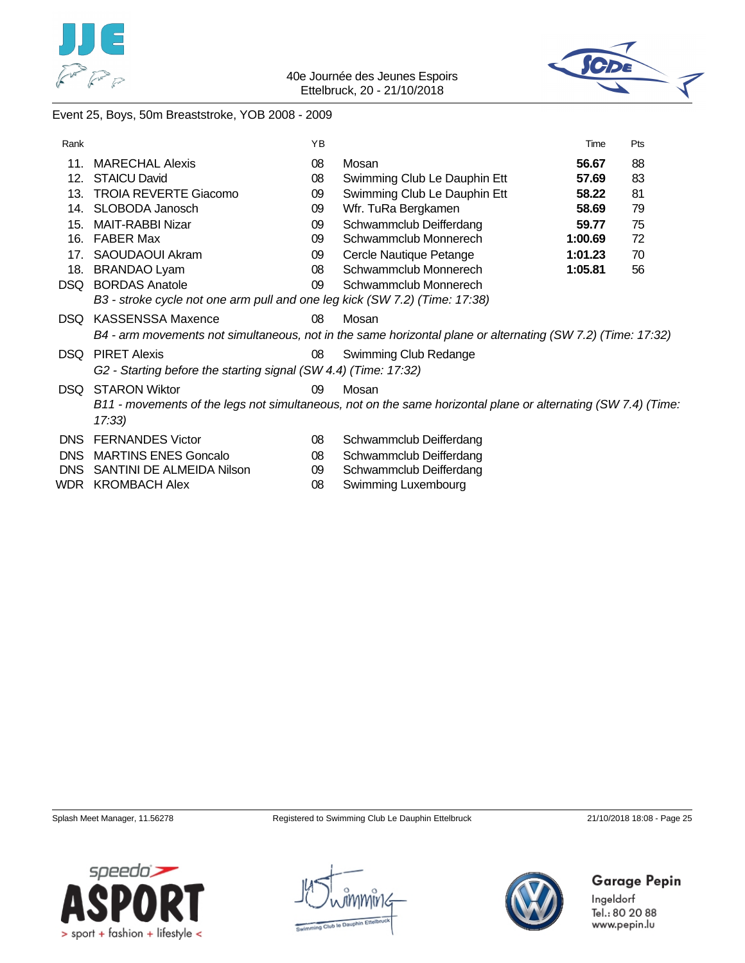



### Event 25, Boys, 50m Breaststroke, YOB 2008 - 2009

| Rank       |                                                                            | YB |                                                                                                               | Time    | Pts |
|------------|----------------------------------------------------------------------------|----|---------------------------------------------------------------------------------------------------------------|---------|-----|
| 11.        | <b>MARECHAL Alexis</b>                                                     | 08 | Mosan                                                                                                         | 56.67   | 88  |
| 12.        | <b>STAICU David</b>                                                        | 08 | Swimming Club Le Dauphin Ett                                                                                  | 57.69   | 83  |
| 13.        | <b>TROIA REVERTE Giacomo</b>                                               | 09 | Swimming Club Le Dauphin Ett                                                                                  | 58.22   | 81  |
| 14.        | SLOBODA Janosch                                                            | 09 | Wfr. TuRa Bergkamen                                                                                           | 58.69   | 79  |
| 15.        | <b>MAIT-RABBI Nizar</b>                                                    | 09 | Schwammclub Deifferdang                                                                                       | 59.77   | 75  |
| 16.        | <b>FABER Max</b>                                                           | 09 | Schwammclub Monnerech                                                                                         | 1:00.69 | 72  |
| 17.        | SAOUDAOUI Akram                                                            | 09 | Cercle Nautique Petange                                                                                       | 1:01.23 | 70  |
| 18.        | <b>BRANDAO Lyam</b>                                                        | 08 | Schwammclub Monnerech                                                                                         | 1:05.81 | 56  |
| DSQ.       | <b>BORDAS Anatole</b>                                                      | 09 | Schwammclub Monnerech                                                                                         |         |     |
|            | B3 - stroke cycle not one arm pull and one leg kick (SW 7.2) (Time: 17:38) |    |                                                                                                               |         |     |
| DSQ.       | <b>KASSENSSA Maxence</b>                                                   | 08 | Mosan                                                                                                         |         |     |
|            |                                                                            |    | B4 - arm movements not simultaneous, not in the same horizontal plane or alternating (SW 7.2) (Time: 17:32)   |         |     |
| DSQ.       | <b>PIRET Alexis</b>                                                        | 08 | Swimming Club Redange                                                                                         |         |     |
|            | G2 - Starting before the starting signal (SW 4.4) (Time: 17:32)            |    |                                                                                                               |         |     |
| DSQ.       | <b>STARON Wiktor</b>                                                       | 09 | Mosan                                                                                                         |         |     |
|            |                                                                            |    | B11 - movements of the legs not simultaneous, not on the same horizontal plane or alternating (SW 7.4) (Time. |         |     |
|            | 17:33                                                                      |    |                                                                                                               |         |     |
| DNS.       | <b>FERNANDES Victor</b>                                                    | 08 | Schwammclub Deifferdang                                                                                       |         |     |
| <b>DNS</b> | <b>MARTINS ENES Goncalo</b>                                                | 08 | Schwammclub Deifferdang                                                                                       |         |     |
| DNS        | SANTINI DE ALMEIDA Nilson                                                  | 09 | Schwammclub Deifferdang                                                                                       |         |     |
|            | WDR KROMBACH Alex                                                          | 08 | Swimming Luxembourg                                                                                           |         |     |

Splash Meet Manager, 11.56278 Registered to Swimming Club Le Dauphin Ettelbruck 21/10/2018 18:08 - Page 25





Garage Pepin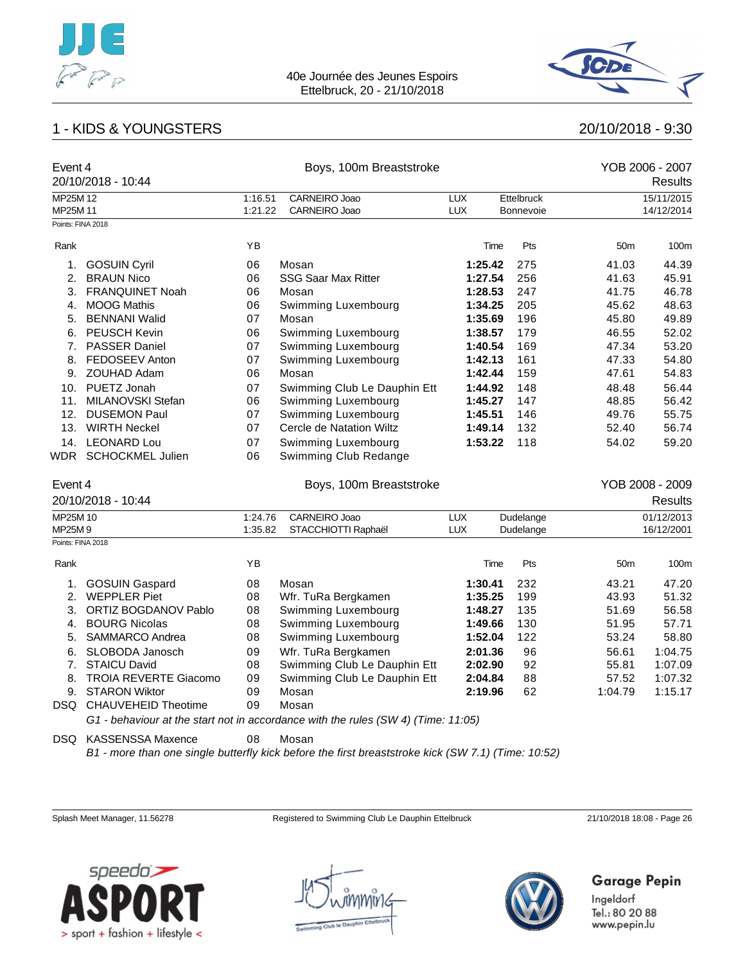



### 1 - KIDS & YOUNGSTERS 20/10/2018 - 9:30

| Event 4           | 20/10/2018 - 10:44           |         | Boys, 100m Breaststroke                                                           |            |      |            |                 | YOB 2006 - 2007<br><b>Results</b> |
|-------------------|------------------------------|---------|-----------------------------------------------------------------------------------|------------|------|------------|-----------------|-----------------------------------|
| MP25M 12          |                              | 1:16.51 | CARNEIRO Joao                                                                     | <b>LUX</b> |      | Ettelbruck |                 | 15/11/2015                        |
| MP25M 11          |                              | 1.21.22 | CARNEIRO Joao                                                                     | LUX        |      | Bonnevoie  |                 | 14/12/2014                        |
| Points: FINA 2018 |                              |         |                                                                                   |            |      |            |                 |                                   |
| Rank              |                              | YB      |                                                                                   |            | Time | Pts        | 50 <sub>m</sub> | 100m                              |
| 1.                | <b>GOSUIN Cyril</b>          | 06      | Mosan                                                                             | 1:25.42    |      | 275        | 41.03           | 44.39                             |
| 2.                | <b>BRAUN Nico</b>            | 06      | <b>SSG Saar Max Ritter</b>                                                        | 1:27.54    |      | 256        | 41.63           | 45.91                             |
| 3.                | <b>FRANQUINET Noah</b>       | 06      | Mosan                                                                             | 1:28.53    |      | 247        | 41.75           | 46.78                             |
| 4.                | <b>MOOG Mathis</b>           | 06      | Swimming Luxembourg                                                               | 1:34.25    |      | 205        | 45.62           | 48.63                             |
| 5.                | <b>BENNANI Walid</b>         | 07      | Mosan                                                                             | 1:35.69    |      | 196        | 45.80           | 49.89                             |
| 6.                | <b>PEUSCH Kevin</b>          | 06      | Swimming Luxembourg                                                               | 1:38.57    |      | 179        | 46.55           | 52.02                             |
| 7.                | <b>PASSER Daniel</b>         | 07      | Swimming Luxembourg                                                               | 1:40.54    |      | 169        | 47.34           | 53.20                             |
| 8.                | FEDOSEEV Anton               | 07      | Swimming Luxembourg                                                               | 1:42.13    |      | 161        | 47.33           | 54.80                             |
| 9.                | ZOUHAD Adam                  | 06      | Mosan                                                                             | 1:42.44    |      | 159        | 47.61           | 54.83                             |
| 10.               | PUETZ Jonah                  | 07      | Swimming Club Le Dauphin Ett                                                      | 1:44.92    |      | 148        | 48.48           | 56.44                             |
| 11.               | MILANOVSKI Stefan            | 06      | Swimming Luxembourg                                                               | 1:45.27    |      | 147        | 48.85           | 56.42                             |
| 12.               | <b>DUSEMON Paul</b>          | 07      | Swimming Luxembourg                                                               | 1:45.51    |      | 146        | 49.76           | 55.75                             |
| 13.               | <b>WIRTH Neckel</b>          | 07      | Cercle de Natation Wiltz                                                          | 1:49.14    |      | 132        | 52.40           | 56.74                             |
|                   | 14. LEONARD Lou              | 07      | Swimming Luxembourg                                                               | 1:53.22    |      | 118        | 54.02           | 59.20                             |
|                   | WDR SCHOCKMEL Julien         | 06      | Swimming Club Redange                                                             |            |      |            |                 |                                   |
| Event 4           |                              |         | Boys, 100m Breaststroke                                                           |            |      |            |                 | YOB 2008 - 2009                   |
|                   | 20/10/2018 - 10:44           |         |                                                                                   |            |      |            |                 | <b>Results</b>                    |
| MP25M 10          |                              | 1:24.76 | CARNEIRO Joao                                                                     | <b>LUX</b> |      | Dudelange  |                 | 01/12/2013                        |
| MP25M9            |                              | 1:35.82 | STACCHIOTTI Raphaël                                                               | <b>LUX</b> |      | Dudelange  |                 | 16/12/2001                        |
| Points: FINA 2018 |                              |         |                                                                                   |            |      |            |                 |                                   |
| Rank              |                              | YB      |                                                                                   |            | Time | Pts        | 50 <sub>m</sub> | 100m                              |
| 1.                | <b>GOSUIN Gaspard</b>        | 08      | Mosan                                                                             | 1:30.41    |      | 232        | 43.21           | 47.20                             |
| 2.                | <b>WEPPLER Piet</b>          | 08      | Wfr. TuRa Bergkamen                                                               | 1:35.25    |      | 199        | 43.93           | 51.32                             |
| 3.                | ORTIZ BOGDANOV Pablo         | 08      | Swimming Luxembourg                                                               | 1:48.27    |      | 135        | 51.69           | 56.58                             |
| 4.                | <b>BOURG Nicolas</b>         | 08      | Swimming Luxembourg                                                               | 1:49.66    |      | 130        | 51.95           | 57.71                             |
| 5.                | SAMMARCO Andrea              | 08      | Swimming Luxembourg                                                               | 1:52.04    |      | 122        | 53.24           | 58.80                             |
| 6.                | SLOBODA Janosch              | 09      | Wfr. TuRa Bergkamen                                                               | 2:01.36    |      | 96         | 56.61           | 1:04.75                           |
| 7.                | <b>STAICU David</b>          | 08      | Swimming Club Le Dauphin Ett                                                      | 2:02.90    |      | 92         | 55.81           | 1:07.09                           |
| 8.                | <b>TROIA REVERTE Giacomo</b> | 09      | Swimming Club Le Dauphin Ett                                                      | 2:04.84    |      | 88         | 57.52           | 1:07.32                           |
| 9.                | <b>STARON Wiktor</b>         | 09      | Mosan                                                                             | 2:19.96    |      | 62         | 1:04.79         | 1:15.17                           |
|                   | DSQ CHAUVEHEID Theotime      | 09      | Mosan                                                                             |            |      |            |                 |                                   |
|                   |                              |         | G1 - behaviour at the start not in accordance with the rules (SW 4) (Time: 11:05) |            |      |            |                 |                                   |
| DSQ.              | <b>KASSENSSA Maxence</b>     | 08      | Mosan                                                                             |            |      |            |                 |                                   |

*B1 - more than one single butterfly kick before the first breaststroke kick (SW 7.1) (Time: 10:52)*

Splash Meet Manager, 11.56278 Registered to Swimming Club Le Dauphin Ettelbruck 21/10/2018 18:08 - Page 26





### **Garage Pepin**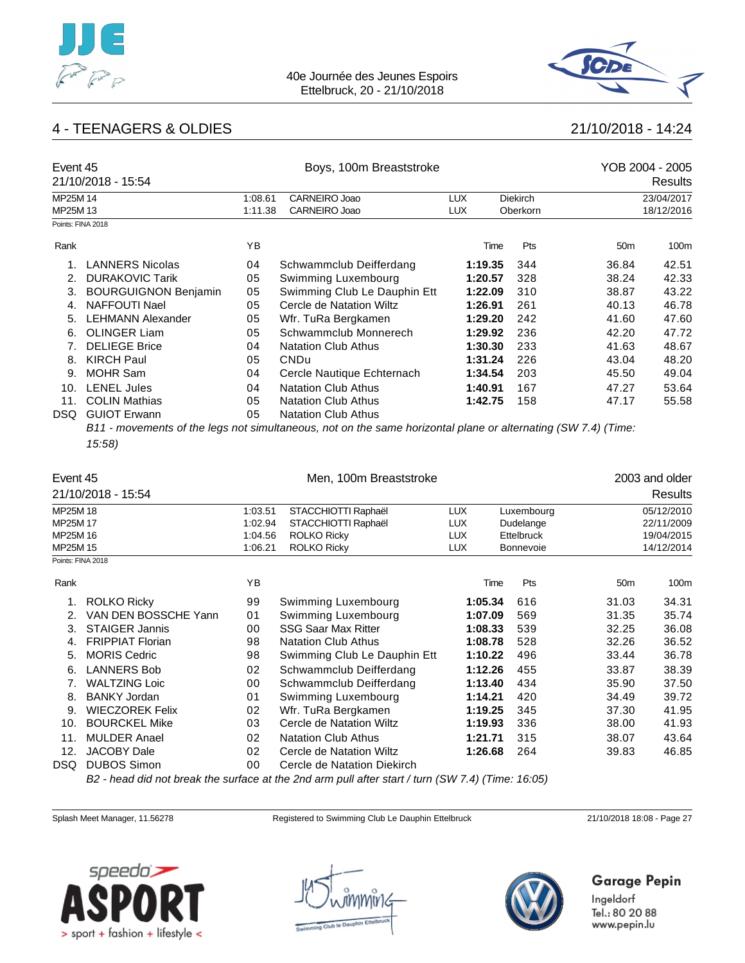



### 4 - TEENAGERS & OLDIES 21/10/2018 - 14:24

| Event 45          | 21/10/2018 - 15:54          |         | Boys, 100m Breaststroke                                                                                       |            |                   |                 | YOB 2004 - 2005<br><b>Results</b> |
|-------------------|-----------------------------|---------|---------------------------------------------------------------------------------------------------------------|------------|-------------------|-----------------|-----------------------------------|
| MP25M 14          |                             | 1:08.61 | CARNEIRO Joao                                                                                                 | <b>LUX</b> | <b>Diekirch</b>   |                 | 23/04/2017                        |
| MP25M 13          |                             | 1:11.38 | CARNEIRO Joao                                                                                                 | <b>LUX</b> | Oberkorn          |                 | 18/12/2016                        |
| Points: FINA 2018 |                             |         |                                                                                                               |            |                   |                 |                                   |
| Rank              |                             | ΥB      |                                                                                                               | Time       | Pts               | 50 <sub>m</sub> | 100m                              |
| 1.                | <b>LANNERS Nicolas</b>      | 04      | Schwammclub Deifferdang                                                                                       | 1:19.35    | 344               | 36.84           | 42.51                             |
| 2.                | <b>DURAKOVIC Tarik</b>      | 05      | Swimming Luxembourg                                                                                           | 1:20.57    | 328               | 38.24           | 42.33                             |
| 3.                | <b>BOURGUIGNON Benjamin</b> | 05      | Swimming Club Le Dauphin Ett                                                                                  | 1:22.09    | 310               | 38.87           | 43.22                             |
| 4.                | <b>NAFFOUTI Nael</b>        | 05      | Cercle de Natation Wiltz                                                                                      | 1:26.91    | 261               | 40.13           | 46.78                             |
|                   | 5. LEHMANN Alexander        | 05      | Wfr. TuRa Bergkamen                                                                                           | 1:29.20    | 242               | 41.60           | 47.60                             |
| 6.                | <b>OLINGER Liam</b>         | 05      | Schwammclub Monnerech                                                                                         | 1:29.92    | 236               | 42.20           | 47.72                             |
| 7.                | <b>DELIEGE Brice</b>        | 04      | <b>Natation Club Athus</b>                                                                                    | 1:30.30    | 233               | 41.63           | 48.67                             |
| 8.                | <b>KIRCH Paul</b>           | 05      | CNDu                                                                                                          | 1:31.24    | 226               | 43.04           | 48.20                             |
| 9.                | <b>MOHR Sam</b>             | 04      | Cercle Nautique Echternach                                                                                    | 1:34.54    | 203               | 45.50           | 49.04                             |
|                   | 10. LENEL Jules             | 04      | <b>Natation Club Athus</b>                                                                                    | 1:40.91    | 167               | 47.27           | 53.64                             |
| 11.               | <b>COLIN Mathias</b>        | 05      | <b>Natation Club Athus</b>                                                                                    | 1:42.75    | 158               | 47.17           | 55.58                             |
| <b>DSQ</b>        | <b>GUIOT Erwann</b>         | 05      | <b>Natation Club Athus</b>                                                                                    |            |                   |                 |                                   |
|                   |                             |         | B11 - movements of the legs not simultaneous, not on the same horizontal plane or alternating (SW 7.4) (Time: |            |                   |                 |                                   |
|                   | 15:58                       |         |                                                                                                               |            |                   |                 |                                   |
|                   |                             |         |                                                                                                               |            |                   |                 |                                   |
| Event 45          |                             |         | Men, 100m Breaststroke                                                                                        |            |                   |                 | 2003 and older                    |
|                   | 21/10/2018 - 15:54          |         |                                                                                                               |            |                   |                 | <b>Results</b>                    |
| MP25M 18          |                             | 1:03.51 | STACCHIOTTI Raphaël                                                                                           | <b>LUX</b> | Luxembourg        |                 | 05/12/2010                        |
| MP25M 17          |                             | 1:02.94 | STACCHIOTTI Raphaël                                                                                           | <b>LUX</b> | Dudelange         |                 | 22/11/2009                        |
| MP25M 16          |                             | 1:04.56 | <b>ROLKO Ricky</b>                                                                                            | <b>LUX</b> | <b>Ettelbruck</b> |                 | 19/04/2015                        |
| MP25M 15          |                             | 1:06.21 | <b>ROLKO Ricky</b>                                                                                            | <b>LUX</b> | Bonnevoie         |                 | 14/12/2014                        |
| Points: FINA 2018 |                             |         |                                                                                                               |            |                   |                 |                                   |
| Rank              |                             | YB      |                                                                                                               | Time       | Pts               | 50 <sub>m</sub> | 100m                              |
| 1.                | <b>ROLKO Ricky</b>          | 99      | Swimming Luxembourg                                                                                           | 1:05.34    | 616               | 31.03           | 34.31                             |
| 2.                | VAN DEN BOSSCHE Yann        | 01      | Swimming Luxembourg                                                                                           | 1:07.09    | 569               | 31.35           | 35.74                             |
| 3.                | <b>STAIGER Jannis</b>       | 00      | <b>SSG Saar Max Ritter</b>                                                                                    | 1:08.33    | 539               | 32.25           | 36.08                             |
|                   | 4. FRIPPIAT Florian         | 98      | Natation Club Athus                                                                                           | 1:08.78    | 528               | 32.26           | 36.52                             |
| 5.                | <b>MORIS Cedric</b>         | 98      | Swimming Club Le Dauphin Ett                                                                                  | 1:10.22    | 496               | 33.44           | 36.78                             |
| 6.                | <b>LANNERS Bob</b>          | 02      | Schwammclub Deifferdang                                                                                       | 1:12.26    | 455               | 33.87           | 38.39                             |
| 7.                | <b>WALTZING Loic</b>        | 00      | Schwammclub Deifferdang                                                                                       | 1:13.40    | 434               | 35.90           | 37.50                             |
| 8.                | <b>BANKY Jordan</b>         | 01      | Swimming Luxembourg                                                                                           | 1:14.21    | 420               | 34.49           | 39.72                             |
| 9.                | <b>WIECZOREK Felix</b>      | 02      | Wfr. TuRa Bergkamen                                                                                           | 1:19.25    | 345               | 37.30           | 41.95                             |
| 10.               | <b>BOURCKEL Mike</b>        | 03      | Cercle de Natation Wiltz                                                                                      | 1:19.93    | 336               | 38.00           | 41.93                             |
| 11.               | <b>MULDER Anael</b>         | 02      | <b>Natation Club Athus</b>                                                                                    | 1:21.71    | 315               | 38.07           | 43.64                             |
| 12.               | <b>JACOBY Dale</b>          | 02      | Cercle de Natation Wiltz                                                                                      | 1:26.68    | 264               | 39.83           | 46.85                             |
|                   | DSQ DUBOS Simon             | 00      | Cercle de Natation Diekirch                                                                                   |            |                   |                 |                                   |

*B2 - head did not break the surface at the 2nd arm pull after start / turn (SW 7.4) (Time: 16:05)*

Splash Meet Manager, 11.56278 Registered to Swimming Club Le Dauphin Ettelbruck 21/10/2018 18:08 - Page 27





### **Garage Pepin**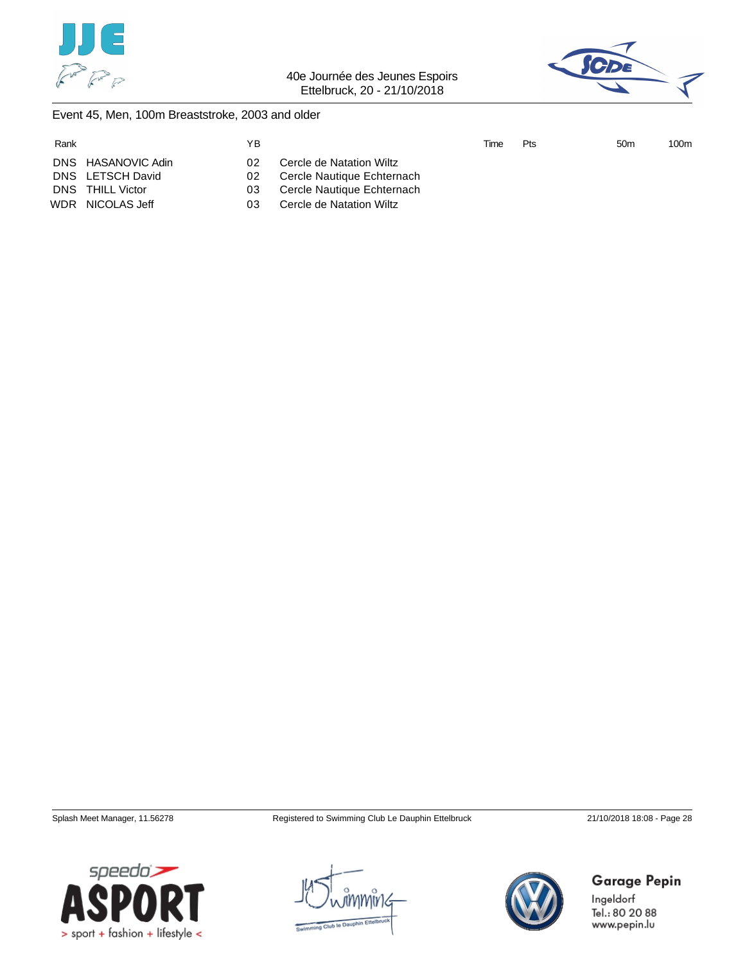



#### Event 45, Men, 100m Breaststroke, 2003 and older

| Rank |                                        | ΥB         |                                                        | Time | Pts | 50 <sub>m</sub> | 100m |
|------|----------------------------------------|------------|--------------------------------------------------------|------|-----|-----------------|------|
|      | DNS HASANOVIC Adin<br>DNS LETSCH David | 02.<br>02. | Cercle de Natation Wiltz<br>Cercle Nautique Echternach |      |     |                 |      |
|      | DNS THILL Victor                       | 03.        | Cercle Nautique Echternach                             |      |     |                 |      |
|      | WDR NICOLAS Jeff                       |            | Cercle de Natation Wiltz                               |      |     |                 |      |





Garage Pepin



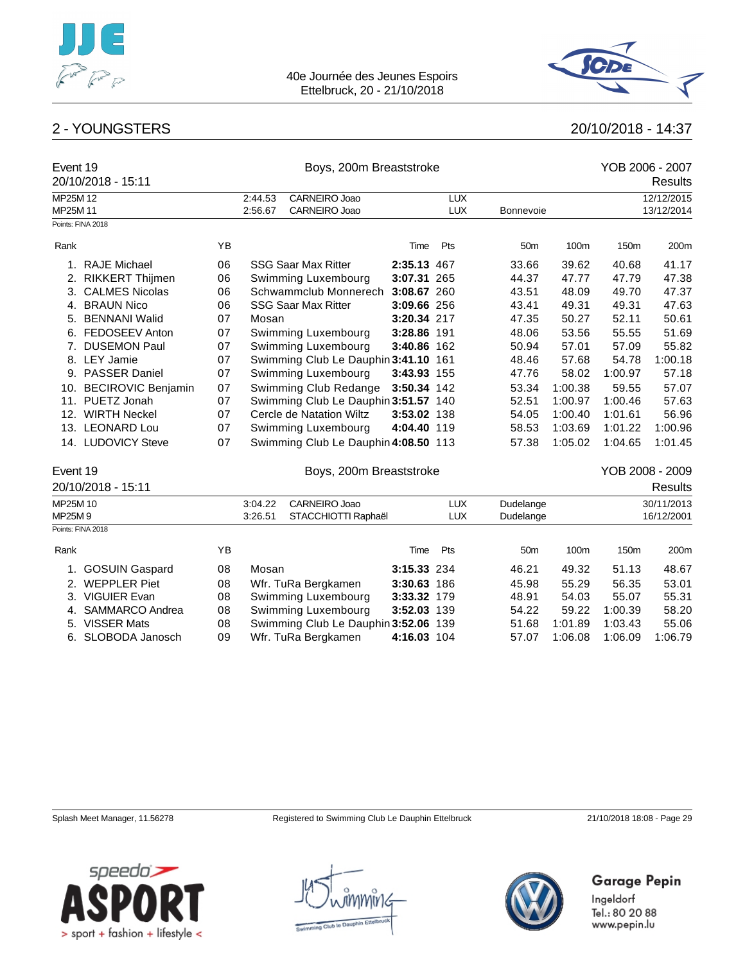



### 2 - YOUNGSTERS 20/10/2018 - 14:37

| Boys, 200m Breaststroke<br>Event 19<br>20/10/2018 - 15:11 |                        |    |                    |                                      |             |                          |                        | YOB 2006 - 2007 | Results          |                          |
|-----------------------------------------------------------|------------------------|----|--------------------|--------------------------------------|-------------|--------------------------|------------------------|-----------------|------------------|--------------------------|
| MP25M 12                                                  |                        |    | 2:44.53            | CARNEIRO Joao                        |             | <b>LUX</b>               |                        |                 |                  | 12/12/2015               |
| MP25M 11                                                  |                        |    | 2:56.67            | CARNEIRO Joao                        |             | <b>LUX</b>               | Bonnevoie              |                 |                  | 13/12/2014               |
|                                                           | Points: FINA 2018      |    |                    |                                      |             |                          |                        |                 |                  |                          |
| Rank                                                      |                        | YB |                    |                                      | Time        | Pts                      | 50 <sub>m</sub>        | 100m            | 150 <sub>m</sub> | 200m                     |
|                                                           | 1. RAJE Michael        | 06 |                    | <b>SSG Saar Max Ritter</b>           | 2:35.13 467 |                          | 33.66                  | 39.62           | 40.68            | 41.17                    |
| 2.                                                        | RIKKERT Thijmen        | 06 |                    | Swimming Luxembourg                  | 3:07.31 265 |                          | 44.37                  | 47.77           | 47.79            | 47.38                    |
| 3.                                                        | <b>CALMES Nicolas</b>  | 06 |                    | Schwammclub Monnerech                | 3:08.67 260 |                          | 43.51                  | 48.09           | 49.70            | 47.37                    |
|                                                           | 4. BRAUN Nico          | 06 |                    | <b>SSG Saar Max Ritter</b>           | 3:09.66 256 |                          | 43.41                  | 49.31           | 49.31            | 47.63                    |
|                                                           | 5. BENNANI Walid       | 07 | Mosan              |                                      | 3:20.34 217 |                          | 47.35                  | 50.27           | 52.11            | 50.61                    |
|                                                           | 6. FEDOSEEV Anton      | 07 |                    | Swimming Luxembourg                  | 3:28.86 191 |                          | 48.06                  | 53.56           | 55.55            | 51.69                    |
| 7.                                                        | <b>DUSEMON Paul</b>    | 07 |                    | Swimming Luxembourg                  | 3:40.86 162 |                          | 50.94                  | 57.01           | 57.09            | 55.82                    |
|                                                           | 8. LEY Jamie           | 07 |                    | Swimming Club Le Dauphin 3:41.10 161 |             |                          | 48.46                  | 57.68           | 54.78            | 1:00.18                  |
|                                                           | 9. PASSER Daniel       | 07 |                    | Swimming Luxembourg                  | 3:43.93 155 |                          | 47.76                  | 58.02           | 1:00.97          | 57.18                    |
|                                                           | 10. BECIROVIC Benjamin | 07 |                    | Swimming Club Redange                | 3:50.34 142 |                          | 53.34                  | 1:00.38         | 59.55            | 57.07                    |
| 11.                                                       | PUETZ Jonah            | 07 |                    | Swimming Club Le Dauphin 3:51.57 140 |             |                          | 52.51                  | 1:00.97         | 1:00.46          | 57.63                    |
|                                                           | 12. WIRTH Neckel       | 07 |                    | Cercle de Natation Wiltz             | 3:53.02 138 |                          | 54.05                  | 1:00.40         | 1:01.61          | 56.96                    |
|                                                           | 13. LEONARD Lou        | 07 |                    | Swimming Luxembourg                  | 4:04.40 119 |                          | 58.53                  | 1:03.69         | 1:01.22          | 1:00.96                  |
|                                                           | 14. LUDOVICY Steve     | 07 |                    | Swimming Club Le Dauphin 4:08.50 113 |             |                          | 57.38                  | 1:05.02         | 1:04.65          | 1:01.45                  |
| Event 19                                                  |                        |    |                    | Boys, 200m Breaststroke              |             |                          |                        |                 | YOB 2008 - 2009  |                          |
|                                                           | 20/10/2018 - 15:11     |    |                    |                                      |             |                          |                        |                 |                  | <b>Results</b>           |
|                                                           |                        |    |                    |                                      |             |                          |                        |                 |                  |                          |
| MP25M 10<br>MP25M9                                        |                        |    | 3:04.22<br>3:26.51 | CARNEIRO Joao<br>STACCHIOTTI Raphaël |             | <b>LUX</b><br><b>LUX</b> | Dudelange<br>Dudelange |                 |                  | 30/11/2013<br>16/12/2001 |
|                                                           | Points: FINA 2018      |    |                    |                                      |             |                          |                        |                 |                  |                          |
| Rank                                                      |                        | YB |                    |                                      | Time        | Pts                      | 50 <sub>m</sub>        | 100m            | 150m             | 200m                     |
|                                                           |                        |    |                    |                                      |             |                          |                        |                 |                  |                          |
|                                                           | 1. GOSUIN Gaspard      | 08 | Mosan              |                                      | 3:15.33 234 |                          | 46.21                  | 49.32           | 51.13            | 48.67                    |
|                                                           | 2. WEPPLER Piet        | 08 |                    | Wfr. TuRa Bergkamen                  | 3:30.63 186 |                          | 45.98                  | 55.29           | 56.35            | 53.01                    |
|                                                           | 3. VIGUIER Evan        | 08 |                    | Swimming Luxembourg                  | 3:33.32 179 |                          | 48.91                  | 54.03           | 55.07            | 55.31                    |
|                                                           | 4. SAMMARCO Andrea     | 08 |                    | Swimming Luxembourg                  | 3:52.03 139 |                          | 54.22                  | 59.22           | 1:00.39          | 58.20                    |
|                                                           | 5. VISSER Mats         | 08 |                    | Swimming Club Le Dauphin 3:52.06 139 |             |                          | 51.68                  | 1:01.89         | 1:03.43          | 55.06                    |
| 6.                                                        | SLOBODA Janosch        | 09 |                    | Wfr. TuRa Bergkamen                  | 4:16.03 104 |                          | 57.07                  | 1:06.08         | 1:06.09          | 1:06.79                  |
|                                                           |                        |    |                    |                                      |             |                          |                        |                 |                  |                          |

Splash Meet Manager, 11.56278 Registered to Swimming Club Le Dauphin Ettelbruck 21/10/2018 18:08 - Page 29





# Garage Pepin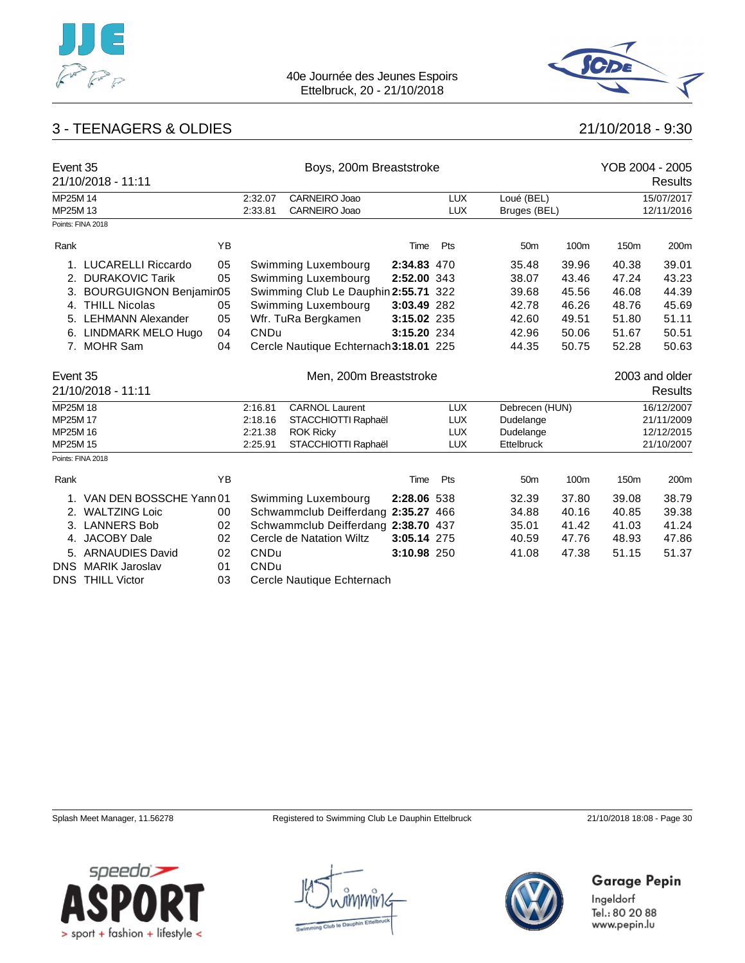



# 3 - TEENAGERS & OLDIES 21/10/2018 - 9:30

| Event 35             | 21/10/2018 - 11:11            |    | Boys, 200m Breaststroke |                                        |             |                          |                            |       | YOB 2004 - 2005<br>Results |                          |  |
|----------------------|-------------------------------|----|-------------------------|----------------------------------------|-------------|--------------------------|----------------------------|-------|----------------------------|--------------------------|--|
| MP25M 14<br>MP25M 13 |                               |    | 2:32.07<br>2:33.81      | CARNEIRO Joao<br>CARNEIRO Joao         |             | <b>LUX</b><br><b>LUX</b> | Loué (BEL)<br>Bruges (BEL) |       |                            | 15/07/2017<br>12/11/2016 |  |
|                      | Points: FINA 2018             |    |                         |                                        |             |                          |                            |       |                            |                          |  |
| Rank                 |                               | YB |                         |                                        | Time        | Pts                      | 50 <sub>m</sub>            | 100m  | 150m                       | 200m                     |  |
| 1.                   | <b>LUCARELLI Riccardo</b>     | 05 |                         | Swimming Luxembourg                    | 2:34.83 470 |                          | 35.48                      | 39.96 | 40.38                      | 39.01                    |  |
| 2.                   | <b>DURAKOVIC Tarik</b>        | 05 |                         | Swimming Luxembourg                    | 2:52.00 343 |                          | 38.07                      | 43.46 | 47.24                      | 43.23                    |  |
| 3.                   | <b>BOURGUIGNON Benjamin05</b> |    |                         | Swimming Club Le Dauphin 2:55.71 322   |             |                          | 39.68                      | 45.56 | 46.08                      | 44.39                    |  |
| 4.                   | <b>THILL Nicolas</b>          | 05 |                         | Swimming Luxembourg                    | 3:03.49 282 |                          | 42.78                      | 46.26 | 48.76                      | 45.69                    |  |
|                      | 5. LEHMANN Alexander          | 05 |                         | Wfr. TuRa Bergkamen                    | 3:15.02 235 |                          | 42.60                      | 49.51 | 51.80                      | 51.11                    |  |
| 6.                   | LINDMARK MELO Hugo            | 04 | <b>CNDu</b>             |                                        | 3:15.20 234 |                          | 42.96                      | 50.06 | 51.67                      | 50.51                    |  |
|                      | 7. MOHR Sam                   | 04 |                         | Cercle Nautique Echternach 3:18.01 225 |             |                          | 44.35                      | 50.75 | 52.28                      | 50.63                    |  |
| Event 35             |                               |    |                         | Men, 200m Breaststroke                 |             |                          |                            |       |                            | 2003 and older           |  |
|                      | 21/10/2018 - 11:11            |    |                         |                                        |             |                          |                            |       |                            | Results                  |  |
| MP25M 18             |                               |    | 2:16.81                 | <b>CARNOL Laurent</b>                  |             | <b>LUX</b>               | Debrecen (HUN)             |       |                            | 16/12/2007               |  |
| MP25M 17             |                               |    | 2:18.16                 | STACCHIOTTI Raphaël                    |             | <b>LUX</b>               | Dudelange                  |       |                            | 21/11/2009               |  |
| MP25M 16             |                               |    | 2:21.38                 | <b>ROK Ricky</b>                       |             | <b>LUX</b>               | Dudelange                  |       |                            | 12/12/2015               |  |
| MP25M 15             |                               |    | 2:25.91                 | STACCHIOTTI Raphaël                    |             | <b>LUX</b>               | Ettelbruck                 |       |                            | 21/10/2007               |  |
|                      | Points: FINA 2018             |    |                         |                                        |             |                          |                            |       |                            |                          |  |
| Rank                 |                               | YB |                         |                                        | Time        | Pts                      | 50 <sub>m</sub>            | 100m  | 150 <sub>m</sub>           | 200m                     |  |
| 1.                   | VAN DEN BOSSCHE Yann 01       |    |                         | Swimming Luxembourg                    | 2:28.06 538 |                          | 32.39                      | 37.80 | 39.08                      | 38.79                    |  |
| 2.                   | <b>WALTZING Loic</b>          | 00 |                         | Schwammclub Deifferdang 2:35.27 466    |             |                          | 34.88                      | 40.16 | 40.85                      | 39.38                    |  |
| 3.                   | <b>LANNERS Bob</b>            | 02 |                         | Schwammclub Deifferdang 2:38.70 437    |             |                          | 35.01                      | 41.42 | 41.03                      | 41.24                    |  |
| 4.                   | <b>JACOBY Dale</b>            | 02 |                         | Cercle de Natation Wiltz               | 3:05.14 275 |                          | 40.59                      | 47.76 | 48.93                      | 47.86                    |  |
|                      | 5. ARNAUDIES David            | 02 | <b>CNDu</b>             |                                        | 3:10.98 250 |                          | 41.08                      | 47.38 | 51.15                      | 51.37                    |  |
| <b>DNS</b>           | <b>MARIK Jaroslav</b>         | 01 | <b>CNDu</b>             |                                        |             |                          |                            |       |                            |                          |  |

DNS THILL Victor **03** Cercle Nautique Echternach

Splash Meet Manager, 11.56278 Registered to Swimming Club Le Dauphin Ettelbruck 21/10/2018 18:08 - Page 30

Garage Pepin



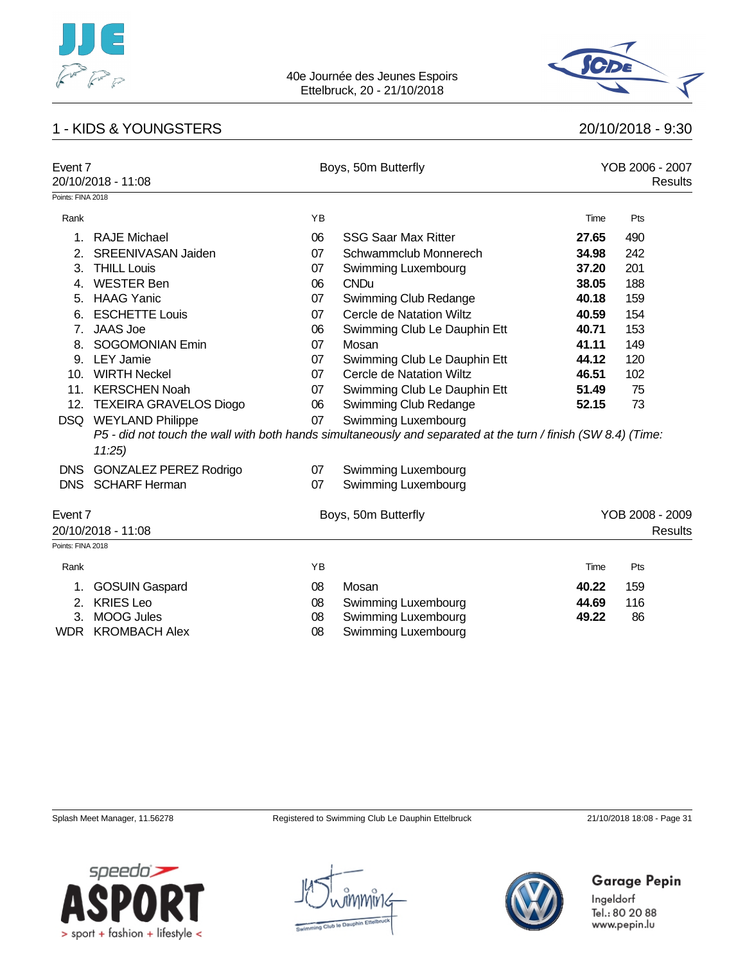



### 1 - KIDS & YOUNGSTERS 20/10/2018 - 9:30

| Event 7<br>20/10/2018 - 11:08 |                            |    | Boys, 50m Butterfly                                                                                           |       | YOB 2006 - 2007<br>Results |  |  |
|-------------------------------|----------------------------|----|---------------------------------------------------------------------------------------------------------------|-------|----------------------------|--|--|
| Points: FINA 2018             |                            |    |                                                                                                               |       |                            |  |  |
| Rank                          |                            | YB |                                                                                                               | Time  | Pts                        |  |  |
| $1_{-}$                       | <b>RAJE Michael</b>        | 06 | <b>SSG Saar Max Ritter</b>                                                                                    | 27.65 | 490                        |  |  |
| 2.                            | <b>SREENIVASAN Jaiden</b>  | 07 | Schwammclub Monnerech                                                                                         | 34.98 | 242                        |  |  |
| 3.                            | <b>THILL Louis</b>         | 07 | Swimming Luxembourg                                                                                           | 37.20 | 201                        |  |  |
| 4.                            | <b>WESTER Ben</b>          | 06 | <b>CNDu</b>                                                                                                   | 38.05 | 188                        |  |  |
|                               | 5. HAAG Yanic              | 07 | Swimming Club Redange                                                                                         | 40.18 | 159                        |  |  |
| 6.                            | <b>ESCHETTE Louis</b>      | 07 | Cercle de Natation Wiltz                                                                                      | 40.59 | 154                        |  |  |
|                               | 7. JAAS Joe                | 06 | Swimming Club Le Dauphin Ett                                                                                  | 40.71 | 153                        |  |  |
|                               | 8. SOGOMONIAN Emin         | 07 | Mosan                                                                                                         | 41.11 | 149                        |  |  |
|                               | 9. LEY Jamie               | 07 | Swimming Club Le Dauphin Ett                                                                                  | 44.12 | 120                        |  |  |
|                               | 10. WIRTH Neckel           | 07 | Cercle de Natation Wiltz                                                                                      | 46.51 | 102                        |  |  |
|                               | 11. KERSCHEN Noah          | 07 | Swimming Club Le Dauphin Ett                                                                                  | 51.49 | 75                         |  |  |
|                               | 12. TEXEIRA GRAVELOS Diogo | 06 | Swimming Club Redange                                                                                         | 52.15 | 73                         |  |  |
|                               | DSQ WEYLAND Philippe       | 07 | Swimming Luxembourg                                                                                           |       |                            |  |  |
|                               | 11:25                      |    | P5 - did not touch the wall with both hands simultaneously and separated at the turn / finish (SW 8.4) (Time: |       |                            |  |  |
|                               | DNS GONZALEZ PEREZ Rodrigo | 07 | Swimming Luxembourg                                                                                           |       |                            |  |  |
|                               | DNS SCHARF Herman          | 07 | Swimming Luxembourg                                                                                           |       |                            |  |  |
| Event 7                       | 20/10/2018 - 11:08         |    | Boys, 50m Butterfly                                                                                           |       | YOB 2008 - 2009<br>Results |  |  |
| Points: FINA 2018             |                            |    |                                                                                                               |       |                            |  |  |
| Rank                          |                            | YB |                                                                                                               | Time  | Pts                        |  |  |
|                               |                            |    | Mosan                                                                                                         | 40.22 | 159                        |  |  |
| 1.                            | <b>GOSUIN Gaspard</b>      | 08 |                                                                                                               |       |                            |  |  |
|                               | 2. KRIES Leo               | 08 | Swimming Luxembourg                                                                                           | 44.69 | 116                        |  |  |
| 3.                            | <b>MOOG Jules</b>          | 08 | Swimming Luxembourg                                                                                           | 49.22 | 86                         |  |  |
|                               | WDR KROMBACH Alex          | 08 | Swimming Luxembourg                                                                                           |       |                            |  |  |

Splash Meet Manager, 11.56278 Registered to Swimming Club Le Dauphin Ettelbruck 21/10/2018 18:08 - Page 31

Garage Pepin



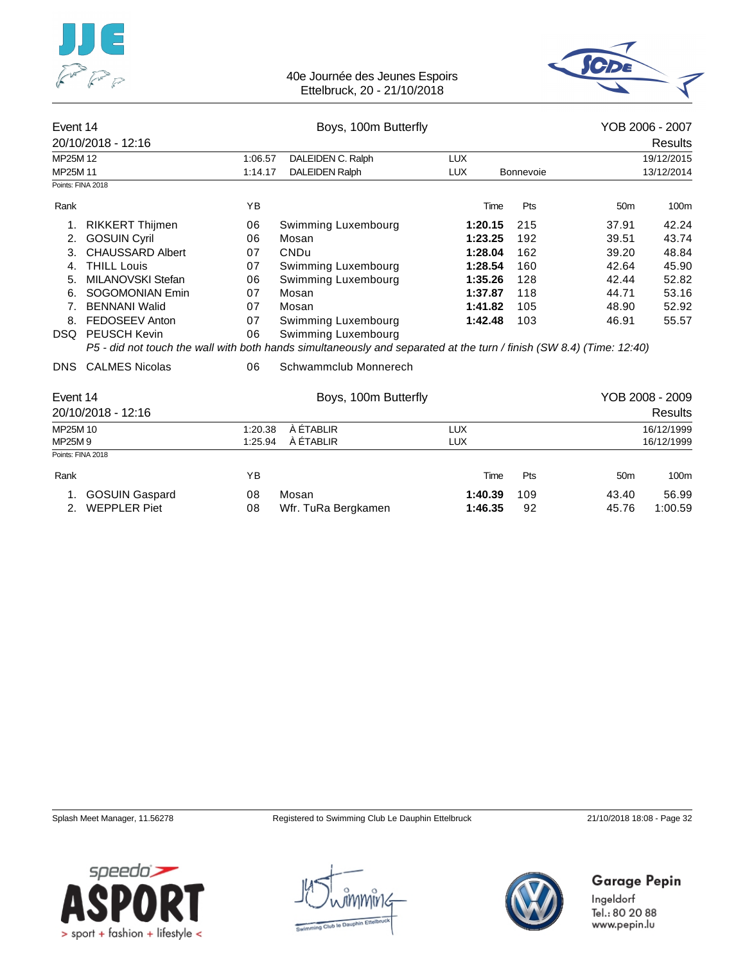



| Event 14   |                         |         | Boys, 100m Butterfly                                                                                                 |            |                  |                 | YOB 2006 - 2007 |
|------------|-------------------------|---------|----------------------------------------------------------------------------------------------------------------------|------------|------------------|-----------------|-----------------|
|            | 20/10/2018 - 12:16      |         |                                                                                                                      |            |                  |                 | Results         |
| MP25M 12   |                         | 1:06.57 | DALEIDEN C. Ralph                                                                                                    | <b>LUX</b> |                  |                 | 19/12/2015      |
| MP25M 11   |                         | 1:14.17 | <b>DALEIDEN Ralph</b>                                                                                                | <b>LUX</b> | <b>Bonnevoie</b> |                 | 13/12/2014      |
|            | Points: FINA 2018       |         |                                                                                                                      |            |                  |                 |                 |
| Rank       |                         | YB      |                                                                                                                      | Time       | Pts              | 50 <sub>m</sub> | 100m            |
| 1.         | <b>RIKKERT Thijmen</b>  | 06      | Swimming Luxembourg                                                                                                  | 1:20.15    | 215              | 37.91           | 42.24           |
| 2.         | <b>GOSUIN Cyril</b>     | 06      | Mosan                                                                                                                | 1:23.25    | 192              | 39.51           | 43.74           |
| 3.         | <b>CHAUSSARD Albert</b> | 07      | <b>CNDu</b>                                                                                                          | 1:28.04    | 162              | 39.20           | 48.84           |
| 4.         | <b>THILL Louis</b>      | 07      | Swimming Luxembourg                                                                                                  | 1:28.54    | 160              | 42.64           | 45.90           |
| 5.         | MILANOVSKI Stefan       | 06      | Swimming Luxembourg                                                                                                  | 1:35.26    | 128              | 42.44           | 52.82           |
| 6.         | SOGOMONIAN Emin         | 07      | Mosan                                                                                                                | 1:37.87    | 118              | 44.71           | 53.16           |
| 7.         | <b>BENNANI Walid</b>    | 07      | Mosan                                                                                                                | 1:41.82    | 105              | 48.90           | 52.92           |
| 8.         | FEDOSEEV Anton          | 07      | Swimming Luxembourg                                                                                                  | 1:42.48    | 103              | 46.91           | 55.57           |
| DSQ.       | <b>PEUSCH Kevin</b>     | 06      | Swimming Luxembourg                                                                                                  |            |                  |                 |                 |
|            |                         |         | P5 - did not touch the wall with both hands simultaneously and separated at the turn / finish (SW 8.4) (Time: 12:40) |            |                  |                 |                 |
| <b>DNS</b> | <b>CALMES Nicolas</b>   | 06      | Schwammclub Monnerech                                                                                                |            |                  |                 |                 |
| Event 14   |                         |         | Boys, 100m Butterfly                                                                                                 |            |                  |                 | YOB 2008 - 2009 |
|            | 20/10/2018 - 12:16      |         |                                                                                                                      |            |                  |                 | <b>Results</b>  |
| MP25M 10   |                         | 1:20.38 | À ÉTABLIR                                                                                                            | <b>LUX</b> |                  |                 | 16/12/1999      |
| MP25M9     |                         | 1:25.94 | À ÉTABLIR                                                                                                            | <b>LUX</b> |                  |                 | 16/12/1999      |
|            | Points: FINA 2018       |         |                                                                                                                      |            |                  |                 |                 |
| Rank       |                         | YB      |                                                                                                                      | Time       | Pts              | 50 <sub>m</sub> | 100m            |
| 1.         | <b>GOSUIN Gaspard</b>   | 08      | Mosan                                                                                                                | 1:40.39    | 109              | 43.40           | 56.99           |
| 2.         | <b>WEPPLER Piet</b>     | 08      | Wfr. TuRa Bergkamen                                                                                                  | 1:46.35    | 92               | 45.76           | 1:00.59         |

Splash Meet Manager, 11.56278 Registered to Swimming Club Le Dauphin Ettelbruck 21/10/2018 18:08 - Page 32





Garage Pepin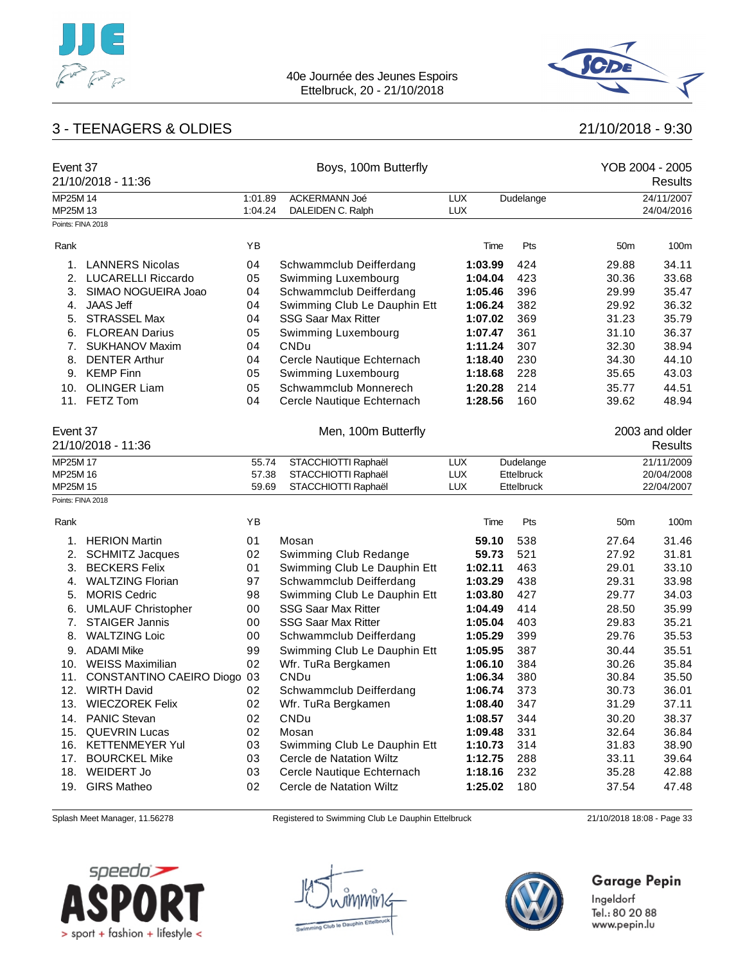



# 3 - TEENAGERS & OLDIES 21/10/2018 - 9:30

| Event 37          | 21/10/2018 - 11:36        |         | Boys, 100m Butterfly                       |            |       |                         |                 | YOB 2004 - 2005<br>Results |
|-------------------|---------------------------|---------|--------------------------------------------|------------|-------|-------------------------|-----------------|----------------------------|
| MP25M 14          |                           | 1:01.89 | ACKERMANN Joé                              | <b>LUX</b> |       | Dudelange               |                 | 24/11/2007                 |
| MP25M 13          |                           | 1:04.24 | DALEIDEN C. Ralph                          | <b>LUX</b> |       |                         |                 | 24/04/2016                 |
| Points: FINA 2018 |                           |         |                                            |            |       |                         |                 |                            |
| Rank              |                           | YB      |                                            |            | Time  | Pts                     | 50 <sub>m</sub> | 100m                       |
| 1.                | <b>LANNERS Nicolas</b>    | 04      | Schwammclub Deifferdang                    | 1:03.99    |       | 424                     | 29.88           | 34.11                      |
| 2.                | <b>LUCARELLI Riccardo</b> | 05      | Swimming Luxembourg                        | 1:04.04    |       | 423                     | 30.36           | 33.68                      |
| 3.                | SIMAO NOGUEIRA Joao       | 04      | Schwammclub Deifferdang                    | 1:05.46    |       | 396                     | 29.99           | 35.47                      |
| 4.                | <b>JAAS Jeff</b>          | 04      | Swimming Club Le Dauphin Ett               | 1:06.24    |       | 382                     | 29.92           | 36.32                      |
| 5.                | <b>STRASSEL Max</b>       | 04      | <b>SSG Saar Max Ritter</b>                 | 1:07.02    |       | 369                     | 31.23           | 35.79                      |
| 6.                | <b>FLOREAN Darius</b>     | 05      | Swimming Luxembourg                        | 1:07.47    |       | 361                     | 31.10           | 36.37                      |
| 7.                | <b>SUKHANOV Maxim</b>     | 04      | <b>CNDu</b>                                | 1:11.24    |       | 307                     | 32.30           | 38.94                      |
| 8.                | <b>DENTER Arthur</b>      | 04      | Cercle Nautique Echternach                 | 1:18.40    |       | 230                     | 34.30           | 44.10                      |
| 9.                | <b>KEMP Finn</b>          | 05      | Swimming Luxembourg                        | 1:18.68    |       | 228                     | 35.65           | 43.03                      |
| 10.               | <b>OLINGER Liam</b>       | 05      | Schwammclub Monnerech                      | 1:20.28    |       | 214                     | 35.77           | 44.51                      |
| 11.               | FETZ Tom                  | 04      | Cercle Nautique Echternach                 | 1:28.56    |       | 160                     | 39.62           | 48.94                      |
| Event 37          | 21/10/2018 - 11:36        |         | Men, 100m Butterfly                        |            |       |                         |                 | 2003 and older<br>Results  |
| MP25M 17          |                           | 55.74   |                                            | <b>LUX</b> |       |                         |                 | 21/11/2009                 |
| MP25M 16          |                           | 57.38   | STACCHIOTTI Raphaël<br>STACCHIOTTI Raphaël | <b>LUX</b> |       | Dudelange<br>Ettelbruck |                 | 20/04/2008                 |
| MP25M 15          |                           | 59.69   | STACCHIOTTI Raphaël                        | <b>LUX</b> |       | Ettelbruck              |                 | 22/04/2007                 |
| Points: FINA 2018 |                           |         |                                            |            |       |                         |                 |                            |
| Rank              |                           | YB      |                                            |            | Time  | Pts                     | 50 <sub>m</sub> | 100m                       |
| 1.                | <b>HERION Martin</b>      | 01      | Mosan                                      |            | 59.10 | 538                     | 27.64           | 31.46                      |
| 2.                | <b>SCHMITZ Jacques</b>    | 02      | Swimming Club Redange                      |            | 59.73 | 521                     | 27.92           | 31.81                      |
| 3.                | <b>BECKERS Felix</b>      | 01      | Swimming Club Le Dauphin Ett               | 1:02.11    |       | 463                     | 29.01           | 33.10                      |
| 4.                | <b>WALTZING Florian</b>   | 97      | Schwammclub Deifferdang                    | 1:03.29    |       | 438                     | 29.31           | 33.98                      |
| 5.                | <b>MORIS Cedric</b>       | 98      | Swimming Club Le Dauphin Ett               | 1:03.80    |       | 427                     | 29.77           | 34.03                      |
| 6.                | <b>UMLAUF Christopher</b> | 00      | <b>SSG Saar Max Ritter</b>                 | 1:04.49    |       | 414                     | 28.50           | 35.99                      |
| 7.                | STAIGER Jannis            | 00      | <b>SSG Saar Max Ritter</b>                 | 1:05.04    |       | 403                     | 29.83           | 35.21                      |
| 8.                | <b>WALTZING Loic</b>      | 00      | Schwammclub Deifferdang                    | 1:05.29    |       | 399                     | 29.76           | 35.53                      |
| 9.                | <b>ADAMI Mike</b>         | 99      | Swimming Club Le Dauphin Ett               | 1:05.95    |       | 387                     | 30.44           | 35.51                      |
| 10.               | <b>WEISS Maximilian</b>   | 02      | Wfr. TuRa Bergkamen                        | 1:06.10    |       | 384                     | 30.26           | 35.84                      |
| 11.               | CONSTANTINO CAEIRO Diogo  | 03      | CNDu                                       | 1:06.34    |       | 380                     | 30.84           | 35.50                      |
| 12.               | <b>WIRTH David</b>        | 02      | Schwammclub Deifferdang                    | 1:06.74    |       | 373                     | 30.73           | 36.01                      |
|                   | 13. WIECZOREK Felix       | 02      | Wfr. TuRa Bergkamen                        | 1:08.40    |       | 347                     | 31.29           | 37.11                      |
| 14.               | <b>PANIC Stevan</b>       | 02      | <b>CNDu</b>                                | 1:08.57    |       | 344                     | 30.20           | 38.37                      |
| 15.               | <b>QUEVRIN Lucas</b>      | 02      | Mosan                                      | 1:09.48    |       | 331                     | 32.64           | 36.84                      |
| 16.               | <b>KETTENMEYER Yul</b>    | 03      | Swimming Club Le Dauphin Ett               | 1:10.73    |       | 314                     | 31.83           | 38.90                      |
| 17.               | <b>BOURCKEL Mike</b>      | 03      | Cercle de Natation Wiltz                   | 1:12.75    |       | 288                     | 33.11           | 39.64                      |
| 18.               | WEIDERT Jo                | 03      | Cercle Nautique Echternach                 | 1:18.16    |       | 232                     | 35.28           | 42.88                      |
| 19.               | <b>GIRS Matheo</b>        | 02      | Cercle de Natation Wiltz                   | 1:25.02    |       | 180                     | 37.54           | 47.48                      |

Splash Meet Manager, 11.56278 Registered to Swimming Club Le Dauphin Ettelbruck 21/10/2018 18:08 - Page 33





# Garage Pepin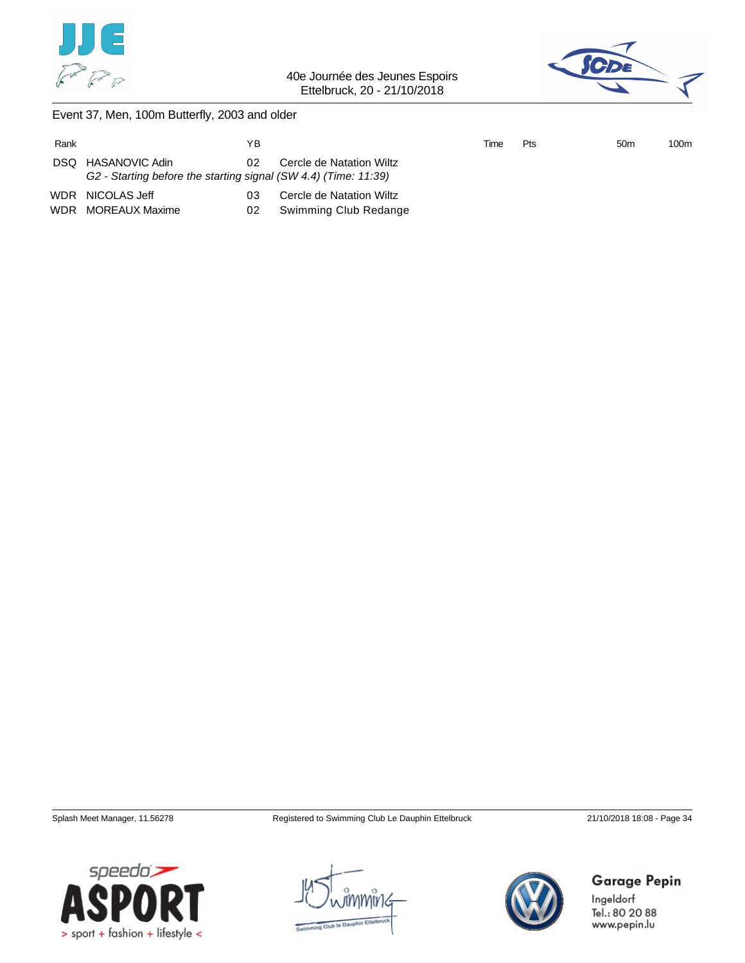



Event 37, Men, 100m Butterfly, 2003 and older

| Rank |                                                                                       | ΥB |                          | Time | Pts | 50 <sub>m</sub> | 100m |
|------|---------------------------------------------------------------------------------------|----|--------------------------|------|-----|-----------------|------|
|      | DSQ HASANOVIC Adin<br>G2 - Starting before the starting signal (SW 4.4) (Time: 11:39) | 02 | Cercle de Natation Wiltz |      |     |                 |      |
|      | WDR NICOLAS Jeff                                                                      | 03 | Cercle de Natation Wiltz |      |     |                 |      |
|      | WDR MOREAUX Maxime                                                                    | 02 | Swimming Club Redange    |      |     |                 |      |





Garage Pepin

Ingeldorf Tel.: 80 20 88 www.pepin.lu

speedo > sport + fashion + lifestyle <

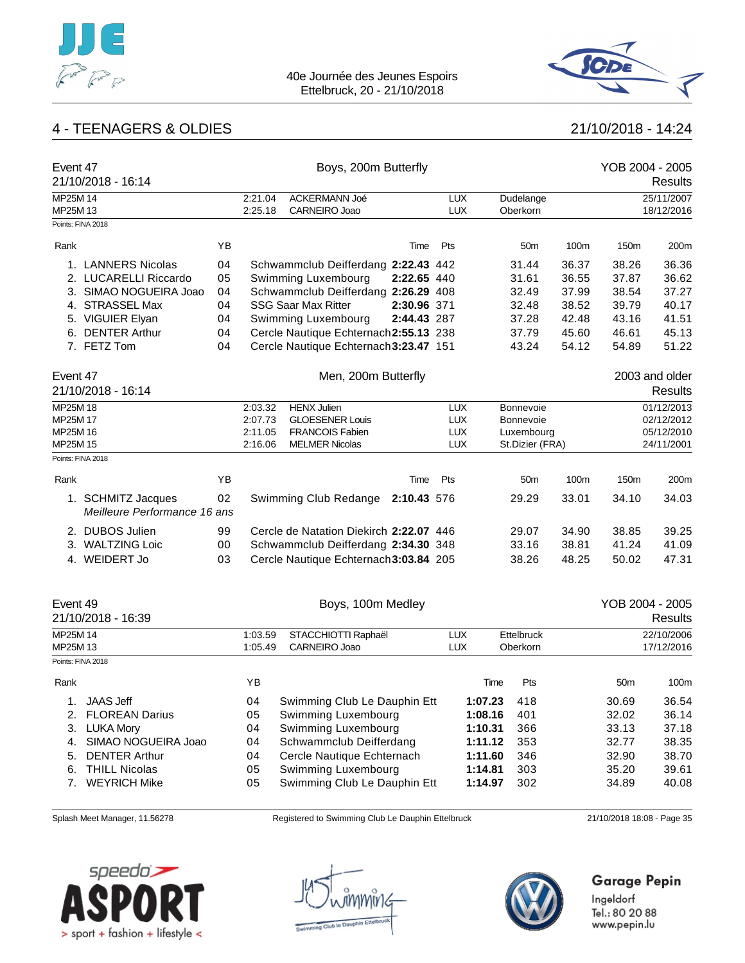



# 4 - TEENAGERS & OLDIES 21/10/2018 - 14:24

| Event 47 |                              |    |         | Boys, 200m Butterfly                    |             |            |         |                 |       | YOB 2004 - 2005 |                |
|----------|------------------------------|----|---------|-----------------------------------------|-------------|------------|---------|-----------------|-------|-----------------|----------------|
|          | 21/10/2018 - 16:14           |    |         |                                         |             |            |         |                 |       |                 | Results        |
| MP25M 14 |                              |    | 2:21.04 | ACKERMANN Joé                           |             | <b>LUX</b> |         | Dudelange       |       |                 | 25/11/2007     |
| MP25M 13 | Points: FINA 2018            |    | 2:25.18 | CARNEIRO Joao                           |             | <b>LUX</b> |         | Oberkorn        |       |                 | 18/12/2016     |
|          |                              |    |         |                                         |             |            |         |                 |       |                 |                |
| Rank     |                              | YB |         |                                         | Time        | Pts        |         | 50m             | 100m  | 150m            | 200m           |
|          | 1. LANNERS Nicolas           | 04 |         | Schwammclub Deifferdang 2:22.43 442     |             |            |         | 31.44           | 36.37 | 38.26           | 36.36          |
|          | 2. LUCARELLI Riccardo        | 05 |         | Swimming Luxembourg                     | 2:22.65 440 |            |         | 31.61           | 36.55 | 37.87           | 36.62          |
|          | 3. SIMAO NOGUEIRA Joao       | 04 |         | Schwammclub Deifferdang 2:26.29 408     |             |            |         | 32.49           | 37.99 | 38.54           | 37.27          |
|          | 4. STRASSEL Max              | 04 |         | <b>SSG Saar Max Ritter</b>              | 2:30.96 371 |            |         | 32.48           | 38.52 | 39.79           | 40.17          |
|          | 5. VIGUIER Elyan             | 04 |         | Swimming Luxembourg                     | 2:44.43 287 |            |         | 37.28           | 42.48 | 43.16           | 41.51          |
|          | 6. DENTER Arthur             | 04 |         | Cercle Nautique Echternach 2:55.13 238  |             |            |         | 37.79           | 45.60 | 46.61           | 45.13          |
|          | 7. FETZ Tom                  | 04 |         | Cercle Nautique Echternach 3:23.47 151  |             |            |         | 43.24           | 54.12 | 54.89           | 51.22          |
| Event 47 |                              |    |         | Men, 200m Butterfly                     |             |            |         |                 |       |                 | 2003 and older |
|          | 21/10/2018 - 16:14           |    |         |                                         |             |            |         |                 |       |                 | Results        |
| MP25M 18 |                              |    | 2:03.32 | <b>HENX Julien</b>                      |             | <b>LUX</b> |         | Bonnevoie       |       |                 | 01/12/2013     |
| MP25M 17 |                              |    | 2:07.73 | <b>GLOESENER Louis</b>                  |             | <b>LUX</b> |         | Bonnevoie       |       |                 | 02/12/2012     |
| MP25M 16 |                              |    | 2:11.05 | <b>FRANCOIS Fabien</b>                  |             | <b>LUX</b> |         | Luxembourg      |       |                 | 05/12/2010     |
| MP25M 15 |                              |    | 2:16.06 | <b>MELMER Nicolas</b>                   |             | <b>LUX</b> |         | St.Dizier (FRA) |       |                 | 24/11/2001     |
|          | Points: FINA 2018            |    |         |                                         |             |            |         |                 |       |                 |                |
| Rank     |                              | YB |         |                                         | Time        | Pts        |         | 50m             | 100m  | 150m            | 200m           |
|          | 1. SCHMITZ Jacques           | 02 |         | Swimming Club Redange                   | 2:10.43 576 |            |         | 29.29           | 33.01 | 34.10           | 34.03          |
|          | Meilleure Performance 16 ans |    |         |                                         |             |            |         |                 |       |                 |                |
|          | 2. DUBOS Julien              | 99 |         | Cercle de Natation Diekirch 2:22.07 446 |             |            |         | 29.07           | 34.90 | 38.85           | 39.25          |
|          | 3. WALTZING Loic             | 00 |         | Schwammclub Deifferdang 2:34.30 348     |             |            |         | 33.16           | 38.81 | 41.24           | 41.09          |
|          | 4. WEIDERT Jo                | 03 |         | Cercle Nautique Echternach 3:03.84 205  |             |            |         | 38.26           | 48.25 | 50.02           | 47.31          |
| Event 49 |                              |    |         | Boys, 100m Medley                       |             |            |         |                 |       | YOB 2004 - 2005 |                |
|          | 21/10/2018 - 16:39           |    |         |                                         |             |            |         |                 |       |                 | Results        |
| MP25M 14 |                              |    | 1:03.59 | STACCHIOTTI Raphaël                     |             | <b>LUX</b> |         | Ettelbruck      |       |                 | 22/10/2006     |
| MP25M 13 |                              |    | 1:05.49 | CARNEIRO Joao                           |             | <b>LUX</b> |         | Oberkorn        |       |                 | 17/12/2016     |
|          | Points: FINA 2018            |    |         |                                         |             |            |         |                 |       |                 |                |
| Rank     |                              |    | ΥB      |                                         |             |            | Time    | Pts             |       | 50 <sub>m</sub> | 100m           |
|          | 1. JAAS Jeff                 |    | 04      | Swimming Club Le Dauphin Ett            |             |            | 1:07.23 | 418             |       | 30.69           | 36.54          |
| 2.       | <b>FLOREAN Darius</b>        |    | 05      | Swimming Luxembourg                     |             |            | 1:08.16 | 401             |       | 32.02           | 36.14          |
| 3.       | <b>LUKA Mory</b>             |    | 04      | Swimming Luxembourg                     |             |            | 1:10.31 | 366             |       | 33.13           | 37.18          |
| 4.       | SIMAO NOGUEIRA Joao          |    | 04      | Schwammclub Deifferdang                 |             |            | 1:11.12 | 353             |       | 32.77           | 38.35          |
| 5.       | <b>DENTER Arthur</b>         |    | 04      | Cercle Nautique Echternach              |             |            | 1:11.60 | 346             |       | 32.90           | 38.70          |
| 6.       | <b>THILL Nicolas</b>         |    | 05      | Swimming Luxembourg                     |             |            | 1:14.81 | 303             |       | 35.20           | 39.61          |
| 7.       | <b>WEYRICH Mike</b>          |    | 05      | Swimming Club Le Dauphin Ett            |             |            | 1:14.97 | 302             |       | 34.89           | 40.08          |
|          |                              |    |         |                                         |             |            |         |                 |       |                 |                |

Splash Meet Manager, 11.56278 Registered to Swimming Club Le Dauphin Ettelbruck 21/10/2018 18:08 - Page 35





# Garage Pepin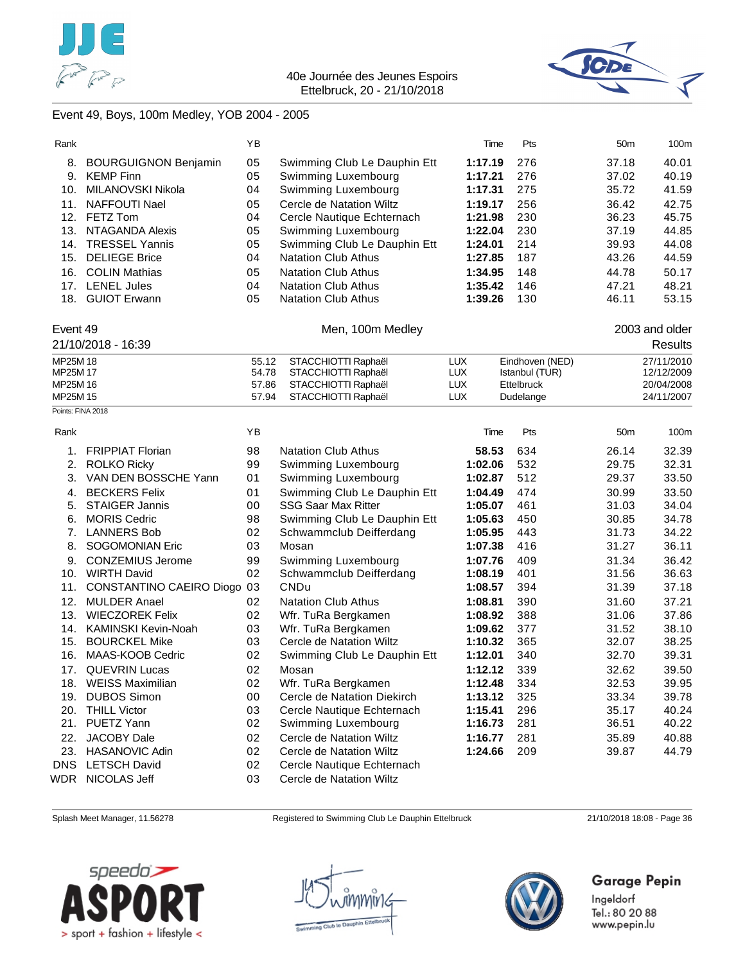



### Event 49, Boys, 100m Medley, YOB 2004 - 2005

| Rank                          |                             | ΥB    |                              | Time       | Pts               | 50m             | 100m           |
|-------------------------------|-----------------------------|-------|------------------------------|------------|-------------------|-----------------|----------------|
| 8.                            | <b>BOURGUIGNON Benjamin</b> | 05    | Swimming Club Le Dauphin Ett | 1:17.19    | 276               | 37.18           | 40.01          |
| 9.                            | <b>KEMP Finn</b>            | 05    | Swimming Luxembourg          | 1:17.21    | 276               | 37.02           | 40.19          |
| 10.                           | MILANOVSKI Nikola           | 04    | Swimming Luxembourg          | 1:17.31    | 275               | 35.72           | 41.59          |
| 11.                           | <b>NAFFOUTI Nael</b>        | 05    | Cercle de Natation Wiltz     | 1:19.17    | 256               | 36.42           | 42.75          |
|                               | 12. FETZ Tom                | 04    | Cercle Nautique Echternach   | 1:21.98    | 230               | 36.23           | 45.75          |
| 13.                           | NTAGANDA Alexis             | 05    | Swimming Luxembourg          | 1:22.04    | 230               | 37.19           | 44.85          |
| 14.                           | <b>TRESSEL Yannis</b>       | 05    | Swimming Club Le Dauphin Ett | 1:24.01    | 214               | 39.93           | 44.08          |
| 15.                           | <b>DELIEGE Brice</b>        | 04    | <b>Natation Club Athus</b>   | 1:27.85    | 187               | 43.26           | 44.59          |
| 16.                           | <b>COLIN Mathias</b>        | 05    | <b>Natation Club Athus</b>   | 1:34.95    | 148               | 44.78           | 50.17          |
|                               | 17. LENEL Jules             | 04    | <b>Natation Club Athus</b>   | 1:35.42    | 146               | 47.21           | 48.21          |
| 18.                           | <b>GUIOT Erwann</b>         | 05    | <b>Natation Club Athus</b>   | 1:39.26    | 130               | 46.11           | 53.15          |
|                               |                             |       |                              |            |                   |                 |                |
| Event 49                      |                             |       | Men, 100m Medley             |            |                   |                 | 2003 and older |
|                               | 21/10/2018 - 16:39          |       |                              |            |                   |                 | Results        |
| MP25M 18                      |                             | 55.12 | STACCHIOTTI Raphaël          | <b>LUX</b> | Eindhoven (NED)   |                 | 27/11/2010     |
| MP25M 17                      |                             | 54.78 | STACCHIOTTI Raphaël          | <b>LUX</b> | Istanbul (TUR)    |                 | 12/12/2009     |
| MP25M 16                      |                             | 57.86 | STACCHIOTTI Raphaël          | <b>LUX</b> | <b>Ettelbruck</b> |                 | 20/04/2008     |
| MP25M 15<br>Points: FINA 2018 |                             | 57.94 | STACCHIOTTI Raphaël          | <b>LUX</b> | Dudelange         |                 | 24/11/2007     |
|                               |                             |       |                              |            |                   |                 |                |
| Rank                          |                             | ΥB    |                              | Time       | Pts               | 50 <sub>m</sub> | 100m           |
| 1.                            | <b>FRIPPIAT Florian</b>     | 98    | <b>Natation Club Athus</b>   | 58.53      | 634               | 26.14           | 32.39          |
| 2.                            | <b>ROLKO Ricky</b>          | 99    | Swimming Luxembourg          | 1:02.06    | 532               | 29.75           | 32.31          |
| 3.                            | VAN DEN BOSSCHE Yann        | 01    | Swimming Luxembourg          | 1:02.87    | 512               | 29.37           | 33.50          |
| 4.                            | <b>BECKERS Felix</b>        | 01    | Swimming Club Le Dauphin Ett | 1:04.49    | 474               | 30.99           | 33.50          |
| 5.                            | <b>STAIGER Jannis</b>       | 00    | <b>SSG Saar Max Ritter</b>   | 1:05.07    | 461               | 31.03           | 34.04          |
| 6.                            | <b>MORIS Cedric</b>         | 98    | Swimming Club Le Dauphin Ett | 1:05.63    | 450               | 30.85           | 34.78          |
|                               | 7. LANNERS Bob              | 02    | Schwammclub Deifferdang      | 1:05.95    | 443               | 31.73           | 34.22          |
| 8.                            | <b>SOGOMONIAN Eric</b>      | 03    | Mosan                        | 1:07.38    | 416               | 31.27           | 36.11          |
| 9.                            | <b>CONZEMIUS Jerome</b>     | 99    | Swimming Luxembourg          | 1:07.76    | 409               | 31.34           | 36.42          |
| 10.                           | <b>WIRTH David</b>          | 02    | Schwammclub Deifferdang      | 1:08.19    | 401               | 31.56           | 36.63          |
| 11.                           | CONSTANTINO CAEIRO Diogo 03 |       | <b>CNDu</b>                  | 1:08.57    | 394               | 31.39           | 37.18          |
| 12.                           | <b>MULDER Anael</b>         | 02    | <b>Natation Club Athus</b>   | 1:08.81    | 390               | 31.60           | 37.21          |
| 13.                           | <b>WIECZOREK Felix</b>      | 02    | Wfr. TuRa Bergkamen          | 1:08.92    | 388               | 31.06           | 37.86          |
| 14.                           | KAMINSKI Kevin-Noah         | 03    | Wfr. TuRa Bergkamen          | 1:09.62    | 377               | 31.52           | 38.10          |
| 15.                           | <b>BOURCKEL Mike</b>        | 03    | Cercle de Natation Wiltz     | 1:10.32    | 365               | 32.07           | 38.25          |
| 16.                           | MAAS-KOOB Cedric            | 02    | Swimming Club Le Dauphin Ett | 1:12.01    | 340               | 32.70           | 39.31          |
| 17.                           | <b>QUEVRIN Lucas</b>        | 02    | Mosan                        | 1:12.12    | 339               | 32.62           | 39.50          |
| 18.                           | WEISS Maximilian            | 02    | Wfr. TuRa Bergkamen          | 1:12.48    | 334               | 32.53           | 39.95          |
|                               | 19. DUBOS Simon             | 00    | Cercle de Natation Diekirch  | 1:13.12    | 325               | 33.34           | 39.78          |
| 20.                           | <b>THILL Victor</b>         | 03    | Cercle Nautique Echternach   | 1:15.41    | 296               | 35.17           | 40.24          |
|                               | 21. PUETZ Yann              | 02    | Swimming Luxembourg          | 1:16.73    | 281               | 36.51           | 40.22          |
| 22.                           | JACOBY Dale                 | 02    | Cercle de Natation Wiltz     | 1:16.77    | 281               | 35.89           | 40.88          |
| 23.                           | HASANOVIC Adin              | 02    | Cercle de Natation Wiltz     | 1:24.66    | 209               | 39.87           | 44.79          |
| <b>DNS</b>                    | <b>LETSCH David</b>         | 02    | Cercle Nautique Echternach   |            |                   |                 |                |
|                               | WDR NICOLAS Jeff            | 03    | Cercle de Natation Wiltz     |            |                   |                 |                |
|                               |                             |       |                              |            |                   |                 |                |

Splash Meet Manager, 11.56278 Registered to Swimming Club Le Dauphin Ettelbruck 21/10/2018 18:08 - Page 36





# Garage Pepin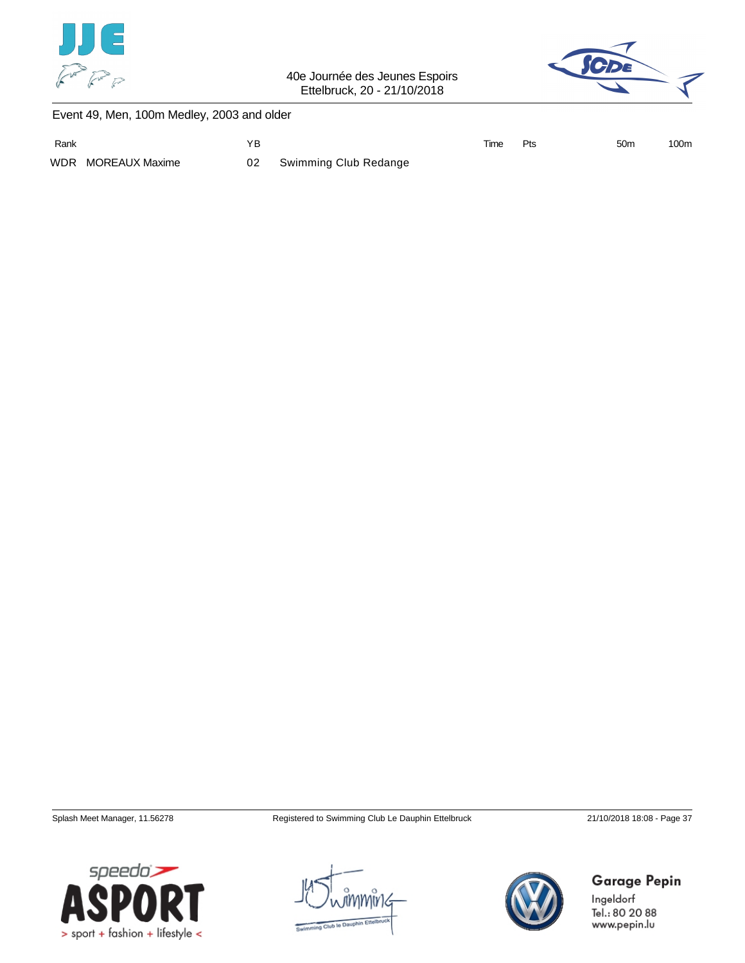

40e Journée des Jeunes Espoirs Ettelbruck, 20 - 21/10/2018



Event 49, Men, 100m Medley, 2003 and older

| Rank |                    | ΥB |                       | Time | Pts | 50 <sub>m</sub> | 100m |
|------|--------------------|----|-----------------------|------|-----|-----------------|------|
|      | WDR MOREAUX Maxime | 02 | Swimming Club Redange |      |     |                 |      |







**Garage Pepin**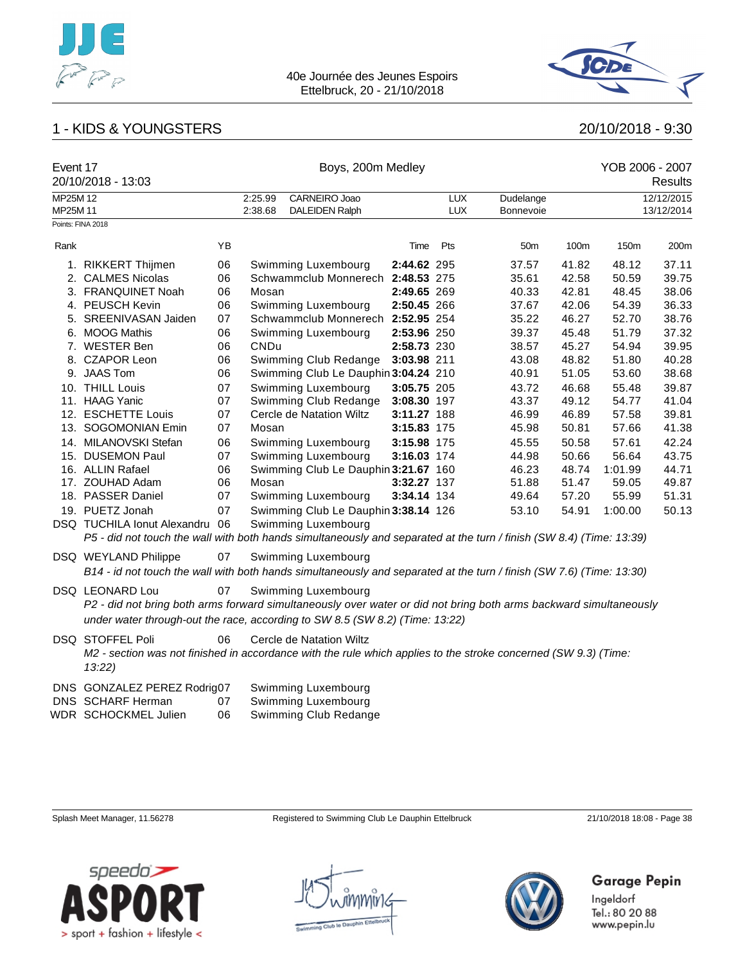



## 1 - KIDS & YOUNGSTERS 20/10/2018 - 9:30

|          | Event 17<br>20/10/2018 - 13:03                                                                                                                |    |             | Boys, 200m Medley                    |             |            |                 |       |         | YOB 2006 - 2007<br><b>Results</b> |  |  |
|----------|-----------------------------------------------------------------------------------------------------------------------------------------------|----|-------------|--------------------------------------|-------------|------------|-----------------|-------|---------|-----------------------------------|--|--|
| MP25M 12 |                                                                                                                                               |    | 2:25.99     | CARNEIRO Joao                        | <b>LUX</b>  |            | Dudelange       |       |         | 12/12/2015                        |  |  |
| MP25M 11 |                                                                                                                                               |    | 2:38.68     | <b>DALEIDEN Ralph</b>                |             | <b>LUX</b> | Bonnevoie       |       |         | 13/12/2014                        |  |  |
|          | Points: FINA 2018                                                                                                                             |    |             |                                      |             |            |                 |       |         |                                   |  |  |
| Rank     |                                                                                                                                               | ΥB |             |                                      | Time        | Pts        | 50 <sub>m</sub> | 100m  | 150m    | 200m                              |  |  |
|          | 1. RIKKERT Thijmen                                                                                                                            | 06 |             | Swimming Luxembourg                  | 2:44.62 295 |            | 37.57           | 41.82 | 48.12   | 37.11                             |  |  |
|          | 2. CALMES Nicolas                                                                                                                             | 06 |             | Schwammclub Monnerech                | 2:48.53 275 |            | 35.61           | 42.58 | 50.59   | 39.75                             |  |  |
|          | 3. FRANQUINET Noah                                                                                                                            | 06 | Mosan       |                                      | 2:49.65 269 |            | 40.33           | 42.81 | 48.45   | 38.06                             |  |  |
|          | 4. PEUSCH Kevin                                                                                                                               | 06 |             | Swimming Luxembourg                  | 2:50.45 266 |            | 37.67           | 42.06 | 54.39   | 36.33                             |  |  |
|          | 5. SREENIVASAN Jaiden                                                                                                                         | 07 |             | Schwammclub Monnerech                | 2:52.95 254 |            | 35.22           | 46.27 | 52.70   | 38.76                             |  |  |
|          | 6. MOOG Mathis                                                                                                                                | 06 |             | Swimming Luxembourg                  | 2:53.96 250 |            | 39.37           | 45.48 | 51.79   | 37.32                             |  |  |
|          | 7. WESTER Ben                                                                                                                                 | 06 | <b>CNDu</b> |                                      | 2:58.73 230 |            | 38.57           | 45.27 | 54.94   | 39.95                             |  |  |
|          | 8. CZAPOR Leon                                                                                                                                | 06 |             | Swimming Club Redange                | 3:03.98 211 |            | 43.08           | 48.82 | 51.80   | 40.28                             |  |  |
|          | 9. JAAS Tom                                                                                                                                   | 06 |             | Swimming Club Le Dauphin 3:04.24 210 |             |            | 40.91           | 51.05 | 53.60   | 38.68                             |  |  |
|          | 10. THILL Louis                                                                                                                               | 07 |             | Swimming Luxembourg                  | 3:05.75 205 |            | 43.72           | 46.68 | 55.48   | 39.87                             |  |  |
|          | 11. HAAG Yanic                                                                                                                                | 07 |             | Swimming Club Redange                | 3:08.30 197 |            | 43.37           | 49.12 | 54.77   | 41.04                             |  |  |
|          | 12. ESCHETTE Louis                                                                                                                            | 07 |             | Cercle de Natation Wiltz             | 3:11.27 188 |            | 46.99           | 46.89 | 57.58   | 39.81                             |  |  |
|          | 13. SOGOMONIAN Emin                                                                                                                           | 07 | Mosan       |                                      | 3:15.83 175 |            | 45.98           | 50.81 | 57.66   | 41.38                             |  |  |
|          | 14. MILANOVSKI Stefan                                                                                                                         | 06 |             | Swimming Luxembourg                  | 3:15.98 175 |            | 45.55           | 50.58 | 57.61   | 42.24                             |  |  |
|          | 15. DUSEMON Paul                                                                                                                              | 07 |             | Swimming Luxembourg                  | 3:16.03 174 |            | 44.98           | 50.66 | 56.64   | 43.75                             |  |  |
|          | 16. ALLIN Rafael                                                                                                                              | 06 |             | Swimming Club Le Dauphin 3:21.67 160 |             |            | 46.23           | 48.74 | 1:01.99 | 44.71                             |  |  |
|          | 17. ZOUHAD Adam                                                                                                                               | 06 | Mosan       |                                      | 3:32.27 137 |            | 51.88           | 51.47 | 59.05   | 49.87                             |  |  |
|          | 18. PASSER Daniel                                                                                                                             | 07 |             | Swimming Luxembourg                  | 3:34.14 134 |            | 49.64           | 57.20 | 55.99   | 51.31                             |  |  |
|          | 19. PUETZ Jonah                                                                                                                               | 07 |             | Swimming Club Le Dauphin 3:38.14 126 |             |            | 53.10           | 54.91 | 1:00.00 | 50.13                             |  |  |
|          | DSQ TUCHILA Ionut Alexandru 06                                                                                                                |    |             | Swimming Luxembourg                  |             |            |                 |       |         |                                   |  |  |
|          | P5 - did not touch the wall with both hands simultaneously and separated at the turn / finish (SW 8.4) (Time: 13:39)                          |    |             |                                      |             |            |                 |       |         |                                   |  |  |
|          | DSQ WEYLAND Philippe                                                                                                                          | 07 |             | Swimming Luxembourg                  |             |            |                 |       |         |                                   |  |  |
|          | B14 - id not touch the wall with both hands simultaneously and separated at the turn / finish (SW 7.6) (Time: 13:30)                          |    |             |                                      |             |            |                 |       |         |                                   |  |  |
|          | <b>DSQ LEONARD Lou</b><br>P2 - did not bring both arms forward simultaneously over water or did not bring both arms backward simultaneously   | 07 |             | Swimming Luxembourg                  |             |            |                 |       |         |                                   |  |  |
|          | under water through-out the race, according to SW 8.5 (SW 8.2) (Time: 13:22)                                                                  |    |             |                                      |             |            |                 |       |         |                                   |  |  |
|          |                                                                                                                                               |    |             |                                      |             |            |                 |       |         |                                   |  |  |
|          | DSQ STOFFEL Poli<br>M2 - section was not finished in accordance with the rule which applies to the stroke concerned (SW 9.3) (Time:<br>13:22) | 06 |             | Cercle de Natation Wiltz             |             |            |                 |       |         |                                   |  |  |
|          | DNS GONZALEZ PEREZ Rodrig07                                                                                                                   |    |             | Swimming Luxembourg                  |             |            |                 |       |         |                                   |  |  |
|          | DNS SCHARF Herman                                                                                                                             | 07 |             | Swimming Luxembourg                  |             |            |                 |       |         |                                   |  |  |
|          | WDR SCHOCKMEL Julien                                                                                                                          | 06 |             | Swimming Club Redange                |             |            |                 |       |         |                                   |  |  |

Splash Meet Manager, 11.56278 Registered to Swimming Club Le Dauphin Ettelbruck 21/10/2018 18:08 - Page 38

**Garage Pepin** 



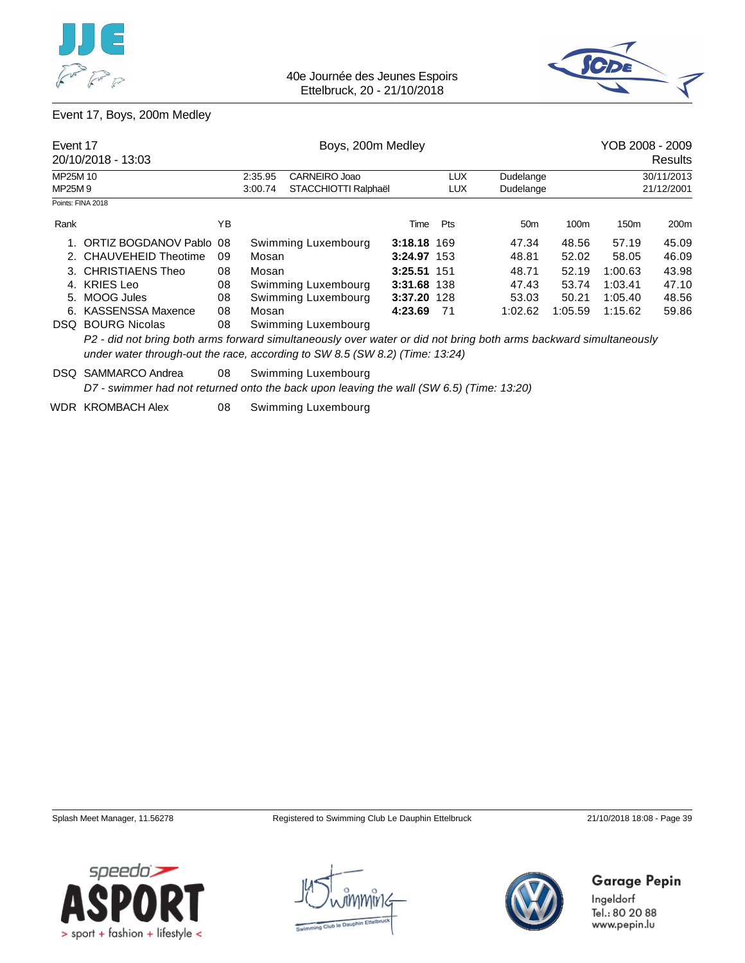



### Event 17, Boys, 200m Medley

|          | Event 17<br>20/10/2018 - 13:03                                                                                                                                                                    |    |                          | Boys, 200m Medley    |             |            |                 |         |            | YOB 2008 - 2009<br>Results |  |  |
|----------|---------------------------------------------------------------------------------------------------------------------------------------------------------------------------------------------------|----|--------------------------|----------------------|-------------|------------|-----------------|---------|------------|----------------------------|--|--|
| MP25M 10 |                                                                                                                                                                                                   |    | CARNEIRO Joao<br>2:35.95 |                      |             | <b>LUX</b> | Dudelange       |         | 30/11/2013 |                            |  |  |
| MP25M9   |                                                                                                                                                                                                   |    | 3:00.74                  | STACCHIOTTI Ralphaël |             | LUX        | Dudelange       |         |            | 21/12/2001                 |  |  |
|          | Points: FINA 2018                                                                                                                                                                                 |    |                          |                      |             |            |                 |         |            |                            |  |  |
| Rank     |                                                                                                                                                                                                   | ΥB |                          |                      | Time        | Pts        | 50 <sub>m</sub> | 100m    | 150m       | 200m                       |  |  |
|          | ORTIZ BOGDANOV Pablo                                                                                                                                                                              | 08 |                          | Swimming Luxembourg  | 3:18.18 169 |            | 47.34           | 48.56   | 57.19      | 45.09                      |  |  |
|          | 2. CHAUVEHEID Theotime                                                                                                                                                                            | 09 | Mosan                    |                      | 3:24.97 153 |            | 48.81           | 52.02   | 58.05      | 46.09                      |  |  |
|          | 3. CHRISTIAENS Theo                                                                                                                                                                               | 08 | Mosan                    |                      | 3:25.51 151 |            | 48.71           | 52.19   | 1:00.63    | 43.98                      |  |  |
| 4.       | <b>KRIES Leo</b>                                                                                                                                                                                  | 08 |                          | Swimming Luxembourg  | 3:31.68 138 |            | 47.43           | 53.74   | 1:03.41    | 47.10                      |  |  |
| 5.       | MOOG Jules                                                                                                                                                                                        | 08 |                          | Swimming Luxembourg  | 3:37.20 128 |            | 53.03           | 50.21   | 1:05.40    | 48.56                      |  |  |
| 6.       | <b>KASSENSSA Maxence</b>                                                                                                                                                                          | 08 | Mosan                    |                      | 4:23.69     | - 71       | 1:02.62         | 1:05.59 | 1:15.62    | 59.86                      |  |  |
| DSQ.     | <b>BOURG Nicolas</b>                                                                                                                                                                              | 08 |                          | Swimming Luxembourg  |             |            |                 |         |            |                            |  |  |
|          | P2 - did not bring both arms forward simultaneously over water or did not bring both arms backward simultaneously<br>under water through-out the race, according to SW 8.5 (SW 8.2) (Time: 13:24) |    |                          |                      |             |            |                 |         |            |                            |  |  |
| DSQ.     | SAMMARCO Andrea<br>D7 - swimmer had not returned onto the back upon leaving the wall (SW 6.5) (Time: 13:20)                                                                                       | 08 |                          | Swimming Luxembourg  |             |            |                 |         |            |                            |  |  |
|          |                                                                                                                                                                                                   |    |                          |                      |             |            |                 |         |            |                            |  |  |

WDR KROMBACH Alex 08 Swimming Luxembourg







**Garage Pepin**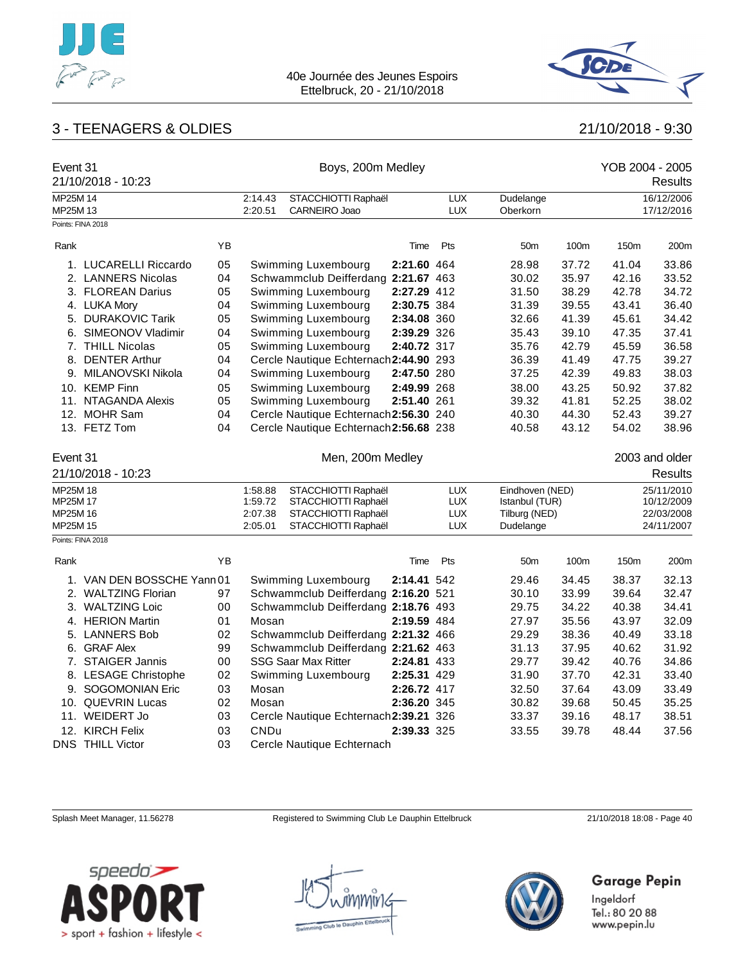



## 3 - TEENAGERS & OLDIES 21/10/2018 - 9:30

| Event 31             | 21/10/2018 - 10:23         |    |                    | Boys, 200m Medley                      |             | YOB 2004 - 2005<br><b>Results</b> |                       |       |       |                          |
|----------------------|----------------------------|----|--------------------|----------------------------------------|-------------|-----------------------------------|-----------------------|-------|-------|--------------------------|
| MP25M 14<br>MP25M 13 |                            |    | 2:14.43<br>2:20.51 | STACCHIOTTI Raphaël<br>CARNEIRO Joao   |             | <b>LUX</b><br><b>LUX</b>          | Dudelange<br>Oberkorn |       |       | 16/12/2006<br>17/12/2016 |
| Points: FINA 2018    |                            |    |                    |                                        |             |                                   |                       |       |       |                          |
| Rank                 |                            | YB |                    |                                        | Time        | Pts                               | 50 <sub>m</sub>       | 100m  | 150m  | 200m                     |
|                      | 1. LUCARELLI Riccardo      | 05 |                    | Swimming Luxembourg                    | 2:21.60 464 |                                   | 28.98                 | 37.72 | 41.04 | 33.86                    |
|                      | 2. LANNERS Nicolas         | 04 |                    | Schwammclub Deifferdang                | 2:21.67 463 |                                   | 30.02                 | 35.97 | 42.16 | 33.52                    |
|                      | 3. FLOREAN Darius          | 05 |                    | Swimming Luxembourg                    | 2:27.29 412 |                                   | 31.50                 | 38.29 | 42.78 | 34.72                    |
|                      | 4. LUKA Mory               | 04 |                    | Swimming Luxembourg                    | 2:30.75 384 |                                   | 31.39                 | 39.55 | 43.41 | 36.40                    |
|                      | 5. DURAKOVIC Tarik         | 05 |                    | Swimming Luxembourg                    | 2:34.08 360 |                                   | 32.66                 | 41.39 | 45.61 | 34.42                    |
|                      | 6. SIMEONOV Vladimir       | 04 |                    | Swimming Luxembourg                    | 2:39.29 326 |                                   | 35.43                 | 39.10 | 47.35 | 37.41                    |
|                      | 7. THILL Nicolas           | 05 |                    | Swimming Luxembourg                    | 2:40.72 317 |                                   | 35.76                 | 42.79 | 45.59 | 36.58                    |
|                      | 8. DENTER Arthur           | 04 |                    | Cercle Nautique Echternach 2:44.90 293 |             |                                   | 36.39                 | 41.49 | 47.75 | 39.27                    |
|                      | 9. MILANOVSKI Nikola       | 04 |                    | Swimming Luxembourg                    | 2:47.50 280 |                                   | 37.25                 | 42.39 | 49.83 | 38.03                    |
|                      | 10. KEMP Finn              | 05 |                    | Swimming Luxembourg                    | 2:49.99 268 |                                   | 38.00                 | 43.25 | 50.92 | 37.82                    |
|                      | 11. NTAGANDA Alexis        | 05 |                    | Swimming Luxembourg                    | 2:51.40 261 |                                   | 39.32                 | 41.81 | 52.25 | 38.02                    |
|                      | 12. MOHR Sam               | 04 |                    | Cercle Nautique Echternach 2:56.30 240 |             |                                   | 40.30                 | 44.30 | 52.43 | 39.27                    |
|                      | 13. FETZ Tom               | 04 |                    | Cercle Nautique Echternach 2:56.68 238 |             |                                   | 40.58                 | 43.12 | 54.02 | 38.96                    |
| Event 31             |                            |    |                    | Men, 200m Medley                       |             |                                   |                       |       |       | 2003 and older           |
|                      | 21/10/2018 - 10:23         |    |                    |                                        |             |                                   |                       |       |       | Results                  |
| MP25M 18             |                            |    | 1:58.88            | STACCHIOTTI Raphaël                    |             | <b>LUX</b>                        | Eindhoven (NED)       |       |       | 25/11/2010               |
| MP25M 17             |                            |    | 1:59.72            | STACCHIOTTI Raphaël                    |             | <b>LUX</b>                        | Istanbul (TUR)        |       |       | 10/12/2009               |
| MP25M 16             |                            |    | 2:07.38            | STACCHIOTTI Raphaël                    |             | <b>LUX</b>                        | Tilburg (NED)         |       |       | 22/03/2008               |
| MP25M 15             |                            |    | 2:05.01            | STACCHIOTTI Raphaël                    |             | <b>LUX</b>                        | Dudelange             |       |       | 24/11/2007               |
| Points: FINA 2018    |                            |    |                    |                                        |             |                                   |                       |       |       |                          |
| Rank                 |                            | YB |                    |                                        | Time        | Pts                               | 50 <sub>m</sub>       | 100m  | 150m  | 200m                     |
|                      | 1. VAN DEN BOSSCHE Yann 01 |    |                    | Swimming Luxembourg                    | 2:14.41 542 |                                   | 29.46                 | 34.45 | 38.37 | 32.13                    |
|                      | 2. WALTZING Florian        | 97 |                    | Schwammclub Deifferdang 2:16.20 521    |             |                                   | 30.10                 | 33.99 | 39.64 | 32.47                    |
|                      | 3. WALTZING Loic           | 00 |                    | Schwammclub Deifferdang 2:18.76 493    |             |                                   | 29.75                 | 34.22 | 40.38 | 34.41                    |
|                      | 4. HERION Martin           | 01 | Mosan              |                                        | 2:19.59 484 |                                   | 27.97                 | 35.56 | 43.97 | 32.09                    |
|                      | 5. LANNERS Bob             | 02 |                    | Schwammclub Deifferdang 2:21.32 466    |             |                                   | 29.29                 | 38.36 | 40.49 | 33.18                    |
|                      | 6. GRAF Alex               | 99 |                    | Schwammclub Deifferdang 2:21.62 463    |             |                                   | 31.13                 | 37.95 | 40.62 | 31.92                    |
|                      | 7. STAIGER Jannis          | 00 |                    | <b>SSG Saar Max Ritter</b>             | 2:24.81 433 |                                   | 29.77                 | 39.42 | 40.76 | 34.86                    |
|                      | 8. LESAGE Christophe       | 02 |                    | Swimming Luxembourg                    | 2:25.31 429 |                                   | 31.90                 | 37.70 | 42.31 | 33.40                    |
|                      | 9. SOGOMONIAN Eric         | 03 | Mosan              |                                        | 2:26.72 417 |                                   | 32.50                 | 37.64 | 43.09 | 33.49                    |
|                      | 10. QUEVRIN Lucas          | 02 | Mosan              |                                        | 2:36.20 345 |                                   | 30.82                 | 39.68 | 50.45 | 35.25                    |
|                      | 11. WEIDERT Jo             | 03 |                    | Cercle Nautique Echternach 2:39.21 326 |             |                                   | 33.37                 | 39.16 | 48.17 | 38.51                    |
|                      | 12. KIRCH Felix            | 03 | <b>CNDu</b>        |                                        | 2:39.33 325 |                                   | 33.55                 | 39.78 | 48.44 | 37.56                    |
|                      | <b>DNS THILL Victor</b>    | 03 |                    | Cercle Nautique Echternach             |             |                                   |                       |       |       |                          |

Splash Meet Manager, 11.56278 Registered to Swimming Club Le Dauphin Ettelbruck 21/10/2018 18:08 - Page 40







## **Garage Pepin**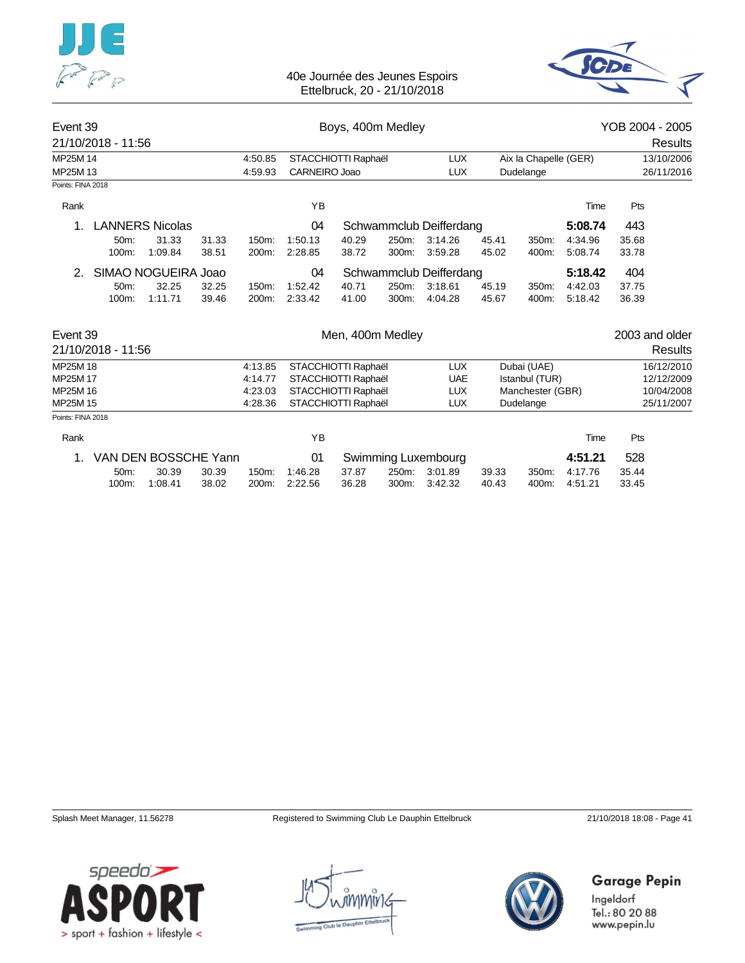

40e Journée des Jeunes Espoirs Ettelbruck, 20 - 21/10/2018



| Event 39          |                    |                        | Boys, 400m Medley |                   |                    |                     |                  |                         | YOB 2004 - 2005 |                       |                    |                |            |
|-------------------|--------------------|------------------------|-------------------|-------------------|--------------------|---------------------|------------------|-------------------------|-----------------|-----------------------|--------------------|----------------|------------|
|                   | 21/10/2018 - 11:56 |                        |                   |                   |                    |                     |                  |                         |                 |                       |                    |                | Results    |
| MP25M 14          |                    |                        |                   | 4:50.85           |                    | STACCHIOTTI Raphaël |                  | <b>LUX</b>              |                 | Aix la Chapelle (GER) |                    |                | 13/10/2006 |
| MP25M 13          |                    |                        |                   | 4:59.93           | CARNEIRO Joao      |                     |                  | <b>LUX</b>              |                 | Dudelange             |                    |                | 26/11/2016 |
| Points: FINA 2018 |                    |                        |                   |                   |                    |                     |                  |                         |                 |                       |                    |                |            |
| Rank              |                    |                        |                   |                   | YB                 |                     |                  |                         |                 |                       | Time               | Pts            |            |
| 1.                |                    | <b>LANNERS Nicolas</b> |                   |                   | 04                 |                     |                  | Schwammclub Deifferdang |                 |                       | 5:08.74            | 443            |            |
|                   | 50m:               | 31.33                  | 31.33             | 150m:             | 1:50.13            | 40.29               | 250m:            | 3:14.26                 | 45.41           | 350m:                 | 4:34.96            | 35.68          |            |
|                   | 100m:              | 1:09.84                | 38.51             | 200m:             | 2:28.85            | 38.72               | 300m:            | 3:59.28                 | 45.02           | 400m:                 | 5:08.74            | 33.78          |            |
| 2.                |                    | SIMAO NOGUEIRA Joao    |                   |                   | 04                 |                     |                  | Schwammclub Deifferdang |                 |                       | 5:18.42            | 404            |            |
|                   | 50m:               | 32.25                  | 32.25             | 150m:             | 1:52.42            | 40.71               | 250m:            | 3:18.61                 | 45.19           | 350m:                 | 4:42.03            | 37.75          |            |
|                   | 100m:              | 1:11.71                | 39.46             | 200m:             | 2:33.42            | 41.00               | 300m:            | 4:04.28                 | 45.67           | 400m:                 | 5:18.42            | 36.39          |            |
| Event 39          |                    |                        |                   |                   |                    |                     | Men, 400m Medley |                         |                 |                       |                    | 2003 and older |            |
|                   | 21/10/2018 - 11:56 |                        |                   |                   |                    |                     |                  |                         |                 |                       |                    |                | Results    |
| MP25M 18          |                    |                        |                   | 4:13.85           |                    | STACCHIOTTI Raphaël |                  | <b>LUX</b>              |                 | Dubai (UAE)           |                    |                | 16/12/2010 |
| MP25M 17          |                    |                        |                   | 4:14.77           |                    | STACCHIOTTI Raphaël |                  | <b>UAE</b>              |                 | Istanbul (TUR)        |                    |                | 12/12/2009 |
| MP25M 16          |                    |                        |                   | 4:23.03           |                    | STACCHIOTTI Raphaël |                  | <b>LUX</b>              |                 | Manchester (GBR)      |                    |                | 10/04/2008 |
| MP25M 15          |                    |                        |                   | 4:28.36           |                    | STACCHIOTTI Raphaël |                  | <b>LUX</b>              |                 | Dudelange             |                    |                | 25/11/2007 |
| Points: FINA 2018 |                    |                        |                   |                   |                    |                     |                  |                         |                 |                       |                    |                |            |
| Rank              |                    |                        |                   |                   | YB                 |                     |                  |                         |                 |                       | Time               | Pts            |            |
| 1.                |                    | VAN DEN BOSSCHE Yann   |                   |                   | 01                 |                     |                  | Swimming Luxembourg     |                 |                       | 4:51.21            | 528            |            |
|                   | $50m$ :<br>100m:   | 30.39<br>1:08.41       | 30.39<br>38.02    | $150m$ :<br>200m: | 1:46.28<br>2:22.56 | 37.87<br>36.28      | 250m:<br>300m:   | 3:01.89<br>3:42.32      | 39.33<br>40.43  | 350m:<br>400m:        | 4:17.76<br>4:51.21 | 35.44<br>33.45 |            |







**Garage Pepin**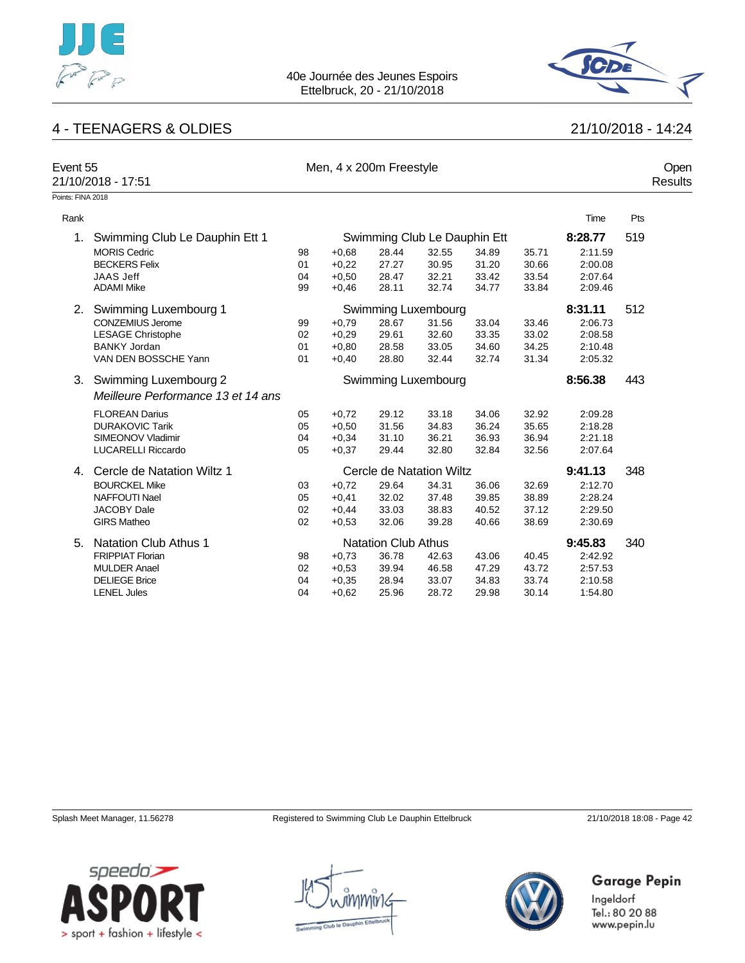



## 4 - TEENAGERS & OLDIES 21/10/2018 - 14:24

| Event 55          | 21/10/2018 - 17:51                                                                                 |                      | Men, 4 x 200m Freestyle                  |                                  |                                  |                                  |                                  |                                          |     | Open<br><b>Results</b> |
|-------------------|----------------------------------------------------------------------------------------------------|----------------------|------------------------------------------|----------------------------------|----------------------------------|----------------------------------|----------------------------------|------------------------------------------|-----|------------------------|
| Points: FINA 2018 |                                                                                                    |                      |                                          |                                  |                                  |                                  |                                  |                                          |     |                        |
| Rank              |                                                                                                    |                      |                                          |                                  |                                  |                                  |                                  | Time                                     | Pts |                        |
| 1.                | Swimming Club Le Dauphin Ett 1                                                                     |                      |                                          |                                  | Swimming Club Le Dauphin Ett     |                                  |                                  | 8:28.77                                  | 519 |                        |
|                   | <b>MORIS Cedric</b><br><b>BECKERS Felix</b><br><b>JAAS Jeff</b><br><b>ADAMI Mike</b>               | 98<br>01<br>04<br>99 | $+0.68$<br>$+0,22$<br>$+0,50$<br>$+0,46$ | 28.44<br>27.27<br>28.47<br>28.11 | 32.55<br>30.95<br>32.21<br>32.74 | 34.89<br>31.20<br>33.42<br>34.77 | 35.71<br>30.66<br>33.54<br>33.84 | 2:11.59<br>2:00.08<br>2:07.64<br>2:09.46 |     |                        |
|                   | 2. Swimming Luxembourg 1                                                                           |                      |                                          |                                  | Swimming Luxembourg              |                                  |                                  | 8:31.11                                  | 512 |                        |
|                   | <b>CONZEMIUS Jerome</b><br><b>LESAGE Christophe</b><br><b>BANKY Jordan</b><br>VAN DEN BOSSCHE Yann | 99<br>02<br>01<br>01 | $+0,79$<br>$+0,29$<br>$+0,80$<br>$+0,40$ | 28.67<br>29.61<br>28.58<br>28.80 | 31.56<br>32.60<br>33.05<br>32.44 | 33.04<br>33.35<br>34.60<br>32.74 | 33.46<br>33.02<br>34.25<br>31.34 | 2:06.73<br>2:08.58<br>2:10.48<br>2:05.32 |     |                        |
|                   | 3. Swimming Luxembourg 2<br>Meilleure Performance 13 et 14 ans                                     |                      |                                          |                                  | Swimming Luxembourg              |                                  |                                  | 8:56.38                                  | 443 |                        |
|                   | <b>FLOREAN Darius</b><br><b>DURAKOVIC Tarik</b><br>SIMEONOV Vladimir<br><b>LUCARELLI Riccardo</b>  | 05<br>05<br>04<br>05 | $+0,72$<br>$+0.50$<br>$+0,34$<br>$+0.37$ | 29.12<br>31.56<br>31.10<br>29.44 | 33.18<br>34.83<br>36.21<br>32.80 | 34.06<br>36.24<br>36.93<br>32.84 | 32.92<br>35.65<br>36.94<br>32.56 | 2:09.28<br>2:18.28<br>2:21.18<br>2:07.64 |     |                        |
| 4.                | Cercle de Natation Wiltz 1                                                                         |                      |                                          |                                  | Cercle de Natation Wiltz         |                                  |                                  | 9:41.13                                  | 348 |                        |
|                   | <b>BOURCKEL Mike</b><br><b>NAFFOUTI Nael</b><br><b>JACOBY Dale</b><br><b>GIRS Matheo</b>           | 03<br>05<br>02<br>02 | $+0.72$<br>$+0,41$<br>$+0.44$<br>$+0,53$ | 29.64<br>32.02<br>33.03<br>32.06 | 34.31<br>37.48<br>38.83<br>39.28 | 36.06<br>39.85<br>40.52<br>40.66 | 32.69<br>38.89<br>37.12<br>38.69 | 2:12.70<br>2:28.24<br>2:29.50<br>2:30.69 |     |                        |
| 5.                | <b>Natation Club Athus 1</b><br><b>Natation Club Athus</b>                                         |                      |                                          |                                  |                                  |                                  |                                  | 9:45.83<br>2:42.92                       | 340 |                        |
|                   | <b>FRIPPIAT Florian</b><br><b>MULDER Anael</b><br><b>DELIEGE Brice</b><br><b>LENEL Jules</b>       | 98<br>02<br>04<br>04 | $+0,73$<br>$+0.53$<br>$+0,35$<br>$+0,62$ | 36.78<br>39.94<br>28.94<br>25.96 | 42.63<br>46.58<br>33.07<br>28.72 | 43.06<br>47.29<br>34.83<br>29.98 | 40.45<br>43.72<br>33.74<br>30.14 | 2:57.53<br>2:10.58<br>1:54.80            |     |                        |

Splash Meet Manager, 11.56278 Registered to Swimming Club Le Dauphin Ettelbruck 21/10/2018 18:08 - Page 42

**Garage Pepin** 



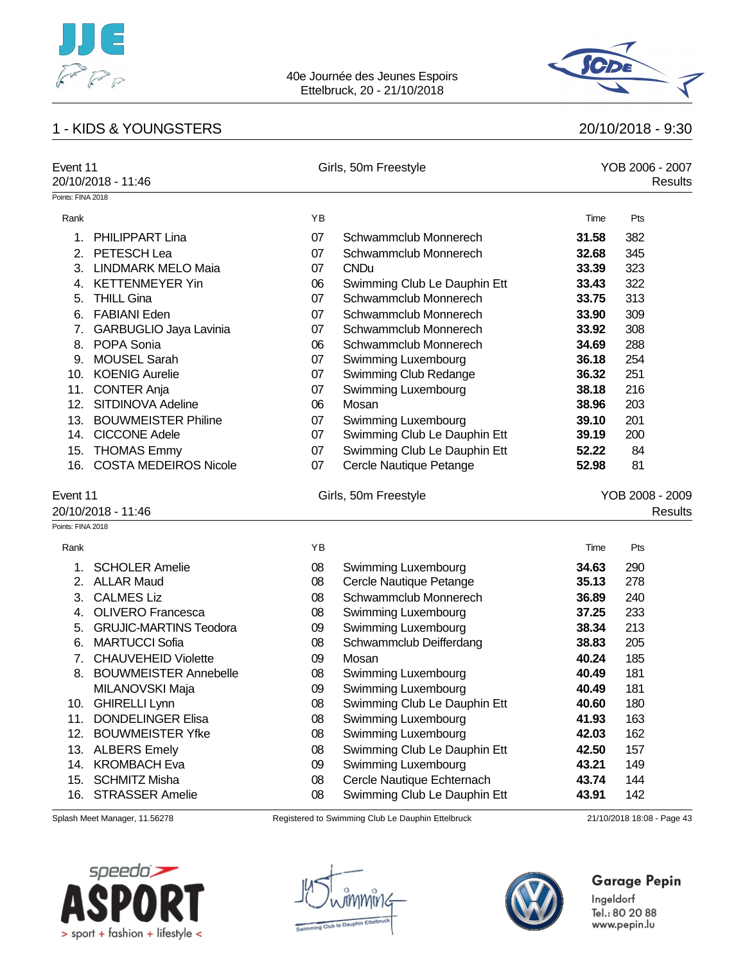



## 1 - KIDS & YOUNGSTERS 20/10/2018 - 9:30

| Event 11<br>Points: FINA 2018 | 20/10/2018 - 11:46                             |          | Girls, 50m Freestyle                                       |                | YOB 2006 - 2007<br>Results |
|-------------------------------|------------------------------------------------|----------|------------------------------------------------------------|----------------|----------------------------|
| Rank                          |                                                | YB       |                                                            | Time           | Pts                        |
|                               | 1. PHILIPPART Lina                             | 07       | Schwammclub Monnerech                                      | 31.58          | 382                        |
|                               | 2. PETESCH Lea                                 | 07       | Schwammclub Monnerech                                      | 32.68          | 345                        |
|                               | 3. LINDMARK MELO Maia                          | 07       | <b>CNDu</b>                                                | 33.39          | 323                        |
|                               | 4. KETTENMEYER Yin                             | 06       | Swimming Club Le Dauphin Ett                               | 33.43          | 322                        |
| 5.                            | <b>THILL Gina</b>                              | 07       | Schwammclub Monnerech                                      | 33.75          | 313                        |
| 6.                            | <b>FABIANI Eden</b>                            | 07       | Schwammclub Monnerech                                      | 33.90          | 309                        |
| 7.                            | GARBUGLIO Jaya Lavinia                         | 07       | Schwammclub Monnerech                                      | 33.92          | 308                        |
| 8.                            | POPA Sonia                                     | 06       | Schwammclub Monnerech                                      | 34.69          | 288                        |
| 9.                            | <b>MOUSEL Sarah</b>                            | 07       | Swimming Luxembourg                                        | 36.18          | 254                        |
|                               | 10. KOENIG Aurelie                             | 07       | Swimming Club Redange                                      | 36.32          | 251                        |
|                               | 11. CONTER Anja                                | 07       | Swimming Luxembourg                                        | 38.18          | 216                        |
|                               | 12. SITDINOVA Adeline                          | 06       | Mosan                                                      | 38.96          | 203                        |
|                               | 13. BOUWMEISTER Philine                        | 07       | Swimming Luxembourg                                        | 39.10          | 201                        |
|                               | 14. CICCONE Adele                              | 07       | Swimming Club Le Dauphin Ett                               | 39.19          | 200                        |
|                               | 15. THOMAS Emmy                                | 07       | Swimming Club Le Dauphin Ett                               | 52.22          | 84                         |
|                               | 16. COSTA MEDEIROS Nicole                      | 07       | Cercle Nautique Petange                                    | 52.98          | 81                         |
| Event 11                      |                                                |          | Girls, 50m Freestyle                                       |                | YOB 2008 - 2009            |
|                               | 20/10/2018 - 11:46                             |          |                                                            |                | <b>Results</b>             |
| Points: FINA 2018             |                                                |          |                                                            |                |                            |
| Rank                          |                                                | YB       |                                                            | Time           | Pts                        |
| 1.                            | <b>SCHOLER Amelie</b>                          | 08       | Swimming Luxembourg                                        | 34.63          | 290                        |
|                               | 2. ALLAR Maud                                  | 08       | Cercle Nautique Petange                                    | 35.13          | 278                        |
|                               |                                                |          |                                                            |                |                            |
|                               | 3. CALMES Liz                                  | 08       | Schwammclub Monnerech                                      | 36.89          | 240                        |
|                               | 4. OLIVERO Francesca                           | 08       | Swimming Luxembourg                                        | 37.25          | 233                        |
| 5.                            | <b>GRUJIC-MARTINS Teodora</b>                  | 09       | Swimming Luxembourg                                        | 38.34          | 213                        |
| 6.                            | <b>MARTUCCI Sofia</b>                          | 08       | Schwammclub Deifferdang                                    | 38.83          | 205                        |
| 7.                            | <b>CHAUVEHEID Violette</b>                     | 09       | Mosan                                                      | 40.24          | 185                        |
| 8.                            | <b>BOUWMEISTER Annebelle</b>                   | 08       | Swimming Luxembourg                                        | 40.49          | 181                        |
|                               | MILANOVSKI Maja                                | 09       | Swimming Luxembourg                                        | 40.49          | 181                        |
|                               | 10. GHIRELLI Lynn                              | 08       | Swimming Club Le Dauphin Ett                               | 40.60          | 180                        |
| 11.                           | <b>DONDELINGER Elisa</b>                       | 08       | Swimming Luxembourg                                        | 41.93          | 163                        |
|                               | 12. BOUWMEISTER Yfke                           | 08       | Swimming Luxembourg                                        | 42.03          | 162                        |
|                               | 13. ALBERS Emely                               | 08       | Swimming Club Le Dauphin Ett                               | 42.50          | 157                        |
|                               | 14. KROMBACH Eva                               | 09       | Swimming Luxembourg                                        | 43.21          | 149                        |
| 15.<br>16.                    | <b>SCHMITZ Misha</b><br><b>STRASSER Amelie</b> | 08<br>08 | Cercle Nautique Echternach<br>Swimming Club Le Dauphin Ett | 43.74<br>43.91 | 144<br>142                 |

Splash Meet Manager, 11.56278 Registered to Swimming Club Le Dauphin Ettelbruck 21/10/2018 18:08 - Page 43





## **Garage Pepin**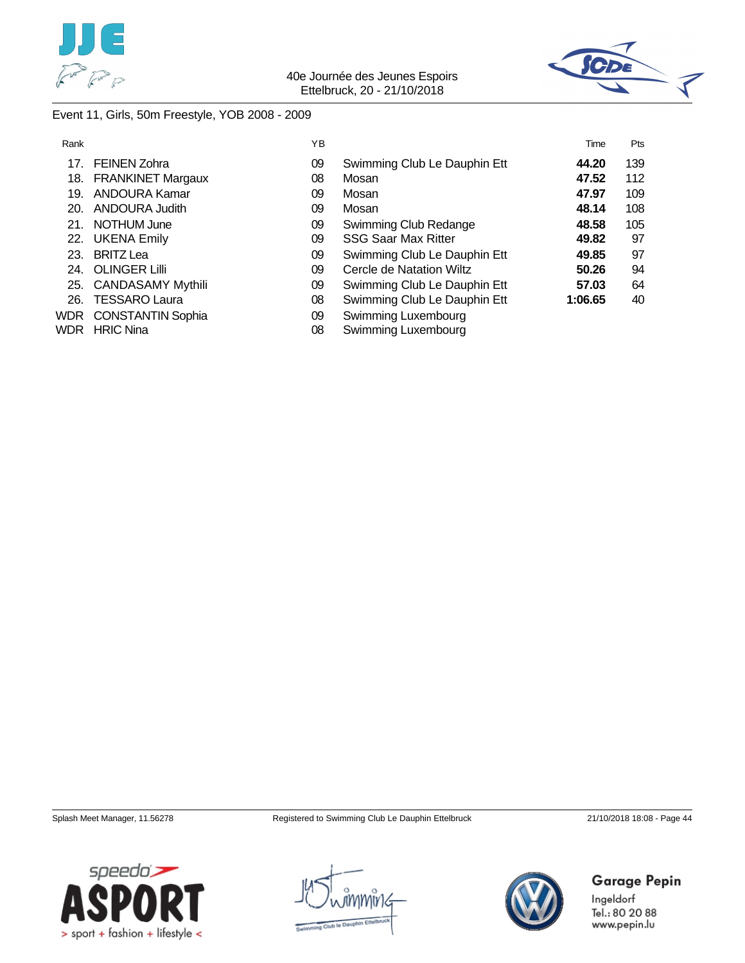



### Event 11, Girls, 50m Freestyle, YOB 2008 - 2009

| Rank |                              | YB |                              | Time    | Pts |
|------|------------------------------|----|------------------------------|---------|-----|
| 17.  | <b>FEINEN Zohra</b>          | 09 | Swimming Club Le Dauphin Ett | 44.20   | 139 |
| 18.  | <b>FRANKINET Margaux</b>     | 08 | Mosan                        | 47.52   | 112 |
| 19.  | ANDOURA Kamar                | 09 | Mosan                        | 47.97   | 109 |
| 20.  | <b>ANDOURA Judith</b>        | 09 | Mosan                        | 48.14   | 108 |
| 21.  | NOTHUM June                  | 09 | Swimming Club Redange        | 48.58   | 105 |
| 22.  | <b>UKENA Emily</b>           | 09 | <b>SSG Saar Max Ritter</b>   | 49.82   | 97  |
| 23.  | <b>BRITZ Lea</b>             | 09 | Swimming Club Le Dauphin Ett | 49.85   | 97  |
| 24.  | <b>OLINGER Lilli</b>         | 09 | Cercle de Natation Wiltz     | 50.26   | 94  |
|      | 25. CANDASAMY Mythili        | 09 | Swimming Club Le Dauphin Ett | 57.03   | 64  |
| 26.  | <b>TESSARO Laura</b>         | 08 | Swimming Club Le Dauphin Ett | 1:06.65 | 40  |
|      | <b>WDR</b> CONSTANTIN Sophia | 09 | Swimming Luxembourg          |         |     |
|      | <b>WDR</b> HRIC Nina         | 08 | Swimming Luxembourg          |         |     |









**Garage Pepin** Ingeldorf

Tel.: 80 20 88 www.pepin.lu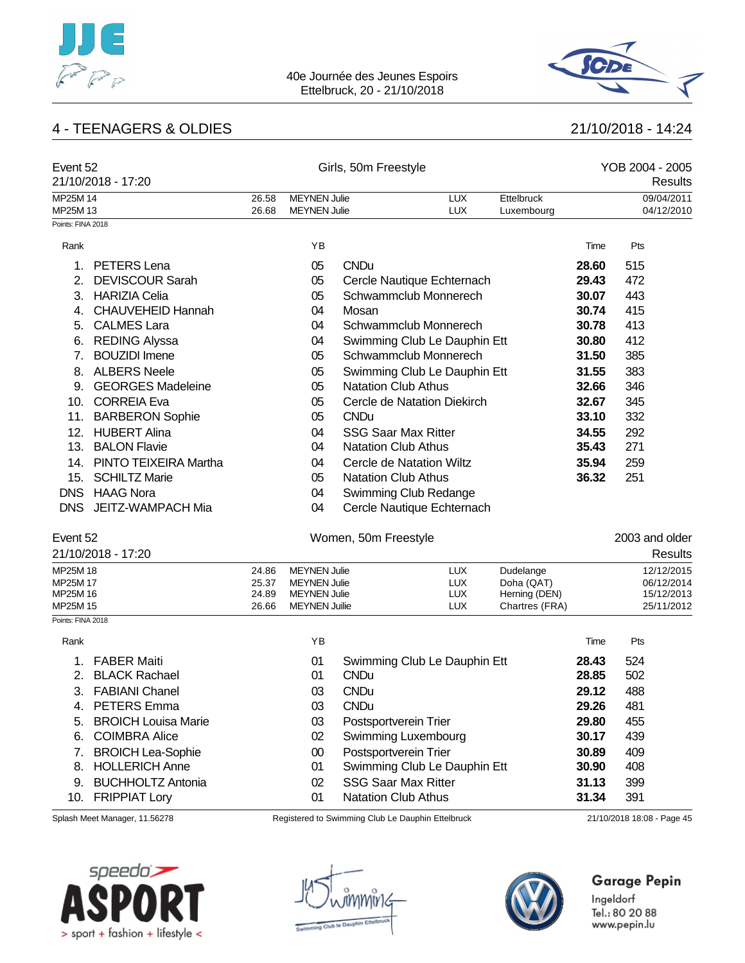



## 4 - TEENAGERS & OLDIES 21/10/2018 - 14:24

|                      | Event 52<br>21/10/2018 - 17:20 |                | Girls, 50m Freestyle                        |                            |                              |                                 |       | YOB 2004 - 2005<br>Results |  |  |
|----------------------|--------------------------------|----------------|---------------------------------------------|----------------------------|------------------------------|---------------------------------|-------|----------------------------|--|--|
| MP25M 14<br>MP25M 13 |                                | 26.58<br>26.68 | <b>MEYNEN Julie</b><br><b>MEYNEN Julie</b>  |                            | <b>LUX</b><br><b>LUX</b>     | Ettelbruck<br>Luxembourg        |       | 09/04/2011<br>04/12/2010   |  |  |
| Points: FINA 2018    |                                |                |                                             |                            |                              |                                 |       |                            |  |  |
| Rank                 |                                |                | ΥB                                          |                            |                              |                                 | Time  | Pts                        |  |  |
|                      | 1. PETERS Lena                 |                | 05                                          | <b>CNDu</b>                |                              |                                 | 28.60 | 515                        |  |  |
| 2.                   | <b>DEVISCOUR Sarah</b>         |                | 05                                          |                            | Cercle Nautique Echternach   |                                 | 29.43 | 472                        |  |  |
| 3.                   | <b>HARIZIA Celia</b>           |                | 05                                          |                            | Schwammclub Monnerech        |                                 | 30.07 | 443                        |  |  |
| 4.                   | <b>CHAUVEHEID Hannah</b>       |                | 04                                          | Mosan                      |                              |                                 | 30.74 | 415                        |  |  |
| 5.                   | <b>CALMES Lara</b>             |                | 04                                          |                            | Schwammclub Monnerech        |                                 | 30.78 | 413                        |  |  |
| 6.                   | <b>REDING Alyssa</b>           |                | 04                                          |                            | Swimming Club Le Dauphin Ett |                                 | 30.80 | 412                        |  |  |
| 7.                   | <b>BOUZIDI</b> Imene           |                | 05                                          |                            | Schwammclub Monnerech        |                                 | 31.50 | 385                        |  |  |
|                      | 8. ALBERS Neele                |                | 05                                          |                            | Swimming Club Le Dauphin Ett |                                 | 31.55 | 383                        |  |  |
|                      | 9. GEORGES Madeleine           |                | 05                                          | <b>Natation Club Athus</b> |                              |                                 | 32.66 | 346                        |  |  |
|                      | 10. CORREIA Eva                |                | 05                                          |                            | Cercle de Natation Diekirch  |                                 | 32.67 | 345                        |  |  |
|                      | 11. BARBERON Sophie            |                | 05                                          | <b>CNDu</b>                |                              |                                 | 33.10 | 332                        |  |  |
|                      | 12. HUBERT Alina               |                | 04                                          | <b>SSG Saar Max Ritter</b> |                              |                                 | 34.55 | 292                        |  |  |
|                      | 13. BALON Flavie               |                | 04                                          | <b>Natation Club Athus</b> |                              |                                 | 35.43 | 271                        |  |  |
| 14.                  | PINTO TEIXEIRA Martha          |                | 04                                          |                            | Cercle de Natation Wiltz     |                                 | 35.94 | 259                        |  |  |
| 15.                  | <b>SCHILTZ Marie</b>           |                | 05                                          | <b>Natation Club Athus</b> |                              |                                 | 36.32 | 251                        |  |  |
| <b>DNS</b>           | <b>HAAG Nora</b>               |                | 04                                          |                            | Swimming Club Redange        |                                 |       |                            |  |  |
|                      | DNS JEITZ-WAMPACH Mia          |                | 04                                          |                            | Cercle Nautique Echternach   |                                 |       |                            |  |  |
| Event 52             |                                |                |                                             | Women, 50m Freestyle       |                              |                                 |       | 2003 and older             |  |  |
|                      | 21/10/2018 - 17:20             |                |                                             |                            |                              |                                 |       | Results                    |  |  |
| MP25M 18             |                                | 24.86          | <b>MEYNEN Julie</b>                         |                            | <b>LUX</b>                   | Dudelange                       |       | 12/12/2015                 |  |  |
| MP25M 17             |                                | 25.37          | <b>MEYNEN Julie</b>                         |                            | <b>LUX</b>                   | Doha (QAT)                      |       | 06/12/2014                 |  |  |
| MP25M 16<br>MP25M 15 |                                | 24.89<br>26.66 | <b>MEYNEN Julie</b><br><b>MEYNEN Juilie</b> |                            | LUX<br><b>LUX</b>            | Herning (DEN)<br>Chartres (FRA) |       | 15/12/2013<br>25/11/2012   |  |  |
| Points: FINA 2018    |                                |                |                                             |                            |                              |                                 |       |                            |  |  |
| Rank                 |                                |                | YB                                          |                            |                              |                                 | Time  | Pts                        |  |  |
|                      | 1. FABER Maiti                 |                | 01                                          |                            | Swimming Club Le Dauphin Ett |                                 | 28.43 | 524                        |  |  |
| 2.                   | <b>BLACK Rachael</b>           |                | 01                                          | <b>CNDu</b>                |                              |                                 | 28.85 | 502                        |  |  |
| 3.                   | <b>FABIANI Chanel</b>          |                | 03                                          | <b>CNDu</b>                |                              |                                 | 29.12 | 488                        |  |  |
| 4.                   | PETERS Emma                    |                | 03                                          | <b>CNDu</b>                |                              |                                 | 29.26 | 481                        |  |  |
| 5.                   | <b>BROICH Louisa Marie</b>     |                | 03                                          | Postsportverein Trier      |                              |                                 | 29.80 | 455                        |  |  |
| 6.                   | <b>COIMBRA Alice</b>           |                | 02                                          |                            | Swimming Luxembourg          |                                 | 30.17 | 439                        |  |  |
| 7.                   | <b>BROICH Lea-Sophie</b>       |                | $00\,$                                      | Postsportverein Trier      |                              |                                 | 30.89 | 409                        |  |  |
| 8.                   | <b>HOLLERICH Anne</b>          |                | 01                                          |                            | Swimming Club Le Dauphin Ett |                                 | 30.90 | 408                        |  |  |
| 9.                   | <b>BUCHHOLTZ Antonia</b>       |                | 02                                          | <b>SSG Saar Max Ritter</b> |                              |                                 | 31.13 | 399                        |  |  |
|                      | 10. FRIPPIAT Lory              |                | 01                                          | <b>Natation Club Athus</b> |                              |                                 | 31.34 | 391                        |  |  |
|                      |                                |                |                                             |                            |                              |                                 |       |                            |  |  |

Splash Meet Manager, 11.56278 Registered to Swimming Club Le Dauphin Ettelbruck 21/10/2018 18:08 - Page 45



**Garage Pepin** 



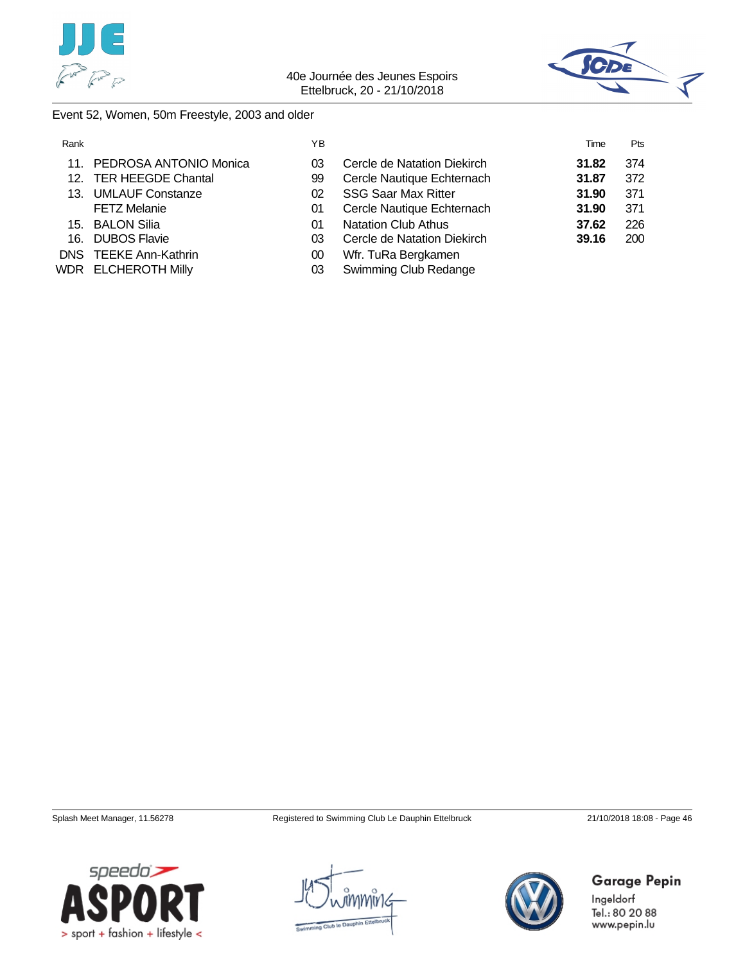



### Event 52, Women, 50m Freestyle, 2003 and older

| Rank |                            | ΥB |                             | Time  | Pts |
|------|----------------------------|----|-----------------------------|-------|-----|
| 11   | PEDROSA ANTONIO Monica     | 03 | Cercle de Natation Diekirch | 31.82 | 374 |
|      | 12. TER HEEGDE Chantal     | 99 | Cercle Nautique Echternach  | 31.87 | 372 |
|      | 13. UMLAUF Constanze       | 02 | <b>SSG Saar Max Ritter</b>  | 31.90 | 371 |
|      | <b>FETZ Melanie</b>        | 01 | Cercle Nautique Echternach  | 31.90 | 371 |
|      | 15. BALON Silia            | 01 | <b>Natation Club Athus</b>  | 37.62 | 226 |
|      | 16. DUBOS Flavie           | 03 | Cercle de Natation Diekirch | 39.16 | 200 |
|      | DNS TEEKE Ann-Kathrin      | 00 | Wfr. TuRa Bergkamen         |       |     |
|      | <b>WDR ELCHEROTH Milly</b> | 03 | Swimming Club Redange       |       |     |









**Garage Pepin**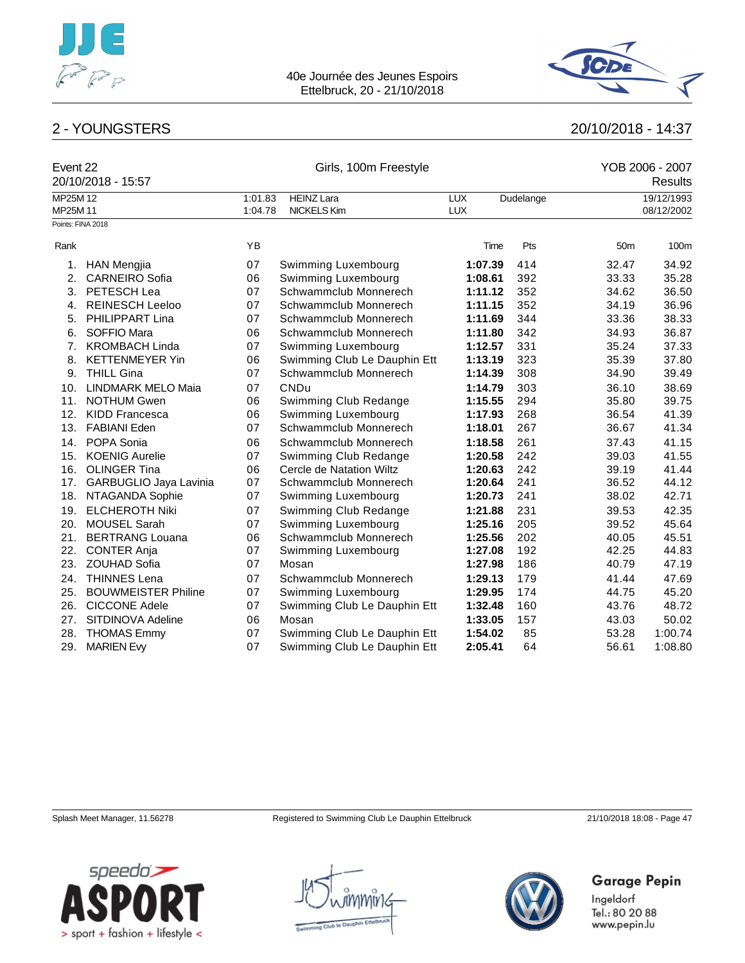



## 2 - YOUNGSTERS 20/10/2018 - 14:37

| Event 22             | 20/10/2018 - 15:57         |                    | Girls, 100m Freestyle            |                          | YOB 2006 - 2007<br>Results |                 |                          |
|----------------------|----------------------------|--------------------|----------------------------------|--------------------------|----------------------------|-----------------|--------------------------|
| MP25M 12<br>MP25M 11 |                            | 1:01.83<br>1:04.78 | <b>HEINZ Lara</b><br>NICKELS Kim | <b>LUX</b><br><b>LUX</b> | Dudelange                  |                 | 19/12/1993<br>08/12/2002 |
| Points: FINA 2018    |                            |                    |                                  |                          |                            |                 |                          |
| Rank                 |                            | YB                 |                                  | Time                     | Pts                        | 50 <sub>m</sub> | 100m                     |
| 1.                   | <b>HAN Mengjia</b>         | 07                 | Swimming Luxembourg              | 1:07.39                  | 414                        | 32.47           | 34.92                    |
| 2.                   | <b>CARNEIRO</b> Sofia      | 06                 | Swimming Luxembourg              | 1:08.61                  | 392                        | 33.33           | 35.28                    |
| 3.                   | PETESCH Lea                | 07                 | Schwammclub Monnerech            | 1:11.12                  | 352                        | 34.62           | 36.50                    |
| 4.                   | <b>REINESCH Leeloo</b>     | 07                 | Schwammclub Monnerech            | 1:11.15                  | 352                        | 34.19           | 36.96                    |
| 5.                   | <b>PHILIPPART Lina</b>     | 07                 | Schwammclub Monnerech            | 1:11.69                  | 344                        | 33.36           | 38.33                    |
| 6.                   | SOFFIO Mara                | 06                 | Schwammclub Monnerech            | 1:11.80                  | 342                        | 34.93           | 36.87                    |
| 7.                   | <b>KROMBACH Linda</b>      | 07                 | Swimming Luxembourg              | 1:12.57                  | 331                        | 35.24           | 37.33                    |
| 8.                   | <b>KETTENMEYER Yin</b>     | 06                 | Swimming Club Le Dauphin Ett     | 1:13.19                  | 323                        | 35.39           | 37.80                    |
| 9.                   | <b>THILL Gina</b>          | 07                 | Schwammclub Monnerech            | 1:14.39                  | 308                        | 34.90           | 39.49                    |
| 10.                  | <b>LINDMARK MELO Maia</b>  | 07                 | CNDu                             | 1:14.79                  | 303                        | 36.10           | 38.69                    |
| 11.                  | <b>NOTHUM Gwen</b>         | 06                 | Swimming Club Redange            | 1:15.55                  | 294                        | 35.80           | 39.75                    |
| 12.                  | <b>KIDD Francesca</b>      | 06                 | Swimming Luxembourg              | 1:17.93                  | 268                        | 36.54           | 41.39                    |
| 13.                  | <b>FABIANI Eden</b>        | 07                 | Schwammclub Monnerech            | 1:18.01                  | 267                        | 36.67           | 41.34                    |
| 14.                  | POPA Sonia                 | 06                 | Schwammclub Monnerech            | 1:18.58                  | 261                        | 37.43           | 41.15                    |
| 15.                  | <b>KOENIG Aurelie</b>      | 07                 | Swimming Club Redange            | 1:20.58                  | 242                        | 39.03           | 41.55                    |
| 16.                  | <b>OLINGER Tina</b>        | 06                 | Cercle de Natation Wiltz         | 1:20.63                  | 242                        | 39.19           | 41.44                    |
| 17.                  | GARBUGLIO Jaya Lavinia     | 07                 | Schwammclub Monnerech            | 1:20.64                  | 241                        | 36.52           | 44.12                    |
| 18.                  | NTAGANDA Sophie            | 07                 | Swimming Luxembourg              | 1:20.73                  | 241                        | 38.02           | 42.71                    |
| 19.                  | <b>ELCHEROTH Niki</b>      | 07                 | Swimming Club Redange            | 1:21.88                  | 231                        | 39.53           | 42.35                    |
| 20.                  | <b>MOUSEL Sarah</b>        | 07                 | Swimming Luxembourg              | 1:25.16                  | 205                        | 39.52           | 45.64                    |
| 21.                  | <b>BERTRANG Louana</b>     | 06                 | Schwammclub Monnerech            | 1:25.56                  | 202                        | 40.05           | 45.51                    |
| 22.                  | <b>CONTER Anja</b>         | 07                 | Swimming Luxembourg              | 1:27.08                  | 192                        | 42.25           | 44.83                    |
| 23.                  | <b>ZOUHAD Sofia</b>        | 07                 | Mosan                            | 1:27.98                  | 186                        | 40.79           | 47.19                    |
| 24.                  | <b>THINNES Lena</b>        | 07                 | Schwammclub Monnerech            | 1:29.13                  | 179                        | 41.44           | 47.69                    |
| 25.                  | <b>BOUWMEISTER Philine</b> | 07                 | Swimming Luxembourg              | 1:29.95                  | 174                        | 44.75           | 45.20                    |
| 26.                  | <b>CICCONE Adele</b>       | 07                 | Swimming Club Le Dauphin Ett     | 1:32.48                  | 160                        | 43.76           | 48.72                    |
| 27.                  | SITDINOVA Adeline          | 06                 | Mosan                            | 1:33.05                  | 157                        | 43.03           | 50.02                    |
| 28.                  | <b>THOMAS Emmy</b>         | 07                 | Swimming Club Le Dauphin Ett     | 1:54.02                  | 85                         | 53.28           | 1:00.74                  |
| 29.                  | <b>MARIEN Evy</b>          | 07                 | Swimming Club Le Dauphin Ett     | 2:05.41                  | 64                         | 56.61           | 1:08.80                  |

Splash Meet Manager, 11.56278 **Registered to Swimming Club Le Dauphin Ettelbruck** 21/10/2018 18:08 - Page 47

**Garage Pepin** 



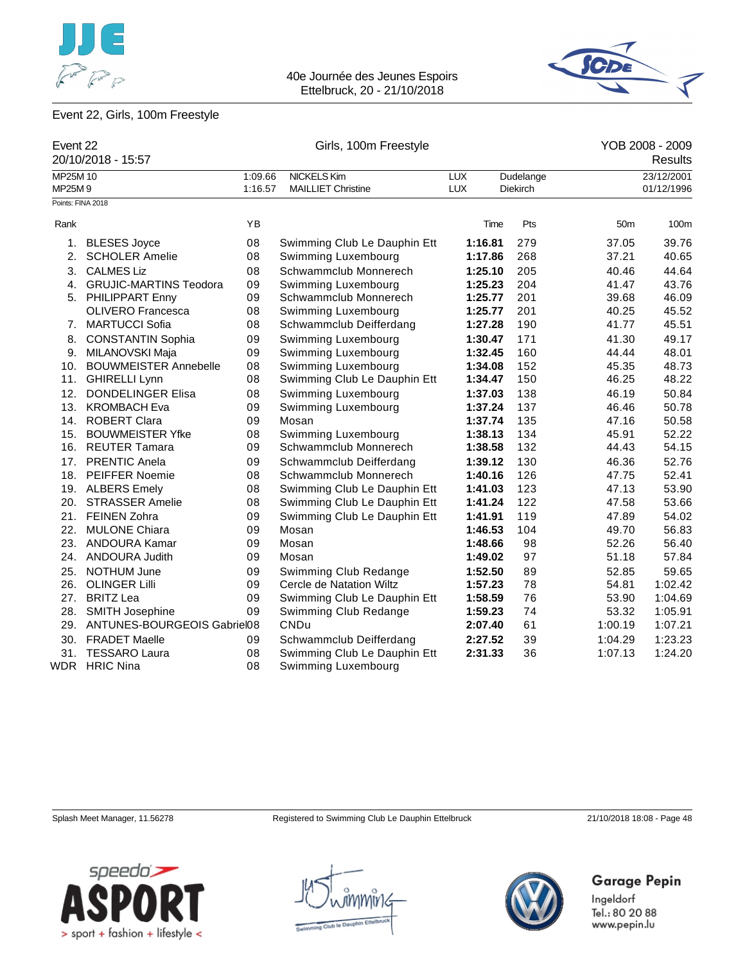



### Event 22, Girls, 100m Freestyle

| Event 22 |                               |         | Girls, 100m Freestyle        |            |                 |                 | YOB 2008 - 2009 |
|----------|-------------------------------|---------|------------------------------|------------|-----------------|-----------------|-----------------|
|          | 20/10/2018 - 15:57            |         |                              |            |                 |                 | <b>Results</b>  |
| MP25M 10 |                               | 1:09.66 | <b>NICKELS Kim</b>           | <b>LUX</b> | Dudelange       |                 | 23/12/2001      |
| MP25M9   |                               | 1:16.57 | <b>MAILLIET Christine</b>    | <b>LUX</b> | <b>Diekirch</b> |                 | 01/12/1996      |
|          | Points: FINA 2018             |         |                              |            |                 |                 |                 |
| Rank     |                               | YB      |                              | Time       | Pts             | 50 <sub>m</sub> | 100m            |
| 1.       | <b>BLESES Joyce</b>           | 08      | Swimming Club Le Dauphin Ett | 1:16.81    | 279             | 37.05           | 39.76           |
| 2.       | <b>SCHOLER Amelie</b>         | 08      | Swimming Luxembourg          | 1:17.86    | 268             | 37.21           | 40.65           |
| 3.       | <b>CALMES Liz</b>             | 08      | Schwammclub Monnerech        | 1:25.10    | 205             | 40.46           | 44.64           |
| 4.       | <b>GRUJIC-MARTINS Teodora</b> | 09      | Swimming Luxembourg          | 1:25.23    | 204             | 41.47           | 43.76           |
|          | 5. PHILIPPART Enny            | 09      | Schwammclub Monnerech        | 1:25.77    | 201             | 39.68           | 46.09           |
|          | <b>OLIVERO Francesca</b>      | 08      | Swimming Luxembourg          | 1:25.77    | 201             | 40.25           | 45.52           |
| 7.       | <b>MARTUCCI Sofia</b>         | 08      | Schwammclub Deifferdang      | 1:27.28    | 190             | 41.77           | 45.51           |
| 8.       | <b>CONSTANTIN Sophia</b>      | 09      | Swimming Luxembourg          | 1:30.47    | 171             | 41.30           | 49.17           |
| 9.       | MILANOVSKI Maja               | 09      | Swimming Luxembourg          | 1:32.45    | 160             | 44.44           | 48.01           |
| 10.      | <b>BOUWMEISTER Annebelle</b>  | 08      | Swimming Luxembourg          | 1:34.08    | 152             | 45.35           | 48.73           |
|          | 11. GHIRELLI Lynn             | 08      | Swimming Club Le Dauphin Ett | 1:34.47    | 150             | 46.25           | 48.22           |
| 12.      | <b>DONDELINGER Elisa</b>      | 08      | Swimming Luxembourg          | 1:37.03    | 138             | 46.19           | 50.84           |
| 13.      | <b>KROMBACH Eva</b>           | 09      | Swimming Luxembourg          | 1:37.24    | 137             | 46.46           | 50.78           |
| 14.      | <b>ROBERT Clara</b>           | 09      | Mosan                        | 1:37.74    | 135             | 47.16           | 50.58           |
| 15.      | <b>BOUWMEISTER Yfke</b>       | 08      | Swimming Luxembourg          | 1:38.13    | 134             | 45.91           | 52.22           |
| 16.      | <b>REUTER Tamara</b>          | 09      | Schwammclub Monnerech        | 1:38.58    | 132             | 44.43           | 54.15           |
| 17.      | <b>PRENTIC Anela</b>          | 09      | Schwammclub Deifferdang      | 1:39.12    | 130             | 46.36           | 52.76           |
|          | 18. PEIFFER Noemie            | 08      | Schwammclub Monnerech        | 1:40.16    | 126             | 47.75           | 52.41           |
|          | 19. ALBERS Emely              | 08      | Swimming Club Le Dauphin Ett | 1:41.03    | 123             | 47.13           | 53.90           |
| 20.      | <b>STRASSER Amelie</b>        | 08      | Swimming Club Le Dauphin Ett | 1:41.24    | 122             | 47.58           | 53.66           |
| 21.      | <b>FEINEN Zohra</b>           | 09      | Swimming Club Le Dauphin Ett | 1:41.91    | 119             | 47.89           | 54.02           |
| 22.      | <b>MULONE Chiara</b>          | 09      | Mosan                        | 1:46.53    | 104             | 49.70           | 56.83           |
| 23.      | ANDOURA Kamar                 | 09      | Mosan                        | 1:48.66    | 98              | 52.26           | 56.40           |
|          | 24. ANDOURA Judith            | 09      | Mosan                        | 1:49.02    | 97              | 51.18           | 57.84           |
| 25.      | NOTHUM June                   | 09      | Swimming Club Redange        | 1:52.50    | 89              | 52.85           | 59.65           |
| 26.      | <b>OLINGER Lilli</b>          | 09      | Cercle de Natation Wiltz     | 1:57.23    | 78              | 54.81           | 1:02.42         |
| 27.      | <b>BRITZ Lea</b>              | 09      | Swimming Club Le Dauphin Ett | 1:58.59    | 76              | 53.90           | 1:04.69         |
| 28.      | SMITH Josephine               | 09      | Swimming Club Redange        | 1:59.23    | 74              | 53.32           | 1:05.91         |
| 29.      | ANTUNES-BOURGEOIS Gabriel08   |         | CNDu                         | 2:07.40    | 61              | 1:00.19         | 1:07.21         |
| 30.      | <b>FRADET Maelle</b>          | 09      | Schwammclub Deifferdang      | 2:27.52    | 39              | 1:04.29         | 1:23.23         |
| 31.      | <b>TESSARO Laura</b>          | 08      | Swimming Club Le Dauphin Ett | 2:31.33    | 36              | 1:07.13         | 1:24.20         |
| WDR      | <b>HRIC Nina</b>              | 08      | Swimming Luxembourg          |            |                 |                 |                 |

Splash Meet Manager, 11.56278 Registered to Swimming Club Le Dauphin Ettelbruck 21/10/2018 18:08 - Page 48





## **Garage Pepin**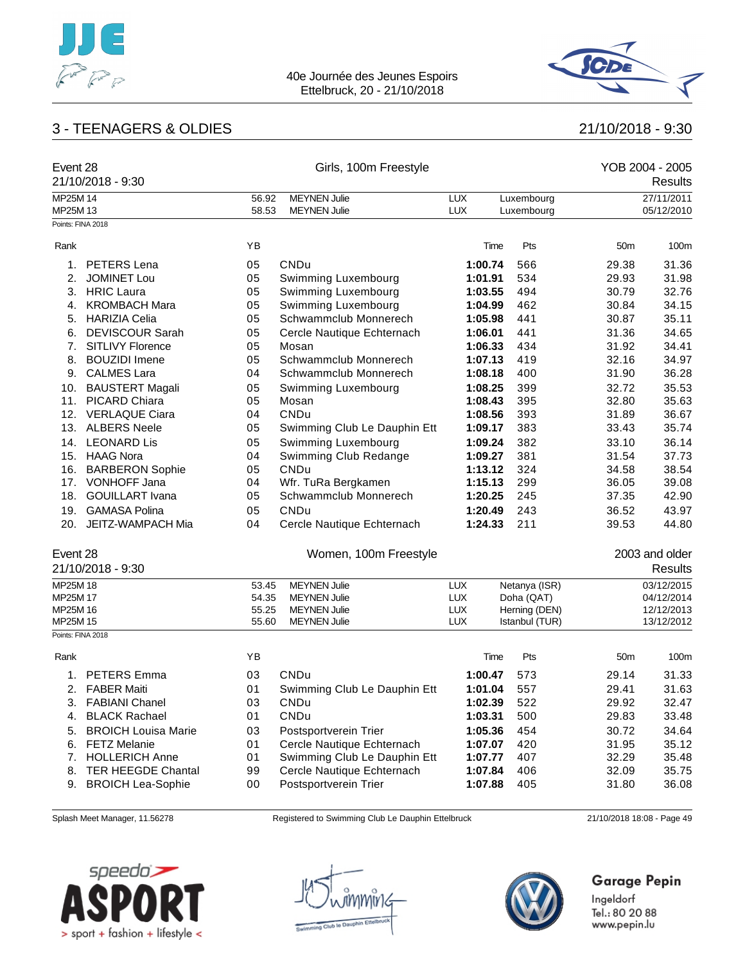



## 3 - TEENAGERS & OLDIES 21/10/2018 - 9:30

| Event 28             | 21/10/2018 - 9:30          |                | Girls, 100m Freestyle                      |                          |                             |                 | YOB 2004 - 2005<br>Results |
|----------------------|----------------------------|----------------|--------------------------------------------|--------------------------|-----------------------------|-----------------|----------------------------|
| MP25M 14             |                            | 56.92          | <b>MEYNEN Julie</b>                        | <b>LUX</b>               | Luxembourg                  |                 | 27/11/2011                 |
| MP25M 13             |                            | 58.53          | <b>MEYNEN Julie</b>                        | <b>LUX</b>               | Luxembourg                  |                 | 05/12/2010                 |
| Points: FINA 2018    |                            |                |                                            |                          |                             |                 |                            |
| Rank                 |                            | YB             |                                            | Time                     | Pts                         | 50 <sub>m</sub> | 100m                       |
| 1.                   | <b>PETERS</b> Lena         | 05             | <b>CNDu</b>                                | 1:00.74                  | 566                         | 29.38           | 31.36                      |
| 2.                   | <b>JOMINET Lou</b>         | 05             | Swimming Luxembourg                        | 1:01.91                  | 534                         | 29.93           | 31.98                      |
| 3.                   | <b>HRIC Laura</b>          | 05             | Swimming Luxembourg                        | 1:03.55                  | 494                         | 30.79           | 32.76                      |
| 4.                   | <b>KROMBACH Mara</b>       | 05             | Swimming Luxembourg                        | 1:04.99                  | 462                         | 30.84           | 34.15                      |
| 5.                   | <b>HARIZIA Celia</b>       | 05             | Schwammclub Monnerech                      | 1:05.98                  | 441                         | 30.87           | 35.11                      |
| 6.                   | <b>DEVISCOUR Sarah</b>     | 05             | Cercle Nautique Echternach                 | 1:06.01                  | 441                         | 31.36           | 34.65                      |
| 7.                   | <b>SITLIVY Florence</b>    | 05             | Mosan                                      | 1:06.33                  | 434                         | 31.92           | 34.41                      |
| 8.                   | <b>BOUZIDI</b> Imene       | 05             | Schwammclub Monnerech                      | 1:07.13                  | 419                         | 32.16           | 34.97                      |
| 9.                   | <b>CALMES Lara</b>         | 04             | Schwammclub Monnerech                      | 1:08.18                  | 400                         | 31.90           | 36.28                      |
| 10.                  | <b>BAUSTERT Magali</b>     | 05             | Swimming Luxembourg                        | 1:08.25                  | 399                         | 32.72           | 35.53                      |
| 11.                  | <b>PICARD Chiara</b>       | 05             | Mosan                                      | 1:08.43                  | 395                         | 32.80           | 35.63                      |
|                      | 12. VERLAQUE Ciara         | 04             | <b>CNDu</b>                                | 1:08.56                  | 393                         | 31.89           | 36.67                      |
|                      | 13. ALBERS Neele           | 05             | Swimming Club Le Dauphin Ett               | 1:09.17                  | 383                         | 33.43           | 35.74                      |
|                      | 14. LEONARD Lis            | 05             | Swimming Luxembourg                        | 1:09.24                  | 382                         | 33.10           | 36.14                      |
|                      | 15. HAAG Nora              | 04             | Swimming Club Redange                      | 1:09.27                  | 381                         | 31.54           | 37.73                      |
| 16.                  | <b>BARBERON Sophie</b>     | 05             | <b>CNDu</b>                                | 1:13.12                  | 324                         | 34.58           | 38.54                      |
| 17.                  | <b>VONHOFF Jana</b>        | 04             | Wfr. TuRa Bergkamen                        | 1:15.13                  | 299                         | 36.05           | 39.08                      |
| 18.                  | <b>GOUILLART</b> Ivana     | 05             | Schwammclub Monnerech                      | 1:20.25                  | 245                         | 37.35           | 42.90                      |
| 19.                  | <b>GAMASA Polina</b>       | 05             | CNDu                                       | 1:20.49                  | 243                         | 36.52           | 43.97                      |
| 20.                  | JEITZ-WAMPACH Mia          | 04             | Cercle Nautique Echternach                 | 1:24.33                  | 211                         | 39.53           | 44.80                      |
| Event 28             |                            |                | Women, 100m Freestyle                      |                          |                             |                 | 2003 and older             |
|                      | 21/10/2018 - 9:30          |                |                                            |                          |                             |                 | Results                    |
|                      |                            |                |                                            |                          |                             |                 |                            |
| MP25M 18             |                            | 53.45          | <b>MEYNEN Julie</b>                        | <b>LUX</b>               | Netanya (ISR)               |                 | 03/12/2015                 |
| MP25M 17<br>MP25M 16 |                            | 54.35<br>55.25 | <b>MEYNEN Julie</b><br><b>MEYNEN Julie</b> | <b>LUX</b><br><b>LUX</b> | Doha (QAT)<br>Herning (DEN) |                 | 04/12/2014<br>12/12/2013   |
| MP25M 15             |                            | 55.60          | <b>MEYNEN Julie</b>                        | <b>LUX</b>               | Istanbul (TUR)              |                 | 13/12/2012                 |
| Points: FINA 2018    |                            |                |                                            |                          |                             |                 |                            |
| Rank                 |                            | YB             |                                            | Time                     | Pts                         | 50 <sub>m</sub> | 100m                       |
| 1.                   | <b>PETERS Emma</b>         | 03             | CNDu                                       | 1:00.47                  | 573                         | 29.14           | 31.33                      |
| 2.                   | <b>FABER Maiti</b>         | 01             | Swimming Club Le Dauphin Ett               | 1:01.04                  | 557                         | 29.41           | 31.63                      |
| 3.                   | <b>FABIANI Chanel</b>      | 03             | <b>CNDu</b>                                | 1:02.39                  | 522                         | 29.92           | 32.47                      |
| 4.                   | <b>BLACK Rachael</b>       | 01             | <b>CNDu</b>                                | 1:03.31                  | 500                         | 29.83           | 33.48                      |
| 5.                   | <b>BROICH Louisa Marie</b> | 03             | Postsportverein Trier                      | 1:05.36                  | 454                         | 30.72           | 34.64                      |
| 6.                   | <b>FETZ Melanie</b>        | 01             | Cercle Nautique Echternach                 | 1:07.07                  | 420                         | 31.95           | 35.12                      |
| 7.                   | <b>HOLLERICH Anne</b>      | 01             | Swimming Club Le Dauphin Ett               | 1:07.77                  | 407                         | 32.29           | 35.48                      |
| 8.                   | <b>TER HEEGDE Chantal</b>  | 99             | Cercle Nautique Echternach                 | 1:07.84                  | 406                         | 32.09           | 35.75                      |
| 9.                   | <b>BROICH Lea-Sophie</b>   | 00             | Postsportverein Trier                      | 1:07.88                  | 405                         | 31.80           | 36.08                      |

Splash Meet Manager, 11.56278 Registered to Swimming Club Le Dauphin Ettelbruck 21/10/2018 18:08 - Page 49





# **Garage Pepin**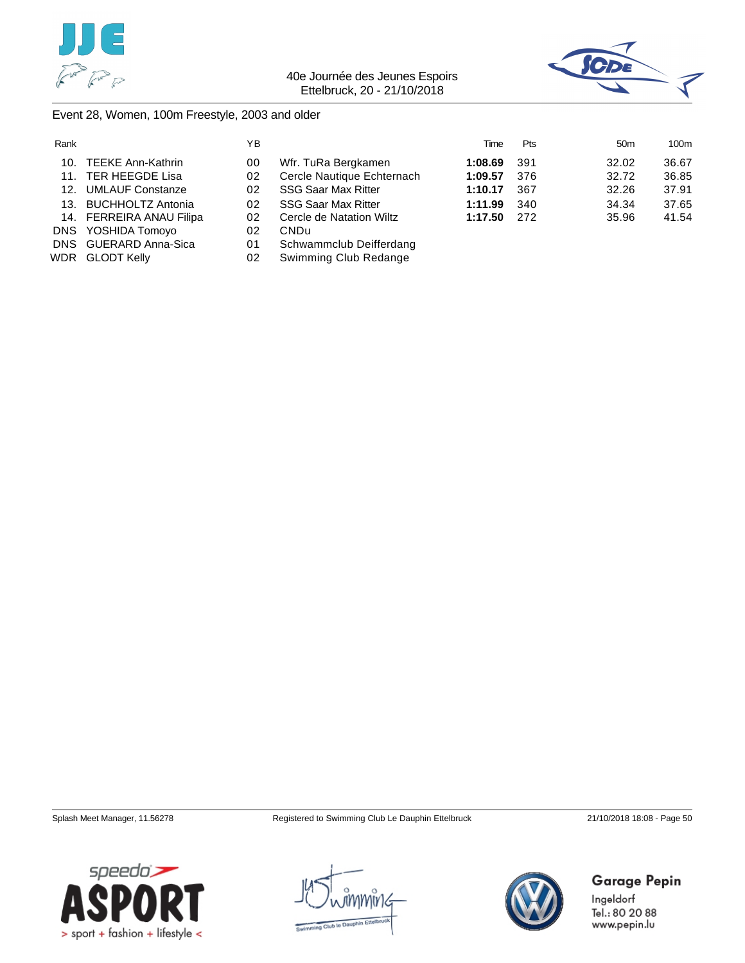



### Event 28, Women, 100m Freestyle, 2003 and older

| Rank |                          | ΥB |                            | Time    | <b>Pts</b> | 50 <sub>m</sub> | 100m  |
|------|--------------------------|----|----------------------------|---------|------------|-----------------|-------|
| 10.  | TEEKE Ann-Kathrin        | 00 | Wfr. TuRa Bergkamen        | 1:08.69 | 391        | 32.02           | 36.67 |
| 11.  | TER HEEGDE Lisa          | 02 | Cercle Nautique Echternach | 1:09.57 | 376        | 32.72           | 36.85 |
|      | 12. UMLAUF Constanze     | 02 | <b>SSG Saar Max Ritter</b> | 1:10.17 | 367        | 32.26           | 37.91 |
| 13.  | <b>BUCHHOLTZ Antonia</b> | 02 | <b>SSG Saar Max Ritter</b> | 1:11.99 | 340        | 34.34           | 37.65 |
|      | 14. FERREIRA ANAU Filipa | 02 | Cercle de Natation Wiltz   | 1:17.50 | 272        | 35.96           | 41.54 |
|      | DNS YOSHIDA Tomoyo       | 02 | <b>CNDu</b>                |         |            |                 |       |
|      | DNS GUERARD Anna-Sica    | 01 | Schwammclub Deifferdang    |         |            |                 |       |
|      | WDR GLODT Kelly          | 02 | Swimming Club Redange      |         |            |                 |       |





**Garage Pepin** 

Ingeldorf Tel.: 80 20 88 www.pepin.lu

speedo' > sport + fashion + lifestyle <

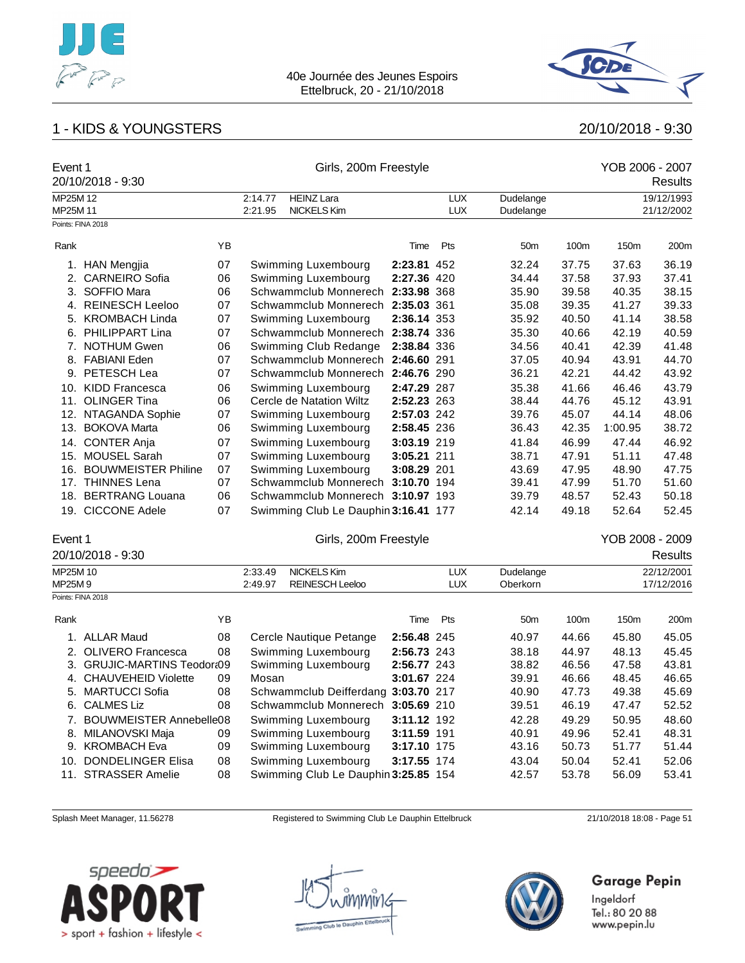



## 1 - KIDS & YOUNGSTERS 20/10/2018 - 9:30

| Event 1  | 20/10/2018 - 9:30          | Girls, 200m Freestyle |         |                                      |             |            |                 |       | YOB 2006 - 2007<br><b>Results</b> |                |  |
|----------|----------------------------|-----------------------|---------|--------------------------------------|-------------|------------|-----------------|-------|-----------------------------------|----------------|--|
| MP25M 12 |                            |                       | 2:14.77 | <b>HEINZ Lara</b>                    |             | <b>LUX</b> | Dudelange       |       |                                   | 19/12/1993     |  |
| MP25M 11 |                            |                       | 2:21.95 | NICKELS Kim                          |             | <b>LUX</b> | Dudelange       |       |                                   | 21/12/2002     |  |
|          | Points: FINA 2018          |                       |         |                                      |             |            |                 |       |                                   |                |  |
| Rank     |                            | YB                    |         |                                      | Time        | Pts        | 50 <sub>m</sub> | 100m  | 150m                              | 200m           |  |
|          | 1. HAN Mengiia             | 07                    |         | Swimming Luxembourg                  | 2:23.81 452 |            | 32.24           | 37.75 | 37.63                             | 36.19          |  |
| 2.       | <b>CARNEIRO</b> Sofia      | 06                    |         | Swimming Luxembourg                  | 2:27.36 420 |            | 34.44           | 37.58 | 37.93                             | 37.41          |  |
| 3.       | SOFFIO Mara                | 06                    |         | Schwammclub Monnerech                | 2:33.98 368 |            | 35.90           | 39.58 | 40.35                             | 38.15          |  |
| 4.       | <b>REINESCH Leeloo</b>     | 07                    |         | Schwammclub Monnerech                | 2:35.03 361 |            | 35.08           | 39.35 | 41.27                             | 39.33          |  |
| 5.       | <b>KROMBACH Linda</b>      | 07                    |         | Swimming Luxembourg                  | 2:36.14 353 |            | 35.92           | 40.50 | 41.14                             | 38.58          |  |
| 6.       | <b>PHILIPPART Lina</b>     | 07                    |         | Schwammclub Monnerech                | 2:38.74 336 |            | 35.30           | 40.66 | 42.19                             | 40.59          |  |
|          | 7. NOTHUM Gwen             | 06                    |         | Swimming Club Redange                | 2:38.84 336 |            | 34.56           | 40.41 | 42.39                             | 41.48          |  |
|          | 8. FABIANI Eden            | 07                    |         | Schwammclub Monnerech                | 2:46.60 291 |            | 37.05           | 40.94 | 43.91                             | 44.70          |  |
| 9.       | PETESCH Lea                | 07                    |         | Schwammclub Monnerech                | 2:46.76 290 |            | 36.21           | 42.21 | 44.42                             | 43.92          |  |
| 10.      | <b>KIDD Francesca</b>      | 06                    |         | Swimming Luxembourg                  | 2:47.29 287 |            | 35.38           | 41.66 | 46.46                             | 43.79          |  |
| 11.      | <b>OLINGER Tina</b>        | 06                    |         | Cercle de Natation Wiltz             | 2:52.23 263 |            | 38.44           | 44.76 | 45.12                             | 43.91          |  |
|          | 12. NTAGANDA Sophie        | 07                    |         | Swimming Luxembourg                  | 2:57.03 242 |            | 39.76           | 45.07 | 44.14                             | 48.06          |  |
| 13.      | <b>BOKOVA Marta</b>        | 06                    |         | Swimming Luxembourg                  | 2:58.45 236 |            | 36.43           | 42.35 | 1:00.95                           | 38.72          |  |
|          | 14. CONTER Anja            | 07                    |         | Swimming Luxembourg                  | 3:03.19 219 |            | 41.84           | 46.99 | 47.44                             | 46.92          |  |
| 15.      | <b>MOUSEL Sarah</b>        | 07                    |         | Swimming Luxembourg                  | 3:05.21 211 |            | 38.71           | 47.91 | 51.11                             | 47.48          |  |
| 16.      | <b>BOUWMEISTER Philine</b> | 07                    |         | Swimming Luxembourg                  | 3:08.29 201 |            | 43.69           | 47.95 | 48.90                             | 47.75          |  |
| 17.      | <b>THINNES Lena</b>        | 07                    |         | Schwammclub Monnerech                | 3:10.70 194 |            | 39.41           | 47.99 | 51.70                             | 51.60          |  |
|          | 18. BERTRANG Louana        | 06                    |         | Schwammclub Monnerech 3:10.97 193    |             |            | 39.79           | 48.57 | 52.43                             | 50.18          |  |
|          | 19. CICCONE Adele          | 07                    |         | Swimming Club Le Dauphin 3:16.41 177 |             |            | 42.14           | 49.18 | 52.64                             | 52.45          |  |
| Event 1  |                            |                       |         | Girls, 200m Freestyle                |             |            |                 |       | YOB 2008 - 2009                   |                |  |
|          | 20/10/2018 - 9:30          |                       |         |                                      |             |            |                 |       |                                   | <b>Results</b> |  |
| MP25M 10 |                            |                       | 2:33.49 | <b>NICKELS Kim</b>                   |             | <b>LUX</b> | Dudelange       |       |                                   | 22/12/2001     |  |
| MP25M9   |                            |                       | 2:49.97 | <b>REINESCH Leeloo</b>               |             | <b>LUX</b> | Oberkorn        |       |                                   | 17/12/2016     |  |
|          | Points: FINA 2018          |                       |         |                                      |             |            |                 |       |                                   |                |  |
| Rank     |                            | YB                    |         |                                      | Time        | Pts        | 50 <sub>m</sub> | 100m  | 150m                              | 200m           |  |

| 1. ALLAR Maud               | 08 | Cercle Nautique Petange              | 2:56.48 245 | 40.97 | 44.66 | 45.80 | 45.05 |
|-----------------------------|----|--------------------------------------|-------------|-------|-------|-------|-------|
| 2. OLIVERO Francesca        | 08 | Swimming Luxembourg                  | 2:56.73 243 | 38.18 | 44.97 | 48.13 | 45.45 |
| 3. GRUJIC-MARTINS Teodora09 |    | Swimming Luxembourg                  | 2:56.77 243 | 38.82 | 46.56 | 47.58 | 43.81 |
| 4. CHAUVEHEID Violette      | 09 | Mosan                                | 3:01.67 224 | 39.91 | 46.66 | 48.45 | 46.65 |
| 5. MARTUCCI Sofia           | 08 | Schwammclub Deifferdang 3:03.70 217  |             | 40.90 | 47.73 | 49.38 | 45.69 |
| 6. CALMES Liz               | 08 | Schwammclub Monnerech 3:05.69 210    |             | 39.51 | 46.19 | 47.47 | 52.52 |
| 7. BOUWMEISTER Annebelle08  |    | Swimming Luxembourg                  | 3:11.12 192 | 42.28 | 49.29 | 50.95 | 48.60 |
| 8. MILANOVSKI Maja          | 09 | Swimming Luxembourg                  | 3:11.59 191 | 40.91 | 49.96 | 52.41 | 48.31 |
| 9. KROMBACH Eva             | 09 | Swimming Luxembourg                  | 3:17.10 175 | 43.16 | 50.73 | 51.77 | 51.44 |
| 10. DONDELINGER Elisa       | 08 | Swimming Luxembourg                  | 3:17.55 174 | 43.04 | 50.04 | 52.41 | 52.06 |
| 11. STRASSER Amelie         | 08 | Swimming Club Le Dauphin 3:25.85 154 |             | 42.57 | 53.78 | 56.09 | 53.41 |
|                             |    |                                      |             |       |       |       |       |

Splash Meet Manager, 11.56278 Registered to Swimming Club Le Dauphin Ettelbruck 21/10/2018 18:08 - Page 51







## **Garage Pepin**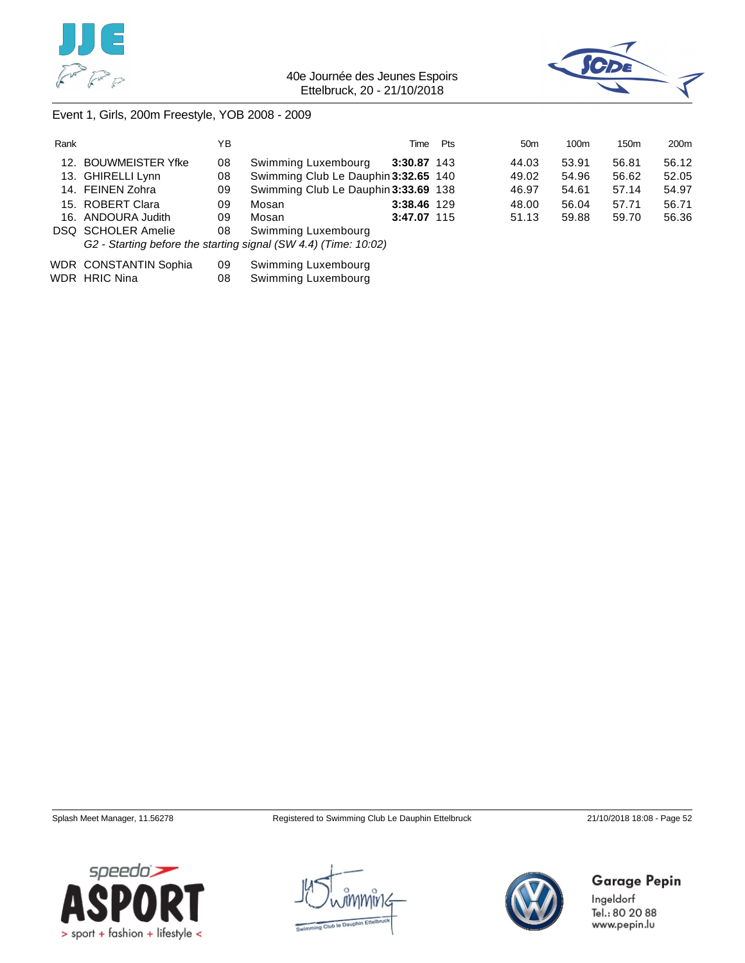

### 40e Journée des Jeunes Espoirs Ettelbruck, 20 - 21/10/2018



### Event 1, Girls, 200m Freestyle, YOB 2008 - 2009

| Rank |                           | ΥB |                                                                 | Time        | Pts | 50 <sub>m</sub> | 100m  | 150 <sub>m</sub> | 200 <sub>m</sub> |
|------|---------------------------|----|-----------------------------------------------------------------|-------------|-----|-----------------|-------|------------------|------------------|
|      | 12. BOUWMEISTER Yfke      | 08 | Swimming Luxembourg                                             | 3:30.87 143 |     | 44.03           | 53.91 | 56.81            | 56.12            |
|      | 13. GHIRELLI Lynn         | 08 | Swimming Club Le Dauphin 3:32.65 140                            |             |     | 49.02           | 54.96 | 56.62            | 52.05            |
|      | 14. FEINEN Zohra          | 09 | Swimming Club Le Dauphin 3:33.69 138                            |             |     | 46.97           | 54.61 | 57.14            | 54.97            |
|      | 15. ROBERT Clara          | 09 | Mosan                                                           | 3:38.46 129 |     | 48.00           | 56.04 | 57.71            | 56.71            |
|      | 16. ANDOURA Judith        | 09 | Mosan                                                           | 3:47.07 115 |     | 51.13           | 59.88 | 59.70            | 56.36            |
|      | <b>DSQ SCHOLER Amelie</b> | 08 | Swimming Luxembourg                                             |             |     |                 |       |                  |                  |
|      |                           |    | G2 - Starting before the starting signal (SW 4.4) (Time: 10:02) |             |     |                 |       |                  |                  |
|      | WDR CONSTANTIN Sophia     | na | Swimming Luxembourg                                             |             |     |                 |       |                  |                  |

| WDR CONSTANTIN Sophia | 09 | Swimming Luxembourg |
|-----------------------|----|---------------------|
| WDR HRIC Nina         | 08 | Swimming Luxembourg |







**Garage Pepin**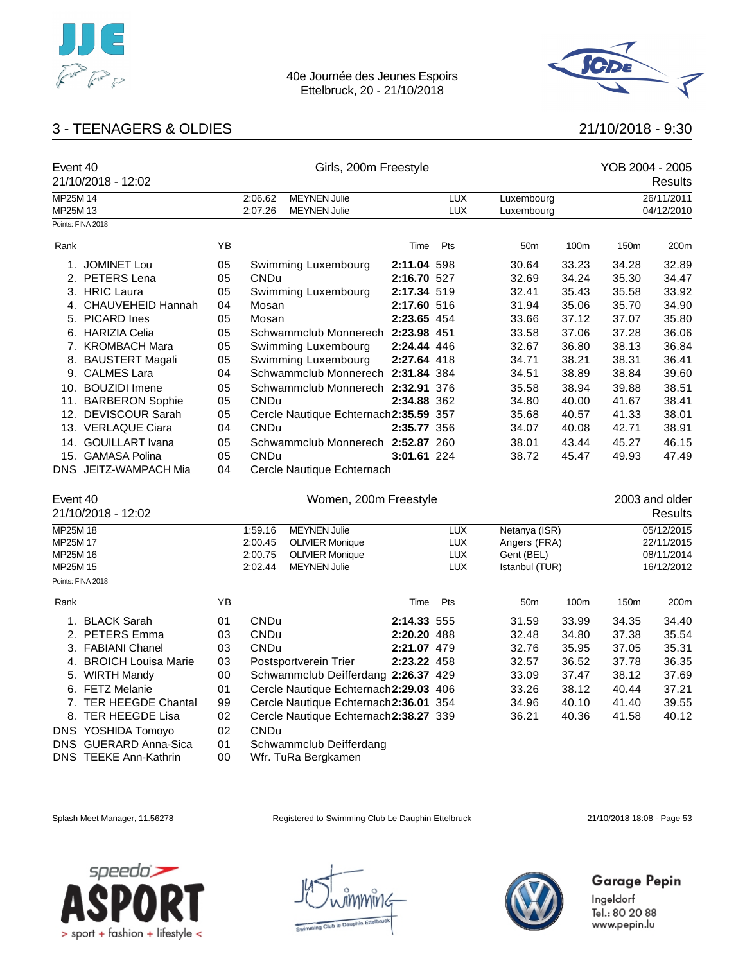



## 3 - TEENAGERS & OLDIES 21/10/2018 - 9:30

| Event 40             | 21/10/2018 - 12:02     |    |                    | Girls, 200m Freestyle                      |             | YOB 2004 - 2005<br>Results |                          |       |       |                          |
|----------------------|------------------------|----|--------------------|--------------------------------------------|-------------|----------------------------|--------------------------|-------|-------|--------------------------|
| MP25M 14<br>MP25M 13 |                        |    | 2:06.62<br>2:07.26 | <b>MEYNEN Julie</b><br><b>MEYNEN Julie</b> |             | <b>LUX</b><br><b>LUX</b>   | Luxembourg<br>Luxembourg |       |       | 26/11/2011<br>04/12/2010 |
|                      | Points: FINA 2018      |    |                    |                                            |             |                            |                          |       |       |                          |
| Rank                 |                        | YB |                    |                                            | Time        | Pts                        | 50 <sub>m</sub>          | 100m  | 150m  | 200m                     |
|                      | 1. JOMINET Lou         | 05 |                    | Swimming Luxembourg                        | 2:11.04 598 |                            | 30.64                    | 33.23 | 34.28 | 32.89                    |
|                      | 2. PETERS Lena         | 05 | <b>CNDu</b>        |                                            | 2:16.70 527 |                            | 32.69                    | 34.24 | 35.30 | 34.47                    |
|                      | 3. HRIC Laura          | 05 |                    | Swimming Luxembourg                        | 2:17.34 519 |                            | 32.41                    | 35.43 | 35.58 | 33.92                    |
|                      | 4. CHAUVEHEID Hannah   | 04 | Mosan              |                                            | 2:17.60 516 |                            | 31.94                    | 35.06 | 35.70 | 34.90                    |
|                      | 5. PICARD Ines         | 05 | Mosan              |                                            | 2:23.65 454 |                            | 33.66                    | 37.12 | 37.07 | 35.80                    |
|                      | 6. HARIZIA Celia       | 05 |                    | Schwammclub Monnerech 2:23.98 451          |             |                            | 33.58                    | 37.06 | 37.28 | 36.06                    |
|                      | 7. KROMBACH Mara       | 05 |                    | Swimming Luxembourg                        | 2:24.44 446 |                            | 32.67                    | 36.80 | 38.13 | 36.84                    |
|                      | 8. BAUSTERT Magali     | 05 |                    | Swimming Luxembourg                        | 2:27.64 418 |                            | 34.71                    | 38.21 | 38.31 | 36.41                    |
|                      | 9. CALMES Lara         | 04 |                    | Schwammclub Monnerech 2:31.84 384          |             |                            | 34.51                    | 38.89 | 38.84 | 39.60                    |
|                      | 10. BOUZIDI Imene      | 05 |                    | Schwammclub Monnerech 2:32.91 376          |             |                            | 35.58                    | 38.94 | 39.88 | 38.51                    |
|                      | 11. BARBERON Sophie    | 05 | CNDu               |                                            | 2:34.88 362 |                            | 34.80                    | 40.00 | 41.67 | 38.41                    |
|                      | 12. DEVISCOUR Sarah    | 05 |                    | Cercle Nautique Echternach 2:35.59 357     |             |                            | 35.68                    | 40.57 | 41.33 | 38.01                    |
|                      | 13. VERLAQUE Ciara     | 04 | CNDu               |                                            | 2:35.77 356 |                            | 34.07                    | 40.08 | 42.71 | 38.91                    |
|                      | 14. GOUILLART Ivana    | 05 |                    | Schwammclub Monnerech 2:52.87 260          |             |                            | 38.01                    | 43.44 | 45.27 | 46.15                    |
|                      | 15. GAMASA Polina      | 05 | <b>CNDu</b>        |                                            | 3:01.61 224 |                            | 38.72                    | 45.47 | 49.93 | 47.49                    |
|                      | DNS JEITZ-WAMPACH Mia  | 04 |                    | Cercle Nautique Echternach                 |             |                            |                          |       |       |                          |
| Event 40             |                        |    |                    | Women, 200m Freestyle                      |             |                            |                          |       |       | 2003 and older           |
|                      | 21/10/2018 - 12:02     |    |                    |                                            |             |                            |                          |       |       | Results                  |
| MP25M 18             |                        |    | 1:59.16            | <b>MEYNEN Julie</b>                        |             | <b>LUX</b>                 | Netanya (ISR)            |       |       | 05/12/2015               |
| MP25M 17             |                        |    | 2:00.45            | <b>OLIVIER Monique</b>                     |             | <b>LUX</b>                 | Angers (FRA)             |       |       | 22/11/2015               |
| MP25M 16             |                        |    | 2:00.75            | <b>OLIVIER Monique</b>                     |             | <b>LUX</b>                 | Gent (BEL)               |       |       | 08/11/2014               |
| MP25M 15             |                        |    | 2:02.44            | <b>MEYNEN Julie</b>                        |             | <b>LUX</b>                 | Istanbul (TUR)           |       |       | 16/12/2012               |
|                      | Points: FINA 2018      |    |                    |                                            |             |                            |                          |       |       |                          |
| Rank                 |                        | YB |                    |                                            | Time        | Pts                        | 50 <sub>m</sub>          | 100m  | 150m  | 200m                     |
|                      | 1. BLACK Sarah         | 01 | CNDu               |                                            | 2:14.33 555 |                            | 31.59                    | 33.99 | 34.35 | 34.40                    |
|                      | 2. PETERS Emma         | 03 | CNDu               |                                            | 2:20.20 488 |                            | 32.48                    | 34.80 | 37.38 | 35.54                    |
|                      | 3. FABIANI Chanel      | 03 | CNDu               |                                            | 2:21.07 479 |                            | 32.76                    | 35.95 | 37.05 | 35.31                    |
|                      | 4. BROICH Louisa Marie | 03 |                    | Postsportverein Trier                      | 2:23.22 458 |                            | 32.57                    | 36.52 | 37.78 | 36.35                    |
|                      | 5. WIRTH Mandy         | 00 |                    | Schwammclub Deifferdang 2:26.37 429        |             |                            | 33.09                    | 37.47 | 38.12 | 37.69                    |
|                      | 6. FETZ Melanie        | 01 |                    | Cercle Nautique Echternach 2:29.03 406     |             |                            | 33.26                    | 38.12 | 40.44 | 37.21                    |
|                      | 7. TER HEEGDE Chantal  | 99 |                    | Cercle Nautique Echternach 2:36.01 354     |             |                            | 34.96                    | 40.10 | 41.40 | 39.55                    |
|                      | 8. TER HEEGDE Lisa     | 02 |                    | Cercle Nautique Echternach 2:38.27 339     |             |                            | 36.21                    | 40.36 | 41.58 | 40.12                    |
|                      | DNS YOSHIDA Tomoyo     | 02 | <b>CNDu</b>        |                                            |             |                            |                          |       |       |                          |
|                      | DNS GUERARD Anna-Sica  | 01 |                    | Schwammclub Deifferdang                    |             |                            |                          |       |       |                          |
|                      | DNS TEEKE Ann-Kathrin  | 00 |                    | Wfr. TuRa Bergkamen                        |             |                            |                          |       |       |                          |

Splash Meet Manager, 11.56278 Registered to Swimming Club Le Dauphin Ettelbruck 21/10/2018 18:08 - Page 53





## **Garage Pepin**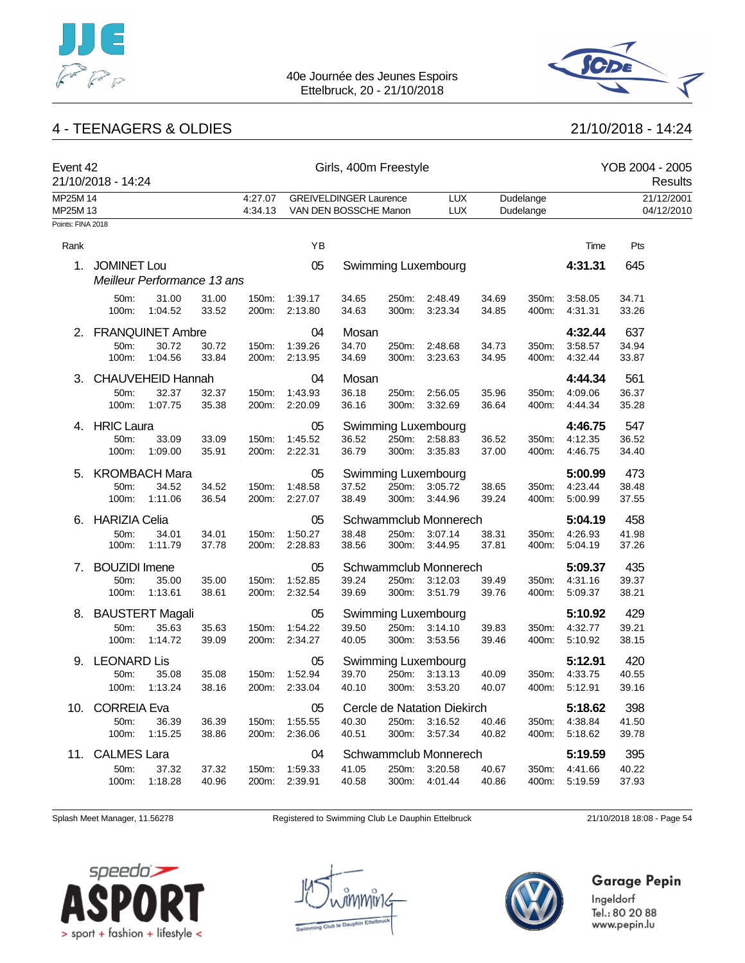



## 4 - TEENAGERS & OLDIES 21/10/2018 - 14:24

|                      | Event 42<br>21/10/2018 - 14:24          |                                              |                | Girls, 400m Freestyle |                          |                                                        |                |                                                   |                |                        | YOB 2004 - 2005<br>Results    |                          |  |
|----------------------|-----------------------------------------|----------------------------------------------|----------------|-----------------------|--------------------------|--------------------------------------------------------|----------------|---------------------------------------------------|----------------|------------------------|-------------------------------|--------------------------|--|
| MP25M 14<br>MP25M 13 |                                         |                                              |                | 4:27.07<br>4:34.13    |                          | <b>GREIVELDINGER Laurence</b><br>VAN DEN BOSSCHE Manon |                | <b>LUX</b><br><b>LUX</b>                          |                | Dudelange<br>Dudelange |                               | 21/12/2001<br>04/12/2010 |  |
| Points: FINA 2018    |                                         |                                              |                |                       |                          |                                                        |                |                                                   |                |                        |                               |                          |  |
| Rank                 |                                         |                                              |                |                       | YB                       |                                                        |                |                                                   |                |                        | Time                          | Pts                      |  |
| 1.                   | <b>JOMINET Lou</b>                      | Meilleur Performance 13 ans                  |                |                       | 05                       |                                                        |                | Swimming Luxembourg                               |                |                        | 4:31.31                       | 645                      |  |
|                      | 50m:<br>100m:                           | 31.00<br>1:04.52                             | 31.00<br>33.52 | 150m:<br>200m:        | 1:39.17<br>2:13.80       | 34.65<br>34.63                                         | 250m:<br>300m: | 2:48.49<br>3:23.34                                | 34.69<br>34.85 | 350m:<br>400m:         | 3:58.05<br>4:31.31            | 34.71<br>33.26           |  |
| 2.                   | 50m:<br>100m:                           | <b>FRANQUINET Ambre</b><br>30.72<br>1:04.56  | 30.72<br>33.84 | 150m:<br>200m:        | 04<br>1:39.26<br>2:13.95 | Mosan<br>34.70<br>34.69                                | 250m:<br>300m: | 2:48.68<br>3:23.63                                | 34.73<br>34.95 | 350m:<br>400m:         | 4:32.44<br>3:58.57<br>4:32.44 | 637<br>34.94<br>33.87    |  |
| 3.                   | 50m:<br>100m:                           | <b>CHAUVEHEID Hannah</b><br>32.37<br>1:07.75 | 32.37<br>35.38 | 150m:<br>200m:        | 04<br>1:43.93<br>2:20.09 | Mosan<br>36.18<br>36.16                                | 250m:<br>300m: | 2:56.05<br>3:32.69                                | 35.96<br>36.64 | 350m:<br>400m:         | 4:44.34<br>4:09.06<br>4:44.34 | 561<br>36.37<br>35.28    |  |
| 4.                   | <b>HRIC Laura</b><br>50m:<br>100m:      | 33.09<br>1:09.00                             | 33.09<br>35.91 | 150m:<br>200m:        | 05<br>1:45.52<br>2:22.31 | 36.52<br>36.79                                         | 250m:<br>300m: | Swimming Luxembourg<br>2:58.83<br>3:35.83         | 36.52<br>37.00 | 350m:<br>400m:         | 4:46.75<br>4:12.35<br>4:46.75 | 547<br>36.52<br>34.40    |  |
| 5.                   | 50m:<br>100m:                           | <b>KROMBACH Mara</b><br>34.52<br>1:11.06     | 34.52<br>36.54 | 150m:<br>200m:        | 05<br>1:48.58<br>2:27.07 | 37.52<br>38.49                                         | 250m:<br>300m: | Swimming Luxembourg<br>3:05.72<br>3:44.96         | 38.65<br>39.24 | 350m:<br>400m:         | 5:00.99<br>4:23.44<br>5:00.99 | 473<br>38.48<br>37.55    |  |
| 6.                   | <b>HARIZIA Celia</b><br>50m:<br>100m:   | 34.01<br>1:11.79                             | 34.01<br>37.78 | 150m:<br>200m:        | 05<br>1:50.27<br>2:28.83 | 38.48<br>38.56                                         | 250m:<br>300m: | Schwammclub Monnerech<br>3:07.14<br>3:44.95       | 38.31<br>37.81 | 350m:<br>400m:         | 5:04.19<br>4:26.93<br>5:04.19 | 458<br>41.98<br>37.26    |  |
| 7.                   | <b>BOUZIDI</b> Imene<br>50m:<br>100m:   | 35.00<br>1:13.61                             | 35.00<br>38.61 | 150m:<br>200m:        | 05<br>1:52.85<br>2:32.54 | 39.24<br>39.69                                         | 250m:<br>300m: | Schwammclub Monnerech<br>3:12.03<br>3:51.79       | 39.49<br>39.76 | 350m:<br>400m:         | 5:09.37<br>4:31.16<br>5:09.37 | 435<br>39.37<br>38.21    |  |
| 8.                   | <b>BAUSTERT Magali</b><br>50m:<br>100m: | 35.63<br>1:14.72                             | 35.63<br>39.09 | 150m:<br>200m:        | 05<br>1:54.22<br>2:34.27 | 39.50<br>40.05                                         | 250m:          | Swimming Luxembourg<br>3:14.10<br>300m: 3:53.56   | 39.83<br>39.46 | 350m:<br>400m:         | 5:10.92<br>4:32.77<br>5:10.92 | 429<br>39.21<br>38.15    |  |
| 9.                   | <b>LEONARD Lis</b><br>50m:<br>100m:     | 35.08<br>1:13.24                             | 35.08<br>38.16 | 150m:<br>200m:        | 05<br>1:52.94<br>2:33.04 | 39.70<br>40.10                                         | 250m:<br>300m: | Swimming Luxembourg<br>3:13.13<br>3:53.20         | 40.09<br>40.07 | 350m:<br>400m:         | 5:12.91<br>4:33.75<br>5:12.91 | 420<br>40.55<br>39.16    |  |
| 10.                  | <b>CORREIA Eva</b><br>50m:<br>100m:     | 36.39<br>1:15.25                             | 36.39<br>38.86 | 150m:<br>200m:        | 05<br>1:55.55<br>2:36.06 | 40.30<br>40.51                                         | 250m:<br>300m: | Cercle de Natation Diekirch<br>3:16.52<br>3:57.34 | 40.46<br>40.82 | 350m:<br>400m:         | 5:18.62<br>4:38.84<br>5:18.62 | 398<br>41.50<br>39.78    |  |
| 11.                  | <b>CALMES Lara</b><br>50m:<br>100m:     | 37.32<br>1:18.28                             | 37.32<br>40.96 | 150m:<br>200m:        | 04<br>1:59.33<br>2:39.91 | 41.05<br>40.58                                         | 250m:<br>300m: | Schwammclub Monnerech<br>3:20.58<br>4:01.44       | 40.67<br>40.86 | 350m:<br>400m:         | 5:19.59<br>4:41.66<br>5:19.59 | 395<br>40.22<br>37.93    |  |

Splash Meet Manager, 11.56278 Registered to Swimming Club Le Dauphin Ettelbruck 21/10/2018 18:08 - Page 54





## **Garage Pepin**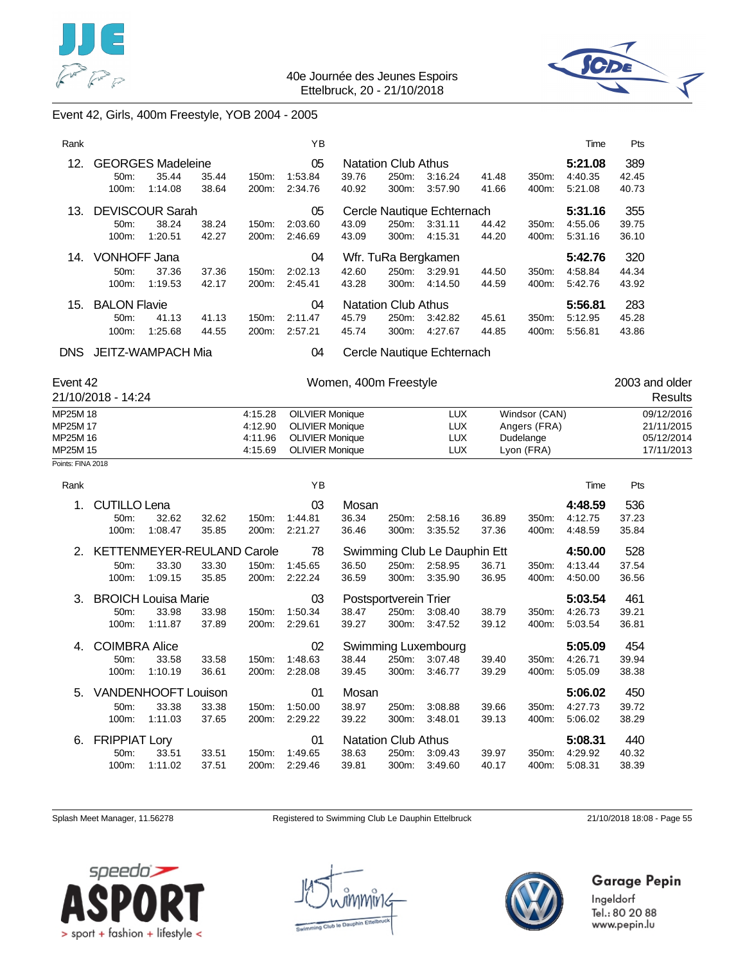



### Event 42, Girls, 400m Freestyle, YOB 2004 - 2005

| Rank            |                          |         |       |                    | ΥB      |       |                            |                            |       |       | Time    | Pts   |
|-----------------|--------------------------|---------|-------|--------------------|---------|-------|----------------------------|----------------------------|-------|-------|---------|-------|
| 12 <sub>1</sub> | <b>GEORGES Madeleine</b> |         |       |                    | 05      |       | <b>Natation Club Athus</b> |                            |       |       | 5:21.08 | 389   |
|                 | $50m$ :                  | 35.44   | 35.44 | $150m$ :           | 1:53.84 | 39.76 | 250m:                      | 3:16.24                    | 41.48 | 350m: | 4:40.35 | 42.45 |
|                 | 100m:                    | 1:14.08 | 38.64 | 200m:              | 2:34.76 | 40.92 | 300m:                      | 3:57.90                    | 41.66 | 400m: | 5:21.08 | 40.73 |
| 13.             | <b>DEVISCOUR Sarah</b>   |         |       |                    | 05      |       |                            | Cercle Nautique Echternach |       |       | 5:31.16 | 355   |
|                 | $50m$ :                  | 38.24   | 38.24 | $150m$ :           | 2:03.60 | 43.09 | 250m:                      | 3:31.11                    | 44.42 | 350m: | 4:55.06 | 39.75 |
|                 | 100m:                    | 1:20.51 | 42.27 | 200m:              | 2:46.69 | 43.09 | 300m:                      | 4:15.31                    | 44.20 | 400m: | 5:31.16 | 36.10 |
| 14.             | <b>VONHOFF Jana</b>      |         |       |                    | 04      |       | Wfr. TuRa Bergkamen        |                            |       |       | 5:42.76 | 320   |
|                 | 50 <sub>m</sub> :        | 37.36   | 37.36 | $150m$ :           | 2:02.13 | 42.60 | 250m:                      | 3:29.91                    | 44.50 | 350m: | 4:58.84 | 44.34 |
|                 | 100m:                    | 1:19.53 | 42.17 | 200 <sub>m</sub> : | 2:45.41 | 43.28 | 300m:                      | 4:14.50                    | 44.59 | 400m: | 5:42.76 | 43.92 |
| 15.             | <b>BALON Flavie</b>      |         |       |                    | 04      |       | <b>Natation Club Athus</b> |                            |       |       | 5:56.81 | 283   |
|                 | 50 <sub>m</sub> :        | 41.13   | 41.13 | 150m:              | 2:11.47 | 45.79 | 250m:                      | 3:42.82                    | 45.61 | 350m: | 5:12.95 | 45.28 |
|                 | 100m:                    | 1:25.68 | 44.55 | $200m$ :           | 2:57.21 | 45.74 | $300m$ :                   | 4:27.67                    | 44.85 | 400m: | 5.56.81 | 43.86 |

DNS JEITZ-WAMPACH Mia 04 Cercle Nautique Echternach

| Event 42           |         | Women, 400m Freestyle  | 2003 and older |               |            |
|--------------------|---------|------------------------|----------------|---------------|------------|
| 21/10/2018 - 14:24 |         |                        |                |               | Results    |
| MP25M 18           | 4:15.28 | OILVIER Monique        | LUX            | Windsor (CAN) | 09/12/2016 |
| MP25M 17           | 4:12.90 | <b>OLIVIER Monique</b> | LUX            | Angers (FRA)  | 21/11/2015 |
| MP25M 16           | 4:11.96 | <b>OLIVIER Monique</b> | LUX            | Dudelange     | 05/12/2014 |
| MP25M 15           | 4:15.69 | OLIVIER Monique        | LUX            | Lyon (FRA)    | 17/11/2013 |

Points: FINA 2018

| Rank |                                                    |                  |                |                | YB                       |                         |                                              |                              |                |                   | Time                          | Pts                   |  |
|------|----------------------------------------------------|------------------|----------------|----------------|--------------------------|-------------------------|----------------------------------------------|------------------------------|----------------|-------------------|-------------------------------|-----------------------|--|
| 1.   | CUTILLO Lena<br>50 <sub>m</sub> :<br>100m:         | 32.62<br>1:08.47 | 32.62<br>35.85 | 150m:<br>200m: | 03<br>1:44.81<br>2:21.27 | Mosan<br>36.34<br>36.46 | 250m:<br>300m:                               | 2:58.16<br>3:35.52           | 36.89<br>37.36 | $350m$ :<br>400m: | 4:48.59<br>4:12.75<br>4:48.59 | 536<br>37.23<br>35.84 |  |
| 2.   | KETTENMEYER-REULAND Carole                         |                  |                |                | 78                       |                         |                                              | Swimming Club Le Dauphin Ett |                |                   | 4:50.00                       | 528                   |  |
|      | 50m:<br>100m:                                      | 33.30<br>1:09.15 | 33.30<br>35.85 | 150m:<br>200m: | 1:45.65<br>2:22.24       | 36.50<br>36.59          | 250m:<br>300m:                               | 2:58.95<br>3:35.90           | 36.71<br>36.95 | 350m:<br>400m:    | 4:13.44<br>4:50.00            | 37.54<br>36.56        |  |
| 3.   | <b>BROICH Louisa Marie</b>                         |                  |                |                | 03                       |                         | Postsportverein Trier                        |                              |                |                   | 5:03.54                       | 461                   |  |
|      | 50m:<br>100m:                                      | 33.98<br>1:11.87 | 33.98<br>37.89 | 150m:<br>200m: | 1:50.34<br>2:29.61       | 38.47<br>39.27          | 250m:<br>300m:                               | 3:08.40<br>3:47.52           | 38.79<br>39.12 | 350m:<br>400m:    | 4:26.73<br>5:03.54            | 39.21<br>36.81        |  |
| 4.   | <b>COIMBRA Alice</b>                               |                  |                |                | 02                       |                         |                                              | Swimming Luxembourg          |                |                   | 5:05.09                       | 454                   |  |
|      | 50 <sub>m</sub> :<br>100m:                         | 33.58<br>1:10.19 | 33.58<br>36.61 | 150m:<br>200m: | 1:48.63<br>2:28.08       | 38.44<br>39.45          | 250m:<br>300m:                               | 3:07.48<br>3:46.77           | 39.40<br>39.29 | 350m:<br>400m:    | 4:26.71<br>5:05.09            | 39.94<br>38.38        |  |
| 5.   | <b>VANDENHOOFT Louison</b>                         |                  |                |                | 01                       | Mosan                   |                                              |                              |                |                   | 5:06.02                       | 450                   |  |
|      | 50m:<br>100m:                                      | 33.38<br>1:11.03 | 33.38<br>37.65 | 150m:<br>200m: | 1:50.00<br>2:29.22       | 38.97<br>39.22          | 250m:<br>300m:                               | 3:08.88<br>3:48.01           | 39.66<br>39.13 | 350m:<br>400m:    | 4:27.73<br>5:06.02            | 39.72<br>38.29        |  |
| 6.   | <b>FRIPPIAT Lory</b><br>50 <sub>m</sub> :<br>100m: | 33.51<br>1:11.02 | 33.51<br>37.51 | 150m:<br>200m: | 01<br>1:49.65<br>2:29.46 | 38.63<br>39.81          | <b>Natation Club Athus</b><br>250m:<br>300m: | 3:09.43<br>3:49.60           | 39.97<br>40.17 | 350m:<br>400m:    | 5:08.31<br>4:29.92<br>5:08.31 | 440<br>40.32<br>38.39 |  |

Splash Meet Manager, 11.56278 Registered to Swimming Club Le Dauphin Ettelbruck 21/10/2018 18:08 - Page 55





## **Garage Pepin**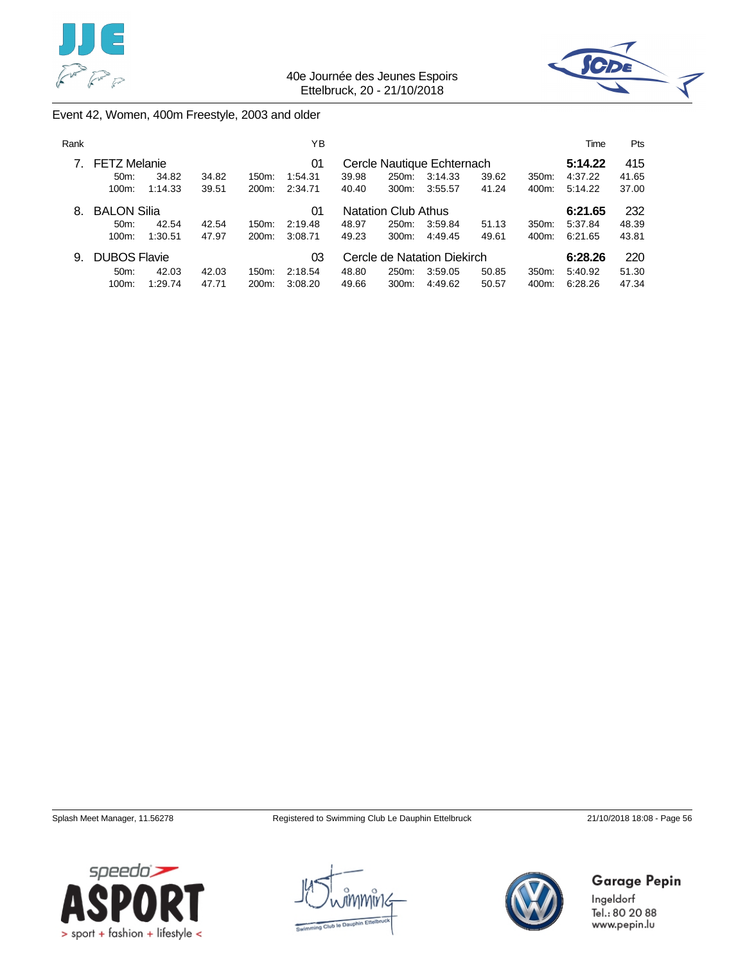



### Event 42, Women, 400m Freestyle, 2003 and older

| Rank |                     |         |       |          | ΥB      |       |                            |                             |       |          | Time    | <b>Pts</b> |
|------|---------------------|---------|-------|----------|---------|-------|----------------------------|-----------------------------|-------|----------|---------|------------|
| 7    | <b>FETZ Melanie</b> |         |       |          | 01      |       |                            | Cercle Nautique Echternach  |       |          | 5:14.22 | 415        |
|      | $50m$ :             | 34.82   | 34.82 | $150m$ : | 1:54.31 | 39.98 | 250m:                      | 3:14.33                     | 39.62 | 350m:    | 4:37.22 | 41.65      |
|      | $100m$ :            | 1:14.33 | 39.51 | $200m$ : | 2:34.71 | 40.40 | $300m$ :                   | 3:55.57                     | 41.24 | $400m$ : | 5:14.22 | 37.00      |
| 8.   | <b>BALON Silia</b>  |         |       |          | 01      |       | <b>Natation Club Athus</b> |                             |       |          | 6:21.65 | 232        |
|      | 50 <sub>m</sub> :   | 42.54   | 42.54 | $150m$ : | 2:19.48 | 48.97 | 250m:                      | 3:59.84                     | 51.13 | 350m:    | 5:37.84 | 48.39      |
|      | 100m:               | 1:30.51 | 47.97 | 200m:    | 3:08.71 | 49.23 | $300m$ :                   | 4:49.45                     | 49.61 | 400m:    | 6:21.65 | 43.81      |
| 9.   | <b>DUBOS Flavie</b> |         |       |          | 03      |       |                            | Cercle de Natation Diekirch |       |          | 6:28.26 | 220        |
|      | $50m$ :             | 42.03   | 42.03 | $150m$ : | 2:18.54 | 48.80 | 250m:                      | 3:59.05                     | 50.85 | 350m:    | 5:40.92 | 51.30      |
|      | $100m$ :            | 1:29.74 | 47.71 | 200m:    | 3:08.20 | 49.66 | $300m$ :                   | 4:49.62                     | 50.57 | 400m:    | 6:28.26 | 47.34      |







**Garage Pepin** Ingeldorf

Tel.: 80 20 88 www.pepin.lu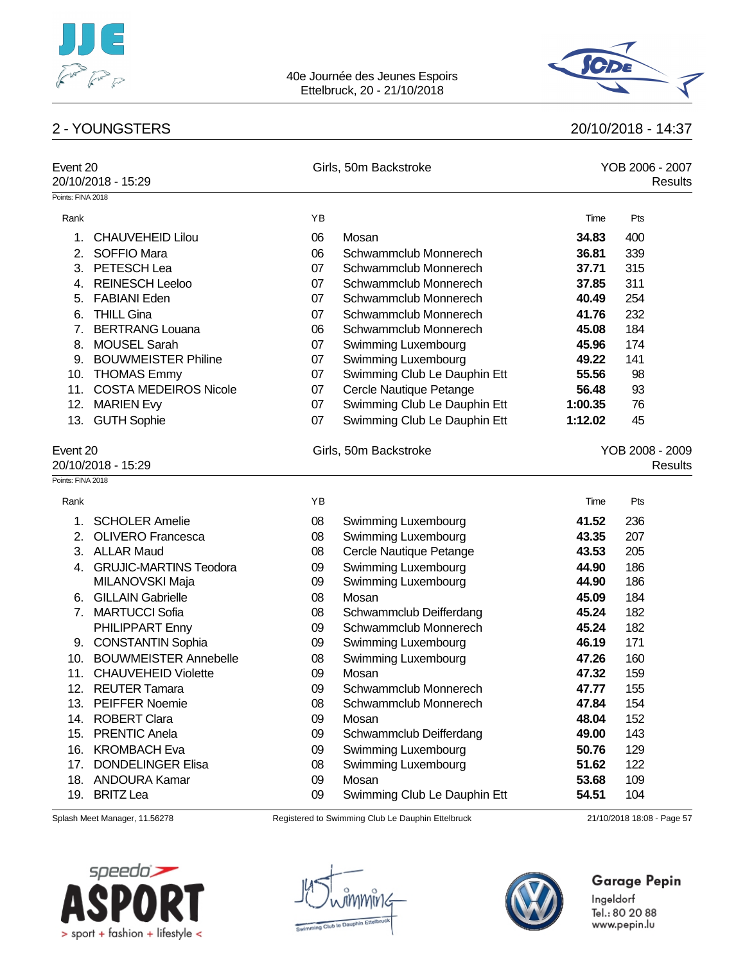



### 2 - YOUNGSTERS 20/10/2018 - 14:37

| Event 20<br>20/10/2018 - 15:29 |                               |    | Girls, 50m Backstroke                             | YOB 2006 - 2007<br><b>Results</b> |                                   |  |
|--------------------------------|-------------------------------|----|---------------------------------------------------|-----------------------------------|-----------------------------------|--|
| Points: FINA 2018              |                               |    |                                                   |                                   |                                   |  |
| Rank                           |                               | YB |                                                   | Time                              | Pts                               |  |
| 1.                             | <b>CHAUVEHEID Lilou</b>       | 06 | Mosan                                             | 34.83                             | 400                               |  |
| 2.                             | <b>SOFFIO Mara</b>            | 06 | Schwammclub Monnerech                             | 36.81                             | 339                               |  |
|                                | 3. PETESCH Lea                | 07 | Schwammclub Monnerech                             | 37.71                             | 315                               |  |
| 4.                             | <b>REINESCH Leeloo</b>        | 07 | Schwammclub Monnerech                             | 37.85                             | 311                               |  |
| 5.                             | <b>FABIANI Eden</b>           | 07 | Schwammclub Monnerech                             | 40.49                             | 254                               |  |
| 6.                             | <b>THILL Gina</b>             | 07 | Schwammclub Monnerech                             | 41.76                             | 232                               |  |
| 7.                             | <b>BERTRANG Louana</b>        | 06 | Schwammclub Monnerech                             | 45.08                             | 184                               |  |
| 8.                             | MOUSEL Sarah                  | 07 | Swimming Luxembourg                               | 45.96                             | 174                               |  |
| 9.                             | <b>BOUWMEISTER Philine</b>    | 07 | Swimming Luxembourg                               | 49.22                             | 141                               |  |
| 10.                            | <b>THOMAS Emmy</b>            | 07 | Swimming Club Le Dauphin Ett                      | 55.56                             | 98                                |  |
| 11.                            | <b>COSTA MEDEIROS Nicole</b>  | 07 | Cercle Nautique Petange                           | 56.48                             | 93                                |  |
| 12.                            | <b>MARIEN Evy</b>             | 07 | Swimming Club Le Dauphin Ett                      | 1:00.35<br>76                     |                                   |  |
|                                | 13. GUTH Sophie               | 07 | Swimming Club Le Dauphin Ett                      | 1:12.02                           | 45                                |  |
| Event 20                       | 20/10/2018 - 15:29            |    | Girls, 50m Backstroke                             |                                   | YOB 2008 - 2009<br><b>Results</b> |  |
| Points: FINA 2018              |                               |    |                                                   |                                   |                                   |  |
| Rank                           |                               | YB |                                                   | Time                              | Pts                               |  |
| 1.                             | <b>SCHOLER Amelie</b>         | 08 | Swimming Luxembourg                               | 41.52                             | 236                               |  |
| 2.                             | <b>OLIVERO</b> Francesca      | 08 | Swimming Luxembourg                               | 43.35                             | 207                               |  |
| 3.                             | <b>ALLAR Maud</b>             | 08 | Cercle Nautique Petange                           | 43.53                             | 205                               |  |
|                                | 4. GRUJIC-MARTINS Teodora     | 09 | Swimming Luxembourg                               | 44.90                             | 186                               |  |
|                                | MILANOVSKI Maja               | 09 | Swimming Luxembourg                               | 44.90                             | 186                               |  |
| 6.                             | <b>GILLAIN Gabrielle</b>      | 08 | Mosan                                             | 45.09                             | 184                               |  |
|                                | 7. MARTUCCI Sofia             | 08 | Schwammclub Deifferdang                           | 45.24                             | 182                               |  |
|                                | PHILIPPART Enny               | 09 | Schwammclub Monnerech                             | 45.24                             | 182                               |  |
|                                | 9. CONSTANTIN Sophia          | 09 | Swimming Luxembourg                               | 46.19                             | 171                               |  |
|                                | 10. BOUWMEISTER Annebelle     | 08 | Swimming Luxembourg                               | 47.26                             | 160                               |  |
| 11.                            | <b>CHAUVEHEID Violette</b>    | 09 | Mosan                                             | 47.32                             | 159                               |  |
|                                | 12. REUTER Tamara             | 09 | Schwammclub Monnerech                             | 47.77                             | 155                               |  |
|                                | 13. PEIFFER Noemie            | 08 | Schwammclub Monnerech                             | 47.84                             | 154                               |  |
| 14.                            | <b>ROBERT Clara</b>           | 09 | Mosan                                             | 48.04                             | 152                               |  |
| 15.                            | <b>PRENTIC Anela</b>          | 09 | Schwammclub Deifferdang                           | 49.00                             | 143                               |  |
|                                | 16. KROMBACH Eva              | 09 | Swimming Luxembourg                               | 50.76                             | 129                               |  |
| 17.                            | <b>DONDELINGER Elisa</b>      | 08 | Swimming Luxembourg                               | 51.62                             | 122                               |  |
|                                | 18. ANDOURA Kamar             | 09 | Mosan                                             | 53.68                             | 109                               |  |
|                                | 19. BRITZ Lea                 | 09 | Swimming Club Le Dauphin Ett                      | 54.51                             | 104                               |  |
|                                | Splash Meet Manager, 11.56278 |    | Registered to Swimming Club Le Dauphin Ettelbruck |                                   | 21/10/2018 18:08 - Page 57        |  |





Mir16



## **Garage Pepin**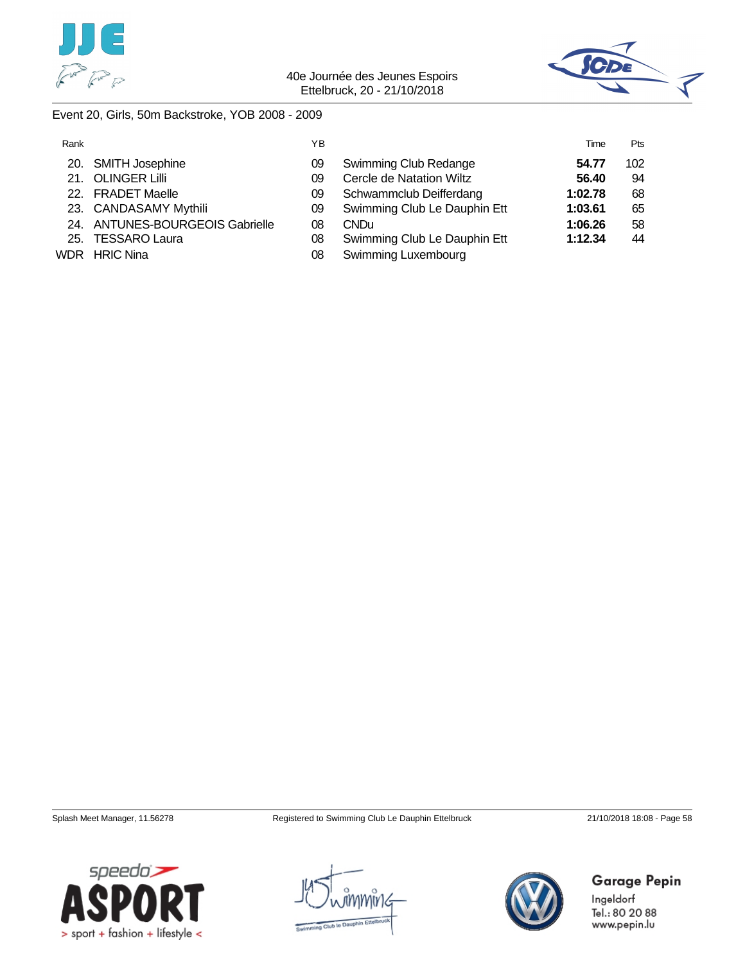



### Event 20, Girls, 50m Backstroke, YOB 2008 - 2009

| Rank |                                 | ΥB |                              | Time    | <b>Pts</b> |
|------|---------------------------------|----|------------------------------|---------|------------|
|      | 20. SMITH Josephine             | 09 | Swimming Club Redange        | 54.77   | 102        |
|      | 21. OLINGER Lilli               | 09 | Cercle de Natation Wiltz     | 56.40   | 94         |
|      | 22. FRADET Maelle               | 09 | Schwammclub Deifferdang      | 1:02.78 | 68         |
|      | 23. CANDASAMY Mythili           | 09 | Swimming Club Le Dauphin Ett | 1:03.61 | 65         |
|      | 24. ANTUNES-BOURGEOIS Gabrielle | 08 | <b>CNDu</b>                  | 1:06.26 | 58         |
|      | 25. TESSARO Laura               | 08 | Swimming Club Le Dauphin Ett | 1:12.34 | 44         |
|      | <b>WDR</b> HRIC Nina            | 08 | Swimming Luxembourg          |         |            |









**Garage Pepin**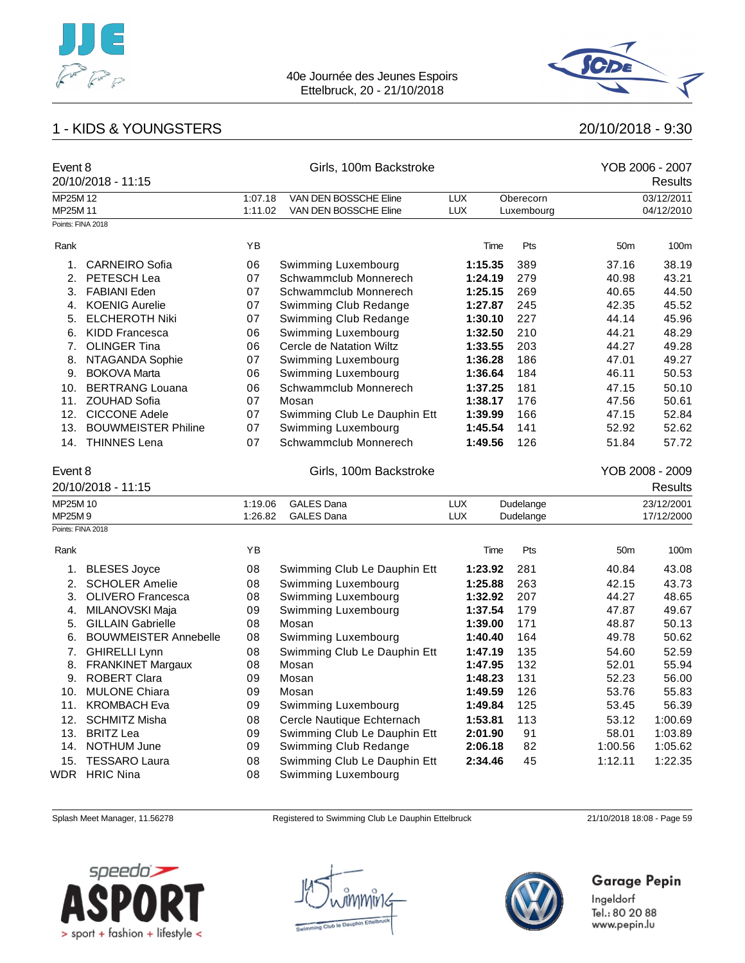



## 1 - KIDS & YOUNGSTERS 20/10/2018 - 9:30

| Event 8              | 20/10/2018 - 11:15           |                    | Girls, 100m Backstroke                         |                   |      |                         |                 | YOB 2006 - 2007<br>Results |
|----------------------|------------------------------|--------------------|------------------------------------------------|-------------------|------|-------------------------|-----------------|----------------------------|
| MP25M 12<br>MP25M 11 |                              | 1:07.18<br>1:11.02 | VAN DEN BOSSCHE Eline<br>VAN DEN BOSSCHE Eline | <b>LUX</b><br>LUX |      | Oberecorn<br>Luxembourg |                 | 03/12/2011<br>04/12/2010   |
|                      | Points: FINA 2018            |                    |                                                |                   |      |                         |                 |                            |
| Rank                 |                              | YB                 |                                                |                   | Time | Pts                     | 50 <sub>m</sub> | 100m                       |
| 1 <sub>1</sub>       | <b>CARNEIRO Sofia</b>        | 06                 | Swimming Luxembourg                            | 1:15.35           |      | 389                     | 37.16           | 38.19                      |
| 2.                   | <b>PETESCH Lea</b>           | 07                 | Schwammclub Monnerech                          | 1:24.19           |      | 279                     | 40.98           | 43.21                      |
| 3.                   | <b>FABIANI Eden</b>          | 07                 | Schwammclub Monnerech                          | 1:25.15           |      | 269                     | 40.65           | 44.50                      |
| 4.                   | <b>KOENIG Aurelie</b>        | 07                 | Swimming Club Redange                          | 1:27.87           |      | 245                     | 42.35           | 45.52                      |
| 5.                   | <b>ELCHEROTH Niki</b>        | 07                 | Swimming Club Redange                          | 1:30.10           |      | 227                     | 44.14           | 45.96                      |
| 6.                   | KIDD Francesca               | 06                 | Swimming Luxembourg                            | 1:32.50           |      | 210                     | 44.21           | 48.29                      |
|                      | 7. OLINGER Tina              | 06                 | Cercle de Natation Wiltz                       | 1:33.55           |      | 203                     | 44.27           | 49.28                      |
| 8.                   | NTAGANDA Sophie              | 07                 | Swimming Luxembourg                            | 1:36.28           |      | 186                     | 47.01           | 49.27                      |
| 9.                   | <b>BOKOVA Marta</b>          | 06                 | Swimming Luxembourg                            | 1:36.64           |      | 184                     | 46.11           | 50.53                      |
|                      | 10. BERTRANG Louana          | 06                 | Schwammclub Monnerech                          | 1:37.25           |      | 181                     | 47.15           | 50.10                      |
|                      | 11. ZOUHAD Sofia             | 07                 | Mosan                                          | 1:38.17           |      | 176                     | 47.56           | 50.61                      |
|                      | 12. CICCONE Adele            | 07                 | Swimming Club Le Dauphin Ett                   | 1:39.99           |      | 166                     | 47.15           | 52.84                      |
| 13.                  | <b>BOUWMEISTER Philine</b>   | 07                 | Swimming Luxembourg                            | 1:45.54           |      | 141                     | 52.92           | 52.62                      |
|                      | 14. THINNES Lena             | 07                 | Schwammclub Monnerech                          | 1:49.56           |      | 126                     | 51.84           | 57.72                      |
| Event 8              |                              |                    | Girls, 100m Backstroke                         |                   |      |                         |                 | YOB 2008 - 2009            |
|                      | 20/10/2018 - 11:15           |                    |                                                |                   |      |                         |                 | Results                    |
| MP25M 10             |                              | 1:19.06            | <b>GALES Dana</b>                              | <b>LUX</b>        |      |                         |                 | 23/12/2001                 |
| MP25M9               |                              | 1:26.82            | <b>GALES Dana</b>                              | <b>LUX</b>        |      | Dudelange<br>Dudelange  |                 | 17/12/2000                 |
|                      | Points: FINA 2018            |                    |                                                |                   |      |                         |                 |                            |
| Rank                 |                              | YB                 |                                                |                   | Time | Pts                     | 50 <sub>m</sub> | 100m                       |
| 1.                   | <b>BLESES Joyce</b>          | 08                 | Swimming Club Le Dauphin Ett                   | 1:23.92           |      | 281                     | 40.84           | 43.08                      |
| 2.                   | <b>SCHOLER Amelie</b>        | 08                 | Swimming Luxembourg                            | 1:25.88           |      | 263                     | 42.15           | 43.73                      |
| 3.                   | <b>OLIVERO Francesca</b>     | 08                 | Swimming Luxembourg                            | 1:32.92           |      | 207                     | 44.27           | 48.65                      |
| 4.                   | MILANOVSKI Maja              | 09                 | Swimming Luxembourg                            | 1:37.54           |      | 179                     | 47.87           | 49.67                      |
| 5.                   | <b>GILLAIN Gabrielle</b>     | 08                 | Mosan                                          | 1:39.00           |      | 171                     | 48.87           | 50.13                      |
| 6.                   | <b>BOUWMEISTER Annebelle</b> | 08                 | Swimming Luxembourg                            | 1:40.40           |      | 164                     | 49.78           | 50.62                      |
|                      | 7. GHIRELLI Lynn             | 08                 | Swimming Club Le Dauphin Ett                   | 1:47.19           |      | 135                     | 54.60           | 52.59                      |
| 8.                   | <b>FRANKINET Margaux</b>     | 08                 | Mosan                                          | 1:47.95           |      | 132                     | 52.01           | 55.94                      |
| 9.                   | <b>ROBERT Clara</b>          | 09                 | Mosan                                          | 1:48.23           |      | 131                     | 52.23           | 56.00                      |
| 10.                  | <b>MULONE Chiara</b>         | 09                 | Mosan                                          | 1:49.59           |      | 126                     | 53.76           | 55.83                      |
| 11.                  | <b>KROMBACH Eva</b>          | 09                 | Swimming Luxembourg                            | 1:49.84           |      | 125                     | 53.45           | 56.39                      |
|                      | 12. SCHMITZ Misha            | 08                 | Cercle Nautique Echternach                     | 1:53.81           |      | 113                     | 53.12           | 1:00.69                    |
| 13.                  | <b>BRITZ Lea</b>             | 09                 | Swimming Club Le Dauphin Ett                   | 2:01.90           |      | 91                      | 58.01           | 1:03.89                    |
| 14.                  | NOTHUM June                  | 09                 | Swimming Club Redange                          | 2:06.18           |      | 82                      | 1:00.56         | 1:05.62                    |
| 15.                  | <b>TESSARO Laura</b>         | 08                 | Swimming Club Le Dauphin Ett                   | 2:34.46           |      | 45                      | 1:12.11         | 1:22.35                    |
|                      | WDR HRIC Nina                | 08                 | Swimming Luxembourg                            |                   |      |                         |                 |                            |
|                      |                              |                    |                                                |                   |      |                         |                 |                            |

Splash Meet Manager, 11.56278 Registered to Swimming Club Le Dauphin Ettelbruck 21/10/2018 18:08 - Page 59





# **Garage Pepin**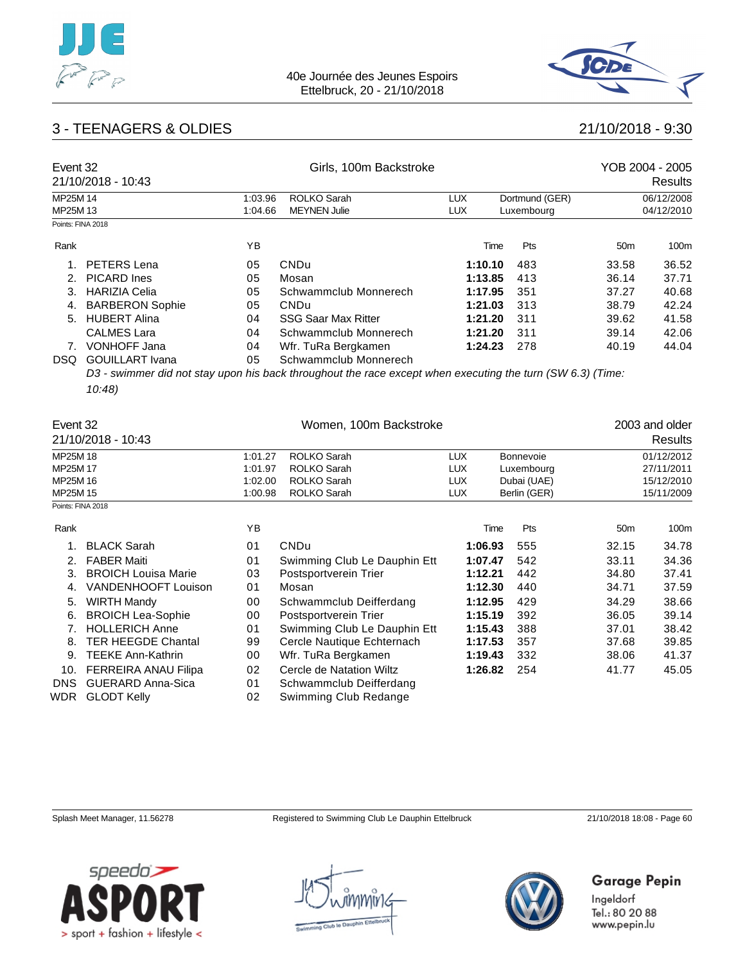



## 3 - TEENAGERS & OLDIES 21/10/2018 - 9:30

| Event 32                                  | 21/10/2018 - 10:43         |                    | Girls, 100m Backstroke                                                                                     |                          |                              |                 | YOB 2004 - 2005<br>Results |
|-------------------------------------------|----------------------------|--------------------|------------------------------------------------------------------------------------------------------------|--------------------------|------------------------------|-----------------|----------------------------|
| MP25M 14<br>MP25M 13<br>Points: FINA 2018 |                            | 1:03.96<br>1:04.66 | ROLKO Sarah<br><b>MEYNEN Julie</b>                                                                         | <b>LUX</b><br>LUX        | Dortmund (GER)<br>Luxembourg |                 | 06/12/2008<br>04/12/2010   |
| Rank                                      |                            | YB                 |                                                                                                            | Time                     | Pts                          | 50 <sub>m</sub> | 100m                       |
|                                           |                            |                    |                                                                                                            |                          |                              |                 |                            |
| 1.                                        | PETERS Lena                | 05                 | <b>CNDu</b>                                                                                                | 1:10.10                  | 483                          | 33.58           | 36.52                      |
| 2.                                        | <b>PICARD</b> Ines         | 05                 | Mosan                                                                                                      | 1:13.85                  | 413                          | 36.14           | 37.71                      |
| 3.                                        | <b>HARIZIA Celia</b>       | 05                 | Schwammclub Monnerech                                                                                      | 1:17.95                  | 351                          | 37.27           | 40.68                      |
| 4.                                        | <b>BARBERON Sophie</b>     | 05                 | <b>CNDu</b>                                                                                                | 1:21.03                  | 313                          | 38.79           | 42.24                      |
|                                           | 5. HUBERT Alina            | 04                 | <b>SSG Saar Max Ritter</b>                                                                                 | 1:21.20                  | 311                          | 39.62           | 41.58                      |
|                                           | <b>CALMES Lara</b>         | 04                 | Schwammclub Monnerech                                                                                      | 1:21.20                  | 311                          | 39.14           | 42.06                      |
|                                           | 7. VONHOFF Jana            | 04                 | Wfr. TuRa Bergkamen                                                                                        | 1:24.23                  | 278                          | 40.19           | 44.04                      |
|                                           | DSQ GOUILLART Ivana        | 05                 | Schwammclub Monnerech                                                                                      |                          |                              |                 |                            |
|                                           | 10:48)                     |                    | D3 - swimmer did not stay upon his back throughout the race except when executing the turn (SW 6.3) (Time: |                          |                              |                 |                            |
| Event 32                                  |                            |                    | Women, 100m Backstroke                                                                                     |                          |                              |                 | 2003 and older             |
|                                           | 21/10/2018 - 10:43         |                    |                                                                                                            |                          |                              |                 | Results                    |
| MP25M 18                                  |                            | 1:01.27            | ROLKO Sarah                                                                                                | <b>LUX</b>               | Bonnevoie                    |                 | 01/12/2012                 |
| MP25M 17                                  |                            | 1:01.97            | <b>ROLKO Sarah</b>                                                                                         | <b>LUX</b>               | Luxembourg                   |                 | 27/11/2011                 |
| MP25M 16<br>MP25M 15                      |                            | 1:02.00<br>1:00.98 | ROLKO Sarah<br>ROLKO Sarah                                                                                 | <b>LUX</b><br><b>LUX</b> | Dubai (UAE)<br>Berlin (GER)  |                 | 15/12/2010<br>15/11/2009   |
| Points: FINA 2018                         |                            |                    |                                                                                                            |                          |                              |                 |                            |
|                                           |                            |                    |                                                                                                            |                          |                              |                 |                            |
| Rank                                      |                            | YB                 |                                                                                                            | Time                     | Pts                          | 50 <sub>m</sub> | 100m                       |
| 1.                                        | <b>BLACK Sarah</b>         | 01                 | <b>CNDu</b>                                                                                                | 1:06.93                  | 555                          | 32.15           | 34.78                      |
| 2.                                        | <b>FABER Maiti</b>         | 01                 | Swimming Club Le Dauphin Ett                                                                               | 1:07.47                  | 542                          | 33.11           | 34.36                      |
| 3.                                        | <b>BROICH Louisa Marie</b> | 03                 | Postsportverein Trier                                                                                      | 1:12.21                  | 442                          | 34.80           | 37.41                      |
| 4.                                        | VANDENHOOFT Louison        | 01                 | Mosan                                                                                                      | 1:12.30                  | 440                          | 34.71           | 37.59                      |
| 5.                                        | <b>WIRTH Mandy</b>         | 00                 | Schwammclub Deifferdang                                                                                    | 1:12.95                  | 429                          | 34.29           | 38.66                      |
| 6.                                        | <b>BROICH Lea-Sophie</b>   | 00                 | Postsportverein Trier                                                                                      | 1:15.19                  | 392                          | 36.05           | 39.14                      |
| 7.                                        | <b>HOLLERICH Anne</b>      | 01                 | Swimming Club Le Dauphin Ett                                                                               | 1:15.43                  | 388                          | 37.01           | 38.42                      |
| 8.                                        | <b>TER HEEGDE Chantal</b>  | 99                 | Cercle Nautique Echternach                                                                                 | 1:17.53                  | 357                          | 37.68           | 39.85                      |
| 9.                                        | <b>TEEKE Ann-Kathrin</b>   | 00                 | Wfr. TuRa Bergkamen                                                                                        | 1:19.43                  | 332                          | 38.06           | 41.37                      |
|                                           | 10. FERREIRA ANAU Filipa   | 02                 | Cercle de Natation Wiltz                                                                                   | 1:26.82                  | 254                          | 41.77           | 45.05                      |
| <b>DNS</b>                                | <b>GUERARD Anna-Sica</b>   | 01                 | Schwammclub Deifferdang                                                                                    |                          |                              |                 |                            |
|                                           | WDR GLODT Kelly            | 02                 | Swimming Club Redange                                                                                      |                          |                              |                 |                            |

Splash Meet Manager, 11.56278 Registered to Swimming Club Le Dauphin Ettelbruck 21/10/2018 18:08 - Page 60

**Garage Pepin** 



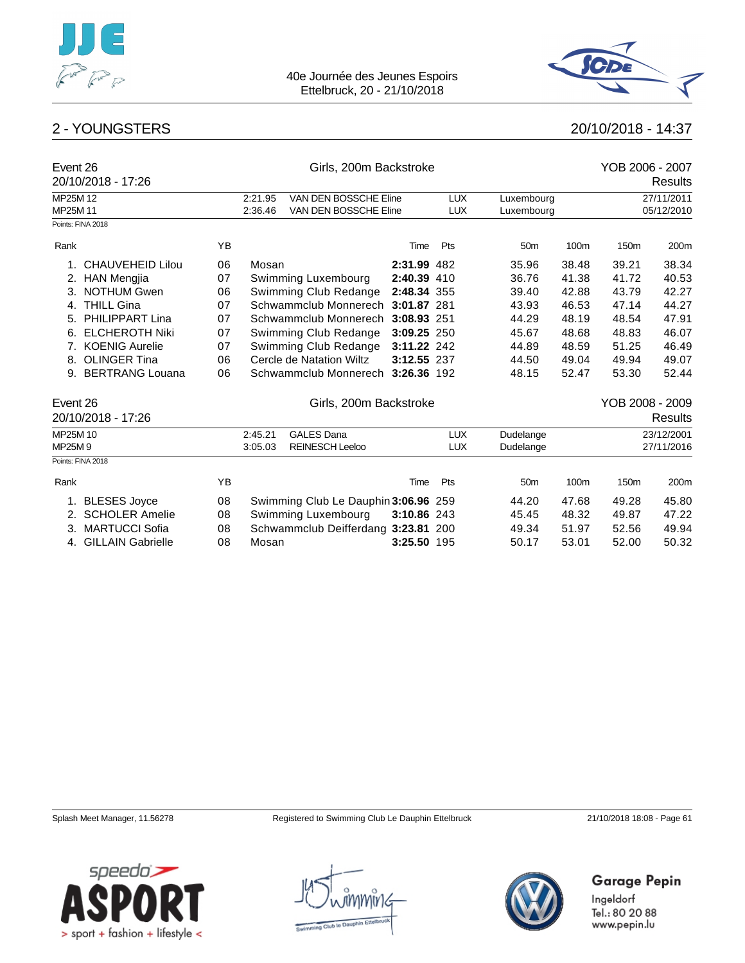



## 2 - YOUNGSTERS 20/10/2018 - 14:37

| Event 26<br>20/10/2018 - 17:26 |    |                    |                                             | YOB 2006 - 2007<br>Results |                          |                        |       |                 |                          |
|--------------------------------|----|--------------------|---------------------------------------------|----------------------------|--------------------------|------------------------|-------|-----------------|--------------------------|
| MP25M 12                       |    | 2:21.95            | VAN DEN BOSSCHE Eline                       |                            | <b>LUX</b>               | Luxembourg             |       | 27/11/2011      |                          |
| MP25M 11                       |    | 2:36.46            | VAN DEN BOSSCHE Eline                       |                            | <b>LUX</b>               | Luxembourg             |       |                 | 05/12/2010               |
| Points: FINA 2018              |    |                    |                                             |                            |                          |                        |       |                 |                          |
| Rank                           | ΥB |                    |                                             | Time                       | Pts                      | 50 <sub>m</sub>        | 100m  | 150m            | 200m                     |
| <b>CHAUVEHEID Lilou</b>        | 06 | Mosan              |                                             | 2:31.99 482                |                          | 35.96                  | 38.48 | 39.21           | 38.34                    |
| 2.<br><b>HAN Mengjia</b>       | 07 |                    | Swimming Luxembourg                         | 2:40.39 410                |                          | 36.76                  | 41.38 | 41.72           | 40.53                    |
| 3.<br><b>NOTHUM Gwen</b>       | 06 |                    | Swimming Club Redange                       | 2:48.34 355                |                          | 39.40                  | 42.88 | 43.79           | 42.27                    |
| <b>THILL Gina</b><br>4.        | 07 |                    | Schwammclub Monnerech                       | 3:01.87 281                |                          | 43.93                  | 46.53 | 47.14           | 44.27                    |
| PHILIPPART Lina<br>5.          | 07 |                    | Schwammclub Monnerech                       | 3:08.93 251                |                          | 44.29                  | 48.19 | 48.54           | 47.91                    |
| <b>ELCHEROTH Niki</b><br>6.    | 07 |                    | Swimming Club Redange                       | 3:09.25 250                |                          | 45.67                  | 48.68 | 48.83           | 46.07                    |
| 7. KOENIG Aurelie              | 07 |                    | Swimming Club Redange                       | 3:11.22 242                |                          | 44.89                  | 48.59 | 51.25           | 46.49                    |
| <b>OLINGER Tina</b><br>8.      | 06 |                    | Cercle de Natation Wiltz                    | 3:12.55 237                |                          | 44.50                  | 49.04 | 49.94           | 49.07                    |
| <b>BERTRANG Louana</b><br>9.   | 06 |                    | Schwammclub Monnerech                       | 3:26.36 192                |                          | 48.15                  | 52.47 | 53.30           | 52.44                    |
| Event 26                       |    |                    | Girls, 200m Backstroke                      |                            |                          |                        |       | YOB 2008 - 2009 |                          |
| 20/10/2018 - 17:26             |    |                    |                                             |                            |                          |                        |       |                 | <b>Results</b>           |
| MP25M 10<br>MP25M9             |    | 2:45.21<br>3:05.03 | <b>GALES Dana</b><br><b>REINESCH Leeloo</b> |                            | <b>LUX</b><br><b>LUX</b> | Dudelange<br>Dudelange |       |                 | 23/12/2001<br>27/11/2016 |
| Points: FINA 2018              |    |                    |                                             |                            |                          |                        |       |                 |                          |
| Rank                           | YB |                    |                                             | Time                       | Pts                      | 50 <sub>m</sub>        | 100m  | 150m            | 200m                     |
| <b>BLESES Joyce</b><br>1.      | 08 |                    | Swimming Club Le Dauphin 3:06.96 259        |                            |                          | 44.20                  | 47.68 | 49.28           | 45.80                    |
| <b>SCHOLER Amelie</b><br>2.    | 08 |                    | Swimming Luxembourg                         | 3:10.86 243                |                          | 45.45                  | 48.32 | 49.87           | 47.22                    |
| <b>MARTUCCI Sofia</b><br>3.    | 08 |                    | Schwammclub Deifferdang 3:23.81 200         |                            |                          | 49.34                  | 51.97 | 52.56           | 49.94                    |
| <b>GILLAIN Gabrielle</b><br>4. | 08 | Mosan              |                                             | 3:25.50 195                |                          | 50.17                  | 53.01 | 52.00           | 50.32                    |

Splash Meet Manager, 11.56278 Registered to Swimming Club Le Dauphin Ettelbruck 21/10/2018 18:08 - Page 61

**Garage Pepin** 



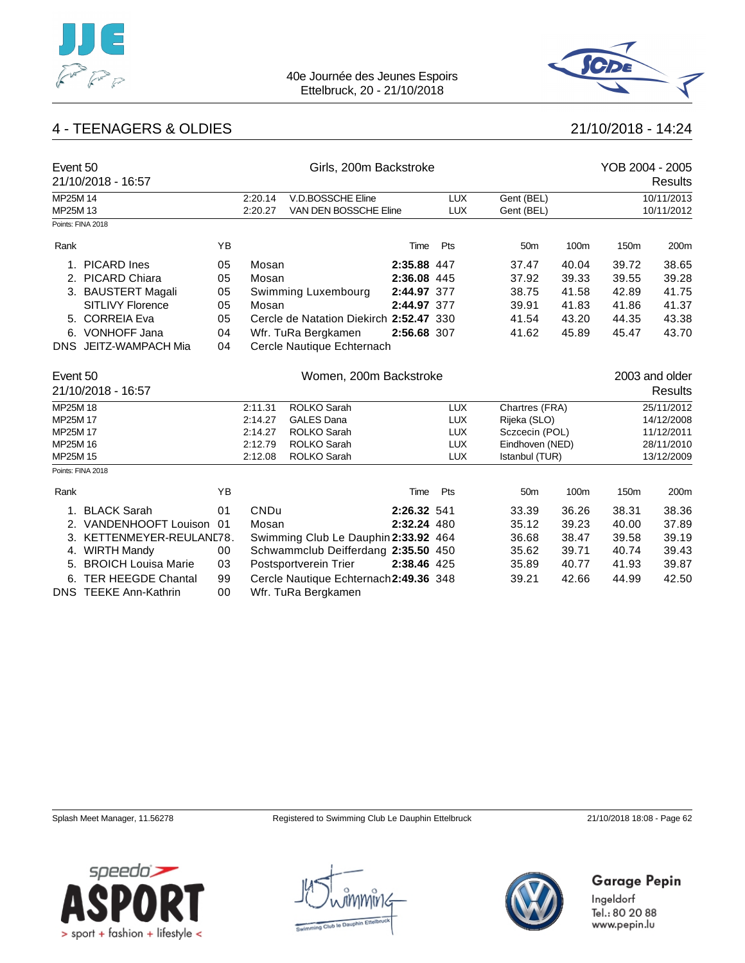



## 4 - TEENAGERS & OLDIES 21/10/2018 - 14:24

| Event 50             | 21/10/2018 - 16:57           |    |                    | Girls, 200m Backstroke                     |             |                          |                          |       | YOB 2004 - 2005 | <b>Results</b>           |
|----------------------|------------------------------|----|--------------------|--------------------------------------------|-------------|--------------------------|--------------------------|-------|-----------------|--------------------------|
| MP25M 14<br>MP25M 13 |                              |    | 2:20.14<br>2:20.27 | V.D.BOSSCHE Eline<br>VAN DEN BOSSCHE Eline |             | <b>LUX</b><br><b>LUX</b> | Gent (BEL)<br>Gent (BEL) |       |                 | 10/11/2013<br>10/11/2012 |
|                      | Points: FINA 2018            |    |                    |                                            |             |                          |                          |       |                 |                          |
| Rank                 |                              | YB |                    |                                            | Time        | Pts                      | 50 <sub>m</sub>          | 100m  | 150m            | 200m                     |
| 1.                   | <b>PICARD Ines</b>           | 05 | Mosan              |                                            | 2:35.88 447 |                          | 37.47                    | 40.04 | 39.72           | 38.65                    |
|                      | 2. PICARD Chiara             | 05 | Mosan              |                                            | 2:36.08 445 |                          | 37.92                    | 39.33 | 39.55           | 39.28                    |
|                      | 3. BAUSTERT Magali           | 05 |                    | Swimming Luxembourg                        | 2:44.97 377 |                          | 38.75                    | 41.58 | 42.89           | 41.75                    |
|                      | <b>SITLIVY Florence</b>      | 05 | Mosan              |                                            | 2:44.97 377 |                          | 39.91                    | 41.83 | 41.86           | 41.37                    |
|                      | 5. CORREIA Eva               | 05 |                    | Cercle de Natation Diekirch 2:52.47 330    |             |                          | 41.54                    | 43.20 | 44.35           | 43.38                    |
|                      | 6. VONHOFF Jana              | 04 |                    | Wfr. TuRa Bergkamen                        | 2:56.68 307 |                          | 41.62                    | 45.89 | 45.47           | 43.70                    |
|                      | DNS JEITZ-WAMPACH Mia        | 04 |                    | Cercle Nautique Echternach                 |             |                          |                          |       |                 |                          |
| Event 50             |                              |    |                    | Women, 200m Backstroke                     |             |                          |                          |       |                 | 2003 and older           |
|                      | 21/10/2018 - 16:57           |    |                    |                                            |             |                          |                          |       |                 | Results                  |
| MP25M 18             |                              |    | 2:11.31            | <b>ROLKO Sarah</b>                         |             | <b>LUX</b>               | Chartres (FRA)           |       |                 | 25/11/2012               |
| MP25M 17             |                              |    | 2:14.27            | <b>GALES Dana</b>                          |             | <b>LUX</b>               | Rijeka (SLO)             |       |                 | 14/12/2008               |
| MP25M 17             |                              |    | 2:14.27            | <b>ROLKO Sarah</b>                         |             | <b>LUX</b>               | Sczcecin (POL)           |       |                 | 11/12/2011               |
| MP25M 16             |                              |    | 2:12.79            | <b>ROLKO Sarah</b>                         |             | <b>LUX</b>               | Eindhoven (NED)          |       |                 | 28/11/2010               |
| MP25M 15             |                              |    | 2:12.08            | ROLKO Sarah                                |             | <b>LUX</b>               | Istanbul (TUR)           |       |                 | 13/12/2009               |
|                      | Points: FINA 2018            |    |                    |                                            |             |                          |                          |       |                 |                          |
| Rank                 |                              | ΥB |                    |                                            | Time        | Pts                      | 50 <sub>m</sub>          | 100m  | 150m            | 200m                     |
| 1 <sub>1</sub>       | <b>BLACK Sarah</b>           | 01 | <b>CNDu</b>        |                                            | 2:26.32 541 |                          | 33.39                    | 36.26 | 38.31           | 38.36                    |
|                      | 2. VANDENHOOFT Louison       | 01 | Mosan              |                                            | 2:32.24 480 |                          | 35.12                    | 39.23 | 40.00           | 37.89                    |
| 3.                   | KETTENMEYER-REULAND78.       |    |                    | Swimming Club Le Dauphin 2:33.92 464       |             |                          | 36.68                    | 38.47 | 39.58           | 39.19                    |
| 4.                   | <b>WIRTH Mandy</b>           | 00 |                    | Schwammclub Deifferdang 2:35.50 450        |             |                          | 35.62                    | 39.71 | 40.74           | 39.43                    |
| 5.                   | <b>BROICH Louisa Marie</b>   | 03 |                    | Postsportverein Trier                      | 2:38.46 425 |                          | 35.89                    | 40.77 | 41.93           | 39.87                    |
| 6.                   | <b>TER HEEGDE Chantal</b>    | 99 |                    | Cercle Nautique Echternach 2:49.36 348     |             |                          | 39.21                    | 42.66 | 44.99           | 42.50                    |
|                      | <b>DNS TEEKE Ann-Kathrin</b> | 00 |                    | Wfr. TuRa Bergkamen                        |             |                          |                          |       |                 |                          |

Splash Meet Manager, 11.56278 Registered to Swimming Club Le Dauphin Ettelbruck 21/10/2018 18:08 - Page 62

**Garage Pepin** 



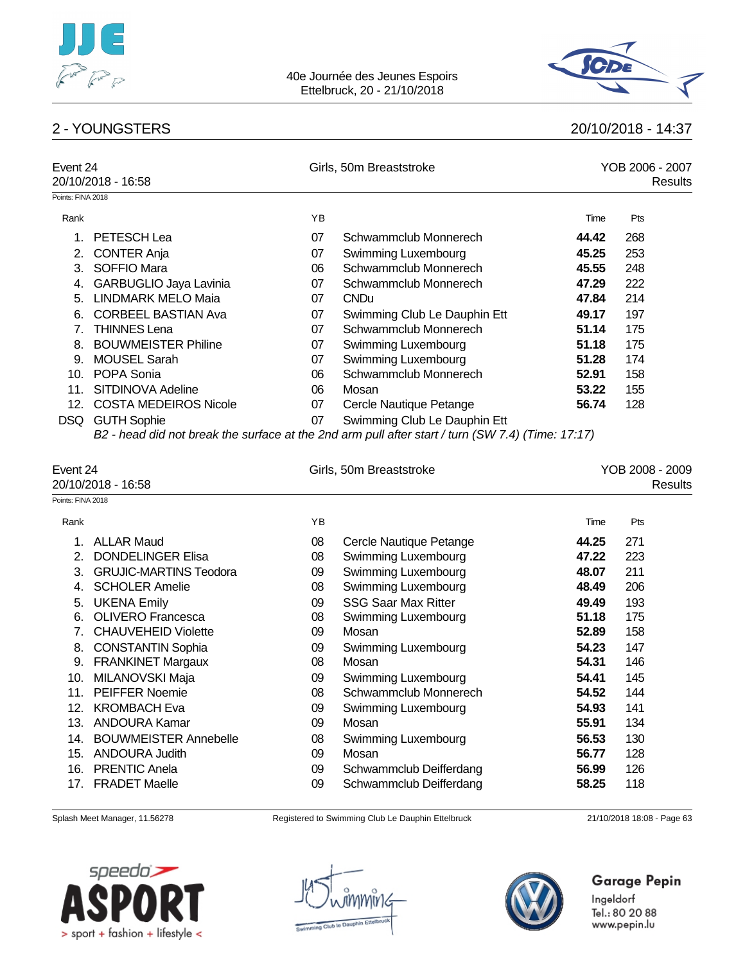



### 2 - YOUNGSTERS 20/10/2018 - 14:37

| Event 24<br>20/10/2018 - 16:58 |                              |    | Girls, 50m Breaststroke                                                                           |       | YOB 2006 - 2007<br>Results |  |  |
|--------------------------------|------------------------------|----|---------------------------------------------------------------------------------------------------|-------|----------------------------|--|--|
| Points: FINA 2018              |                              |    |                                                                                                   |       |                            |  |  |
| Rank                           |                              | YB |                                                                                                   | Time  | Pts                        |  |  |
| 1.                             | PETESCH Lea                  | 07 | Schwammclub Monnerech                                                                             | 44.42 | 268                        |  |  |
| 2.                             | <b>CONTER Anja</b>           | 07 | Swimming Luxembourg                                                                               | 45.25 | 253                        |  |  |
| 3.                             | SOFFIO Mara                  | 06 | Schwammclub Monnerech                                                                             | 45.55 | 248                        |  |  |
| 4.                             | GARBUGLIO Jaya Lavinia       | 07 | Schwammclub Monnerech                                                                             | 47.29 | 222                        |  |  |
| 5.                             | <b>LINDMARK MELO Maia</b>    | 07 | <b>CNDu</b>                                                                                       | 47.84 | 214                        |  |  |
| 6.                             | <b>CORBEEL BASTIAN Ava</b>   | 07 | Swimming Club Le Dauphin Ett                                                                      | 49.17 | 197                        |  |  |
| 7.                             | <b>THINNES Lena</b>          | 07 | Schwammclub Monnerech                                                                             | 51.14 | 175                        |  |  |
| 8.                             | <b>BOUWMEISTER Philine</b>   | 07 | Swimming Luxembourg                                                                               | 51.18 | 175                        |  |  |
| 9.                             | <b>MOUSEL Sarah</b>          | 07 | Swimming Luxembourg                                                                               | 51.28 | 174                        |  |  |
| 10.                            | POPA Sonia                   | 06 | Schwammclub Monnerech                                                                             | 52.91 | 158                        |  |  |
| 11.                            | SITDINOVA Adeline            | 06 | Mosan                                                                                             | 53.22 | 155                        |  |  |
| 12.                            | <b>COSTA MEDEIROS Nicole</b> | 07 | Cercle Nautique Petange                                                                           | 56.74 | 128                        |  |  |
| DSQ.                           | <b>GUTH Sophie</b>           | 07 | Swimming Club Le Dauphin Ett                                                                      |       |                            |  |  |
|                                |                              |    | B2 - head did not break the surface at the 2nd arm pull after start / turn (SW 7.4) (Time: 17:17) |       |                            |  |  |

| Event 24<br>20/10/2018 - 16:58 |                               |    | Girls, 50m Breaststroke    | YOB 2008 - 2009<br>Results |     |  |
|--------------------------------|-------------------------------|----|----------------------------|----------------------------|-----|--|
| Points: FINA 2018              |                               |    |                            |                            |     |  |
| Rank                           |                               | YB |                            | Time                       | Pts |  |
|                                | <b>ALLAR Maud</b>             | 08 | Cercle Nautique Petange    | 44.25                      | 271 |  |
| 2.                             | <b>DONDELINGER Elisa</b>      | 08 | Swimming Luxembourg        | 47.22                      | 223 |  |
| 3.                             | <b>GRUJIC-MARTINS Teodora</b> | 09 | Swimming Luxembourg        | 48.07                      | 211 |  |
|                                | <b>SCHOLER Amelie</b>         | 08 | Swimming Luxembourg        | 48.49                      | 206 |  |
| 5.                             | <b>UKENA Emily</b>            | 09 | <b>SSG Saar Max Ritter</b> | 49.49                      | 193 |  |
| 6.                             | <b>OLIVERO</b> Francesca      | 08 | Swimming Luxembourg        | 51.18                      | 175 |  |
|                                | <b>CHAUVEHEID Violette</b>    | 09 | Mosan                      | 52.89                      | 158 |  |
| 8.                             | <b>CONSTANTIN Sophia</b>      | 09 | Swimming Luxembourg        | 54.23                      | 147 |  |
| 9.                             | <b>FRANKINET Margaux</b>      | 08 | Mosan                      | 54.31                      | 146 |  |
| 10.                            | MILANOVSKI Maja               | 09 | Swimming Luxembourg        | 54.41                      | 145 |  |
| 11.                            | <b>PEIFFER Noemie</b>         | 08 | Schwammclub Monnerech      | 54.52                      | 144 |  |
| 12.                            | <b>KROMBACH Eva</b>           | 09 | Swimming Luxembourg        | 54.93                      | 141 |  |
| 13.                            | <b>ANDOURA Kamar</b>          | 09 | Mosan                      | 55.91                      | 134 |  |
| 14.                            | <b>BOUWMEISTER Annebelle</b>  | 08 | Swimming Luxembourg        | 56.53                      | 130 |  |
| 15.                            | <b>ANDOURA Judith</b>         | 09 | Mosan                      | 56.77                      | 128 |  |
| 16.                            | <b>PRENTIC Anela</b>          | 09 | Schwammclub Deifferdang    | 56.99                      | 126 |  |
| 17.                            | <b>FRADET Maelle</b>          | 09 | Schwammclub Deifferdang    | 58.25                      | 118 |  |

Splash Meet Manager, 11.56278 Registered to Swimming Club Le Dauphin Ettelbruck 21/10/2018 18:08 - Page 63

speedo > sport + fashion + lifestyle <



**Garage Pepin**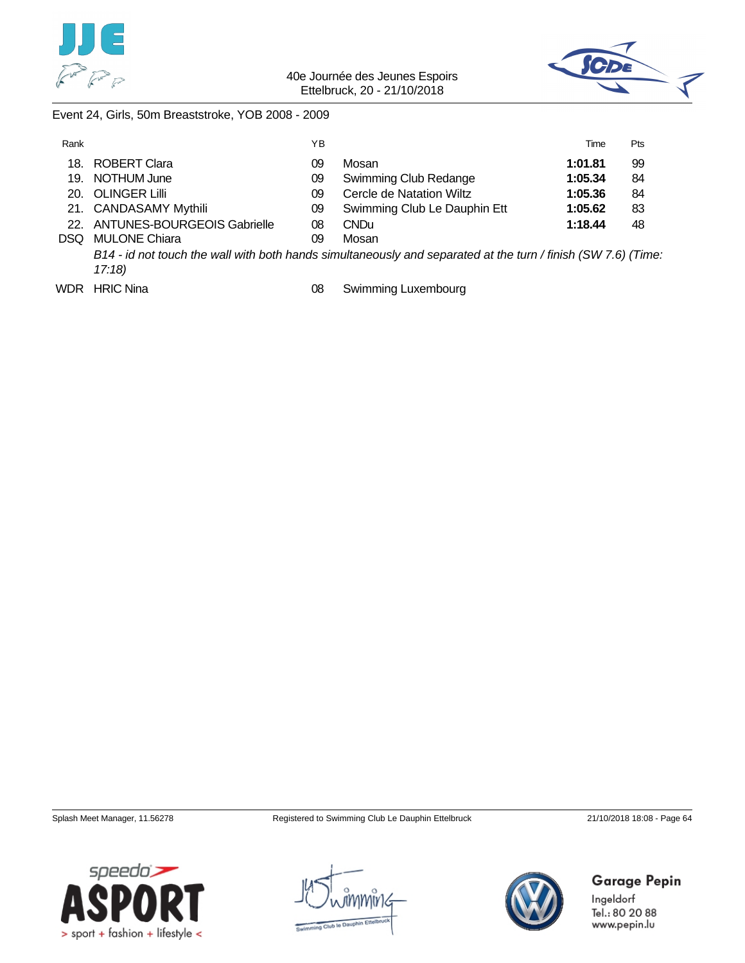



### Event 24, Girls, 50m Breaststroke, YOB 2008 - 2009

| Rank |                                                                                                                        | ΥB |                              | Time    | <b>Pts</b> |
|------|------------------------------------------------------------------------------------------------------------------------|----|------------------------------|---------|------------|
| 18.  | ROBERT Clara                                                                                                           | 09 | Mosan                        | 1:01.81 | 99         |
| 19.  | NOTHUM June                                                                                                            | 09 | Swimming Club Redange        | 1:05.34 | 84         |
| 20.  | <b>OLINGER Lilli</b>                                                                                                   | 09 | Cercle de Natation Wiltz     | 1:05.36 | 84         |
|      | 21. CANDASAMY Mythili                                                                                                  | 09 | Swimming Club Le Dauphin Ett | 1:05.62 | 83         |
|      | 22. ANTUNES-BOURGEOIS Gabrielle                                                                                        | 08 | CND <sub>u</sub>             | 1:18.44 | 48         |
| DSQ. | <b>MULONE Chiara</b>                                                                                                   | 09 | Mosan                        |         |            |
|      | B14 - id not touch the wall with both hands simultaneously and separated at the turn / finish (SW 7.6) (Time.<br>17:18 |    |                              |         |            |

WDR HRIC Nina **08 Swimming Luxembourg** 

Splash Meet Manager, 11.56278 Registered to Swimming Club Le Dauphin Ettelbruck 21/10/2018 18:08 - Page 64





Garage Pepin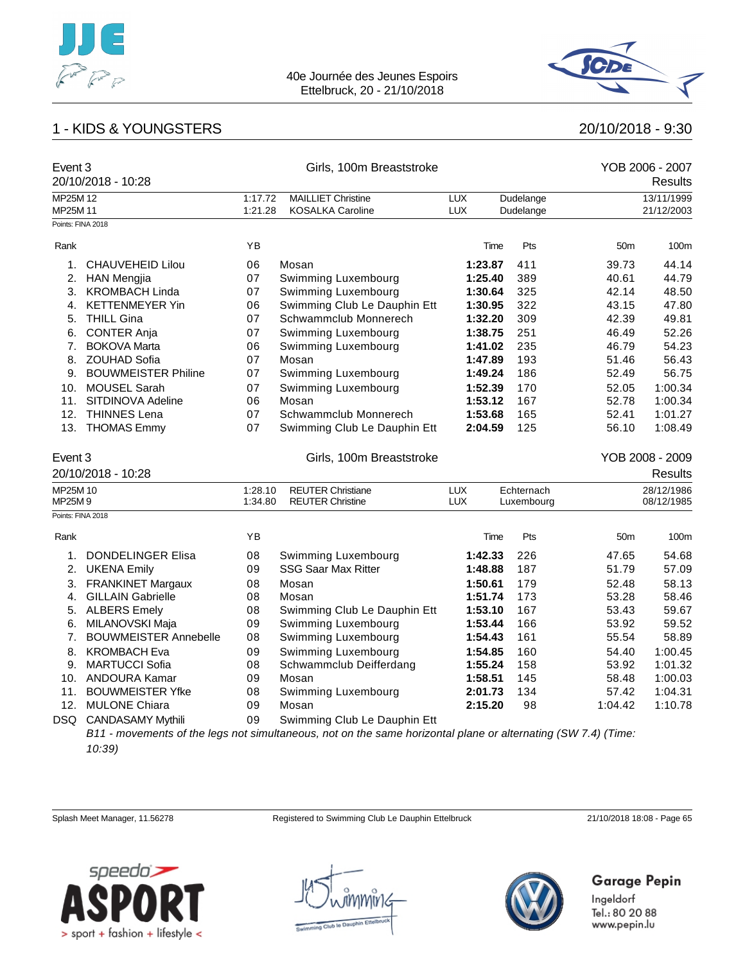



## 1 - KIDS & YOUNGSTERS 20/10/2018 - 9:30

| Event 3                     | 20/10/2018 - 10:28           |         | Girls, 100m Breaststroke                                                                                      |                          |            | YOB 2006 - 2007<br>Results |                 |
|-----------------------------|------------------------------|---------|---------------------------------------------------------------------------------------------------------------|--------------------------|------------|----------------------------|-----------------|
| MP25M 12                    |                              | 1:17.72 | <b>MAILLIET Christine</b>                                                                                     | <b>LUX</b>               | Dudelange  |                            | 13/11/1999      |
| MP25M 11                    |                              | 1:21.28 | <b>KOSALKA Caroline</b>                                                                                       | <b>LUX</b>               | Dudelange  |                            | 21/12/2003      |
| Points: FINA 2018           |                              |         |                                                                                                               |                          |            |                            |                 |
| Rank                        |                              | YB      |                                                                                                               | Time                     | Pts        | 50 <sub>m</sub>            | 100m            |
| 1.                          | <b>CHAUVEHEID Lilou</b>      | 06      | Mosan                                                                                                         | 1:23.87                  | 411        | 39.73                      | 44.14           |
| 2.                          | <b>HAN Mengjia</b>           | 07      | Swimming Luxembourg                                                                                           | 1:25.40                  | 389        | 40.61                      | 44.79           |
| 3.                          | <b>KROMBACH Linda</b>        | 07      | Swimming Luxembourg                                                                                           | 1:30.64                  | 325        | 42.14                      | 48.50           |
| 4.                          | <b>KETTENMEYER Yin</b>       | 06      | Swimming Club Le Dauphin Ett                                                                                  | 1:30.95                  | 322        | 43.15                      | 47.80           |
| 5.                          | <b>THILL Gina</b>            | 07      | Schwammclub Monnerech                                                                                         | 1:32.20                  | 309        | 42.39                      | 49.81           |
| 6.                          | <b>CONTER Anja</b>           | 07      | Swimming Luxembourg                                                                                           | 1:38.75                  | 251        | 46.49                      | 52.26           |
| 7.                          | <b>BOKOVA Marta</b>          | 06      | Swimming Luxembourg                                                                                           | 1:41.02                  | 235        | 46.79                      | 54.23           |
| 8.                          | <b>ZOUHAD Sofia</b>          | 07      | Mosan                                                                                                         | 1:47.89                  | 193        | 51.46                      | 56.43           |
| 9.                          | <b>BOUWMEISTER Philine</b>   | 07      | Swimming Luxembourg                                                                                           | 1:49.24                  | 186        | 52.49                      | 56.75           |
| 10.                         | MOUSEL Sarah                 | 07      | Swimming Luxembourg                                                                                           | 1:52.39                  | 170        | 52.05                      | 1:00.34         |
| 11.                         | SITDINOVA Adeline            | 06      | Mosan                                                                                                         | 1:53.12                  | 167        | 52.78                      | 1:00.34         |
| 12.                         | <b>THINNES Lena</b>          | 07      | Schwammclub Monnerech                                                                                         | 1:53.68                  | 165        | 52.41                      | 1:01.27         |
|                             | 13. THOMAS Emmy              | 07      | Swimming Club Le Dauphin Ett                                                                                  | 2:04.59                  | 125        | 56.10                      | 1:08.49         |
| Event 3                     |                              |         | Girls, 100m Breaststroke                                                                                      |                          |            |                            | YOB 2008 - 2009 |
|                             | 20/10/2018 - 10:28           |         |                                                                                                               |                          |            |                            | Results         |
| MP25M 10                    |                              | 1:28.10 | <b>REUTER Christiane</b>                                                                                      | <b>LUX</b><br><b>LUX</b> | Echternach |                            | 28/12/1986      |
| MP25M9<br>Points: FINA 2018 |                              | 1:34.80 | <b>REUTER Christine</b>                                                                                       |                          | Luxembourg |                            | 08/12/1985      |
|                             |                              |         |                                                                                                               |                          |            |                            |                 |
| Rank                        |                              | ΥB      |                                                                                                               | Time                     | Pts        | 50 <sub>m</sub>            | 100m            |
| 1.                          | <b>DONDELINGER Elisa</b>     | 08      | Swimming Luxembourg                                                                                           | 1:42.33                  | 226        | 47.65                      | 54.68           |
| 2.                          | <b>UKENA Emily</b>           | 09      | <b>SSG Saar Max Ritter</b>                                                                                    | 1:48.88                  | 187        | 51.79                      | 57.09           |
| 3.                          | <b>FRANKINET Margaux</b>     | 08      | Mosan                                                                                                         | 1:50.61                  | 179        | 52.48                      | 58.13           |
| 4.                          | <b>GILLAIN Gabrielle</b>     | 08      | Mosan                                                                                                         | 1:51.74                  | 173        | 53.28                      | 58.46           |
| 5.                          | <b>ALBERS Emely</b>          | 08      | Swimming Club Le Dauphin Ett                                                                                  | 1:53.10                  | 167        | 53.43                      | 59.67           |
| 6.                          | MILANOVSKI Maja              | 09      | Swimming Luxembourg                                                                                           | 1:53.44                  | 166        | 53.92                      | 59.52           |
| 7.                          | <b>BOUWMEISTER Annebelle</b> | 08      | Swimming Luxembourg                                                                                           | 1:54.43                  | 161        | 55.54                      | 58.89           |
| 8.                          | <b>KROMBACH Eva</b>          | 09      | Swimming Luxembourg                                                                                           | 1:54.85                  | 160        | 54.40                      | 1:00.45         |
| 9.                          | <b>MARTUCCI Sofia</b>        | 08      | Schwammclub Deifferdang                                                                                       | 1:55.24                  | 158        | 53.92                      | 1:01.32         |
|                             | 10. ANDOURA Kamar            | 09      | Mosan                                                                                                         | 1:58.51                  | 145        | 58.48                      | 1:00.03         |
| 11.                         | <b>BOUWMEISTER Yfke</b>      | 08      | Swimming Luxembourg                                                                                           | 2:01.73                  | 134        | 57.42                      | 1:04.31         |
|                             | 12. MULONE Chiara            | 09      | Mosan                                                                                                         | 2:15.20                  | 98         | 1:04.42                    | 1:10.78         |
|                             | DSQ CANDASAMY Mythili        | 09      | Swimming Club Le Dauphin Ett                                                                                  |                          |            |                            |                 |
|                             |                              |         | B11 - movements of the legs not simultaneous, not on the same horizontal plane or alternating (SW 7.4) (Time: |                          |            |                            |                 |

*10:39)*

Splash Meet Manager, 11.56278 Registered to Swimming Club Le Dauphin Ettelbruck 21/10/2018 18:08 - Page 65





## Garage Pepin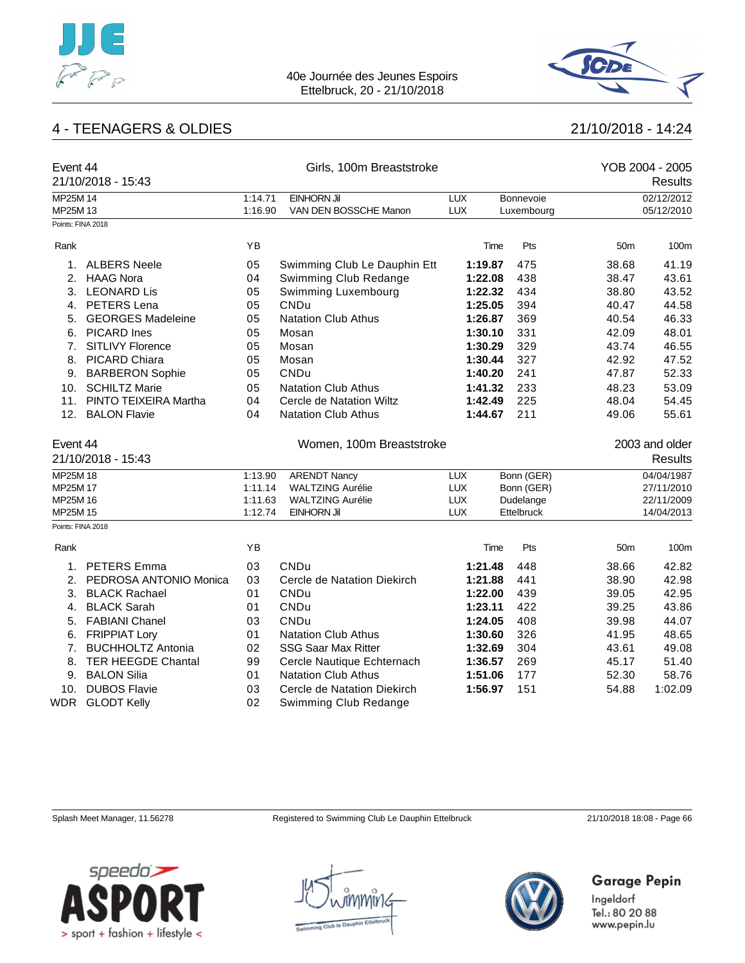



## 4 - TEENAGERS & OLDIES 21/10/2018 - 14:24

| Event 44                      | 21/10/2018 - 15:43        |         | Girls, 100m Breaststroke     |            |            |                 | YOB 2004 - 2005<br><b>Results</b> |
|-------------------------------|---------------------------|---------|------------------------------|------------|------------|-----------------|-----------------------------------|
| MP25M 14                      |                           | 1:14.71 | <b>EINHORN Jil</b>           | <b>LUX</b> | Bonnevoie  |                 | 02/12/2012                        |
| MP25M 13                      |                           | 1:16.90 | VAN DEN BOSSCHE Manon        | <b>LUX</b> | Luxembourg |                 | 05/12/2010                        |
| Points: FINA 2018             |                           |         |                              |            |            |                 |                                   |
| Rank                          |                           | YB      |                              | Time       | Pts        | 50 <sub>m</sub> | 100m                              |
| 1.                            | <b>ALBERS Neele</b>       | 05      | Swimming Club Le Dauphin Ett | 1:19.87    | 475        | 38.68           | 41.19                             |
| 2.                            | <b>HAAG Nora</b>          | 04      | Swimming Club Redange        | 1:22.08    | 438        | 38.47           | 43.61                             |
| 3.                            | <b>LEONARD Lis</b>        | 05      | Swimming Luxembourg          | 1:22.32    | 434        | 38.80           | 43.52                             |
| 4.                            | PETERS Lena               | 05      | <b>CNDu</b>                  | 1:25.05    | 394        | 40.47           | 44.58                             |
| 5.                            | <b>GEORGES Madeleine</b>  | 05      | <b>Natation Club Athus</b>   | 1:26.87    | 369        | 40.54           | 46.33                             |
| 6.                            | <b>PICARD Ines</b>        | 05      | Mosan                        | 1:30.10    | 331        | 42.09           | 48.01                             |
| 7.                            | SITLIVY Florence          | 05      | Mosan                        | 1:30.29    | 329        | 43.74           | 46.55                             |
| 8.                            | <b>PICARD Chiara</b>      | 05      | Mosan                        | 1:30.44    | 327        | 42.92           | 47.52                             |
| 9.                            | <b>BARBERON Sophie</b>    | 05      | <b>CNDu</b>                  | 1:40.20    | 241        | 47.87           | 52.33                             |
| 10.                           | <b>SCHILTZ Marie</b>      | 05      | <b>Natation Club Athus</b>   | 1:41.32    | 233        | 48.23           | 53.09                             |
| 11.                           | PINTO TEIXEIRA Martha     | 04      | Cercle de Natation Wiltz     | 1:42.49    | 225        | 48.04           | 54.45                             |
|                               | 12. BALON Flavie          | 04      | <b>Natation Club Athus</b>   | 1:44.67    | 211        | 49.06           | 55.61                             |
| Event 44                      |                           |         | Women, 100m Breaststroke     |            |            |                 | 2003 and older                    |
|                               | 21/10/2018 - 15:43        |         |                              |            |            |                 | <b>Results</b>                    |
| MP25M 18                      |                           | 1:13.90 | <b>ARENDT Nancy</b>          | <b>LUX</b> | Bonn (GER) |                 | 04/04/1987                        |
| MP25M 17                      |                           | 1:11.14 | <b>WALTZING Aurélie</b>      | <b>LUX</b> | Bonn (GER) |                 | 27/11/2010                        |
| MP25M 16                      |                           | 1:11.63 | <b>WALTZING Aurélie</b>      | <b>LUX</b> | Dudelange  |                 | 22/11/2009                        |
| MP25M 15<br>Points: FINA 2018 |                           | 1:12.74 | EINHORN Jil                  | <b>LUX</b> | Ettelbruck |                 | 14/04/2013                        |
| Rank                          |                           | YB      |                              | Time       | Pts        | 50 <sub>m</sub> | 100m                              |
| 1.                            | <b>PETERS Emma</b>        | 03      | CNDu                         | 1:21.48    | 448        | 38.66           | 42.82                             |
| 2.                            | PEDROSA ANTONIO Monica    | 03      | Cercle de Natation Diekirch  | 1:21.88    | 441        | 38.90           | 42.98                             |
| 3.                            | <b>BLACK Rachael</b>      | 01      | <b>CNDu</b>                  | 1:22.00    | 439        | 39.05           | 42.95                             |
| 4.                            | <b>BLACK Sarah</b>        | 01      | CNDu                         | 1:23.11    | 422        | 39.25           | 43.86                             |
| 5.                            | <b>FABIANI Chanel</b>     | 03      | CNDu                         | 1:24.05    | 408        | 39.98           | 44.07                             |
| 6.                            | <b>FRIPPIAT Lory</b>      | 01      | <b>Natation Club Athus</b>   | 1:30.60    | 326        | 41.95           | 48.65                             |
| 7.                            | <b>BUCHHOLTZ Antonia</b>  | 02      | <b>SSG Saar Max Ritter</b>   | 1:32.69    | 304        | 43.61           | 49.08                             |
| 8.                            | <b>TER HEEGDE Chantal</b> | 99      | Cercle Nautique Echternach   | 1:36.57    | 269        | 45.17           | 51.40                             |
| 9.                            | <b>BALON Silia</b>        | 01      | <b>Natation Club Athus</b>   | 1:51.06    | 177        | 52.30           | 58.76                             |
| 10.                           | <b>DUBOS Flavie</b>       | 03      | Cercle de Natation Diekirch  | 1:56.97    | 151        | 54.88           | 1:02.09                           |
|                               | WDR GLODT Kelly           | 02      | Swimming Club Redange        |            |            |                 |                                   |

Splash Meet Manager, 11.56278 Registered to Swimming Club Le Dauphin Ettelbruck 21/10/2018 18:08 - Page 66





## Garage Pepin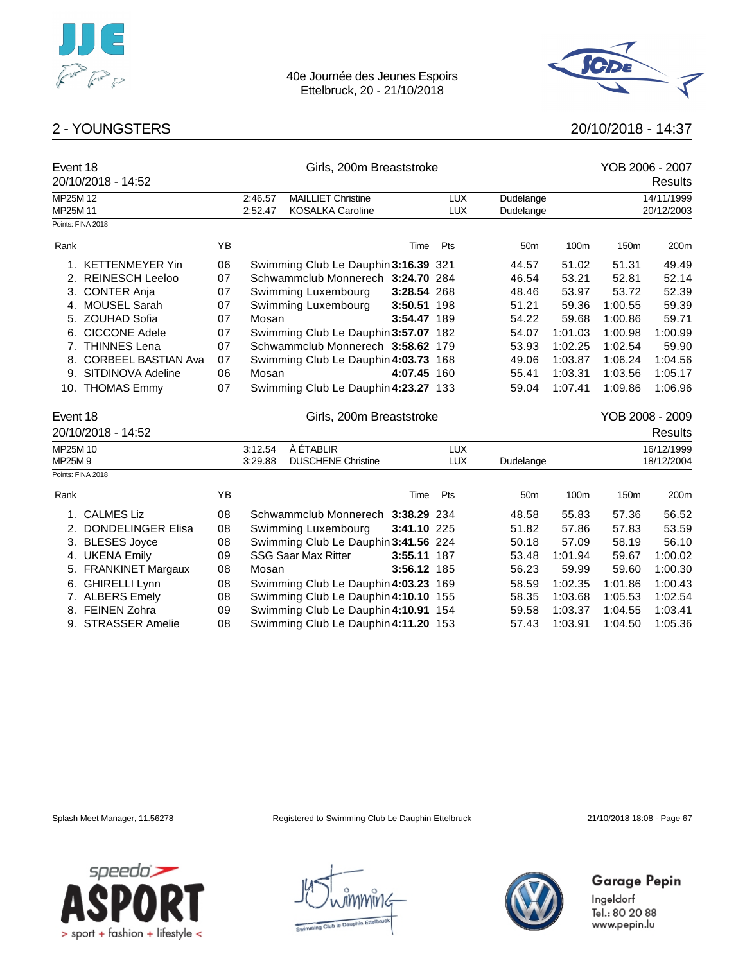



## 2 - YOUNGSTERS 20/10/2018 - 14:37

| Event 18<br>20/10/2018 - 14:52 |                            |    |                    | Girls, 200m Breaststroke                             |             |                          |                        |         | YOB 2006 - 2007 | Results                  |
|--------------------------------|----------------------------|----|--------------------|------------------------------------------------------|-------------|--------------------------|------------------------|---------|-----------------|--------------------------|
| MP25M 12<br>MP25M 11           |                            |    | 2:46.57<br>2:52.47 | <b>MAILLIET Christine</b><br><b>KOSALKA Caroline</b> |             | <b>LUX</b><br><b>LUX</b> | Dudelange<br>Dudelange |         |                 | 14/11/1999<br>20/12/2003 |
| Points: FINA 2018              |                            |    |                    |                                                      |             |                          |                        |         |                 |                          |
| Rank                           |                            | YB |                    |                                                      | Time        | Pts                      | 50 <sub>m</sub>        | 100m    | 150m            | 200m                     |
| 1.                             | <b>KETTENMEYER Yin</b>     | 06 |                    | Swimming Club Le Dauphin 3:16.39 321                 |             |                          | 44.57                  | 51.02   | 51.31           | 49.49                    |
|                                | 2. REINESCH Leeloo         | 07 |                    | Schwammclub Monnerech 3:24.70 284                    |             |                          | 46.54                  | 53.21   | 52.81           | 52.14                    |
|                                | 3. CONTER Anja             | 07 |                    | Swimming Luxembourg                                  | 3:28.54 268 |                          | 48.46                  | 53.97   | 53.72           | 52.39                    |
|                                | 4. MOUSEL Sarah            | 07 |                    | Swimming Luxembourg                                  | 3:50.51 198 |                          | 51.21                  | 59.36   | 1:00.55         | 59.39                    |
|                                | 5. ZOUHAD Sofia            | 07 | Mosan              |                                                      | 3:54.47 189 |                          | 54.22                  | 59.68   | 1:00.86         | 59.71                    |
|                                | 6. CICCONE Adele           | 07 |                    | Swimming Club Le Dauphin 3:57.07 182                 |             |                          | 54.07                  | 1:01.03 | 1:00.98         | 1:00.99                  |
|                                | 7. THINNES Lena            | 07 |                    | Schwammclub Monnerech 3:58.62 179                    |             |                          | 53.93                  | 1:02.25 | 1:02.54         | 59.90                    |
| 8.                             | <b>CORBEEL BASTIAN Ava</b> | 07 |                    | Swimming Club Le Dauphin 4:03.73 168                 |             |                          | 49.06                  | 1:03.87 | 1:06.24         | 1:04.56                  |
|                                | 9. SITDINOVA Adeline       | 06 | Mosan              |                                                      | 4:07.45 160 |                          | 55.41                  | 1:03.31 | 1:03.56         | 1:05.17                  |
|                                | 10. THOMAS Emmy            | 07 |                    | Swimming Club Le Dauphin 4:23.27 133                 |             |                          | 59.04                  | 1:07.41 | 1:09.86         | 1:06.96                  |
| Event 18                       |                            |    |                    | Girls, 200m Breaststroke                             |             |                          | YOB 2008 - 2009        |         |                 |                          |
| 20/10/2018 - 14:52             |                            |    |                    |                                                      |             |                          |                        |         |                 | Results                  |
| MP25M 10                       |                            |    | 3:12.54            | À ÉTABLIR                                            |             | <b>LUX</b>               |                        |         |                 | 16/12/1999               |
| MP25M9                         |                            |    | 3:29.88            | <b>DUSCHENE Christine</b>                            |             | <b>LUX</b>               | Dudelange              |         |                 | 18/12/2004               |
| Points: FINA 2018              |                            |    |                    |                                                      |             |                          |                        |         |                 |                          |
| Rank                           |                            | YB |                    |                                                      | Time        | Pts                      | 50 <sub>m</sub>        | 100m    | 150m            | 200m                     |
| 1. CALMES Liz                  |                            | 08 |                    | Schwammclub Monnerech 3:38.29 234                    |             |                          | 48.58                  | 55.83   | 57.36           | 56.52                    |
| 2.                             | <b>DONDELINGER Elisa</b>   | 08 |                    | Swimming Luxembourg                                  | 3:41.10 225 |                          | 51.82                  | 57.86   | 57.83           | 53.59                    |
| 3.                             | <b>BLESES Joyce</b>        | 08 |                    | Swimming Club Le Dauphin 3:41.56 224                 |             |                          | 50.18                  | 57.09   | 58.19           | 56.10                    |
| 4.                             | <b>UKENA Emily</b>         | 09 |                    | <b>SSG Saar Max Ritter</b>                           | 3:55.11 187 |                          | 53.48                  | 1:01.94 | 59.67           | 1:00.02                  |
|                                | 5. FRANKINET Margaux       | 08 | Mosan              |                                                      | 3:56.12 185 |                          | 56.23                  | 59.99   | 59.60           | 1:00.30                  |
| 6.                             | <b>GHIRELLI Lynn</b>       | 08 |                    | Swimming Club Le Dauphin 4:03.23 169                 |             |                          | 58.59                  | 1:02.35 | 1:01.86         | 1:00.43                  |
|                                | 7. ALBERS Emely            | 08 |                    | Swimming Club Le Dauphin 4:10.10 155                 |             |                          | 58.35                  | 1:03.68 | 1:05.53         | 1:02.54                  |
|                                | 8. FEINEN Zohra            | 09 |                    | Swimming Club Le Dauphin 4:10.91 154                 |             |                          | 59.58                  | 1:03.37 | 1:04.55         | 1:03.41                  |
|                                | 9. STRASSER Amelie         | 08 |                    | Swimming Club Le Dauphin 4:11.20 153                 |             |                          | 57.43                  | 1:03.91 | 1:04.50         | 1:05.36                  |

Splash Meet Manager, 11.56278 **Registered to Swimming Club Le Dauphin Ettelbruck** 21/10/2018 18:08 - Page 67





## Garage Pepin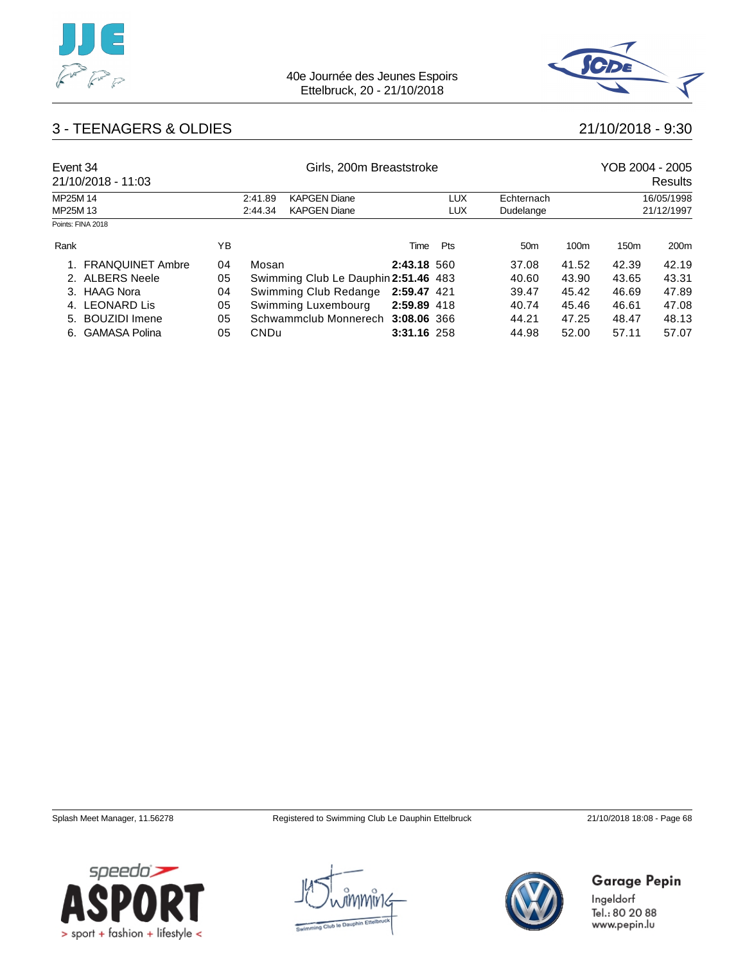



## 3 - TEENAGERS & OLDIES 21/10/2018 - 9:30

| Event 34<br>21/10/2018 - 11:03 |                         |    | Girls, 200m Breaststroke             |             | YOB 2004 - 2005<br><b>Results</b> |                 |                  |                  |                  |
|--------------------------------|-------------------------|----|--------------------------------------|-------------|-----------------------------------|-----------------|------------------|------------------|------------------|
| MP25M 14                       |                         |    | <b>KAPGEN Diane</b><br>2:41.89       |             | <b>LUX</b>                        | Echternach      |                  | 16/05/1998       |                  |
| MP25M 13                       |                         |    | <b>KAPGEN Diane</b><br>2:44.34       |             | <b>LUX</b>                        | Dudelange       |                  |                  | 21/12/1997       |
|                                | Points: FINA 2018       |    |                                      |             |                                   |                 |                  |                  |                  |
| Rank                           |                         | YΒ |                                      | Time        | Pts                               | 50 <sub>m</sub> | 100 <sub>m</sub> | 150 <sub>m</sub> | 200 <sub>m</sub> |
|                                | <b>FRANQUINET Ambre</b> | 04 | Mosan                                | 2:43.18 560 |                                   | 37.08           | 41.52            | 42.39            | 42.19            |
|                                | 2. ALBERS Neele         | 05 | Swimming Club Le Dauphin 2:51.46 483 |             |                                   | 40.60           | 43.90            | 43.65            | 43.31            |
|                                | 3. HAAG Nora            | 04 | Swimming Club Redange                | 2:59.47 421 |                                   | 39.47           | 45.42            | 46.69            | 47.89            |
| 4.                             | <b>LEONARD Lis</b>      | 05 | Swimming Luxembourg                  | 2:59.89 418 |                                   | 40.74           | 45.46            | 46.61            | 47.08            |
|                                | 5. BOUZIDI Imene        | 05 | Schwammclub Monnerech 3:08.06 366    |             |                                   | 44.21           | 47.25            | 48.47            | 48.13            |
|                                | 6. GAMASA Polina        | 05 | CNDu                                 | 3:31.16 258 |                                   | 44.98           | 52.00            | 57.11            | 57.07            |





Garage Pepin



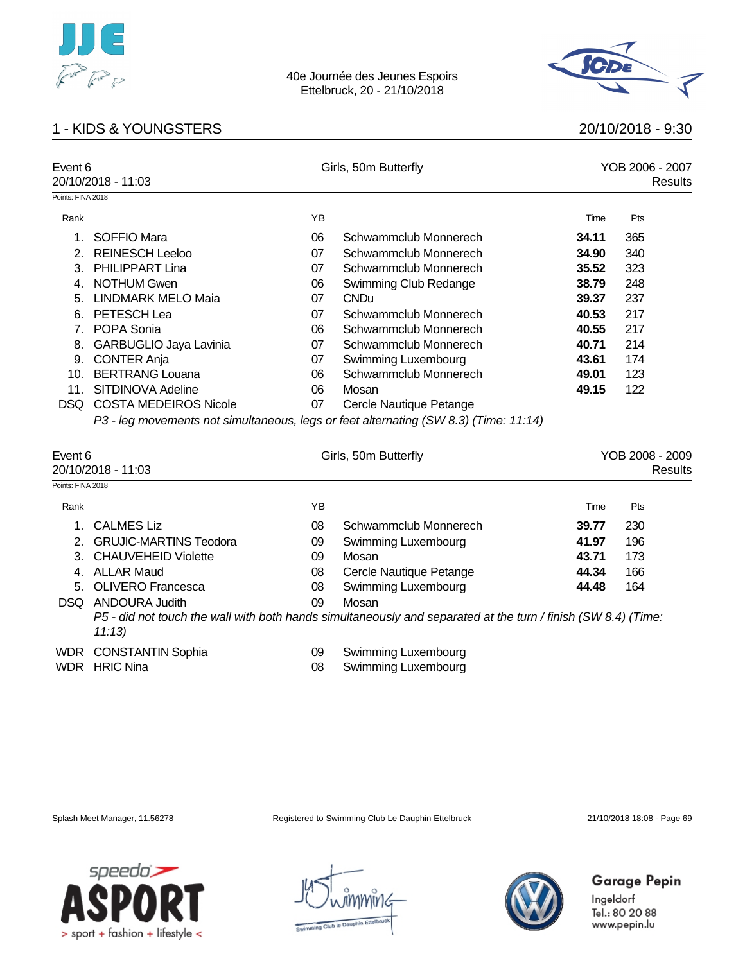



## 1 - KIDS & YOUNGSTERS 20/10/2018 - 9:30

| Event 6<br>20/10/2018 - 11:03 |                               |    | Girls, 50m Butterfly                                                                                          |       | YOB 2006 - 2007<br><b>Results</b> |  |  |
|-------------------------------|-------------------------------|----|---------------------------------------------------------------------------------------------------------------|-------|-----------------------------------|--|--|
| Points: FINA 2018             |                               |    |                                                                                                               |       |                                   |  |  |
| Rank                          |                               | YB |                                                                                                               | Time  | Pts                               |  |  |
| 1.                            | <b>SOFFIO Mara</b>            | 06 | Schwammclub Monnerech                                                                                         | 34.11 | 365                               |  |  |
| 2.                            | <b>REINESCH Leeloo</b>        | 07 | Schwammclub Monnerech                                                                                         | 34.90 | 340                               |  |  |
| 3.                            | <b>PHILIPPART Lina</b>        | 07 | Schwammclub Monnerech                                                                                         | 35.52 | 323                               |  |  |
| 4.                            | <b>NOTHUM Gwen</b>            | 06 | Swimming Club Redange                                                                                         | 38.79 | 248                               |  |  |
|                               | 5. LINDMARK MELO Maia         | 07 | <b>CNDu</b>                                                                                                   | 39.37 | 237                               |  |  |
| 6.                            | PETESCH Lea                   | 07 | Schwammclub Monnerech                                                                                         | 40.53 | 217                               |  |  |
| 7 <sub>1</sub>                | POPA Sonia                    | 06 | Schwammclub Monnerech                                                                                         | 40.55 | 217                               |  |  |
| 8.                            | GARBUGLIO Jaya Lavinia        | 07 | Schwammclub Monnerech                                                                                         | 40.71 | 214                               |  |  |
|                               | 9. CONTER Anja                | 07 | Swimming Luxembourg                                                                                           | 43.61 | 174                               |  |  |
|                               | 10. BERTRANG Louana           | 06 | Schwammclub Monnerech                                                                                         | 49.01 | 123                               |  |  |
|                               | 11. SITDINOVA Adeline         | 06 | Mosan                                                                                                         | 49.15 | 122                               |  |  |
|                               | DSQ COSTA MEDEIROS Nicole     | 07 | Cercle Nautique Petange                                                                                       |       |                                   |  |  |
|                               |                               |    | P3 - leg movements not simultaneous, legs or feet alternating (SW 8.3) (Time: 11:14)                          |       |                                   |  |  |
| Event 6                       | 20/10/2018 - 11:03            |    | Girls, 50m Butterfly                                                                                          |       | YOB 2008 - 2009<br><b>Results</b> |  |  |
| Points: FINA 2018             |                               |    |                                                                                                               |       |                                   |  |  |
| Rank                          |                               | YB |                                                                                                               | Time  | Pts                               |  |  |
|                               | 1. CALMES Liz                 | 08 | Schwammclub Monnerech                                                                                         | 39.77 | 230                               |  |  |
| 2.                            | <b>GRUJIC-MARTINS Teodora</b> | 09 | Swimming Luxembourg                                                                                           | 41.97 | 196                               |  |  |
| 3.                            | <b>CHAUVEHEID Violette</b>    | 09 | Mosan                                                                                                         | 43.71 | 173                               |  |  |
|                               | 4. ALLAR Maud                 | 08 | Cercle Nautique Petange                                                                                       | 44.34 | 166                               |  |  |
|                               | 5. OLIVERO Francesca          | 08 | Swimming Luxembourg                                                                                           | 44.48 | 164                               |  |  |
|                               | DSQ ANDOURA Judith            | 09 | Mosan                                                                                                         |       |                                   |  |  |
|                               | 11:13                         |    | P5 - did not touch the wall with both hands simultaneously and separated at the turn / finish (SW 8.4) (Time: |       |                                   |  |  |
|                               | <b>WDR</b> CONSTANTIN Sophia  | 09 | Swimming Luxembourg                                                                                           |       |                                   |  |  |

- 
- WDR HRIC Nina 2008 Swimming Luxembourg

Splash Meet Manager, 11.56278 Registered to Swimming Club Le Dauphin Ettelbruck 21/10/2018 18:08 - Page 69

Garage Pepin



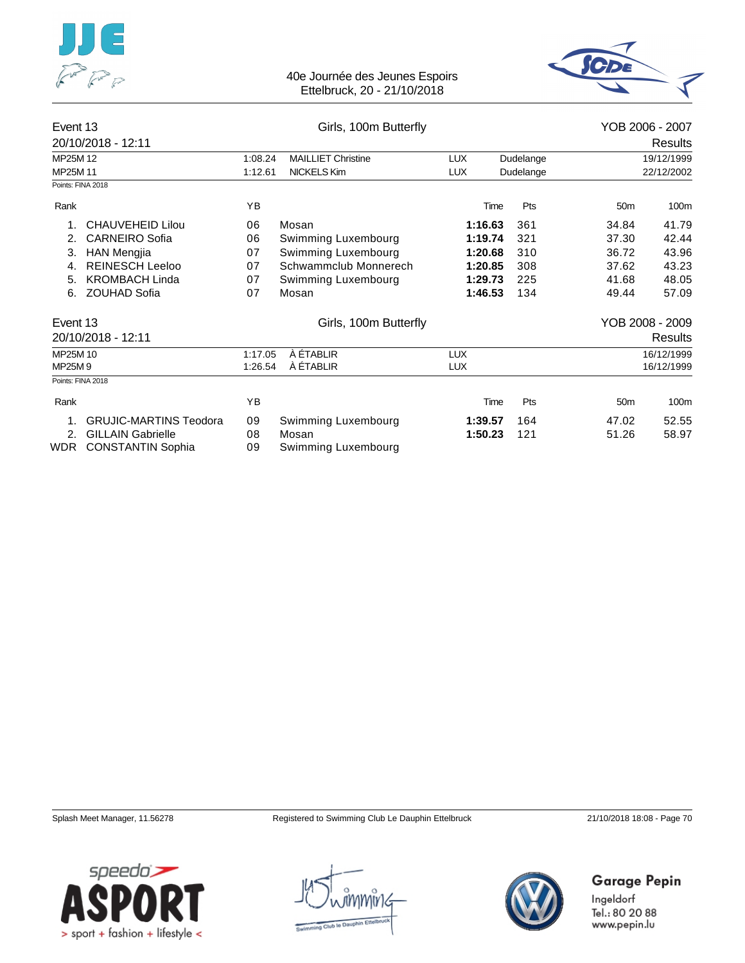

40e Journée des Jeunes Espoirs Ettelbruck, 20 - 21/10/2018



| Event 13<br>20/10/2018 - 12:11 |                               |                                      | Girls, 100m Butterfly  |                          | YOB 2006 - 2007 |     |                 |                          |  |
|--------------------------------|-------------------------------|--------------------------------------|------------------------|--------------------------|-----------------|-----|-----------------|--------------------------|--|
|                                |                               |                                      |                        |                          |                 |     | <b>Results</b>  |                          |  |
| MP25M 12                       |                               | <b>MAILLIET Christine</b><br>1:08.24 |                        | <b>LUX</b>               | Dudelange       |     | 19/12/1999      |                          |  |
| MP25M 11                       |                               | 1:12.61                              | <b>NICKELS Kim</b>     | <b>LUX</b>               | Dudelange       |     | 22/12/2002      |                          |  |
|                                | Points: FINA 2018             |                                      |                        |                          |                 |     |                 |                          |  |
| Rank                           |                               | <b>YB</b>                            |                        |                          | Time            | Pts | 50 <sub>m</sub> | 100m                     |  |
| 1.                             | <b>CHAUVEHEID Lilou</b>       | 06                                   | Mosan                  | 1:16.63                  |                 | 361 | 34.84           | 41.79                    |  |
| 2.                             | CARNEIRO Sofia                | 06                                   | Swimming Luxembourg    | 1:19.74                  |                 | 321 | 37.30           | 42.44                    |  |
| 3.                             | <b>HAN Mengjia</b>            | 07                                   | Swimming Luxembourg    | 1:20.68                  |                 | 310 | 36.72           | 43.96                    |  |
| 4.                             | <b>REINESCH Leeloo</b>        | 07                                   | Schwammclub Monnerech  | 1:20.85                  |                 | 308 | 37.62           | 43.23                    |  |
| 5.                             | <b>KROMBACH Linda</b>         | 07                                   | Swimming Luxembourg    | 1:29.73                  |                 | 225 | 41.68           | 48.05                    |  |
| 6.                             | <b>ZOUHAD Sofia</b>           | 07                                   | Mosan                  | 1:46.53                  |                 | 134 | 49.44           | 57.09                    |  |
| Event 13                       |                               |                                      | Girls, 100m Butterfly  |                          |                 |     | YOB 2008 - 2009 |                          |  |
|                                | 20/10/2018 - 12:11            |                                      |                        |                          |                 |     |                 | Results                  |  |
| MP25M 10<br>MP25M9             |                               | 1:17.05<br>1:26.54                   | À ÉTABLIR<br>À ÉTABLIR | <b>LUX</b><br><b>LUX</b> |                 |     |                 | 16/12/1999<br>16/12/1999 |  |
|                                | Points: FINA 2018             |                                      |                        |                          |                 |     |                 |                          |  |
| Rank                           |                               | ΥB                                   |                        |                          | Time            | Pts | 50 <sub>m</sub> | 100m                     |  |
|                                | <b>GRUJIC-MARTINS Teodora</b> | 09                                   | Swimming Luxembourg    | 1:39.57                  |                 | 164 | 47.02           | 52.55                    |  |
| 2.                             | <b>GILLAIN Gabrielle</b>      | 08                                   | Mosan                  | 1:50.23                  |                 | 121 | 51.26           | 58.97                    |  |
|                                | WDR CONSTANTIN Sophia         | 09                                   | Swimming Luxembourg    |                          |                 |     |                 |                          |  |



Garage Pepin



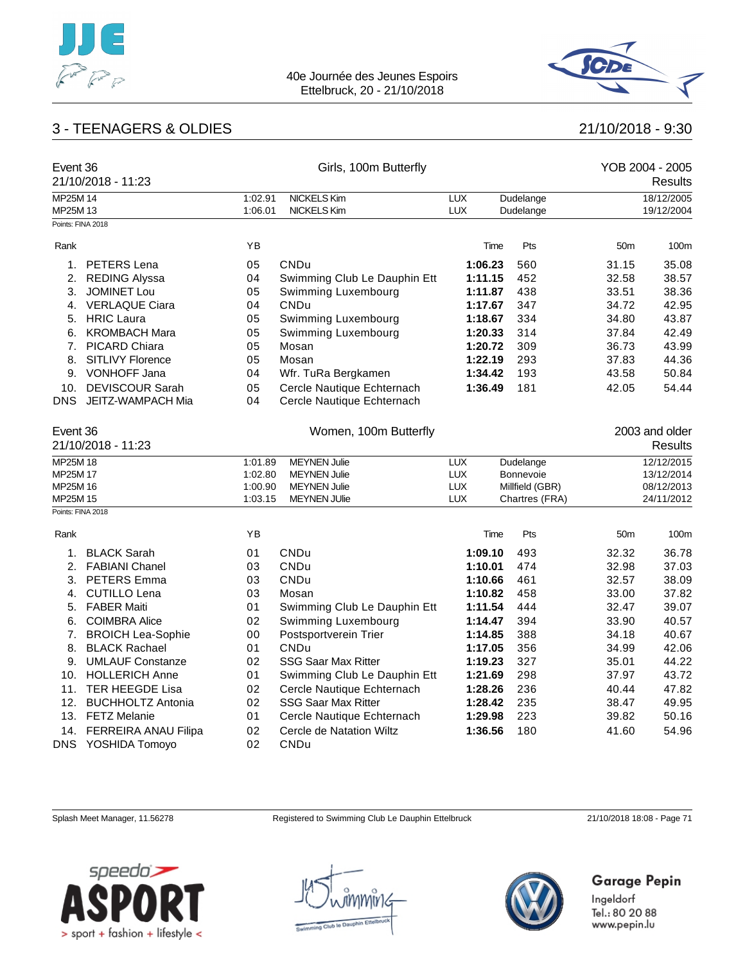



## 3 - TEENAGERS & OLDIES 21/10/2018 - 9:30

| Event 36<br>21/10/2018 - 11:23<br>MP25M 14 |                          |                                | YOB 2004 - 2005<br>Results      |            |                 |                 |                |
|--------------------------------------------|--------------------------|--------------------------------|---------------------------------|------------|-----------------|-----------------|----------------|
|                                            |                          | 1:02.91                        | NICKELS Kim                     | <b>LUX</b> | Dudelange       | 18/12/2005      |                |
| MP25M 13                                   |                          | 1:06.01                        | NICKELS Kim                     | <b>LUX</b> | Dudelange       |                 | 19/12/2004     |
| Points: FINA 2018                          |                          |                                |                                 |            |                 |                 |                |
| Rank                                       |                          | YB                             |                                 | Time       | Pts             | 50 <sub>m</sub> | 100m           |
| 1.                                         | <b>PETERS Lena</b>       | 05                             | <b>CNDu</b>                     | 1:06.23    | 560             | 31.15           | 35.08          |
| 2.                                         | <b>REDING Alyssa</b>     | 04                             | Swimming Club Le Dauphin Ett    | 1:11.15    | 452             | 32.58           | 38.57          |
| 3.                                         | JOMINET Lou              | 05                             | Swimming Luxembourg             | 1:11.87    | 438             | 33.51           | 38.36          |
|                                            | 4. VERLAQUE Ciara        | 04                             | CNDu                            | 1:17.67    | 347             | 34.72           | 42.95          |
|                                            | 5. HRIC Laura            | 05                             | Swimming Luxembourg             | 1:18.67    | 334             | 34.80           | 43.87          |
|                                            | 6. KROMBACH Mara         | 05                             | Swimming Luxembourg             | 1:20.33    | 314             | 37.84           | 42.49          |
| 7.                                         | <b>PICARD Chiara</b>     | 05                             | Mosan                           | 1:20.72    | 309             | 36.73           | 43.99          |
| 8.                                         | SITLIVY Florence         | 05                             | Mosan                           | 1:22.19    | 293             | 37.83           | 44.36          |
| 9.                                         | <b>VONHOFF Jana</b>      | 04                             | Wfr. TuRa Bergkamen             | 1:34.42    | 193             | 43.58           | 50.84          |
| 10.                                        | <b>DEVISCOUR Sarah</b>   | 05                             | Cercle Nautique Echternach      | 1:36.49    | 181             | 42.05           | 54.44          |
| <b>DNS</b>                                 | JEITZ-WAMPACH Mia        | 04                             | Cercle Nautique Echternach      |            |                 |                 |                |
| Event 36                                   |                          |                                | Women, 100m Butterfly           |            |                 |                 | 2003 and older |
|                                            | 21/10/2018 - 11:23       |                                |                                 |            |                 |                 | Results        |
| MP25M 18                                   |                          | 1:01.89                        | <b>MEYNEN Julie</b>             | <b>LUX</b> | Dudelange       |                 | 12/12/2015     |
| MP25M 17                                   |                          | 1:02.80                        | <b>MEYNEN Julie</b>             | <b>LUX</b> | Bonnevoie       |                 | 13/12/2014     |
| MP25M 16                                   |                          | 1:00.90<br><b>MEYNEN Julie</b> |                                 | <b>LUX</b> | Millfield (GBR) |                 | 08/12/2013     |
| MP25M 15                                   |                          | 1:03.15                        | <b>MEYNEN JUlie</b>             | <b>LUX</b> | Chartres (FRA)  |                 | 24/11/2012     |
| Points: FINA 2018                          |                          |                                |                                 |            |                 |                 |                |
| Rank                                       |                          | ΥB                             |                                 | Time       | Pts             | 50 <sub>m</sub> | 100m           |
| 1.                                         | <b>BLACK Sarah</b>       | 01                             | CNDu                            | 1:09.10    | 493             | 32.32           | 36.78          |
| 2.                                         | FABIANI Chanel           | 03                             | <b>CNDu</b>                     | 1:10.01    | 474             | 32.98           | 37.03          |
| 3.                                         | PETERS Emma              | 03                             | CNDu                            | 1:10.66    | 461             | 32.57           | 38.09          |
| 4.                                         | CUTILLO Lena             | 03                             | Mosan                           | 1:10.82    | 458             | 33.00           | 37.82          |
| 5.                                         | <b>FABER Maiti</b>       | 01                             | Swimming Club Le Dauphin Ett    | 1:11.54    | 444             | 32.47           | 39.07          |
| 6.                                         | <b>COIMBRA Alice</b>     | 02                             | Swimming Luxembourg             | 1:14.47    | 394             | 33.90           | 40.57          |
| 7.                                         | <b>BROICH Lea-Sophie</b> | 00                             | Postsportverein Trier           | 1:14.85    | 388             | 34.18           | 40.67          |
| 8.                                         | <b>BLACK Rachael</b>     | 01                             | <b>CNDu</b>                     | 1:17.05    | 356             | 34.99           | 42.06          |
| 9.                                         | <b>UMLAUF Constanze</b>  | 02                             | <b>SSG Saar Max Ritter</b>      | 1:19.23    | 327             | 35.01           | 44.22          |
|                                            | 10. HOLLERICH Anne       | 01                             | Swimming Club Le Dauphin Ett    | 1:21.69    | 298             | 37.97           | 43.72          |
| 11.                                        | <b>TER HEEGDE Lisa</b>   | 02                             | Cercle Nautique Echternach      | 1:28.26    | 236             | 40.44           | 47.82          |
| 12.                                        | <b>BUCHHOLTZ Antonia</b> | 02                             | <b>SSG Saar Max Ritter</b>      | 1:28.42    | 235             | 38.47           | 49.95          |
|                                            | 13. FETZ Melanie         | 01                             | Cercle Nautique Echternach      | 1:29.98    | 223             | 39.82           | 50.16          |
|                                            | 14. FERREIRA ANAU Filipa | 02                             | <b>Cercle de Natation Wiltz</b> | 1:36.56    | 180             | 41.60           | 54.96          |
|                                            | DNS YOSHIDA Tomoyo       | 02                             | CNDu                            |            |                 |                 |                |

Splash Meet Manager, 11.56278 **Registered to Swimming Club Le Dauphin Ettelbruck** 21/10/2018 18:08 - Page 71





## Garage Pepin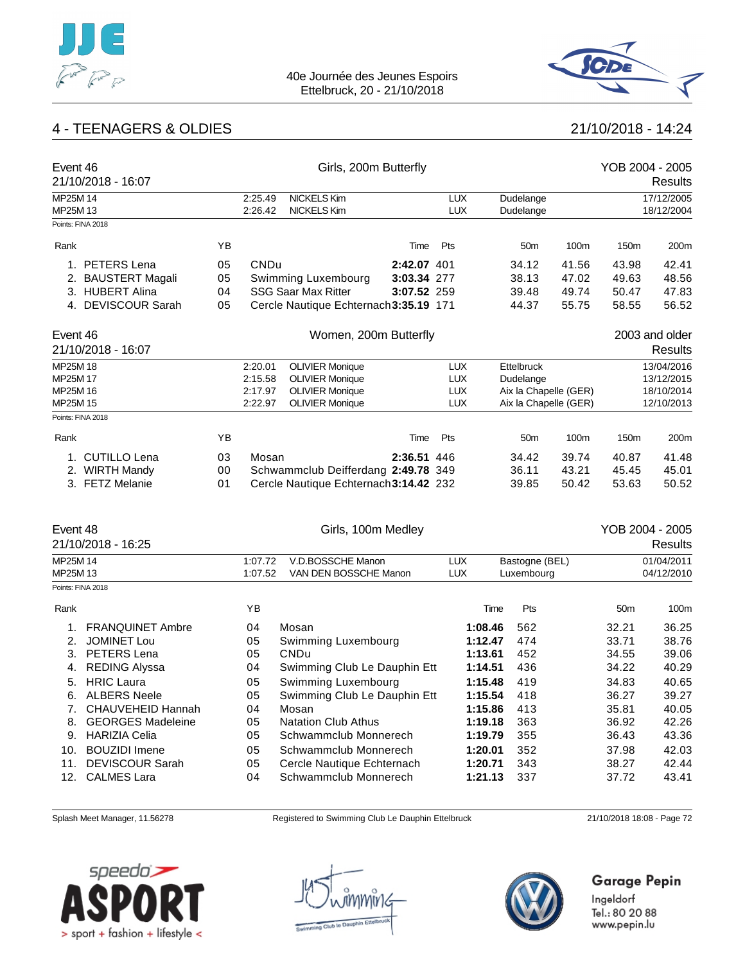



## 4 - TEENAGERS & OLDIES 21/10/2018 - 14:24

| Event 46             | 21/10/2018 - 16:07       |    |                    | Girls, 200m Butterfly                  |             |                          |                        |       | YOB 2004 - 2005 | Results                  |
|----------------------|--------------------------|----|--------------------|----------------------------------------|-------------|--------------------------|------------------------|-------|-----------------|--------------------------|
| MP25M 14<br>MP25M 13 |                          |    | 2:25.49<br>2:26.42 | NICKELS Kim<br>NICKELS Kim             |             | <b>LUX</b><br><b>LUX</b> | Dudelange<br>Dudelange |       |                 | 17/12/2005<br>18/12/2004 |
| Points: FINA 2018    |                          |    |                    |                                        |             |                          |                        |       |                 |                          |
| Rank                 |                          | YB |                    |                                        | Time        | Pts                      | 50 <sub>m</sub>        | 100m  | 150m            | 200m                     |
|                      | 1. PETERS Lena           | 05 | CNDu               |                                        | 2:42.07 401 |                          | 34.12                  | 41.56 | 43.98           | 42.41                    |
|                      | 2. BAUSTERT Magali       | 05 |                    | Swimming Luxembourg                    | 3:03.34 277 |                          | 38.13                  | 47.02 | 49.63           | 48.56                    |
|                      | 3. HUBERT Alina          | 04 |                    | <b>SSG Saar Max Ritter</b>             | 3:07.52 259 |                          | 39.48                  | 49.74 | 50.47           | 47.83                    |
|                      | 4. DEVISCOUR Sarah       | 05 |                    | Cercle Nautique Echternach 3:35.19 171 |             |                          | 44.37                  | 55.75 | 58.55           | 56.52                    |
| Event 46             |                          |    |                    | Women, 200m Butterfly                  |             |                          |                        |       |                 | 2003 and older           |
|                      | 21/10/2018 - 16:07       |    |                    |                                        |             |                          |                        |       |                 | Results                  |
| MP25M 18             |                          |    | 2:20.01            | <b>OLIVIER Monique</b>                 |             | <b>LUX</b>               | Ettelbruck             |       |                 | 13/04/2016               |
| MP25M 17             |                          |    | 2:15.58            | <b>OLIVIER Monique</b>                 |             | <b>LUX</b>               | Dudelange              |       |                 | 13/12/2015               |
| MP25M 16<br>MP25M 15 |                          |    | 2:17.97<br>2:22.97 | <b>OLIVIER Monique</b>                 |             | <b>LUX</b><br><b>LUX</b> | Aix la Chapelle (GER)  |       |                 | 18/10/2014<br>12/10/2013 |
| Points: FINA 2018    |                          |    |                    | <b>OLIVIER Monique</b>                 |             |                          | Aix la Chapelle (GER)  |       |                 |                          |
| Rank                 |                          | ΥB |                    |                                        | Time        | Pts                      | 50 <sub>m</sub>        | 100m  | 150m            | 200m                     |
|                      | 1. CUTILLO Lena          | 03 | Mosan              |                                        | 2:36.51 446 |                          | 34.42                  | 39.74 | 40.87           | 41.48                    |
|                      | 2. WIRTH Mandy           | 00 |                    | Schwammclub Deifferdang 2:49.78 349    |             |                          | 36.11                  | 43.21 | 45.45           | 45.01                    |
|                      | 3. FETZ Melanie          | 01 |                    | Cercle Nautique Echternach 3:14.42 232 |             |                          | 39.85                  | 50.42 | 53.63           | 50.52                    |
| Event 48             |                          |    |                    | Girls, 100m Medley                     |             |                          |                        |       | YOB 2004 - 2005 |                          |
|                      | 21/10/2018 - 16:25       |    |                    |                                        |             |                          |                        |       |                 | <b>Results</b>           |
| MP25M 14             |                          |    | 1:07.72            | V.D.BOSSCHE Manon                      |             | <b>LUX</b>               | Bastogne (BEL)         |       |                 | 01/04/2011               |
| MP25M 13             |                          |    | 1:07.52            | VAN DEN BOSSCHE Manon                  |             | <b>LUX</b>               | Luxembourg             |       |                 | 04/12/2010               |
| Points: FINA 2018    |                          |    |                    |                                        |             |                          |                        |       |                 |                          |
| Rank                 |                          |    | YB                 |                                        |             | Time                     | Pts                    |       | 50 <sub>m</sub> | 100m                     |
| 1.                   | <b>FRANQUINET Ambre</b>  |    | 04                 | Mosan                                  |             | 1:08.46                  | 562                    |       | 32.21           | 36.25                    |
| 2.                   | <b>JOMINET Lou</b>       |    | 05                 | Swimming Luxembourg                    |             | 1:12.47                  | 474                    |       | 33.71           | 38.76                    |
| 3.                   | PETERS Lena              |    | 05                 | CNDu                                   |             | 1:13.61                  | 452                    |       | 34.55           | 39.06                    |
| 4.                   | REDING Alyssa            |    | 04                 | Swimming Club Le Dauphin Ett           |             | 1:14.51                  | 436                    |       | 34.22           | 40.29                    |
| 5.                   | <b>HRIC Laura</b>        |    | 05                 | Swimming Luxembourg                    |             | 1:15.48                  | 419                    |       | 34.83           | 40.65                    |
| 6.                   | <b>ALBERS Neele</b>      |    | 05                 | Swimming Club Le Dauphin Ett           |             | 1:15.54                  | 418                    |       | 36.27           | 39.27                    |
| 7.                   | CHAUVEHEID Hannah        |    | 04                 | Mosan                                  |             | 1:15.86                  | 413                    |       | 35.81           | 40.05                    |
| 8.                   | <b>GEORGES Madeleine</b> |    | 05                 | <b>Natation Club Athus</b>             |             | 1:19.18                  | 363                    |       | 36.92           | 42.26                    |
| 9.                   | HARIZIA Celia            |    | 05                 | Schwammclub Monnerech                  |             | 1:19.79                  | 355                    |       | 36.43           | 43.36                    |
| 10.                  | <b>BOUZIDI</b> Imene     |    | 05                 | Schwammclub Monnerech                  |             | 1:20.01                  | 352                    |       | 37.98           | 42.03                    |
| 11.                  | <b>DEVISCOUR Sarah</b>   |    | 05                 | Cercle Nautique Echternach             |             | 1:20.71                  | 343                    |       | 38.27           | 42.44                    |
|                      | 12. CALMES Lara          |    | 04                 | Schwammclub Monnerech                  |             | 1:21.13                  | 337                    |       | 37.72           | 43.41                    |
|                      |                          |    |                    |                                        |             |                          |                        |       |                 |                          |

Splash Meet Manager, 11.56278 **Registered to Swimming Club Le Dauphin Ettelbruck** 21/10/2018 18:08 - Page 72





## Garage Pepin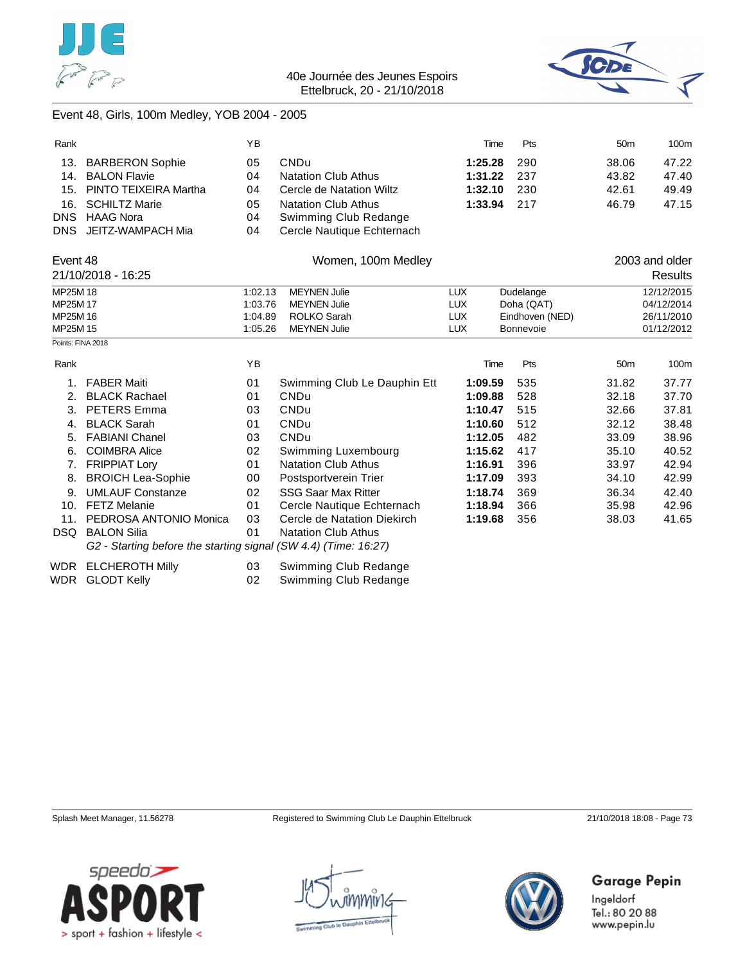



### Event 48, Girls, 100m Medley, YOB 2004 - 2005

| Rank              |                                                                 | ΥB                            |                              | Time       | Pts             | 50 <sub>m</sub> | 100m           |
|-------------------|-----------------------------------------------------------------|-------------------------------|------------------------------|------------|-----------------|-----------------|----------------|
| 13.               | <b>BARBERON Sophie</b>                                          | 05                            | <b>CNDu</b>                  | 1:25.28    | 290             | 38.06           | 47.22          |
| 14.               | <b>BALON Flavie</b>                                             | 04                            | <b>Natation Club Athus</b>   | 1:31.22    | 237             | 43.82           | 47.40          |
| 15.               | PINTO TEIXEIRA Martha                                           | 04                            | Cercle de Natation Wiltz     | 1:32.10    | 230             | 42.61           | 49.49          |
| 16.               | <b>SCHILTZ Marie</b>                                            | 05                            | <b>Natation Club Athus</b>   | 1:33.94    | 217             | 46.79           | 47.15          |
| <b>DNS</b>        | <b>HAAG Nora</b>                                                | 04                            | Swimming Club Redange        |            |                 |                 |                |
| <b>DNS</b>        | JEITZ-WAMPACH Mia                                               | 04                            | Cercle Nautique Echternach   |            |                 |                 |                |
| Event 48          |                                                                 |                               | Women, 100m Medley           |            |                 |                 | 2003 and older |
|                   | 21/10/2018 - 16:25                                              |                               |                              |            |                 |                 | Results        |
| MP25M 18          |                                                                 | 1:02.13                       | <b>MEYNEN Julie</b>          | <b>LUX</b> | Dudelange       |                 | 12/12/2015     |
| MP25M 17          |                                                                 | 1:03.76                       | <b>MEYNEN Julie</b>          | <b>LUX</b> | Doha (QAT)      |                 | 04/12/2014     |
| MP25M 16          |                                                                 | 1:04.89<br><b>ROLKO Sarah</b> |                              | <b>LUX</b> | Eindhoven (NED) |                 | 26/11/2010     |
| MP25M 15          |                                                                 | 1:05.26                       | <b>MEYNEN Julie</b>          | <b>LUX</b> | Bonnevoie       |                 | 01/12/2012     |
| Points: FINA 2018 |                                                                 |                               |                              |            |                 |                 |                |
| Rank              |                                                                 | YB                            |                              | Time       | Pts             | 50 <sub>m</sub> | 100m           |
| 1.                | <b>FABER Maiti</b>                                              | 01                            | Swimming Club Le Dauphin Ett | 1:09.59    | 535             | 31.82           | 37.77          |
| 2.                | <b>BLACK Rachael</b>                                            | 01                            | <b>CNDu</b>                  | 1:09.88    | 528             | 32.18           | 37.70          |
| 3.                | <b>PETERS Emma</b>                                              | 03                            | <b>CNDu</b>                  | 1:10.47    | 515             | 32.66           | 37.81          |
| 4.                | <b>BLACK Sarah</b>                                              | 01                            | <b>CNDu</b>                  | 1:10.60    | 512             | 32.12           | 38.48          |
| 5.                | <b>FABIANI Chanel</b>                                           | 03                            | <b>CNDu</b>                  | 1:12.05    | 482             | 33.09           | 38.96          |
| 6.                | <b>COIMBRA Alice</b>                                            | 02                            | Swimming Luxembourg          | 1:15.62    | 417             | 35.10           | 40.52          |
| 7.                | <b>FRIPPIAT Lory</b>                                            | 01                            | <b>Natation Club Athus</b>   | 1:16.91    | 396             | 33.97           | 42.94          |
| 8.                | <b>BROICH Lea-Sophie</b>                                        | 00                            | Postsportverein Trier        | 1:17.09    | 393             | 34.10           | 42.99          |
| 9.                | <b>UMLAUF Constanze</b>                                         | 02                            | <b>SSG Saar Max Ritter</b>   | 1:18.74    | 369             | 36.34           | 42.40          |
| 10.               | <b>FETZ Melanie</b>                                             | 01                            | Cercle Nautique Echternach   | 1:18.94    | 366             | 35.98           | 42.96          |
| 11.               | PEDROSA ANTONIO Monica                                          | 03                            | Cercle de Natation Diekirch  | 1:19.68    | 356             | 38.03           | 41.65          |
| <b>DSQ</b>        | <b>BALON Silia</b>                                              | 01                            | <b>Natation Club Athus</b>   |            |                 |                 |                |
|                   | G2 - Starting before the starting signal (SW 4.4) (Time: 16:27) |                               |                              |            |                 |                 |                |
|                   | WDR ELCHEROTH Milly                                             | 03                            | Swimming Club Redange        |            |                 |                 |                |
| WDR               | <b>GLODT Kelly</b>                                              | 02                            | Swimming Club Redange        |            |                 |                 |                |

Splash Meet Manager, 11.56278 Registered to Swimming Club Le Dauphin Ettelbruck 21/10/2018 18:08 - Page 73

Garage Pepin



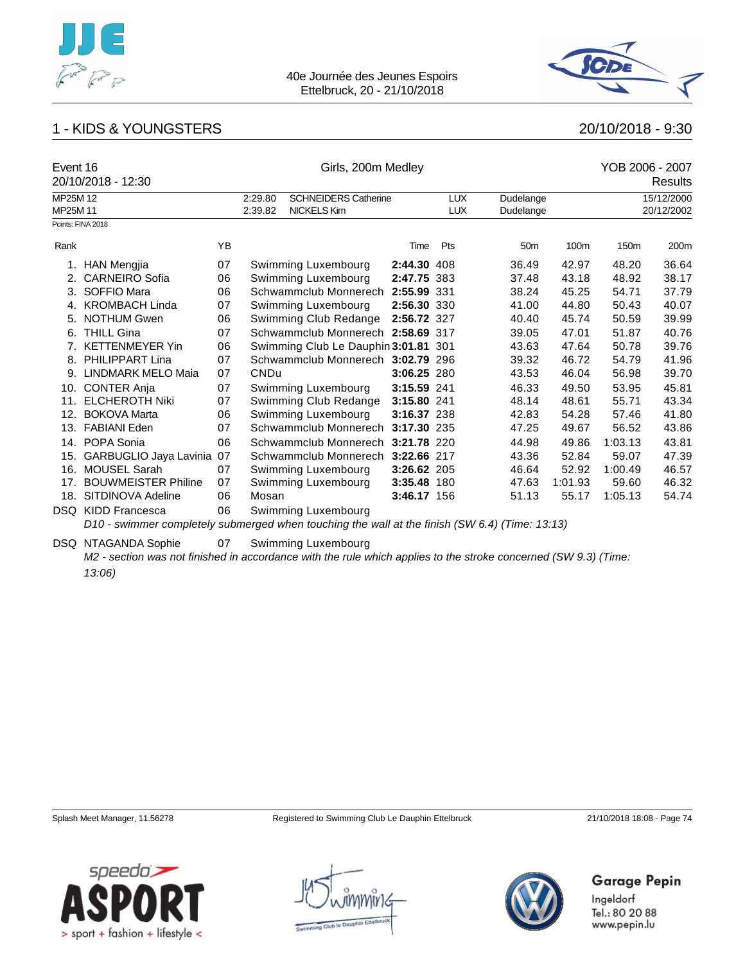



## 1 - KIDS & YOUNGSTERS 20/10/2018 - 9:30

| Event 16 | 20/10/2018 - 12:30                                                                             | Girls, 200m Medley |             |                                      |             |            |                 |         |                  | YOB 2006 - 2007<br>Results |  |  |
|----------|------------------------------------------------------------------------------------------------|--------------------|-------------|--------------------------------------|-------------|------------|-----------------|---------|------------------|----------------------------|--|--|
| MP25M 12 |                                                                                                |                    | 2:29.80     | <b>SCHNEIDERS Catherine</b>          |             | <b>LUX</b> | Dudelange       |         |                  | 15/12/2000                 |  |  |
| MP25M 11 |                                                                                                |                    | 2:39.82     | <b>NICKELS Kim</b>                   |             | <b>LUX</b> | Dudelange       |         |                  | 20/12/2002                 |  |  |
|          | Points: FINA 2018                                                                              |                    |             |                                      |             |            |                 |         |                  |                            |  |  |
| Rank     |                                                                                                | YB                 |             |                                      | Time        | Pts        | 50 <sub>m</sub> | 100m    | 150 <sub>m</sub> | 200m                       |  |  |
| 1.       | <b>HAN Mengjia</b>                                                                             | 07                 |             | Swimming Luxembourg                  | 2:44.30 408 |            | 36.49           | 42.97   | 48.20            | 36.64                      |  |  |
| 2.       | <b>CARNEIRO</b> Sofia                                                                          | 06                 |             | Swimming Luxembourg                  | 2:47.75 383 |            | 37.48           | 43.18   | 48.92            | 38.17                      |  |  |
| 3.       | SOFFIO Mara                                                                                    | 06                 |             | Schwammclub Monnerech                | 2:55.99 331 |            | 38.24           | 45.25   | 54.71            | 37.79                      |  |  |
| 4.       | <b>KROMBACH Linda</b>                                                                          | 07                 |             | Swimming Luxembourg                  | 2:56.30 330 |            | 41.00           | 44.80   | 50.43            | 40.07                      |  |  |
| 5.       | <b>NOTHUM Gwen</b>                                                                             | 06                 |             | Swimming Club Redange                | 2:56.72 327 |            | 40.40           | 45.74   | 50.59            | 39.99                      |  |  |
|          | 6. THILL Gina                                                                                  | 07                 |             | Schwammclub Monnerech 2:58.69 317    |             |            | 39.05           | 47.01   | 51.87            | 40.76                      |  |  |
| 7.       | <b>KETTENMEYER Yin</b>                                                                         | 06                 |             | Swimming Club Le Dauphin 3:01.81 301 |             |            | 43.63           | 47.64   | 50.78            | 39.76                      |  |  |
| 8.       | PHILIPPART Lina                                                                                | 07                 |             | Schwammclub Monnerech 3:02.79 296    |             |            | 39.32           | 46.72   | 54.79            | 41.96                      |  |  |
| 9.       | <b>LINDMARK MELO Maia</b>                                                                      | 07                 | <b>CNDu</b> |                                      | 3:06.25 280 |            | 43.53           | 46.04   | 56.98            | 39.70                      |  |  |
|          | 10. CONTER Anja                                                                                | 07                 |             | Swimming Luxembourg                  | 3:15.59 241 |            | 46.33           | 49.50   | 53.95            | 45.81                      |  |  |
| 11.      | <b>ELCHEROTH Niki</b>                                                                          | 07                 |             | Swimming Club Redange                | 3:15.80 241 |            | 48.14           | 48.61   | 55.71            | 43.34                      |  |  |
| 12.      | <b>BOKOVA Marta</b>                                                                            | 06                 |             | Swimming Luxembourg                  | 3:16.37 238 |            | 42.83           | 54.28   | 57.46            | 41.80                      |  |  |
| 13.      | <b>FABIANI Eden</b>                                                                            | 07                 |             | Schwammclub Monnerech                | 3:17.30 235 |            | 47.25           | 49.67   | 56.52            | 43.86                      |  |  |
|          | 14. POPA Sonia                                                                                 | 06                 |             | Schwammclub Monnerech 3:21.78 220    |             |            | 44.98           | 49.86   | 1:03.13          | 43.81                      |  |  |
| 15.      | GARBUGLIO Jaya Lavinia                                                                         | 07                 |             | Schwammclub Monnerech                | 3:22.66 217 |            | 43.36           | 52.84   | 59.07            | 47.39                      |  |  |
| 16.      | <b>MOUSEL Sarah</b>                                                                            | 07                 |             | Swimming Luxembourg                  | 3:26.62 205 |            | 46.64           | 52.92   | 1:00.49          | 46.57                      |  |  |
| 17.      | <b>BOUWMEISTER Philine</b>                                                                     | 07                 |             | Swimming Luxembourg                  | 3:35.48 180 |            | 47.63           | 1:01.93 | 59.60            | 46.32                      |  |  |
| 18.      | SITDINOVA Adeline                                                                              | 06                 | Mosan       |                                      | 3:46.17 156 |            | 51.13           | 55.17   | 1:05.13          | 54.74                      |  |  |
| DSQ.     | <b>KIDD Francesca</b>                                                                          | 06                 |             | Swimming Luxembourg                  |             |            |                 |         |                  |                            |  |  |
|          | D10 - swimmer completely submerged when touching the wall at the finish (SW 6.4) (Time: 13:13) |                    |             |                                      |             |            |                 |         |                  |                            |  |  |

DSQ NTAGANDA Sophie 07 Swimming Luxembourg

*M2 - section was not finished in accordance with the rule which applies to the stroke concerned (SW 9.3) (Time: 13:06)*

Splash Meet Manager, 11.56278 Registered to Swimming Club Le Dauphin Ettelbruck 21/10/2018 18:08 - Page 74

**Garage Pepin** 



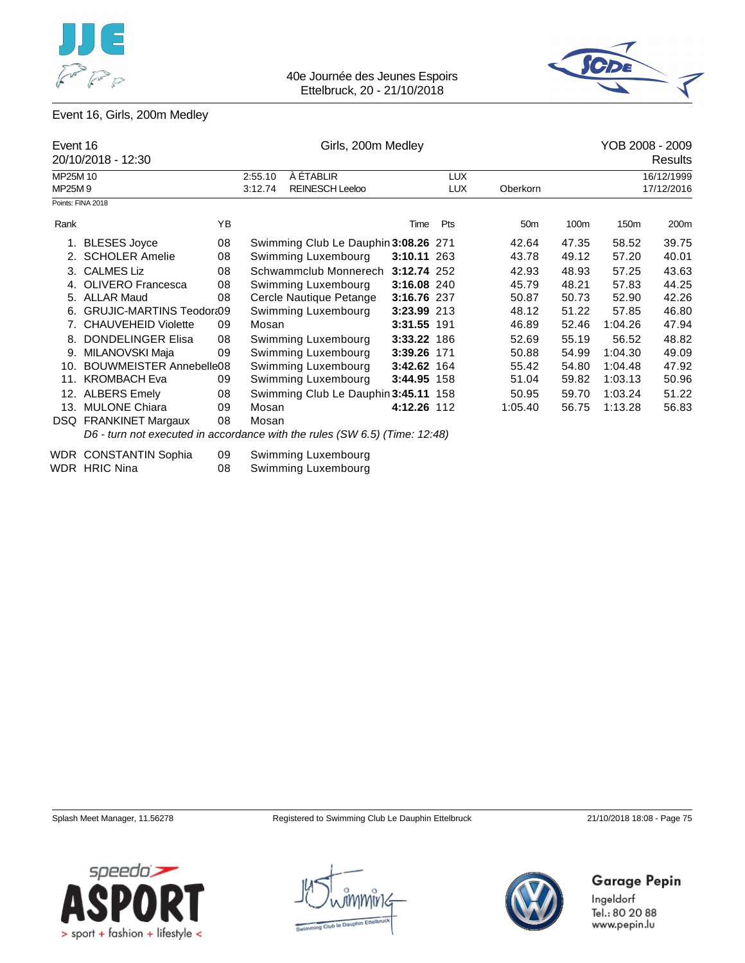



### Event 16, Girls, 200m Medley

| Event 16 | 20/10/2018 - 12:30                                                         |    | Girls, 200m Medley |                                      |             |            |                 |       | YOB 2008 - 2009<br>Results |            |  |  |
|----------|----------------------------------------------------------------------------|----|--------------------|--------------------------------------|-------------|------------|-----------------|-------|----------------------------|------------|--|--|
| MP25M 10 |                                                                            |    | 2:55.10            | À ÉTABLIR                            |             | <b>LUX</b> |                 |       |                            | 16/12/1999 |  |  |
| MP25M9   |                                                                            |    | 3:12.74            | <b>REINESCH Leeloo</b>               |             | <b>LUX</b> | Oberkorn        |       |                            | 17/12/2016 |  |  |
|          | Points: FINA 2018                                                          |    |                    |                                      |             |            |                 |       |                            |            |  |  |
| Rank     |                                                                            | ΥB |                    |                                      | Time        | Pts        | 50 <sub>m</sub> | 100m  | 150m                       | 200m       |  |  |
| 1.       | <b>BLESES Joyce</b>                                                        | 08 |                    | Swimming Club Le Dauphin 3:08.26 271 |             |            | 42.64           | 47.35 | 58.52                      | 39.75      |  |  |
|          | 2. SCHOLER Amelie                                                          | 08 |                    | Swimming Luxembourg                  | 3:10.11 263 |            | 43.78           | 49.12 | 57.20                      | 40.01      |  |  |
|          | 3. CALMES Liz                                                              | 08 |                    | Schwammclub Monnerech                | 3:12.74 252 |            | 42.93           | 48.93 | 57.25                      | 43.63      |  |  |
| 4.       | <b>OLIVERO</b> Francesca                                                   | 08 |                    | Swimming Luxembourg                  | 3:16.08 240 |            | 45.79           | 48.21 | 57.83                      | 44.25      |  |  |
|          | 5. ALLAR Maud                                                              | 08 |                    | Cercle Nautique Petange              | 3:16.76 237 |            | 50.87           | 50.73 | 52.90                      | 42.26      |  |  |
| 6.       | <b>GRUJIC-MARTINS Teodort09</b>                                            |    |                    | Swimming Luxembourg                  | 3:23.99 213 |            | 48.12           | 51.22 | 57.85                      | 46.80      |  |  |
|          | 7. CHAUVEHEID Violette                                                     | 09 | Mosan              |                                      | 3:31.55 191 |            | 46.89           | 52.46 | 1:04.26                    | 47.94      |  |  |
| 8.       | <b>DONDELINGER Elisa</b>                                                   | 08 |                    | Swimming Luxembourg                  | 3:33.22 186 |            | 52.69           | 55.19 | 56.52                      | 48.82      |  |  |
| 9.       | MILANOVSKI Maja                                                            | 09 |                    | Swimming Luxembourg                  | 3:39.26 171 |            | 50.88           | 54.99 | 1:04.30                    | 49.09      |  |  |
| 10.      | <b>BOUWMEISTER Annebelle08</b>                                             |    |                    | Swimming Luxembourg                  | 3:42.62 164 |            | 55.42           | 54.80 | 1:04.48                    | 47.92      |  |  |
| 11.      | <b>KROMBACH Eva</b>                                                        | 09 |                    | Swimming Luxembourg                  | 3:44.95 158 |            | 51.04           | 59.82 | 1:03.13                    | 50.96      |  |  |
| 12.      | <b>ALBERS Emely</b>                                                        | 08 |                    | Swimming Club Le Dauphin 3:45.11     |             | 158        | 50.95           | 59.70 | 1:03.24                    | 51.22      |  |  |
| 13.      | <b>MULONE Chiara</b>                                                       | 09 | Mosan              |                                      | 4:12.26 112 |            | 1:05.40         | 56.75 | 1:13.28                    | 56.83      |  |  |
|          | DSQ FRANKINET Margaux                                                      | 08 | Mosan              |                                      |             |            |                 |       |                            |            |  |  |
|          | D6 - turn not executed in accordance with the rules (SW 6.5) (Time: 12:48) |    |                    |                                      |             |            |                 |       |                            |            |  |  |
|          | $MDD$ $OMIOTALITIRI$ $O.111$                                               |    |                    | 00 Outposed business became          |             |            |                 |       |                            |            |  |  |

| <b>WDR CONSTANTIN Sophia</b> | 09 | Swimming Luxembourg |
|------------------------------|----|---------------------|
| WDR HRIC Nina                | 08 | Swimming Luxembourg |

Splash Meet Manager, 11.56278 Registered to Swimming Club Le Dauphin Ettelbruck 21/10/2018 18:08 - Page 75







Garage Pepin Ingeldorf

Tel.: 80 20 88 www.pepin.lu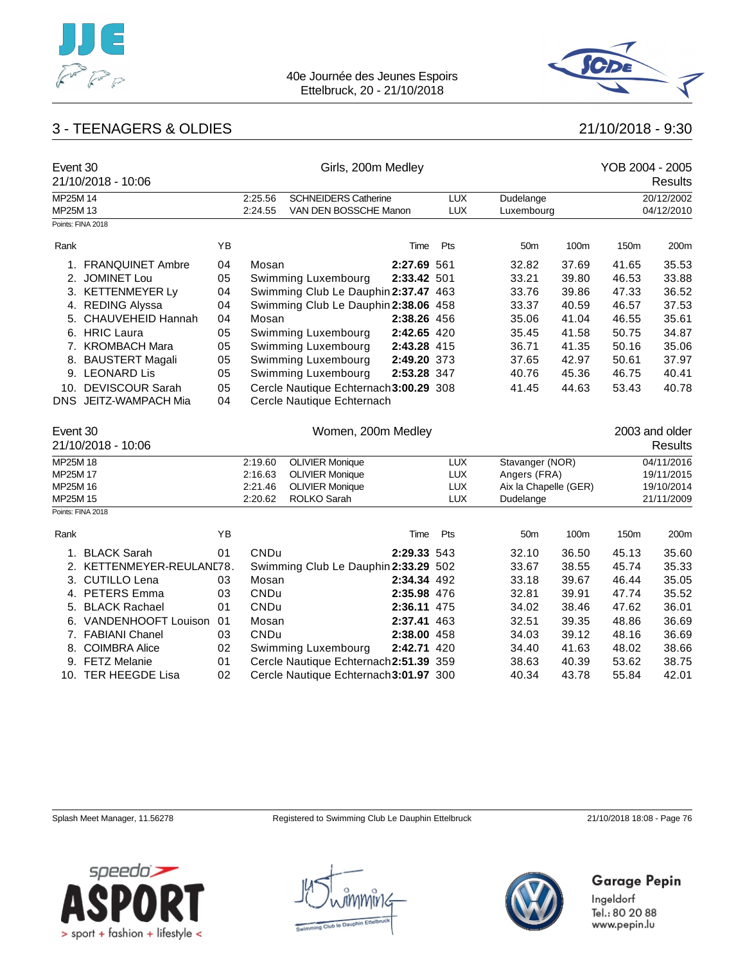



## 3 - TEENAGERS & OLDIES 21/10/2018 - 9:30

| Event 30 | 21/10/2018 - 10:06        | Girls, 200m Medley |                                   |                                        |             |            |                       |            | YOB 2004 - 2005<br><b>Results</b> |                |  |
|----------|---------------------------|--------------------|-----------------------------------|----------------------------------------|-------------|------------|-----------------------|------------|-----------------------------------|----------------|--|
| MP25M 14 |                           |                    | 2:25.56                           | <b>SCHNEIDERS Catherine</b>            |             | <b>LUX</b> | Dudelange             |            |                                   | 20/12/2002     |  |
| MP25M 13 |                           |                    | 2:24.55                           | VAN DEN BOSSCHE Manon                  |             | LUX        | Luxembourg            |            |                                   | 04/12/2010     |  |
|          | Points: FINA 2018         |                    |                                   |                                        |             |            |                       |            |                                   |                |  |
| Rank     |                           | ΥB                 |                                   |                                        | Time        | Pts        | 50 <sub>m</sub>       | 100m       | 150m                              | 200m           |  |
| 1.       | <b>FRANQUINET Ambre</b>   | 04                 | Mosan                             |                                        | 2:27.69 561 |            | 32.82                 | 37.69      | 41.65                             | 35.53          |  |
|          | 2. JOMINET Lou            | 05                 |                                   | Swimming Luxembourg                    | 2:33.42 501 |            | 33.21                 | 39.80      | 46.53                             | 33.88          |  |
|          | 3. KETTENMEYER Ly         | 04                 |                                   | Swimming Club Le Dauphin 2:37.47 463   |             |            | 33.76                 | 39.86      | 47.33                             | 36.52          |  |
|          | 4. REDING Alyssa          | 04                 |                                   | Swimming Club Le Dauphin 2:38.06 458   |             |            | 33.37                 | 40.59      | 46.57                             | 37.53          |  |
| 5.       | CHAUVEHEID Hannah         | 04                 | Mosan                             |                                        | 2:38.26 456 |            | 35.06                 | 41.04      | 46.55                             | 35.61          |  |
|          | 6. HRIC Laura             | 05                 |                                   | Swimming Luxembourg                    | 2:42.65 420 |            | 35.45                 | 41.58      | 50.75                             | 34.87          |  |
|          | 7. KROMBACH Mara          | 05                 |                                   | Swimming Luxembourg                    | 2:43.28 415 |            | 36.71                 | 41.35      | 50.16                             | 35.06          |  |
| 8.       | <b>BAUSTERT Magali</b>    | 05                 |                                   | Swimming Luxembourg                    | 2:49.20 373 |            | 37.65                 | 42.97      | 50.61                             | 37.97          |  |
|          | 9. LEONARD Lis            | 05                 |                                   | Swimming Luxembourg                    | 2:53.28 347 |            | 40.76                 | 45.36      | 46.75                             | 40.41          |  |
| 10.      | <b>DEVISCOUR Sarah</b>    | 05                 |                                   | Cercle Nautique Echternach 3:00.29 308 |             |            | 41.45                 | 44.63      | 53.43                             | 40.78          |  |
|          | DNS JEITZ-WAMPACH Mia     | 04                 |                                   | Cercle Nautique Echternach             |             |            |                       |            |                                   |                |  |
| Event 30 |                           |                    |                                   | Women, 200m Medley                     |             |            |                       |            |                                   | 2003 and older |  |
|          | 21/10/2018 - 10:06        |                    |                                   |                                        |             |            |                       |            |                                   | <b>Results</b> |  |
| MP25M 18 |                           |                    | 2:19.60                           | <b>OLIVIER Monique</b>                 |             | <b>LUX</b> | Stavanger (NOR)       |            |                                   | 04/11/2016     |  |
| MP25M 17 |                           |                    | 2:16.63                           | <b>OLIVIER Monique</b>                 |             | LUX        | Angers (FRA)          |            |                                   | 19/11/2015     |  |
| MP25M 16 |                           |                    | 2:21.46<br><b>OLIVIER Monique</b> |                                        |             | LUX        | Aix la Chapelle (GER) | 19/10/2014 |                                   |                |  |
| MP25M 15 | Points: FINA 2018         |                    | 2:20.62                           | ROLKO Sarah                            |             | <b>LUX</b> | Dudelange             |            |                                   | 21/11/2009     |  |
| Rank     |                           | YB                 |                                   |                                        | Time        | Pts        | 50m                   | 100m       | 150m                              | 200m           |  |
|          | 1. BLACK Sarah            | 01                 | <b>CNDu</b>                       |                                        | 2:29.33 543 |            | 32.10                 | 36.50      | 45.13                             | 35.60          |  |
|          | 2. KETTENMEYER-REULAND78. |                    |                                   | Swimming Club Le Dauphin 2:33.29 502   |             |            | 33.67                 | 38.55      | 45.74                             | 35.33          |  |
|          | 3. CUTILLO Lena           | 03                 | Mosan                             |                                        | 2:34.34 492 |            | 33.18                 | 39.67      | 46.44                             | 35.05          |  |
|          | 4. PETERS Emma            | 03                 | CNDu                              |                                        | 2:35.98 476 |            | 32.81                 | 39.91      | 47.74                             | 35.52          |  |
|          | 5. BLACK Rachael          | 01                 | CNDu                              |                                        | 2:36.11 475 |            | 34.02                 | 38.46      | 47.62                             | 36.01          |  |
|          | 6. VANDENHOOFT Louison    | 01                 | Mosan                             |                                        | 2:37.41 463 |            | 32.51                 | 39.35      | 48.86                             | 36.69          |  |
|          | 7. FABIANI Chanel         | 03                 | CNDu                              |                                        | 2:38.00 458 |            | 34.03                 | 39.12      | 48.16                             | 36.69          |  |
|          | 8. COIMBRA Alice          | 02                 |                                   | Swimming Luxembourg                    | 2:42.71 420 |            | 34.40                 | 41.63      | 48.02                             | 38.66          |  |
|          | 9. FETZ Melanie           | 01                 |                                   | Cercle Nautique Echternach 2:51.39 359 |             |            | 38.63                 | 40.39      | 53.62                             | 38.75          |  |
|          | 10. TER HEEGDE Lisa       | 02                 |                                   | Cercle Nautique Echternach 3:01.97 300 |             |            | 40.34                 | 43.78      | 55.84                             | 42.01          |  |

Splash Meet Manager, 11.56278 Registered to Swimming Club Le Dauphin Ettelbruck 21/10/2018 18:08 - Page 76





Garage Pepin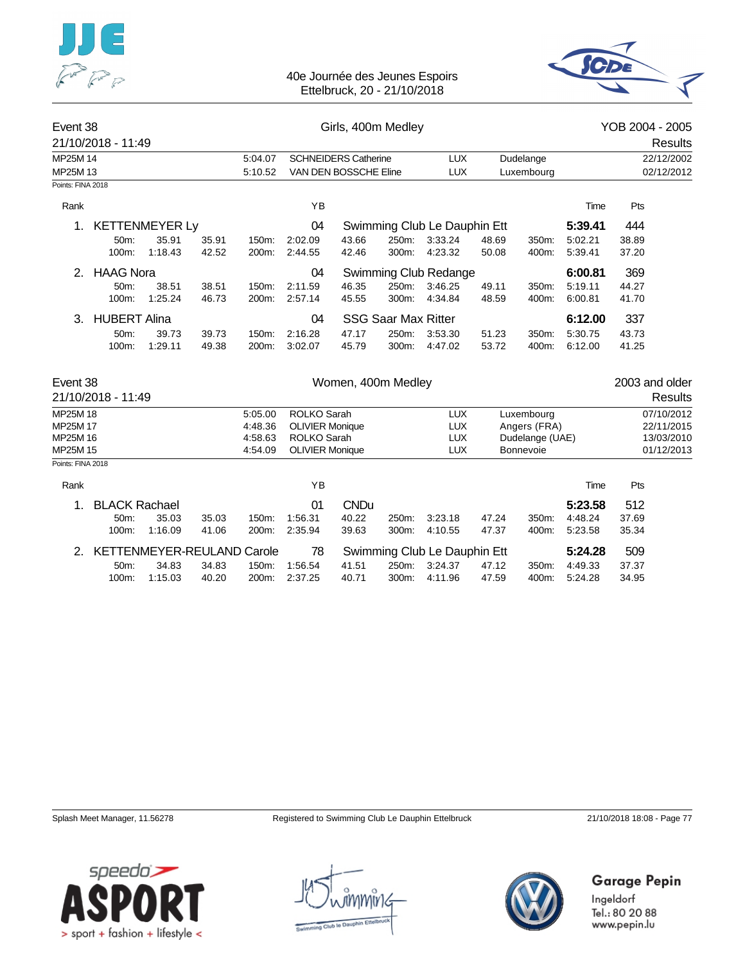

40e Journée des Jeunes Espoirs Ettelbruck, 20 - 21/10/2018



### Event 38 Girls, 400m Medley YOB 2004 - 2005 21/10/2018 - 11:49 Results MP25M 14 5:04.07 SCHNEIDERS Catherine LUX Dudelange 22/12/2002 MP25M 13 **5:10.52 VAN DEN BOSSCHE Eline** LUX Luxembourg 02/12/2012 Points: FINA 2018 Rank YB Time Pts 1. KETTENMEYER Ly 04 Swimming Club Le Dauphin Ett **5:39.41** 444 50m: 35.91 35.91 150m: 2:02.09 43.66 250m: 3:33.24 48.69 350m: 5:02.21 38.89 100m: 1:18.43 42.52 200m: 2:44.55 42.46 300m: 4:23.32 50.08 400m: 5:39.41 37.20 2. HAAG Nora 04 Swimming Club Redange **6:00.81** 369 50m: 38.51 38.51 150m: 2:11.59 46.35 250m: 3:46.25 49.11 350m: 5:19.11 44.27 100m: 1:25.24 46.73 200m: 2:57.14 45.55 300m: 4:34.84 48.59 400m: 6:00.81 41.70 3. HUBERT Alina 04 SSG Saar Max Ritter **6:12.00** 337 50m: 39.73 39.73 150m: 2:16.28 47.17 250m: 3:53.30 51.23 350m: 5:30.75 43.73 100m: 1:29.11 49.38 200m: 3:02.07 45.79 300m: 4:47.02 53.72 400m: 6:12.00 41.25 Event 38 Women, 400m Medley 2003 and older 21/10/2018 - 11:49 Results MP25M 18 5:05.00 ROLKO Sarah LUX Luxembourg 07/10/2012 MP25M 17 4:48.36 OLIVIER Monique LUX Angers (FRA) 22/11/2015 MP25M 16 4:58.63 ROLKO Sarah LUX Dudelange (UAE) 13/03/2010 MP25M 15 **Accord 154.09 OLIVIER Monique LUX** Bonnevoie **D1/12/2013** Points: FINA 2018 Rank YB Time Pts 1. BLACK Rachael 01 CNDu **5:23.58** 512 50m: 35.03 35.03 150m: 1:56.31 40.22 250m: 3:23.18 47.24 350m: 4:48.24 37.69 100m: 1:16.09 41.06 200m: 2:35.94 39.63 300m: 4:10.55 47.37 400m: 5:23.58 35.34 2. KETTENMEYER-REULAND Carole 78 Swimming Club Le Dauphin Ett **5:24.28** 509 50m: 34.83 34.83 150m: 1:56.54 41.51 250m: 3:24.37 47.12 350m: 4:49.33 37.37 100m: 1:15.03 40.20 200m: 2:37.25 40.71 300m: 4:11.96 47.59 400m: 5:24.28 34.95

Splash Meet Manager, 11.56278 **Registered to Swimming Club Le Dauphin Ettelbruck** 21/10/2018 18:08 - Page 77





## Garage Pepin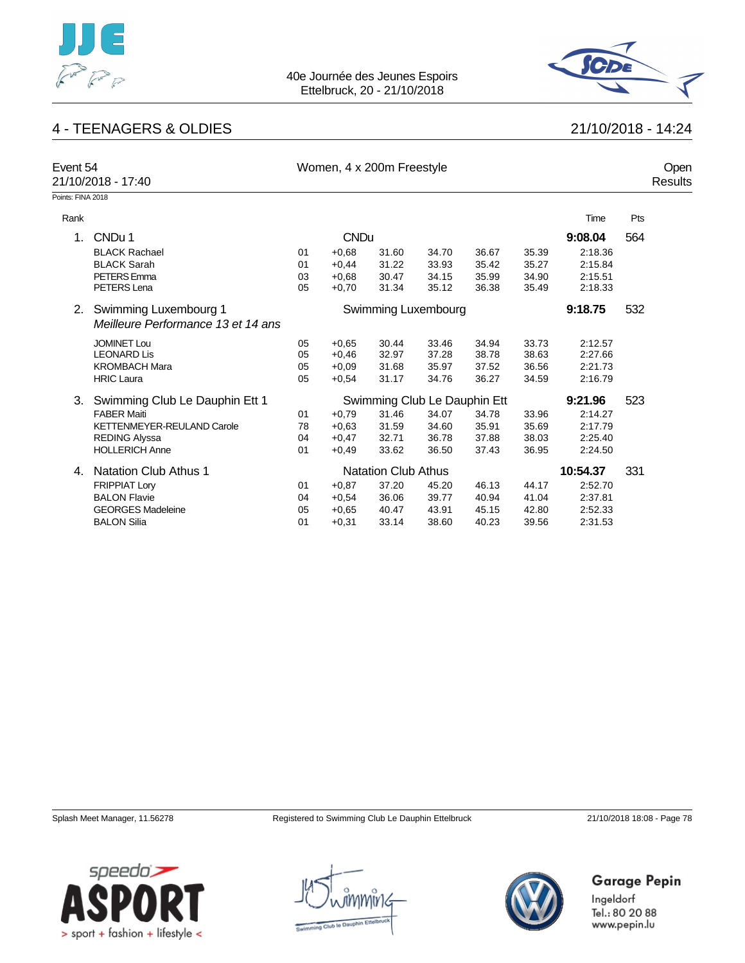



## 4 - TEENAGERS & OLDIES 21/10/2018 - 14:24

| Event 54<br>21/10/2018 - 17:40 |                                                             |                              | Women, 4 x 200m Freestyle |                            |                     |       |         |          |     |  |
|--------------------------------|-------------------------------------------------------------|------------------------------|---------------------------|----------------------------|---------------------|-------|---------|----------|-----|--|
| Points: FINA 2018              |                                                             |                              |                           |                            |                     |       |         |          |     |  |
| Rank                           |                                                             |                              |                           |                            |                     |       |         | Time     | Pts |  |
| 1.                             | CNDu 1                                                      |                              | <b>CNDu</b>               |                            |                     |       |         | 9:08.04  | 564 |  |
|                                | <b>BLACK Rachael</b>                                        | 01                           | $+0.68$                   | 31.60                      | 34.70               | 36.67 | 35.39   | 2:18.36  |     |  |
|                                | <b>BLACK Sarah</b>                                          | 01                           | $+0,44$                   | 31.22                      | 33.93               | 35.42 | 35.27   | 2:15.84  |     |  |
|                                | PETERS Emma                                                 | 03                           | $+0.68$                   | 30.47                      | 34.15               | 35.99 | 34.90   | 2:15.51  |     |  |
|                                | PETERS Lena                                                 | 05                           | $+0,70$                   | 31.34                      | 35.12               | 36.38 | 35.49   | 2:18.33  |     |  |
| 2.                             | Swimming Luxembourg 1<br>Meilleure Performance 13 et 14 ans |                              |                           |                            | Swimming Luxembourg |       |         | 9:18.75  | 532 |  |
|                                | <b>JOMINET Lou</b>                                          | 05                           | $+0.65$                   | 30.44                      | 33.46               | 34.94 | 33.73   | 2:12.57  |     |  |
|                                | <b>LEONARD Lis</b>                                          | 05                           | $+0,46$                   | 32.97                      | 37.28               | 38.78 | 38.63   | 2:27.66  |     |  |
|                                | <b>KROMBACH Mara</b>                                        | 05                           | $+0.09$                   | 31.68                      | 35.97               | 37.52 | 36.56   | 2:21.73  |     |  |
|                                | <b>HRIC Laura</b>                                           | 05                           | $+0.54$                   | 31.17                      | 34.76               | 36.27 | 34.59   | 2:16.79  |     |  |
| 3.                             | Swimming Club Le Dauphin Ett 1                              | Swimming Club Le Dauphin Ett |                           |                            |                     |       | 9:21.96 | 523      |     |  |
|                                | <b>FABER Maiti</b>                                          | 01                           | $+0.79$                   | 31.46                      | 34.07               | 34.78 | 33.96   | 2:14.27  |     |  |
|                                | <b>KETTENMEYER-REULAND Carole</b>                           | 78                           | $+0.63$                   | 31.59                      | 34.60               | 35.91 | 35.69   | 2:17.79  |     |  |
|                                | <b>REDING Alyssa</b>                                        | 04                           | $+0.47$                   | 32.71                      | 36.78               | 37.88 | 38.03   | 2:25.40  |     |  |
|                                | <b>HOLLERICH Anne</b>                                       | 01                           | $+0.49$                   | 33.62                      | 36.50               | 37.43 | 36.95   | 2:24.50  |     |  |
| 4.                             | <b>Natation Club Athus 1</b>                                |                              |                           | <b>Natation Club Athus</b> |                     |       |         | 10:54.37 | 331 |  |
|                                | <b>FRIPPIAT Lory</b>                                        | 01                           | $+0.87$                   | 37.20                      | 45.20               | 46.13 | 44.17   | 2:52.70  |     |  |
|                                | <b>BALON Flavie</b>                                         | 04                           | $+0,54$                   | 36.06                      | 39.77               | 40.94 | 41.04   | 2:37.81  |     |  |
|                                | <b>GEORGES Madeleine</b>                                    | 05                           | $+0.65$                   | 40.47                      | 43.91               | 45.15 | 42.80   | 2:52.33  |     |  |
|                                | <b>BALON Silia</b>                                          | 01                           | $+0,31$                   | 33.14                      | 38.60               | 40.23 | 39.56   | 2:31.53  |     |  |

Splash Meet Manager, 11.56278 Registered to Swimming Club Le Dauphin Ettelbruck 21/10/2018 18:08 - Page 78



Garage Pepin



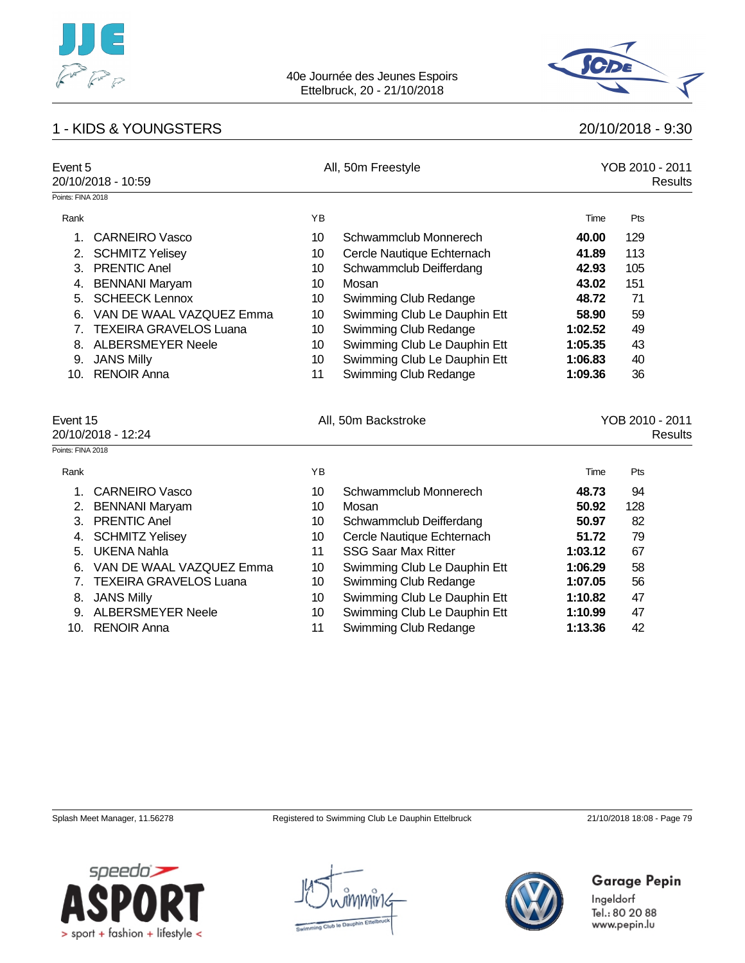



## 1 - KIDS & YOUNGSTERS 20/10/2018 - 9:30

| Event 5<br>20/10/2018 - 10:59<br>Points: FINA 2018 |                               |    | All, 50m Freestyle           | YOB 2010 - 2011<br>Results |     |                            |
|----------------------------------------------------|-------------------------------|----|------------------------------|----------------------------|-----|----------------------------|
| Rank                                               |                               | YB |                              | Time                       | Pts |                            |
|                                                    |                               |    |                              |                            |     |                            |
| 1.                                                 | <b>CARNEIRO Vasco</b>         | 10 | Schwammclub Monnerech        | 40.00                      | 129 |                            |
| 2.                                                 | <b>SCHMITZ Yelisey</b>        | 10 | Cercle Nautique Echternach   | 41.89                      | 113 |                            |
| 3.                                                 | <b>PRENTIC Anel</b>           | 10 | Schwammclub Deifferdang      | 42.93                      | 105 |                            |
|                                                    | 4. BENNANI Maryam             | 10 | Mosan                        | 43.02                      | 151 |                            |
| 5.                                                 | <b>SCHEECK Lennox</b>         | 10 | Swimming Club Redange        | 48.72                      | 71  |                            |
| 6.                                                 | VAN DE WAAL VAZQUEZ Emma      | 10 | Swimming Club Le Dauphin Ett | 58.90                      | 59  |                            |
| 7.                                                 | <b>TEXEIRA GRAVELOS Luana</b> | 10 | Swimming Club Redange        | 1:02.52                    | 49  |                            |
| 8.                                                 | <b>ALBERSMEYER Neele</b>      | 10 | Swimming Club Le Dauphin Ett | 1:05.35                    | 43  |                            |
| 9.                                                 | <b>JANS Milly</b>             | 10 | Swimming Club Le Dauphin Ett | 1:06.83                    | 40  |                            |
|                                                    | 10. RENOIR Anna               | 11 | Swimming Club Redange        | 1:09.36                    | 36  |                            |
| Event 15<br>20/10/2018 - 12:24                     |                               |    | All, 50m Backstroke          |                            |     | YOB 2010 - 2011<br>Results |
| Points: FINA 2018                                  |                               |    |                              |                            |     |                            |
| Rank                                               |                               | YB |                              | Time                       | Pts |                            |
| $1_{\cdot}$                                        | <b>CARNEIRO Vasco</b>         | 10 | Schwammclub Monnerech        | 48.73                      | 94  |                            |
|                                                    | 2. BENNANI Maryam             | 10 | Mosan                        | 50.92                      | 128 |                            |
| 3.                                                 | <b>PRENTIC Anel</b>           | 10 | Schwammclub Deifferdang      | 50.97                      | 82  |                            |
| 4.                                                 | <b>SCHMITZ Yelisey</b>        | 10 | Cercle Nautique Echternach   | 51.72                      | 79  |                            |
|                                                    | 5. UKENA Nahla                | 11 | <b>SSG Saar Max Ritter</b>   | 1:03.12                    | 67  |                            |
| 6.                                                 | VAN DE WAAL VAZQUEZ Emma      | 10 | Swimming Club Le Dauphin Ett | 1:06.29                    | 58  |                            |
| $7_{\scriptscriptstyle{\sim}}$                     | <b>TEXEIRA GRAVELOS Luana</b> | 10 | Swimming Club Redange        | 1:07.05                    | 56  |                            |
|                                                    | 8. JANS Milly                 | 10 | Swimming Club Le Dauphin Ett | 1:10.82                    | 47  |                            |
| 9.                                                 | <b>ALBERSMEYER Neele</b>      | 10 | Swimming Club Le Dauphin Ett | 1:10.99                    | 47  |                            |
|                                                    | 10. RENOIR Anna               | 11 | Swimming Club Redange        | 1:13.36                    | 42  |                            |
|                                                    |                               |    |                              |                            |     |                            |

Splash Meet Manager, 11.56278 Registered to Swimming Club Le Dauphin Ettelbruck 21/10/2018 18:08 - Page 79





# **Garage Pepin**